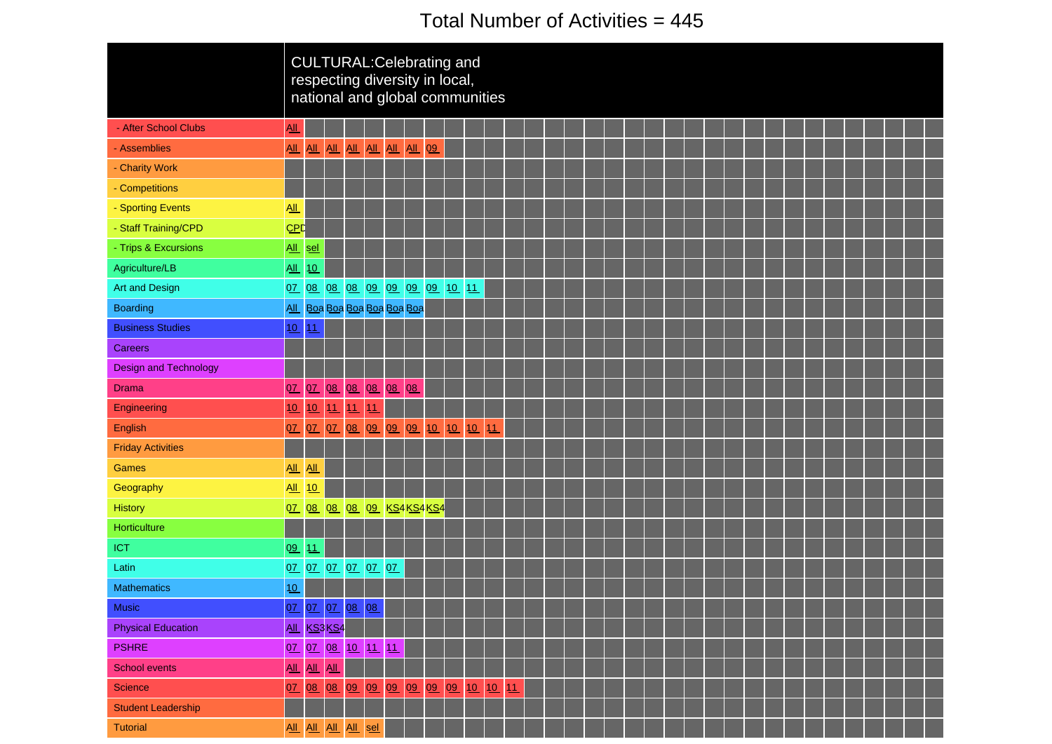# Total Number of Activities = 445

|                              |                            |             |                    |    | <b>CULTURAL: Celebrating and</b><br>respecting diversity in local,<br>national and global communities |    |    |    |    |  |  |  |  |  |  |  |  |  |  |  |
|------------------------------|----------------------------|-------------|--------------------|----|-------------------------------------------------------------------------------------------------------|----|----|----|----|--|--|--|--|--|--|--|--|--|--|--|
| - After School Clubs         | $\underline{All}$          |             |                    |    |                                                                                                       |    |    |    |    |  |  |  |  |  |  |  |  |  |  |  |
| - Assemblies                 | AII                        |             |                    |    | All All All All All All                                                                               |    | 09 |    |    |  |  |  |  |  |  |  |  |  |  |  |
| - Charity Work               |                            |             |                    |    |                                                                                                       |    |    |    |    |  |  |  |  |  |  |  |  |  |  |  |
| - Competitions               |                            |             |                    |    |                                                                                                       |    |    |    |    |  |  |  |  |  |  |  |  |  |  |  |
| - Sporting Events            | $\underline{\mathsf{All}}$ |             |                    |    |                                                                                                       |    |    |    |    |  |  |  |  |  |  |  |  |  |  |  |
| - Staff Training/CPD         | CPD                        |             |                    |    |                                                                                                       |    |    |    |    |  |  |  |  |  |  |  |  |  |  |  |
| - Trips & Excursions         |                            | All sel     |                    |    |                                                                                                       |    |    |    |    |  |  |  |  |  |  |  |  |  |  |  |
| Agriculture/LB               | All                        | 10          |                    |    |                                                                                                       |    |    |    |    |  |  |  |  |  |  |  |  |  |  |  |
| Art and Design               | 0Z                         |             |                    |    | 08 08 08 09 09 09 09 10 11                                                                            |    |    |    |    |  |  |  |  |  |  |  |  |  |  |  |
| <b>Boarding</b>              |                            |             |                    |    | All Boa Boa Boa Boa Boa Boa                                                                           |    |    |    |    |  |  |  |  |  |  |  |  |  |  |  |
| <b>Business Studies</b>      | 10                         | 11          |                    |    |                                                                                                       |    |    |    |    |  |  |  |  |  |  |  |  |  |  |  |
| <b>Careers</b>               |                            |             |                    |    |                                                                                                       |    |    |    |    |  |  |  |  |  |  |  |  |  |  |  |
| <b>Design and Technology</b> |                            |             |                    |    |                                                                                                       |    |    |    |    |  |  |  |  |  |  |  |  |  |  |  |
| <b>Drama</b>                 | 07                         | 0Z          |                    |    | 08 08 08 08                                                                                           | 08 |    |    |    |  |  |  |  |  |  |  |  |  |  |  |
| Engineering                  | 10                         | 10          | 11                 | 11 | 11                                                                                                    |    |    |    |    |  |  |  |  |  |  |  |  |  |  |  |
| English                      | 07                         |             |                    |    | 07 07 08 09 09 09 10 10                                                                               |    |    | 10 | 11 |  |  |  |  |  |  |  |  |  |  |  |
| <b>Friday Activities</b>     |                            |             |                    |    |                                                                                                       |    |    |    |    |  |  |  |  |  |  |  |  |  |  |  |
| <b>Games</b>                 | $\underline{\mathsf{All}}$ | AL          |                    |    |                                                                                                       |    |    |    |    |  |  |  |  |  |  |  |  |  |  |  |
| Geography                    | All 10                     |             |                    |    |                                                                                                       |    |    |    |    |  |  |  |  |  |  |  |  |  |  |  |
| <b>History</b>               |                            | 07 08       |                    |    | 08 08 09 KS4 KS4 KS4                                                                                  |    |    |    |    |  |  |  |  |  |  |  |  |  |  |  |
| Horticulture                 |                            |             |                    |    |                                                                                                       |    |    |    |    |  |  |  |  |  |  |  |  |  |  |  |
| ICT                          | 09                         | 11          |                    |    |                                                                                                       |    |    |    |    |  |  |  |  |  |  |  |  |  |  |  |
| Latin                        | 0Z                         |             |                    |    | 07 07 07 07 07                                                                                        |    |    |    |    |  |  |  |  |  |  |  |  |  |  |  |
| <b>Mathematics</b>           | 10                         |             |                    |    |                                                                                                       |    |    |    |    |  |  |  |  |  |  |  |  |  |  |  |
| Music                        |                            |             |                    |    |                                                                                                       |    |    |    |    |  |  |  |  |  |  |  |  |  |  |  |
| <b>Physical Education</b>    |                            |             | <b>All</b> KS3 KS4 |    |                                                                                                       |    |    |    |    |  |  |  |  |  |  |  |  |  |  |  |
| <b>PSHRE</b>                 |                            |             |                    |    | 07 07 08 10 11 11                                                                                     |    |    |    |    |  |  |  |  |  |  |  |  |  |  |  |
| School events                |                            | All All All |                    |    |                                                                                                       |    |    |    |    |  |  |  |  |  |  |  |  |  |  |  |
| <b>Science</b>               |                            |             |                    |    | 07 08 08 09 09 09 09 09 09 10 10 11                                                                   |    |    |    |    |  |  |  |  |  |  |  |  |  |  |  |
| <b>Student Leadership</b>    |                            |             |                    |    |                                                                                                       |    |    |    |    |  |  |  |  |  |  |  |  |  |  |  |
| <b>Tutorial</b>              |                            |             |                    |    | All All All All sel                                                                                   |    |    |    |    |  |  |  |  |  |  |  |  |  |  |  |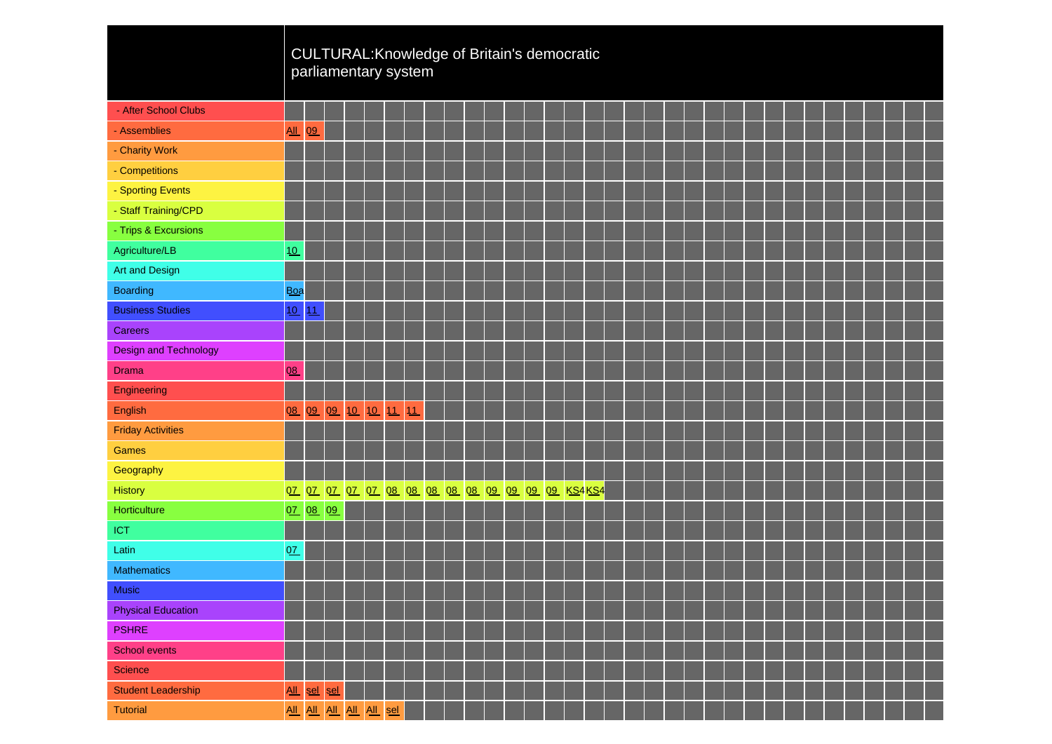|                              |                            |    |                                 | CULTURAL: Knowledge of Britain's democratic<br>parliamentary system |          |    |  |  |  |  |                                                                  |  |  |  |  |  |  |  |  |
|------------------------------|----------------------------|----|---------------------------------|---------------------------------------------------------------------|----------|----|--|--|--|--|------------------------------------------------------------------|--|--|--|--|--|--|--|--|
| - After School Clubs         |                            |    |                                 |                                                                     |          |    |  |  |  |  |                                                                  |  |  |  |  |  |  |  |  |
| - Assemblies                 | $\underline{\mathsf{All}}$ | 09 |                                 |                                                                     |          |    |  |  |  |  |                                                                  |  |  |  |  |  |  |  |  |
| - Charity Work               |                            |    |                                 |                                                                     |          |    |  |  |  |  |                                                                  |  |  |  |  |  |  |  |  |
| - Competitions               |                            |    |                                 |                                                                     |          |    |  |  |  |  |                                                                  |  |  |  |  |  |  |  |  |
| - Sporting Events            |                            |    |                                 |                                                                     |          |    |  |  |  |  |                                                                  |  |  |  |  |  |  |  |  |
| - Staff Training/CPD         |                            |    |                                 |                                                                     |          |    |  |  |  |  |                                                                  |  |  |  |  |  |  |  |  |
| - Trips & Excursions         |                            |    |                                 |                                                                     |          |    |  |  |  |  |                                                                  |  |  |  |  |  |  |  |  |
| Agriculture/LB               | 10                         |    |                                 |                                                                     |          |    |  |  |  |  |                                                                  |  |  |  |  |  |  |  |  |
| <b>Art and Design</b>        |                            |    |                                 |                                                                     |          |    |  |  |  |  |                                                                  |  |  |  |  |  |  |  |  |
| <b>Boarding</b>              | <b>Boa</b>                 |    |                                 |                                                                     |          |    |  |  |  |  |                                                                  |  |  |  |  |  |  |  |  |
| <b>Business Studies</b>      | 10                         | 11 |                                 |                                                                     |          |    |  |  |  |  |                                                                  |  |  |  |  |  |  |  |  |
| <b>Careers</b>               |                            |    |                                 |                                                                     |          |    |  |  |  |  |                                                                  |  |  |  |  |  |  |  |  |
| <b>Design and Technology</b> |                            |    |                                 |                                                                     |          |    |  |  |  |  |                                                                  |  |  |  |  |  |  |  |  |
| Drama                        | 08                         |    |                                 |                                                                     |          |    |  |  |  |  |                                                                  |  |  |  |  |  |  |  |  |
| Engineering                  |                            |    |                                 |                                                                     |          |    |  |  |  |  |                                                                  |  |  |  |  |  |  |  |  |
| English                      | 08                         |    | $\overline{09}$ $\overline{09}$ |                                                                     | 10 10 11 | 11 |  |  |  |  |                                                                  |  |  |  |  |  |  |  |  |
| <b>Friday Activities</b>     |                            |    |                                 |                                                                     |          |    |  |  |  |  |                                                                  |  |  |  |  |  |  |  |  |
| Games                        |                            |    |                                 |                                                                     |          |    |  |  |  |  |                                                                  |  |  |  |  |  |  |  |  |
| Geography                    |                            |    |                                 |                                                                     |          |    |  |  |  |  |                                                                  |  |  |  |  |  |  |  |  |
| <b>History</b>               |                            |    |                                 |                                                                     |          |    |  |  |  |  | 07 07 07 07 07 08 08 08 08 08 09 09 09 09 <mark>09 KS4KS4</mark> |  |  |  |  |  |  |  |  |
| Horticulture                 | 07 08 09                   |    |                                 |                                                                     |          |    |  |  |  |  |                                                                  |  |  |  |  |  |  |  |  |
| ICT                          |                            |    |                                 |                                                                     |          |    |  |  |  |  |                                                                  |  |  |  |  |  |  |  |  |
| Latin                        | QZ                         |    |                                 |                                                                     |          |    |  |  |  |  |                                                                  |  |  |  |  |  |  |  |  |
| <b>Mathematics</b>           |                            |    |                                 |                                                                     |          |    |  |  |  |  |                                                                  |  |  |  |  |  |  |  |  |
| <b>Music</b>                 |                            |    |                                 |                                                                     |          |    |  |  |  |  |                                                                  |  |  |  |  |  |  |  |  |
| <b>Physical Education</b>    |                            |    |                                 |                                                                     |          |    |  |  |  |  |                                                                  |  |  |  |  |  |  |  |  |
| <b>PSHRE</b>                 |                            |    |                                 |                                                                     |          |    |  |  |  |  |                                                                  |  |  |  |  |  |  |  |  |
| School events                |                            |    |                                 |                                                                     |          |    |  |  |  |  |                                                                  |  |  |  |  |  |  |  |  |
| Science                      |                            |    |                                 |                                                                     |          |    |  |  |  |  |                                                                  |  |  |  |  |  |  |  |  |
| <b>Student Leadership</b>    | All sel sel                |    |                                 |                                                                     |          |    |  |  |  |  |                                                                  |  |  |  |  |  |  |  |  |
| Tutorial                     |                            |    |                                 | All All All All All sel                                             |          |    |  |  |  |  |                                                                  |  |  |  |  |  |  |  |  |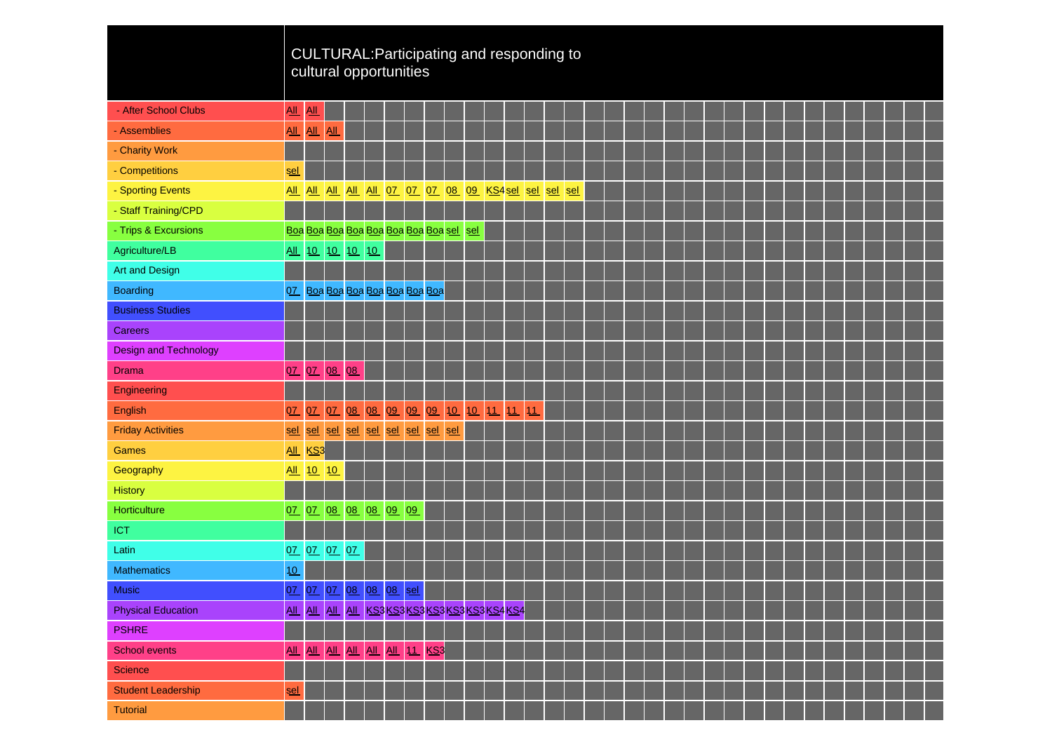|                              |                            |           |             |                 | CULTURAL: Participating and responding to<br>cultural opportunities |  |  |  |    |  |  |  |  |  |  |  |  |  |
|------------------------------|----------------------------|-----------|-------------|-----------------|---------------------------------------------------------------------|--|--|--|----|--|--|--|--|--|--|--|--|--|
| - After School Clubs         | AL                         | AII       |             |                 |                                                                     |  |  |  |    |  |  |  |  |  |  |  |  |  |
| - Assemblies                 | $\underline{\mathsf{All}}$ | All All   |             |                 |                                                                     |  |  |  |    |  |  |  |  |  |  |  |  |  |
| - Charity Work               |                            |           |             |                 |                                                                     |  |  |  |    |  |  |  |  |  |  |  |  |  |
| - Competitions               | sel                        |           |             |                 |                                                                     |  |  |  |    |  |  |  |  |  |  |  |  |  |
| - Sporting Events            |                            |           |             |                 | All All All All All OZ OZ OZ O8 O9 KS4sel sel sel sel               |  |  |  |    |  |  |  |  |  |  |  |  |  |
| - Staff Training/CPD         |                            |           |             |                 |                                                                     |  |  |  |    |  |  |  |  |  |  |  |  |  |
| - Trips & Excursions         |                            |           |             |                 | Boa Boa Boa Boa Boa Boa Boa Boa sel sel                             |  |  |  |    |  |  |  |  |  |  |  |  |  |
| Agriculture/LB               |                            |           |             | All 10 10 10 10 |                                                                     |  |  |  |    |  |  |  |  |  |  |  |  |  |
| <b>Art and Design</b>        |                            |           |             |                 |                                                                     |  |  |  |    |  |  |  |  |  |  |  |  |  |
| <b>Boarding</b>              |                            |           |             |                 | 07 Boa Boa Boa Boa Boa Boa Boa Boa                                  |  |  |  |    |  |  |  |  |  |  |  |  |  |
| <b>Business Studies</b>      |                            |           |             |                 |                                                                     |  |  |  |    |  |  |  |  |  |  |  |  |  |
| <b>Careers</b>               |                            |           |             |                 |                                                                     |  |  |  |    |  |  |  |  |  |  |  |  |  |
| <b>Design and Technology</b> |                            |           |             |                 |                                                                     |  |  |  |    |  |  |  |  |  |  |  |  |  |
| <b>Drama</b>                 | 0 <u>7</u>                 |           | 07 08       | 08              |                                                                     |  |  |  |    |  |  |  |  |  |  |  |  |  |
| Engineering                  |                            |           |             |                 |                                                                     |  |  |  |    |  |  |  |  |  |  |  |  |  |
| English                      | 0 <u>7</u>                 | 0Z        | QZ          |                 | 08 08 09 09 09 10 10 11 11                                          |  |  |  | 11 |  |  |  |  |  |  |  |  |  |
| <b>Friday Activities</b>     | sel                        |           |             |                 | sel sel sel sel sel sel sel sel sel                                 |  |  |  |    |  |  |  |  |  |  |  |  |  |
| <b>Games</b>                 |                            | All KS3   |             |                 |                                                                     |  |  |  |    |  |  |  |  |  |  |  |  |  |
| Geography                    |                            | All 10 10 |             |                 |                                                                     |  |  |  |    |  |  |  |  |  |  |  |  |  |
| History                      |                            |           |             |                 |                                                                     |  |  |  |    |  |  |  |  |  |  |  |  |  |
| Horticulture                 | 0Z                         |           |             |                 | 07 08 08 08 09 09                                                   |  |  |  |    |  |  |  |  |  |  |  |  |  |
| <b>ICT</b>                   |                            |           |             |                 |                                                                     |  |  |  |    |  |  |  |  |  |  |  |  |  |
| Latin                        |                            |           | 07 07 07 07 |                 |                                                                     |  |  |  |    |  |  |  |  |  |  |  |  |  |
| <b>Mathematics</b>           | 10                         |           |             |                 |                                                                     |  |  |  |    |  |  |  |  |  |  |  |  |  |
| <b>Music</b>                 |                            |           |             |                 | 07 07 07 08 08 08 sel                                               |  |  |  |    |  |  |  |  |  |  |  |  |  |
| <b>Physical Education</b>    |                            |           |             |                 | AIL AIL AIL AIL KS3 KS3 KS3 KS3 KS3 KS3 KS4 KS4                     |  |  |  |    |  |  |  |  |  |  |  |  |  |
| <b>PSHRE</b>                 |                            |           |             |                 |                                                                     |  |  |  |    |  |  |  |  |  |  |  |  |  |
| <b>School events</b>         | All                        |           |             |                 | ALL ALL ALL ALL ALL 11 KS3                                          |  |  |  |    |  |  |  |  |  |  |  |  |  |
| Science                      |                            |           |             |                 |                                                                     |  |  |  |    |  |  |  |  |  |  |  |  |  |
| <b>Student Leadership</b>    | <u>sel</u>                 |           |             |                 |                                                                     |  |  |  |    |  |  |  |  |  |  |  |  |  |
| <b>Tutorial</b>              |                            |           |             |                 |                                                                     |  |  |  |    |  |  |  |  |  |  |  |  |  |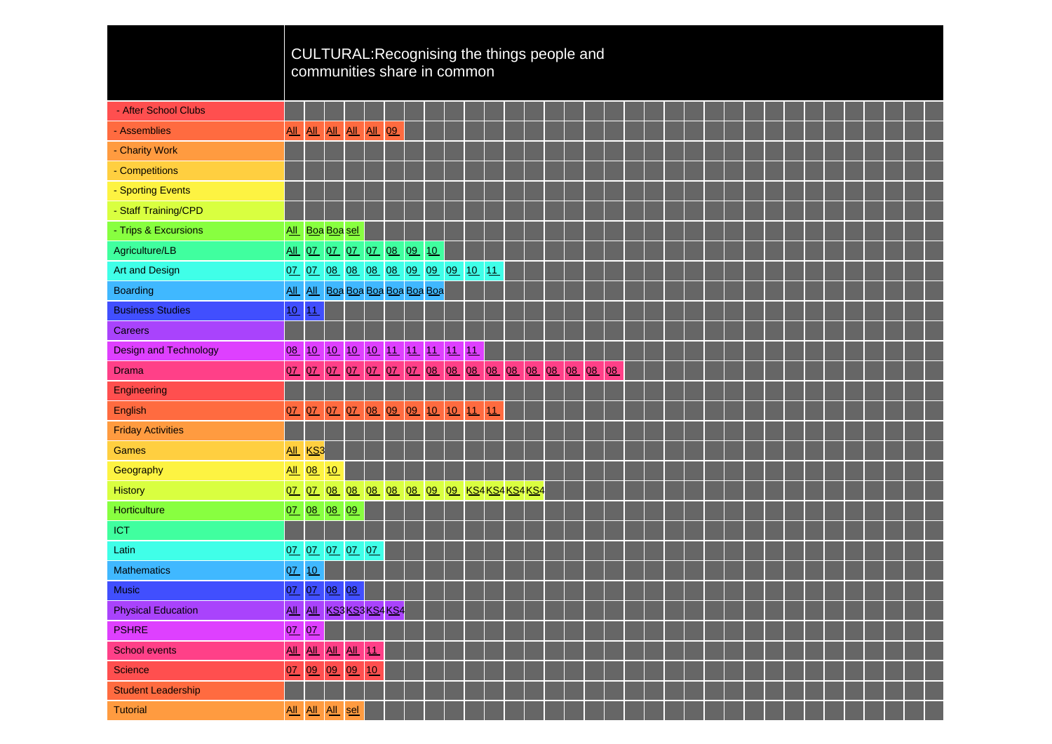|                              |                            |                       |             |                 |                                  |    |                            |    |    |    |  | CULTURAL: Recognising the things people and |                            |    |  |                                                                                                                |  |                                                                                                                       |  |  |  |  |
|------------------------------|----------------------------|-----------------------|-------------|-----------------|----------------------------------|----|----------------------------|----|----|----|--|---------------------------------------------|----------------------------|----|--|----------------------------------------------------------------------------------------------------------------|--|-----------------------------------------------------------------------------------------------------------------------|--|--|--|--|
|                              |                            |                       |             |                 | communities share in common      |    |                            |    |    |    |  |                                             |                            |    |  |                                                                                                                |  |                                                                                                                       |  |  |  |  |
|                              |                            |                       |             |                 |                                  |    |                            |    |    |    |  |                                             |                            |    |  |                                                                                                                |  |                                                                                                                       |  |  |  |  |
| - After School Clubs         |                            |                       |             |                 |                                  |    |                            |    |    |    |  |                                             |                            |    |  |                                                                                                                |  |                                                                                                                       |  |  |  |  |
| - Assemblies                 | $\underline{\mathsf{All}}$ |                       |             | All All All All |                                  | 09 |                            |    |    |    |  |                                             |                            |    |  |                                                                                                                |  |                                                                                                                       |  |  |  |  |
| - Charity Work               |                            |                       |             |                 |                                  |    |                            |    |    |    |  |                                             |                            |    |  |                                                                                                                |  |                                                                                                                       |  |  |  |  |
| - Competitions               |                            |                       |             |                 |                                  |    |                            |    |    |    |  |                                             |                            |    |  |                                                                                                                |  |                                                                                                                       |  |  |  |  |
| - Sporting Events            |                            |                       |             |                 |                                  |    |                            |    |    |    |  |                                             |                            |    |  |                                                                                                                |  |                                                                                                                       |  |  |  |  |
| - Staff Training/CPD         |                            |                       |             |                 |                                  |    |                            |    |    |    |  |                                             |                            |    |  |                                                                                                                |  |                                                                                                                       |  |  |  |  |
| - Trips & Excursions         | <b>All</b>                 |                       | Boa Boa sel |                 |                                  |    |                            |    |    |    |  |                                             |                            |    |  |                                                                                                                |  |                                                                                                                       |  |  |  |  |
| Agriculture/LB               |                            |                       |             |                 | <u>All 07 07 07 07 08 09</u>     |    |                            | 10 |    |    |  |                                             |                            |    |  |                                                                                                                |  |                                                                                                                       |  |  |  |  |
| <b>Art and Design</b>        |                            |                       |             |                 | 07 07 08 08 08 08 09 09 09 10 11 |    |                            |    |    |    |  |                                             |                            |    |  |                                                                                                                |  |                                                                                                                       |  |  |  |  |
| <b>Boarding</b>              | AII                        |                       |             |                 | All Boa Boa Boa Boa Boa Boa      |    |                            |    |    |    |  |                                             |                            |    |  |                                                                                                                |  |                                                                                                                       |  |  |  |  |
| <b>Business Studies</b>      | 10                         | 11                    |             |                 |                                  |    |                            |    |    |    |  |                                             |                            |    |  |                                                                                                                |  |                                                                                                                       |  |  |  |  |
| <b>Careers</b>               |                            |                       |             |                 |                                  |    |                            |    |    |    |  |                                             |                            |    |  |                                                                                                                |  |                                                                                                                       |  |  |  |  |
| <b>Design and Technology</b> | 08                         | 10                    |             |                 | 1 <u>0</u> 10 10 11 11 11 11 11  |    |                            |    |    |    |  |                                             |                            |    |  |                                                                                                                |  |                                                                                                                       |  |  |  |  |
| <b>Drama</b>                 | 07                         | 0 <u>7</u>            | 07          | 07              |                                  |    | 07 07 07 08 08 08 08 08 08 |    |    |    |  | 08 08 08                                    |                            | 08 |  |                                                                                                                |  |                                                                                                                       |  |  |  |  |
| Engineering                  |                            |                       |             |                 |                                  |    |                            |    |    |    |  |                                             |                            |    |  |                                                                                                                |  |                                                                                                                       |  |  |  |  |
| English                      | 07                         | 07 07                 |             | 0Z              | 08 09                            |    | 09 10 10                   |    | 11 | 11 |  |                                             |                            |    |  |                                                                                                                |  |                                                                                                                       |  |  |  |  |
| <b>Friday Activities</b>     |                            |                       |             |                 |                                  |    |                            |    |    |    |  |                                             |                            |    |  |                                                                                                                |  |                                                                                                                       |  |  |  |  |
| Games                        |                            | <b>All KS3</b>        |             |                 |                                  |    |                            |    |    |    |  |                                             |                            |    |  |                                                                                                                |  |                                                                                                                       |  |  |  |  |
| Geography                    |                            | All 08                | 10          |                 |                                  |    |                            |    |    |    |  |                                             |                            |    |  |                                                                                                                |  |                                                                                                                       |  |  |  |  |
| <b>History</b>               |                            | 07 07 08              |             |                 | 08 08 08 08 09 09 KS4KS4KS4KS4   |    |                            |    |    |    |  |                                             |                            |    |  |                                                                                                                |  |                                                                                                                       |  |  |  |  |
| Horticulture                 |                            | 07 08 08 09           |             |                 |                                  |    |                            |    |    |    |  |                                             |                            |    |  |                                                                                                                |  |                                                                                                                       |  |  |  |  |
| ICT                          |                            |                       |             |                 |                                  |    |                            |    |    |    |  |                                             |                            |    |  |                                                                                                                |  |                                                                                                                       |  |  |  |  |
| Latin                        |                            | 07 07 07 07 07        |             |                 |                                  |    |                            |    |    |    |  |                                             |                            |    |  |                                                                                                                |  |                                                                                                                       |  |  |  |  |
| <b>Mathematics</b>           | 0Z                         | 10                    |             |                 |                                  |    |                            |    |    |    |  |                                             |                            |    |  |                                                                                                                |  |                                                                                                                       |  |  |  |  |
| <b>Music</b>                 |                            | 07 07 08 08           |             |                 |                                  |    | <u> La Barat de la Ba</u>  |    |    |    |  |                                             | and the state of the state |    |  | a di kacamatan ing Kabupatèn Kabupatèn Ing Kabupatèn Kabupatèn Kabupatèn Kabupatèn Kabupatèn Kabupatèn Kabupat |  | <u> La Carlo de Carlo de la Carlo de Carlo de Carlo de la Carlo de Carlo de Carlo de Carlo de Carlo de Carlo de C</u> |  |  |  |  |
| <b>Physical Education</b>    |                            |                       |             |                 | All All KS3 KS3 KS4 KS4          |    |                            |    |    |    |  |                                             |                            |    |  |                                                                                                                |  |                                                                                                                       |  |  |  |  |
| <b>PSHRE</b>                 |                            | 07 07                 |             |                 |                                  |    |                            |    |    |    |  |                                             |                            |    |  |                                                                                                                |  |                                                                                                                       |  |  |  |  |
| School events                | $\underline{\mathrm{All}}$ | <u>All All All 11</u> |             |                 |                                  |    |                            |    |    |    |  |                                             |                            |    |  |                                                                                                                |  |                                                                                                                       |  |  |  |  |
| Science                      | 0Z                         |                       |             | 09 09 09 10     |                                  |    |                            |    |    |    |  |                                             |                            |    |  |                                                                                                                |  |                                                                                                                       |  |  |  |  |
| <b>Student Leadership</b>    |                            |                       |             |                 |                                  |    |                            |    |    |    |  |                                             |                            |    |  |                                                                                                                |  |                                                                                                                       |  |  |  |  |
| <b>Tutorial</b>              |                            | All All All sel       |             |                 |                                  |    |                            |    |    |    |  |                                             |                            |    |  |                                                                                                                |  |                                                                                                                       |  |  |  |  |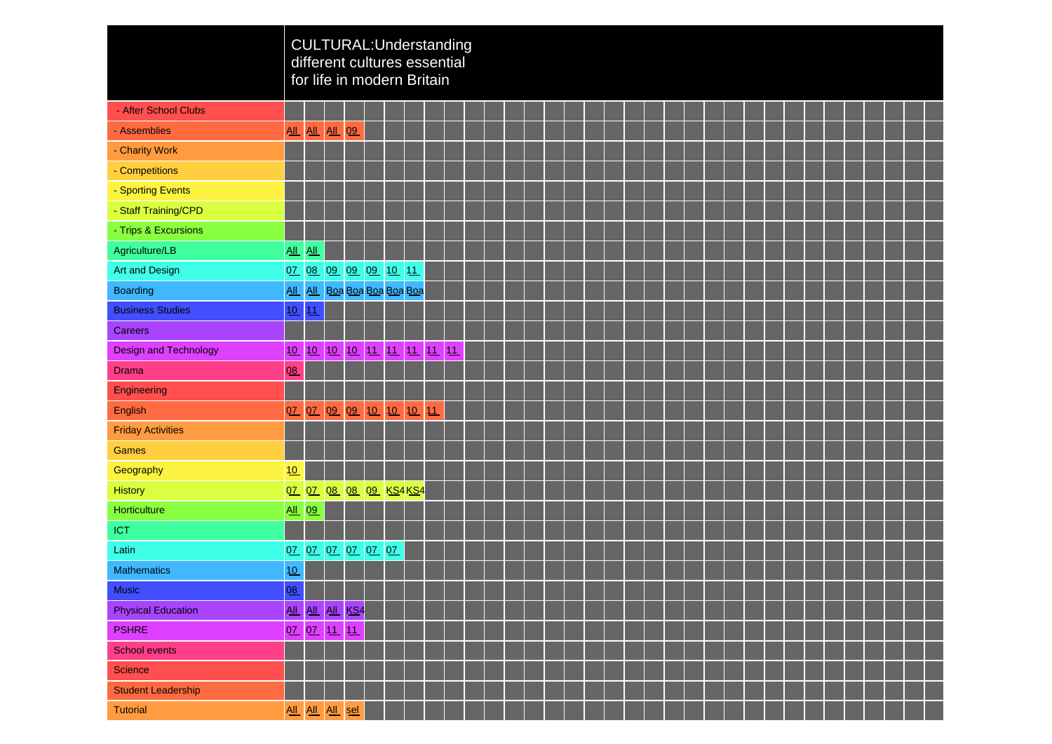|                              |                            |                            |                   |                 | CULTURAL:Understanding<br>different cultures essential<br>for life in modern Britain |  |    |   |  |   |  |  |  |  |  |  |  |  |
|------------------------------|----------------------------|----------------------------|-------------------|-----------------|--------------------------------------------------------------------------------------|--|----|---|--|---|--|--|--|--|--|--|--|--|
| - After School Clubs         |                            |                            |                   |                 |                                                                                      |  |    |   |  |   |  |  |  |  |  |  |  |  |
| - Assemblies                 | $\underline{\mathsf{All}}$ |                            | <u>All All 09</u> |                 |                                                                                      |  |    |   |  |   |  |  |  |  |  |  |  |  |
| - Charity Work               |                            |                            |                   |                 |                                                                                      |  |    |   |  |   |  |  |  |  |  |  |  |  |
| - Competitions               |                            |                            |                   |                 |                                                                                      |  |    |   |  |   |  |  |  |  |  |  |  |  |
| - Sporting Events            |                            |                            |                   |                 |                                                                                      |  |    |   |  |   |  |  |  |  |  |  |  |  |
| - Staff Training/CPD         |                            |                            |                   |                 |                                                                                      |  |    |   |  |   |  |  |  |  |  |  |  |  |
| - Trips & Excursions         |                            |                            |                   |                 |                                                                                      |  |    |   |  |   |  |  |  |  |  |  |  |  |
| Agriculture/LB               | $\underline{\mathsf{All}}$ | $\underline{\mathrm{All}}$ |                   |                 |                                                                                      |  |    |   |  |   |  |  |  |  |  |  |  |  |
| <b>Art and Design</b>        | QZ                         |                            |                   |                 | 08 09 09 09 10 11                                                                    |  |    |   |  |   |  |  |  |  |  |  |  |  |
| <b>Boarding</b>              |                            |                            |                   |                 | All All Boa Boa Boa Boa Boa                                                          |  |    |   |  |   |  |  |  |  |  |  |  |  |
| <b>Business Studies</b>      | 10                         | 11                         |                   |                 |                                                                                      |  |    |   |  |   |  |  |  |  |  |  |  |  |
| <b>Careers</b>               |                            |                            |                   |                 |                                                                                      |  |    |   |  |   |  |  |  |  |  |  |  |  |
| <b>Design and Technology</b> | 10                         |                            |                   |                 | 1 <u>0 10 10 11 11 11 11 11 11</u>                                                   |  |    |   |  |   |  |  |  |  |  |  |  |  |
| <b>Drama</b>                 | 08                         |                            |                   |                 |                                                                                      |  |    |   |  |   |  |  |  |  |  |  |  |  |
| Engineering                  |                            |                            |                   |                 |                                                                                      |  |    |   |  |   |  |  |  |  |  |  |  |  |
| English                      | 07                         | 07 09                      |                   | 09              | 10 10 10                                                                             |  | 11 |   |  |   |  |  |  |  |  |  |  |  |
| <b>Friday Activities</b>     |                            |                            |                   |                 |                                                                                      |  |    |   |  |   |  |  |  |  |  |  |  |  |
| Games                        |                            |                            |                   |                 |                                                                                      |  |    |   |  |   |  |  |  |  |  |  |  |  |
| Geography                    | 10                         |                            |                   |                 |                                                                                      |  |    |   |  |   |  |  |  |  |  |  |  |  |
| History                      |                            |                            |                   |                 | 07 07 08 08 09 KS4 KS4                                                               |  |    |   |  |   |  |  |  |  |  |  |  |  |
| Horticulture                 | <u>All 09</u>              |                            |                   |                 |                                                                                      |  |    |   |  |   |  |  |  |  |  |  |  |  |
| <b>ICT</b>                   |                            |                            |                   |                 |                                                                                      |  |    |   |  |   |  |  |  |  |  |  |  |  |
| Latin                        |                            |                            |                   |                 | 07 07 07 07 07 07                                                                    |  |    |   |  |   |  |  |  |  |  |  |  |  |
| <b>Mathematics</b>           | 10                         |                            |                   |                 |                                                                                      |  |    |   |  |   |  |  |  |  |  |  |  |  |
| <b>Music</b>                 | 08                         |                            |                   |                 |                                                                                      |  |    | ٠ |  | ٠ |  |  |  |  |  |  |  |  |
| <b>Physical Education</b>    |                            |                            |                   | ALL ALL ALL KS4 |                                                                                      |  |    |   |  |   |  |  |  |  |  |  |  |  |
| <b>PSHRE</b>                 |                            |                            |                   | 07 07 11 11     |                                                                                      |  |    |   |  |   |  |  |  |  |  |  |  |  |
| School events                |                            |                            |                   |                 |                                                                                      |  |    |   |  |   |  |  |  |  |  |  |  |  |
| <b>Science</b>               |                            |                            |                   |                 |                                                                                      |  |    |   |  |   |  |  |  |  |  |  |  |  |
| <b>Student Leadership</b>    |                            |                            |                   |                 |                                                                                      |  |    |   |  |   |  |  |  |  |  |  |  |  |
| <b>Tutorial</b>              |                            |                            |                   | All All All sel |                                                                                      |  |    |   |  |   |  |  |  |  |  |  |  |  |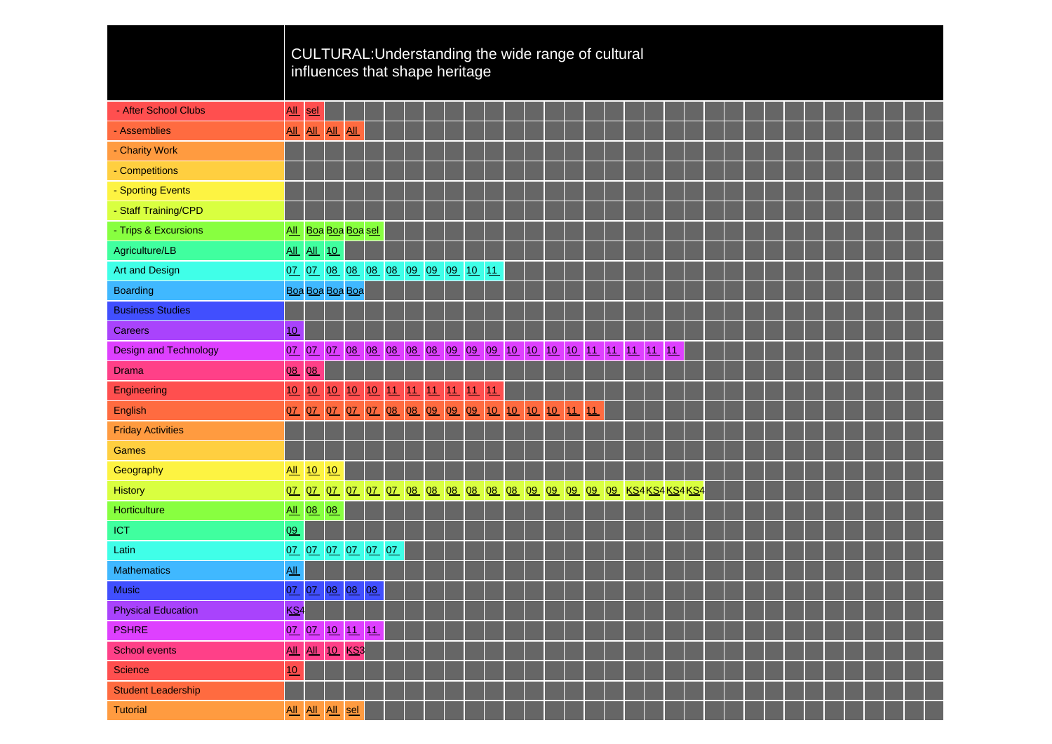|                              |                            |                            |                    |                            |                                  |  |  |    |     |          | CULTURAL: Understanding the wide range of cultural        |    |               |  |  |                           |  |  |  |  |  |
|------------------------------|----------------------------|----------------------------|--------------------|----------------------------|----------------------------------|--|--|----|-----|----------|-----------------------------------------------------------|----|---------------|--|--|---------------------------|--|--|--|--|--|
|                              |                            |                            |                    |                            | influences that shape heritage   |  |  |    |     |          |                                                           |    |               |  |  |                           |  |  |  |  |  |
|                              |                            |                            |                    |                            |                                  |  |  |    |     |          |                                                           |    |               |  |  |                           |  |  |  |  |  |
| - After School Clubs         | <u>All</u>                 | sel                        |                    |                            |                                  |  |  |    |     |          |                                                           |    |               |  |  |                           |  |  |  |  |  |
| - Assemblies                 | All                        | $\underline{\mathsf{All}}$ | AL                 | $\underline{\mathsf{All}}$ |                                  |  |  |    |     |          |                                                           |    |               |  |  |                           |  |  |  |  |  |
| - Charity Work               |                            |                            |                    |                            |                                  |  |  |    |     |          |                                                           |    |               |  |  |                           |  |  |  |  |  |
| - Competitions               |                            |                            |                    |                            |                                  |  |  |    |     |          |                                                           |    |               |  |  |                           |  |  |  |  |  |
| - Sporting Events            |                            |                            |                    |                            |                                  |  |  |    |     |          |                                                           |    |               |  |  |                           |  |  |  |  |  |
| - Staff Training/CPD         |                            |                            |                    |                            |                                  |  |  |    |     |          |                                                           |    |               |  |  |                           |  |  |  |  |  |
| - Trips & Excursions         |                            |                            |                    | All Boa Boa Boa sel        |                                  |  |  |    |     |          |                                                           |    |               |  |  |                           |  |  |  |  |  |
| Agriculture/LB               |                            |                            | <u>All All  10</u> |                            |                                  |  |  |    |     |          |                                                           |    |               |  |  |                           |  |  |  |  |  |
| <b>Art and Design</b>        |                            |                            |                    |                            | 07 07 08 08 08 08 09 09 09 10 11 |  |  |    |     |          |                                                           |    |               |  |  |                           |  |  |  |  |  |
| <b>Boarding</b>              |                            |                            |                    | Boa Boa Boa Boa            |                                  |  |  |    |     |          |                                                           |    |               |  |  |                           |  |  |  |  |  |
| <b>Business Studies</b>      |                            |                            |                    |                            |                                  |  |  |    |     |          |                                                           |    |               |  |  |                           |  |  |  |  |  |
| <b>Careers</b>               | 10                         |                            |                    |                            |                                  |  |  |    |     |          |                                                           |    |               |  |  |                           |  |  |  |  |  |
| <b>Design and Technology</b> | 0Z                         |                            |                    |                            |                                  |  |  |    |     |          | 07 07 08 08 08 08 08 09 09 09 10 10 10 10 11 11 11 11 11  |    |               |  |  |                           |  |  |  |  |  |
| <b>Drama</b>                 | 08                         | 08                         |                    |                            |                                  |  |  |    |     |          |                                                           |    |               |  |  |                           |  |  |  |  |  |
| Engineering                  | 10                         | 10                         | 10                 |                            | 10 10 11 11 11 11                |  |  | 11 | 11  |          |                                                           |    |               |  |  |                           |  |  |  |  |  |
| English                      | 07                         | 07                         | 0Z                 |                            | 07 07 08 08 09 09 09             |  |  |    |     | 10 10 10 | 10                                                        | 11 | 11            |  |  |                           |  |  |  |  |  |
| <b>Friday Activities</b>     |                            |                            |                    |                            |                                  |  |  |    |     |          |                                                           |    |               |  |  |                           |  |  |  |  |  |
| Games                        |                            |                            |                    |                            |                                  |  |  |    |     |          |                                                           |    |               |  |  |                           |  |  |  |  |  |
| Geography                    | AL                         | 10                         | 10                 |                            |                                  |  |  |    |     |          |                                                           |    |               |  |  |                           |  |  |  |  |  |
| <b>History</b>               |                            |                            | 07 07 07           |                            |                                  |  |  |    |     |          | 07 07 07 08 08 08 08 08 08 09 09 09 09 09 08 KS4KS4KS4KS4 |    |               |  |  |                           |  |  |  |  |  |
| Horticulture                 |                            |                            | All 08 08          |                            |                                  |  |  |    |     |          |                                                           |    |               |  |  |                           |  |  |  |  |  |
| <b>ICT</b>                   | 09                         |                            |                    |                            |                                  |  |  |    |     |          |                                                           |    |               |  |  |                           |  |  |  |  |  |
| Latin                        |                            |                            |                    |                            | 07 07 07 07 07 07                |  |  |    |     |          |                                                           |    |               |  |  |                           |  |  |  |  |  |
| <b>Mathematics</b>           | $\underline{\mathsf{All}}$ |                            |                    |                            |                                  |  |  |    |     |          |                                                           |    |               |  |  |                           |  |  |  |  |  |
| <b>Music</b>                 |                            |                            |                    |                            | 07 07 08 08 08                   |  |  |    | . . |          | أكب كا                                                    |    | and the state |  |  | <u> The Most Hospital</u> |  |  |  |  |  |
| <b>Physical Education</b>    | KS <sub>4</sub>            |                            |                    |                            |                                  |  |  |    |     |          |                                                           |    |               |  |  |                           |  |  |  |  |  |
| <b>PSHRE</b>                 |                            |                            |                    | 07 07 10 11 11             |                                  |  |  |    |     |          |                                                           |    |               |  |  |                           |  |  |  |  |  |
| <b>School events</b>         | <b>All</b>                 | AL                         |                    | 10 KS3                     |                                  |  |  |    |     |          |                                                           |    |               |  |  |                           |  |  |  |  |  |
| Science                      | 10                         |                            |                    |                            |                                  |  |  |    |     |          |                                                           |    |               |  |  |                           |  |  |  |  |  |
| <b>Student Leadership</b>    |                            |                            |                    |                            |                                  |  |  |    |     |          |                                                           |    |               |  |  |                           |  |  |  |  |  |
| <b>Tutorial</b>              |                            |                            |                    | All All All sel            |                                  |  |  |    |     |          |                                                           |    |               |  |  |                           |  |  |  |  |  |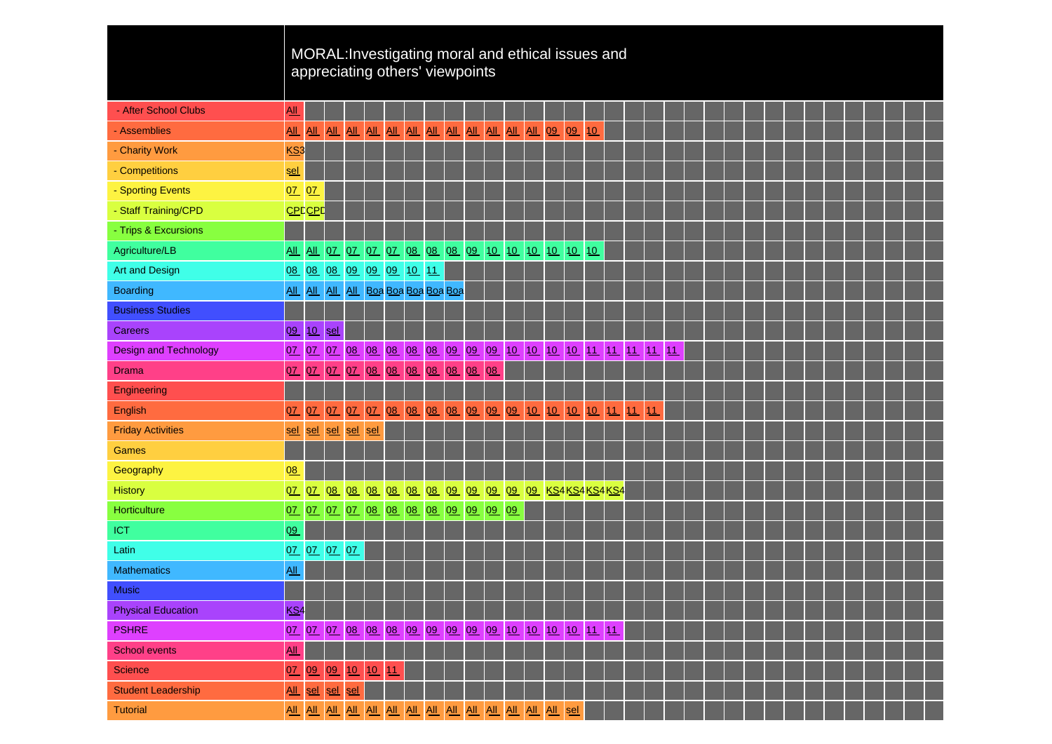|                              |                            |       |                                 |             | MORAL: Investigating moral and ethical issues and<br>appreciating others' viewpoints |  |  |    |  |  |  |  |  |  |  |  |  |  |  |
|------------------------------|----------------------------|-------|---------------------------------|-------------|--------------------------------------------------------------------------------------|--|--|----|--|--|--|--|--|--|--|--|--|--|--|
| - After School Clubs         | All                        |       |                                 |             |                                                                                      |  |  |    |  |  |  |  |  |  |  |  |  |  |  |
| - Assemblies                 | AL                         |       |                                 |             | <u>  All   All   All   All   All   All   All   All   All   All   O9   O9   10  </u>  |  |  |    |  |  |  |  |  |  |  |  |  |  |  |
| - Charity Work               | KS <sub>3</sub>            |       |                                 |             |                                                                                      |  |  |    |  |  |  |  |  |  |  |  |  |  |  |
| - Competitions               | sel                        |       |                                 |             |                                                                                      |  |  |    |  |  |  |  |  |  |  |  |  |  |  |
| - Sporting Events            | 07 07                      |       |                                 |             |                                                                                      |  |  |    |  |  |  |  |  |  |  |  |  |  |  |
| - Staff Training/CPD         | <b>CPDCPD</b>              |       |                                 |             |                                                                                      |  |  |    |  |  |  |  |  |  |  |  |  |  |  |
| - Trips & Excursions         |                            |       |                                 |             |                                                                                      |  |  |    |  |  |  |  |  |  |  |  |  |  |  |
| Agriculture/LB               |                            |       |                                 |             | <u>All All 07 07 07 07 08 08 08 09 10 10 10 10 10 10 10</u>                          |  |  |    |  |  |  |  |  |  |  |  |  |  |  |
| Art and Design               |                            |       |                                 |             | 08 08 08 09 09 09 10 11                                                              |  |  |    |  |  |  |  |  |  |  |  |  |  |  |
| <b>Boarding</b>              |                            |       |                                 |             | All All All All Boa Boa Boa Boa Boa                                                  |  |  |    |  |  |  |  |  |  |  |  |  |  |  |
| <b>Business Studies</b>      |                            |       |                                 |             |                                                                                      |  |  |    |  |  |  |  |  |  |  |  |  |  |  |
| <b>Careers</b>               | 09                         |       | 10 sel                          |             |                                                                                      |  |  |    |  |  |  |  |  |  |  |  |  |  |  |
| <b>Design and Technology</b> | 07                         | 07 07 |                                 |             | 08 08 08 08 08 09 09 09 10 10 10 10 11 11 11 11 11                                   |  |  |    |  |  |  |  |  |  |  |  |  |  |  |
| <b>Drama</b>                 | 0Z                         | 0Z    | 07                              |             | 07 08 08 08 08 08 08                                                                 |  |  | 08 |  |  |  |  |  |  |  |  |  |  |  |
| Engineering                  |                            |       |                                 |             |                                                                                      |  |  |    |  |  |  |  |  |  |  |  |  |  |  |
| English                      | 07                         | 07    | 0Z                              |             | 07 07 08 08 08 08 09 09 09 10 10 10 10 11 11 11                                      |  |  |    |  |  |  |  |  |  |  |  |  |  |  |
| <b>Friday Activities</b>     | sel                        |       | sel sel                         | sel sel     |                                                                                      |  |  |    |  |  |  |  |  |  |  |  |  |  |  |
| <b>Games</b>                 |                            |       |                                 |             |                                                                                      |  |  |    |  |  |  |  |  |  |  |  |  |  |  |
| Geography                    | 08                         |       |                                 |             |                                                                                      |  |  |    |  |  |  |  |  |  |  |  |  |  |  |
| <b>History</b>               | 0Z                         |       | 07 08                           |             | 08 08 08 08 08 09 09 09 09 09 KS4KS4KS4KS4                                           |  |  |    |  |  |  |  |  |  |  |  |  |  |  |
| Horticulture                 | QZ                         |       |                                 |             | 07 07 07 08 08 08 08 09 09 09 09                                                     |  |  |    |  |  |  |  |  |  |  |  |  |  |  |
| <b>ICT</b>                   | 09                         |       |                                 |             |                                                                                      |  |  |    |  |  |  |  |  |  |  |  |  |  |  |
| Latin                        | 07 07 07 07                |       |                                 |             |                                                                                      |  |  |    |  |  |  |  |  |  |  |  |  |  |  |
| <b>Mathematics</b>           | $\underline{All}$          |       |                                 |             |                                                                                      |  |  |    |  |  |  |  |  |  |  |  |  |  |  |
| <b>Music</b>                 |                            |       |                                 |             |                                                                                      |  |  |    |  |  |  |  |  |  |  |  |  |  |  |
| <b>Physical Education</b>    | KS <sub>4</sub>            |       |                                 |             |                                                                                      |  |  |    |  |  |  |  |  |  |  |  |  |  |  |
| <b>PSHRE</b>                 |                            |       |                                 |             | 07 07 07 08 08 08 09 09 09 09 09 10 10 10 10 11 11                                   |  |  |    |  |  |  |  |  |  |  |  |  |  |  |
| <b>School events</b>         | $\underline{\mathsf{All}}$ |       |                                 |             |                                                                                      |  |  |    |  |  |  |  |  |  |  |  |  |  |  |
| <b>Science</b>               | QZ                         |       | $\overline{09}$ $\overline{09}$ | 10          | 10 11                                                                                |  |  |    |  |  |  |  |  |  |  |  |  |  |  |
| <b>Student Leadership</b>    | $\underline{\mathsf{All}}$ |       |                                 | sel sel sel |                                                                                      |  |  |    |  |  |  |  |  |  |  |  |  |  |  |
| <b>Tutorial</b>              |                            |       |                                 |             |                                                                                      |  |  |    |  |  |  |  |  |  |  |  |  |  |  |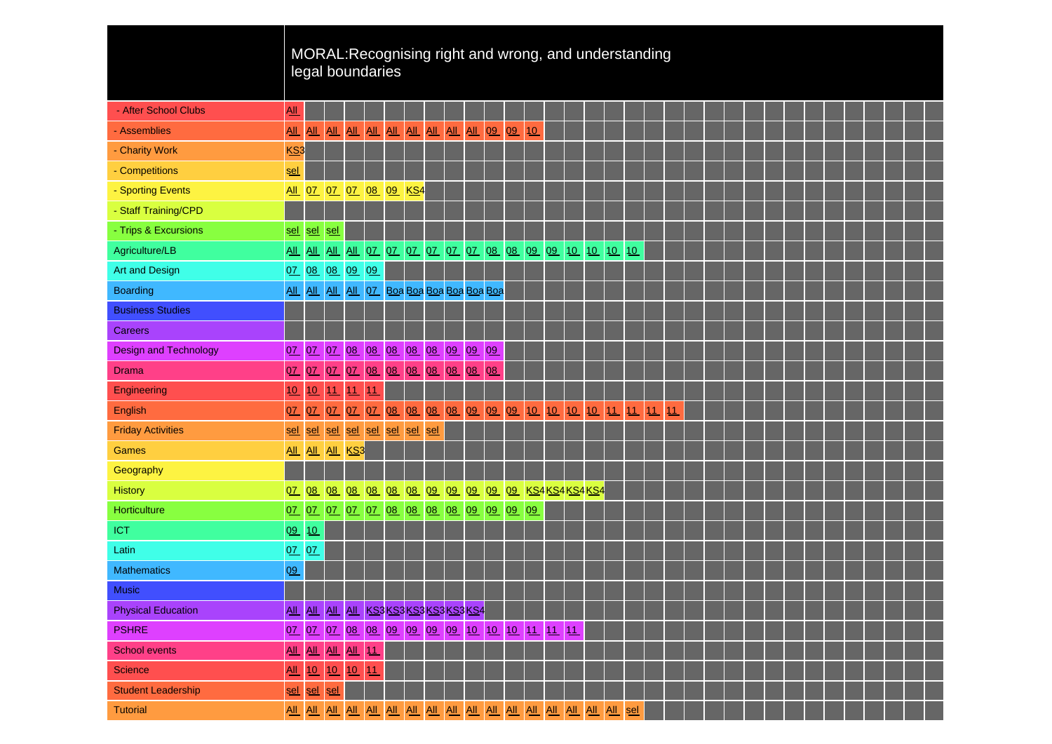|                              |                            |            |         | legal boundaries                                  |    |                      |  |  |    |    |  | MORAL: Recognising right and wrong, and understanding              |  |    |  |  |  |  |  |  |
|------------------------------|----------------------------|------------|---------|---------------------------------------------------|----|----------------------|--|--|----|----|--|--------------------------------------------------------------------|--|----|--|--|--|--|--|--|
| - After School Clubs         | All                        |            |         |                                                   |    |                      |  |  |    |    |  |                                                                    |  |    |  |  |  |  |  |  |
| - Assemblies                 | AL                         |            |         | <u>AIL AIL AIL AIL AIL AIL AIL AIL AIL 09 09 </u> |    |                      |  |  |    | 10 |  |                                                                    |  |    |  |  |  |  |  |  |
| - Charity Work               | KS <sub>3</sub>            |            |         |                                                   |    |                      |  |  |    |    |  |                                                                    |  |    |  |  |  |  |  |  |
| - Competitions               | <u>sel</u>                 |            |         |                                                   |    |                      |  |  |    |    |  |                                                                    |  |    |  |  |  |  |  |  |
| - Sporting Events            |                            |            |         | All 07 07 07 08 09 KS4                            |    |                      |  |  |    |    |  |                                                                    |  |    |  |  |  |  |  |  |
| - Staff Training/CPD         |                            |            |         |                                                   |    |                      |  |  |    |    |  |                                                                    |  |    |  |  |  |  |  |  |
| - Trips & Excursions         | sel                        | sel sel    |         |                                                   |    |                      |  |  |    |    |  |                                                                    |  |    |  |  |  |  |  |  |
| Agriculture/LB               |                            |            |         |                                                   |    |                      |  |  |    |    |  | <u>AII AII AII AII 07 07 07 07 07 07 08 08 09 09 10 10 10 10 1</u> |  |    |  |  |  |  |  |  |
| Art and Design               |                            |            |         | 07 08 08 09 09                                    |    |                      |  |  |    |    |  |                                                                    |  |    |  |  |  |  |  |  |
| <b>Boarding</b>              |                            |            |         | All All All All OZ Boa Boa Boa Boa Boa Boa Boa    |    |                      |  |  |    |    |  |                                                                    |  |    |  |  |  |  |  |  |
| <b>Business Studies</b>      |                            |            |         |                                                   |    |                      |  |  |    |    |  |                                                                    |  |    |  |  |  |  |  |  |
| <b>Careers</b>               |                            |            |         |                                                   |    |                      |  |  |    |    |  |                                                                    |  |    |  |  |  |  |  |  |
| <b>Design and Technology</b> | 0Z                         |            |         | 07 07 08 08 08 08 08 09 09 09                     |    |                      |  |  |    |    |  |                                                                    |  |    |  |  |  |  |  |  |
| <b>Drama</b>                 | 0Z                         |            | 07 07   |                                                   |    | 07 08 08 08 08 08 08 |  |  | 08 |    |  |                                                                    |  |    |  |  |  |  |  |  |
| Engineering                  | 10                         | 10         | 11      | 11                                                | 11 |                      |  |  |    |    |  |                                                                    |  |    |  |  |  |  |  |  |
| English                      | 07                         | 0 <u>7</u> | 07      | 0Z                                                |    |                      |  |  |    |    |  | 07 08 08 08 08 09 09 09 10 10 10 10 11 11 11                       |  | 11 |  |  |  |  |  |  |
| <b>Friday Activities</b>     | sel                        | sel        | sel     |                                                   |    | sel sel sel sel sel  |  |  |    |    |  |                                                                    |  |    |  |  |  |  |  |  |
| <b>Games</b>                 |                            |            |         | All All All KS3                                   |    |                      |  |  |    |    |  |                                                                    |  |    |  |  |  |  |  |  |
| Geography                    |                            |            |         |                                                   |    |                      |  |  |    |    |  |                                                                    |  |    |  |  |  |  |  |  |
| <b>History</b>               | 07                         | 08         | 08      |                                                   |    |                      |  |  |    |    |  | 08 08 08 08 09 09 09 09 09 KS4KS4KS4KS4                            |  |    |  |  |  |  |  |  |
| Horticulture                 | 0Z                         |            |         | 07 07 07 07 08 08 08 08 09 09 09 09               |    |                      |  |  |    | 09 |  |                                                                    |  |    |  |  |  |  |  |  |
| <b>ICT</b>                   | 09                         | 10         |         |                                                   |    |                      |  |  |    |    |  |                                                                    |  |    |  |  |  |  |  |  |
| Latin                        | QZ                         | QZ         |         |                                                   |    |                      |  |  |    |    |  |                                                                    |  |    |  |  |  |  |  |  |
| <b>Mathematics</b>           | 09                         |            |         |                                                   |    |                      |  |  |    |    |  |                                                                    |  |    |  |  |  |  |  |  |
| <b>Music</b>                 |                            |            |         |                                                   |    |                      |  |  |    |    |  |                                                                    |  |    |  |  |  |  |  |  |
| <b>Physical Education</b>    |                            |            |         | ALL ALL ALL ALL KS3 KS3 KS3 KS3 KS3 KS4           |    |                      |  |  |    |    |  |                                                                    |  |    |  |  |  |  |  |  |
| <b>PSHRE</b>                 |                            |            |         | 07 07 07 08 08 09 09 09 09 10 10 10 11 11 11      |    |                      |  |  |    |    |  |                                                                    |  |    |  |  |  |  |  |  |
| <b>School events</b>         | $\underline{\mathsf{All}}$ |            |         | ALL ALL ALL 11                                    |    |                      |  |  |    |    |  |                                                                    |  |    |  |  |  |  |  |  |
| <b>Science</b>               | AL                         |            | 10   10 | 10 11                                             |    |                      |  |  |    |    |  |                                                                    |  |    |  |  |  |  |  |  |
| <b>Student Leadership</b>    | sel                        |            | sel sel |                                                   |    |                      |  |  |    |    |  |                                                                    |  |    |  |  |  |  |  |  |
| <b>Tutorial</b>              |                            |            |         |                                                   |    |                      |  |  |    |    |  |                                                                    |  |    |  |  |  |  |  |  |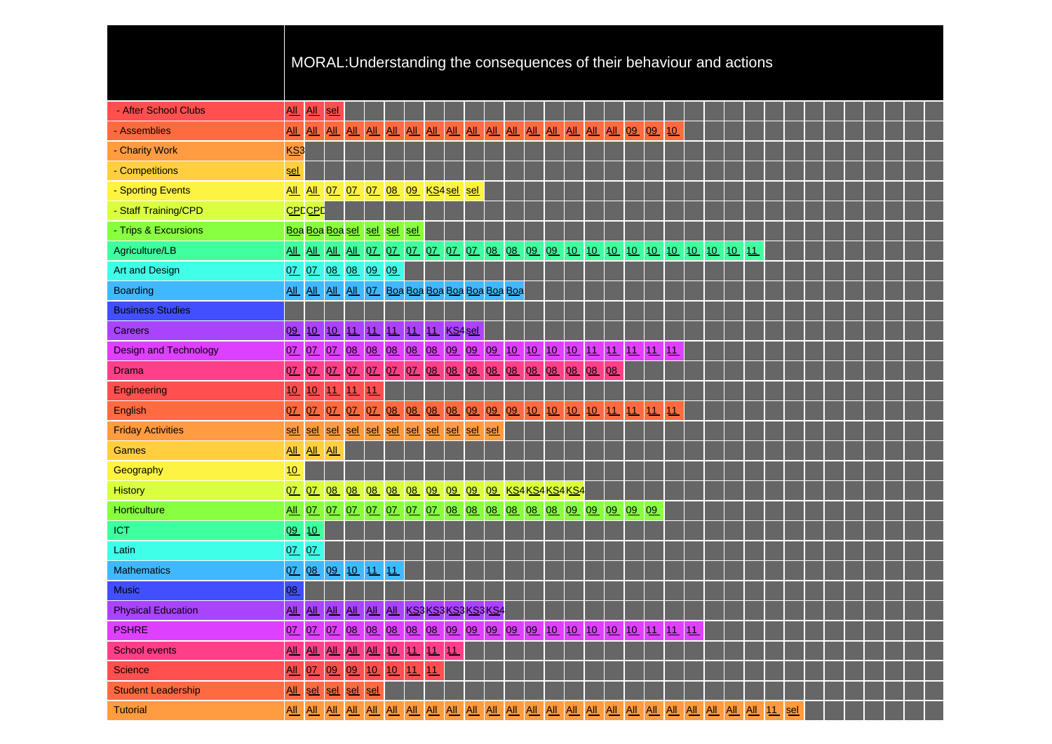|                              |                            |    |           |                   |    |                                    |            |    |                                         | MORAL: Understanding the consequences of their behaviour and actions                     |  |          |  |    |  |    |  |    |  |  |  |  |  |
|------------------------------|----------------------------|----|-----------|-------------------|----|------------------------------------|------------|----|-----------------------------------------|------------------------------------------------------------------------------------------|--|----------|--|----|--|----|--|----|--|--|--|--|--|
| - After School Clubs         | All                        |    | All sel   |                   |    |                                    |            |    |                                         |                                                                                          |  |          |  |    |  |    |  |    |  |  |  |  |  |
| - Assemblies                 | <b>All</b>                 |    |           |                   |    |                                    |            |    |                                         |                                                                                          |  |          |  |    |  | 10 |  |    |  |  |  |  |  |
| - Charity Work               | KS3                        |    |           |                   |    |                                    |            |    |                                         |                                                                                          |  |          |  |    |  |    |  |    |  |  |  |  |  |
| - Competitions               | <u>sel</u>                 |    |           |                   |    |                                    |            |    |                                         |                                                                                          |  |          |  |    |  |    |  |    |  |  |  |  |  |
| - Sporting Events            |                            |    |           |                   |    |                                    |            |    | All All 07 07 07 08 09 KS4 sel sel      |                                                                                          |  |          |  |    |  |    |  |    |  |  |  |  |  |
| - Staff Training/CPD         | <b>CPD</b> CPD             |    |           |                   |    |                                    |            |    |                                         |                                                                                          |  |          |  |    |  |    |  |    |  |  |  |  |  |
| - Trips & Excursions         |                            |    |           |                   |    | Boa Boa Boa sel sel sel            | <u>sel</u> |    |                                         |                                                                                          |  |          |  |    |  |    |  |    |  |  |  |  |  |
| Agriculture/LB               |                            |    |           |                   |    |                                    |            |    |                                         | <u>AIL AIL AIL AIL OZ OZ OZ OZ OZ OZ OZ O8 O8 O9 O9 10 10 10 10 10 10 10 10 10 10 10</u> |  |          |  |    |  |    |  | 11 |  |  |  |  |  |
| Art and Design               |                            |    |           | 07 07 08 08 09 09 |    |                                    |            |    |                                         |                                                                                          |  |          |  |    |  |    |  |    |  |  |  |  |  |
| <b>Boarding</b>              |                            |    |           |                   |    |                                    |            |    |                                         | All All All All OZ Boa Boa Boa Boa Boa Boa Boa Boa                                       |  |          |  |    |  |    |  |    |  |  |  |  |  |
| <b>Business Studies</b>      |                            |    |           |                   |    |                                    |            |    |                                         |                                                                                          |  |          |  |    |  |    |  |    |  |  |  |  |  |
| Careers                      | 09                         |    | $10 \ 10$ |                   |    |                                    |            |    | 11 11 11 11 11 KS4 sel                  |                                                                                          |  |          |  |    |  |    |  |    |  |  |  |  |  |
| <b>Design and Technology</b> | 0Z                         |    |           |                   |    |                                    |            |    |                                         | 07 07 08 08 08 08 08 09 09 09 10 10 10 10 11 11 11 11 11                                 |  |          |  |    |  |    |  |    |  |  |  |  |  |
| <b>Drama</b>                 | 0Z                         | 0Z | QZ        |                   |    |                                    |            |    | 07 07 07 07 08 08 08                    | 08 08 08                                                                                 |  | 08 08 08 |  | 08 |  |    |  |    |  |  |  |  |  |
| Engineering                  | 10                         | 10 | 11        | 11                | 11 |                                    |            |    |                                         |                                                                                          |  |          |  |    |  |    |  |    |  |  |  |  |  |
| English                      | 07                         | 07 | 07        | 0Z                |    | 07 08                              |            |    |                                         | 08 08 08 09 09 09 10 10 10 10 11 11 11 11                                                |  |          |  |    |  |    |  |    |  |  |  |  |  |
| <b>Friday Activities</b>     | sel                        |    |           |                   |    |                                    |            |    | sel sel sel sel sel sel sel sel sel sel | $\mathsf{se}$                                                                            |  |          |  |    |  |    |  |    |  |  |  |  |  |
| Games                        | All All All                |    |           |                   |    |                                    |            |    |                                         |                                                                                          |  |          |  |    |  |    |  |    |  |  |  |  |  |
| Geography                    | 10                         |    |           |                   |    |                                    |            |    |                                         |                                                                                          |  |          |  |    |  |    |  |    |  |  |  |  |  |
| History                      | 07                         | 0Z | 08        |                   |    |                                    |            |    |                                         | 08 08 08 08 09 09 09 09 KS4KS4KS4KS4                                                     |  |          |  |    |  |    |  |    |  |  |  |  |  |
| Horticulture                 | $\underline{\mathrm{All}}$ |    |           |                   |    |                                    |            |    |                                         | 07 07 07 07 07 07 07 07 08 08 08 08 08 08 09 09 09 09 09 09                              |  |          |  |    |  |    |  |    |  |  |  |  |  |
| <b>ICT</b>                   | 09                         | 10 |           |                   |    |                                    |            |    |                                         |                                                                                          |  |          |  |    |  |    |  |    |  |  |  |  |  |
| Latin                        | 0Z                         | 07 |           |                   |    |                                    |            |    |                                         |                                                                                          |  |          |  |    |  |    |  |    |  |  |  |  |  |
| <b>Mathematics</b>           | 0Z                         |    | $08$ 09   | 10 11 11          |    |                                    |            |    |                                         |                                                                                          |  |          |  |    |  |    |  |    |  |  |  |  |  |
| <b>Music</b>                 | 08                         |    |           |                   |    |                                    |            |    |                                         |                                                                                          |  |          |  |    |  |    |  |    |  |  |  |  |  |
| <b>Physical Education</b>    |                            |    |           |                   |    |                                    |            |    |                                         | AIL AIL AIL AIL AIL AIL KS3KS3KS3KS3KS4                                                  |  |          |  |    |  |    |  |    |  |  |  |  |  |
| <b>PSHRE</b>                 |                            |    |           |                   |    |                                    |            |    |                                         | 07 07 07 08 08 08 08 08 09 09 09 09 09 09 10 10 10 10 10 11 11 11                        |  |          |  |    |  |    |  |    |  |  |  |  |  |
| <b>School events</b>         | $\underline{\mathrm{All}}$ |    |           |                   |    | <u>AIL AIL AIL AIL 10 11 11 11</u> |            |    |                                         |                                                                                          |  |          |  |    |  |    |  |    |  |  |  |  |  |
| <b>Science</b>               | <u>All</u>                 |    | 07 09     |                   |    | 09 10 10 11                        |            | 11 |                                         |                                                                                          |  |          |  |    |  |    |  |    |  |  |  |  |  |
| <b>Student Leadership</b>    | $\underline{\mathsf{All}}$ |    | sel sel   | sel sel           |    |                                    |            |    |                                         |                                                                                          |  |          |  |    |  |    |  |    |  |  |  |  |  |
| <b>Tutorial</b>              |                            |    |           |                   |    |                                    |            |    |                                         |                                                                                          |  |          |  |    |  |    |  |    |  |  |  |  |  |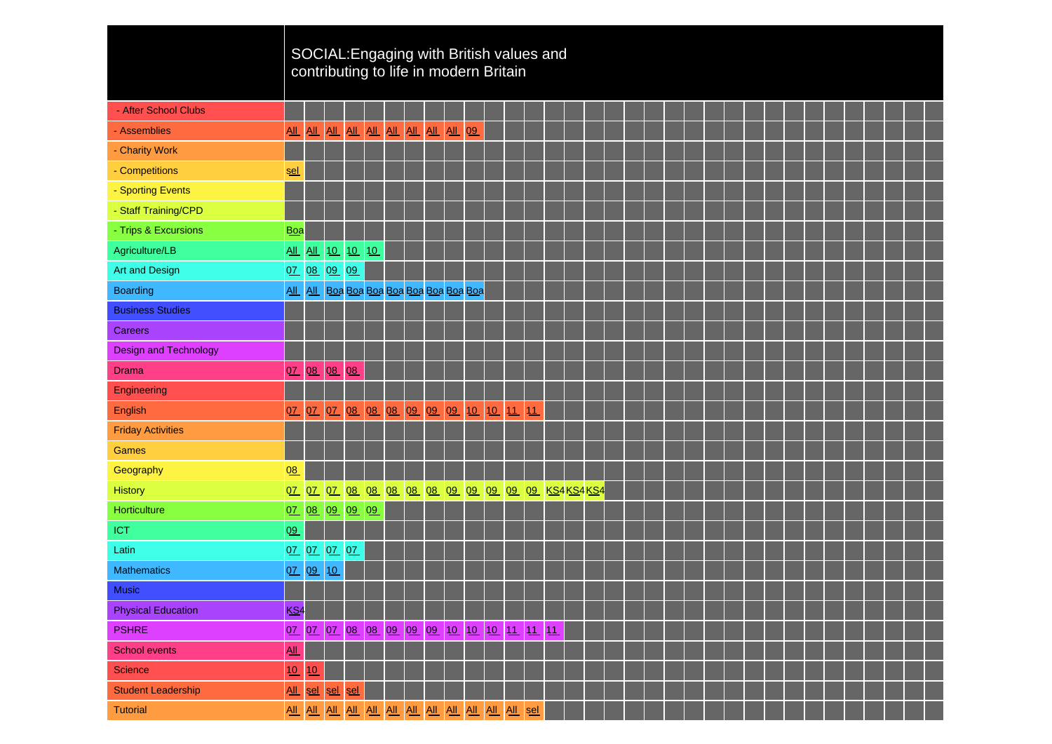|                              |                            |                 |       |                  | SOCIAL: Engaging with British values and<br>contributing to life in modern Britain |  |  |  |  |  |  |  |  |  |  |  |  |  |
|------------------------------|----------------------------|-----------------|-------|------------------|------------------------------------------------------------------------------------|--|--|--|--|--|--|--|--|--|--|--|--|--|
| - After School Clubs         |                            |                 |       |                  |                                                                                    |  |  |  |  |  |  |  |  |  |  |  |  |  |
| - Assemblies                 | All                        |                 |       |                  | ALL ALL ALL ALL ALL ALL ALL ALL 09                                                 |  |  |  |  |  |  |  |  |  |  |  |  |  |
| - Charity Work               |                            |                 |       |                  |                                                                                    |  |  |  |  |  |  |  |  |  |  |  |  |  |
| - Competitions               | <u>sel</u>                 |                 |       |                  |                                                                                    |  |  |  |  |  |  |  |  |  |  |  |  |  |
| - Sporting Events            |                            |                 |       |                  |                                                                                    |  |  |  |  |  |  |  |  |  |  |  |  |  |
| - Staff Training/CPD         |                            |                 |       |                  |                                                                                    |  |  |  |  |  |  |  |  |  |  |  |  |  |
| - Trips & Excursions         | <b>Boa</b>                 |                 |       |                  |                                                                                    |  |  |  |  |  |  |  |  |  |  |  |  |  |
| Agriculture/LB               |                            |                 |       | All All 10 10 10 |                                                                                    |  |  |  |  |  |  |  |  |  |  |  |  |  |
| Art and Design               |                            | 07 08 09 09     |       |                  |                                                                                    |  |  |  |  |  |  |  |  |  |  |  |  |  |
| <b>Boarding</b>              |                            |                 |       |                  | All All Boa Boa Boa Boa Boa Boa Boa Boa Boa                                        |  |  |  |  |  |  |  |  |  |  |  |  |  |
| <b>Business Studies</b>      |                            |                 |       |                  |                                                                                    |  |  |  |  |  |  |  |  |  |  |  |  |  |
| Careers                      |                            |                 |       |                  |                                                                                    |  |  |  |  |  |  |  |  |  |  |  |  |  |
| <b>Design and Technology</b> |                            |                 |       |                  |                                                                                    |  |  |  |  |  |  |  |  |  |  |  |  |  |
| <b>Drama</b>                 | 07                         |                 | 08 08 | 08               |                                                                                    |  |  |  |  |  |  |  |  |  |  |  |  |  |
| Engineering                  |                            |                 |       |                  |                                                                                    |  |  |  |  |  |  |  |  |  |  |  |  |  |
| English                      | 07                         |                 | 07 07 |                  | 08 08 08 09 09 09 10 10 11 11                                                      |  |  |  |  |  |  |  |  |  |  |  |  |  |
| <b>Friday Activities</b>     |                            |                 |       |                  |                                                                                    |  |  |  |  |  |  |  |  |  |  |  |  |  |
| Games                        |                            |                 |       |                  |                                                                                    |  |  |  |  |  |  |  |  |  |  |  |  |  |
| Geography                    | 08                         |                 |       |                  |                                                                                    |  |  |  |  |  |  |  |  |  |  |  |  |  |
| <b>History</b>               | 0Z                         |                 |       |                  | 07 07 08 08 08 08 08 09 09 09 09 09 KS4KS4KS4                                      |  |  |  |  |  |  |  |  |  |  |  |  |  |
| Horticulture                 |                            |                 |       | 07 08 09 09 09   |                                                                                    |  |  |  |  |  |  |  |  |  |  |  |  |  |
| <b>ICT</b>                   | 09                         |                 |       |                  |                                                                                    |  |  |  |  |  |  |  |  |  |  |  |  |  |
| Latin                        |                            | 07 07 07 07     |       |                  |                                                                                    |  |  |  |  |  |  |  |  |  |  |  |  |  |
| <b>Mathematics</b>           |                            | 07 09 10        |       |                  |                                                                                    |  |  |  |  |  |  |  |  |  |  |  |  |  |
| <b>Music</b>                 |                            |                 |       |                  |                                                                                    |  |  |  |  |  |  |  |  |  |  |  |  |  |
| <b>Physical Education</b>    | KS <sub>4</sub>            |                 |       |                  |                                                                                    |  |  |  |  |  |  |  |  |  |  |  |  |  |
| <b>PSHRE</b>                 |                            |                 |       |                  | 07 07 07 08 08 09 09 09 10 10 10 11 11 11                                          |  |  |  |  |  |  |  |  |  |  |  |  |  |
| <b>School events</b>         | $\underline{\mathsf{All}}$ |                 |       |                  |                                                                                    |  |  |  |  |  |  |  |  |  |  |  |  |  |
| <b>Science</b>               | 10                         | 10              |       |                  |                                                                                    |  |  |  |  |  |  |  |  |  |  |  |  |  |
| <b>Student Leadership</b>    |                            | All sel sel sel |       |                  |                                                                                    |  |  |  |  |  |  |  |  |  |  |  |  |  |
| <b>Tutorial</b>              |                            |                 |       |                  |                                                                                    |  |  |  |  |  |  |  |  |  |  |  |  |  |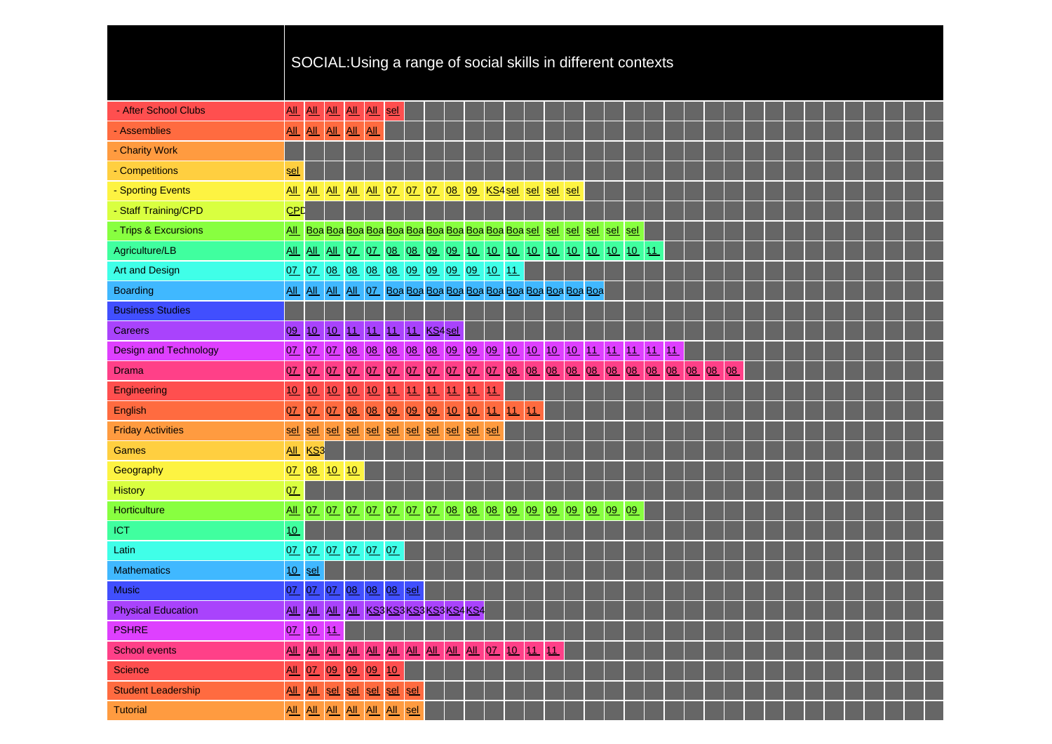|                              |                            |                            |                       |         |                             |         |       |    |                                                        |         | SOCIAL: Using a range of social skills in different contexts             |    |     |     |     |                      |          |  |       |    |    |  |  |  |  |  |
|------------------------------|----------------------------|----------------------------|-----------------------|---------|-----------------------------|---------|-------|----|--------------------------------------------------------|---------|--------------------------------------------------------------------------|----|-----|-----|-----|----------------------|----------|--|-------|----|----|--|--|--|--|--|
| - After School Clubs         | All                        |                            |                       |         | All All sel                 |         |       |    |                                                        |         |                                                                          |    |     |     |     |                      |          |  |       |    |    |  |  |  |  |  |
| - Assemblies                 | $\underline{\mathrm{All}}$ | $\underline{\mathsf{All}}$ | <b>AIL</b><br>All All | All All |                             |         |       |    |                                                        |         |                                                                          |    |     |     |     |                      |          |  |       |    |    |  |  |  |  |  |
| - Charity Work               |                            |                            |                       |         |                             |         |       |    |                                                        |         |                                                                          |    |     |     |     |                      |          |  |       |    |    |  |  |  |  |  |
|                              |                            |                            |                       |         |                             |         |       |    |                                                        |         |                                                                          |    |     |     |     |                      |          |  |       |    |    |  |  |  |  |  |
| - Competitions               | <u>sel</u>                 |                            |                       |         |                             |         |       |    |                                                        |         |                                                                          |    |     |     |     |                      |          |  |       |    |    |  |  |  |  |  |
| - Sporting Events            |                            |                            | All All All           |         | <u>All All 07 07 07 08</u>  |         |       |    |                                                        |         | 09 KS4 sel                                                               |    | sel | sel | sel |                      |          |  |       |    |    |  |  |  |  |  |
| - Staff Training/CPD         | <b>CPD</b>                 |                            |                       |         |                             |         |       |    |                                                        |         |                                                                          |    |     |     |     |                      |          |  |       |    |    |  |  |  |  |  |
| - Trips & Excursions         |                            |                            |                       |         |                             |         |       |    |                                                        |         |                                                                          |    |     |     |     |                      |          |  |       |    |    |  |  |  |  |  |
| Agriculture/LB               |                            |                            |                       |         |                             |         |       |    |                                                        |         | <u>AIL AIL AIL 07 07 08 08 09 09 10 10 10 10 10 10 10 10 10 10 10 11</u> |    |     |     |     |                      |          |  |       |    |    |  |  |  |  |  |
| <b>Art and Design</b>        |                            |                            |                       |         |                             |         |       |    |                                                        |         | 07 07 08 08 08 08 09 09 09 09 10 11                                      |    |     |     |     |                      |          |  |       |    |    |  |  |  |  |  |
| <b>Boarding</b>              |                            |                            |                       |         |                             |         |       |    |                                                        |         |                                                                          |    |     |     |     |                      |          |  |       |    |    |  |  |  |  |  |
| <b>Business Studies</b>      |                            |                            |                       |         |                             |         |       |    |                                                        |         |                                                                          |    |     |     |     |                      |          |  |       |    |    |  |  |  |  |  |
| <b>Careers</b>               | 09                         | 10                         | 10                    |         | 11 11 11 11 KS4 sel         |         |       |    |                                                        |         |                                                                          |    |     |     |     |                      |          |  |       |    |    |  |  |  |  |  |
| <b>Design and Technology</b> | 07                         |                            |                       |         |                             |         |       |    |                                                        |         | 07 07 08 08 08 08 08 09 09 09 10 10                                      |    |     |     |     | 10 10 11 11 11 11 11 |          |  |       |    |    |  |  |  |  |  |
| <b>Drama</b>                 | 07                         | 0Z                         | 0 <u>7</u>            | 07      | 07 07                       |         |       |    | 07 07 07                                               |         | 07 07 08 08 08                                                           |    |     |     |     | 08 08                | 08 08 08 |  | 08 08 | 08 | 08 |  |  |  |  |  |
| Engineering                  | 10                         | 10                         | 10                    | 10      |                             | $10$ 11 | 11    | 11 | 11                                                     | 11      | 11                                                                       |    |     |     |     |                      |          |  |       |    |    |  |  |  |  |  |
| <b>English</b>               | 07                         | 07                         | 0Z                    | 08      | 08 09                       |         | 09 09 |    | 10                                                     | 10      | $\ddot{\mathbf{u}}$                                                      | 11 | 11  |     |     |                      |          |  |       |    |    |  |  |  |  |  |
| <b>Friday Activities</b>     | <u>sel</u>                 | sel                        | sel                   |         |                             |         |       |    | sel sel sel sel sel sel sel                            | sel sel |                                                                          |    |     |     |     |                      |          |  |       |    |    |  |  |  |  |  |
| <b>Games</b>                 | All KS3                    |                            |                       |         |                             |         |       |    |                                                        |         |                                                                          |    |     |     |     |                      |          |  |       |    |    |  |  |  |  |  |
| Geography                    | 0Z                         |                            | 08 10 10              |         |                             |         |       |    |                                                        |         |                                                                          |    |     |     |     |                      |          |  |       |    |    |  |  |  |  |  |
| <b>History</b>               | 07                         |                            |                       |         |                             |         |       |    |                                                        |         |                                                                          |    |     |     |     |                      |          |  |       |    |    |  |  |  |  |  |
| Horticulture                 | $\underline{\mathsf{All}}$ | 0Z                         |                       |         |                             |         |       |    |                                                        |         | 07 07 07 07 07 07 08 08 08 09 09 09 09 09 09 09 09                       |    |     |     |     |                      |          |  |       |    |    |  |  |  |  |  |
| <b>ICT</b>                   | 10                         |                            |                       |         |                             |         |       |    |                                                        |         |                                                                          |    |     |     |     |                      |          |  |       |    |    |  |  |  |  |  |
| Latin                        |                            |                            |                       |         | 07 07 07 07 07 07           |         |       |    |                                                        |         |                                                                          |    |     |     |     |                      |          |  |       |    |    |  |  |  |  |  |
| <b>Mathematics</b>           | 10                         | sel                        |                       |         |                             |         |       |    |                                                        |         |                                                                          |    |     |     |     |                      |          |  |       |    |    |  |  |  |  |  |
| <b>Music</b>                 | 0Z                         | 0Z                         | 0Z                    |         | 08 08 08                    |         | sel   |    |                                                        |         |                                                                          |    |     |     |     |                      |          |  |       |    |    |  |  |  |  |  |
| <b>Physical Education</b>    |                            |                            |                       |         |                             |         |       |    | <u>AII   AII   AII   AII   KS3 KS3 KS3 KS3 KS4 KS4</u> |         |                                                                          |    |     |     |     |                      |          |  |       |    |    |  |  |  |  |  |
| <b>PSHRE</b>                 |                            |                            | 07 10 11              |         |                             |         |       |    |                                                        |         |                                                                          |    |     |     |     |                      |          |  |       |    |    |  |  |  |  |  |
| <b>School events</b>         | $\underline{\mathsf{All}}$ |                            |                       |         |                             |         |       |    |                                                        |         | <u>AII AII AII AII AII AII AII AII AII 07 10 11 11 </u>                  |    |     |     |     |                      |          |  |       |    |    |  |  |  |  |  |
| <b>Science</b>               | $\underline{\mathsf{All}}$ |                            |                       |         | 07 09 09 09 10              |         |       |    |                                                        |         |                                                                          |    |     |     |     |                      |          |  |       |    |    |  |  |  |  |  |
| <b>Student Leadership</b>    |                            |                            |                       |         | All All sel sel sel sel sel |         |       |    |                                                        |         |                                                                          |    |     |     |     |                      |          |  |       |    |    |  |  |  |  |  |
| <b>Tutorial</b>              |                            |                            |                       |         | All All All All All All sel |         |       |    |                                                        |         |                                                                          |    |     |     |     |                      |          |  |       |    |    |  |  |  |  |  |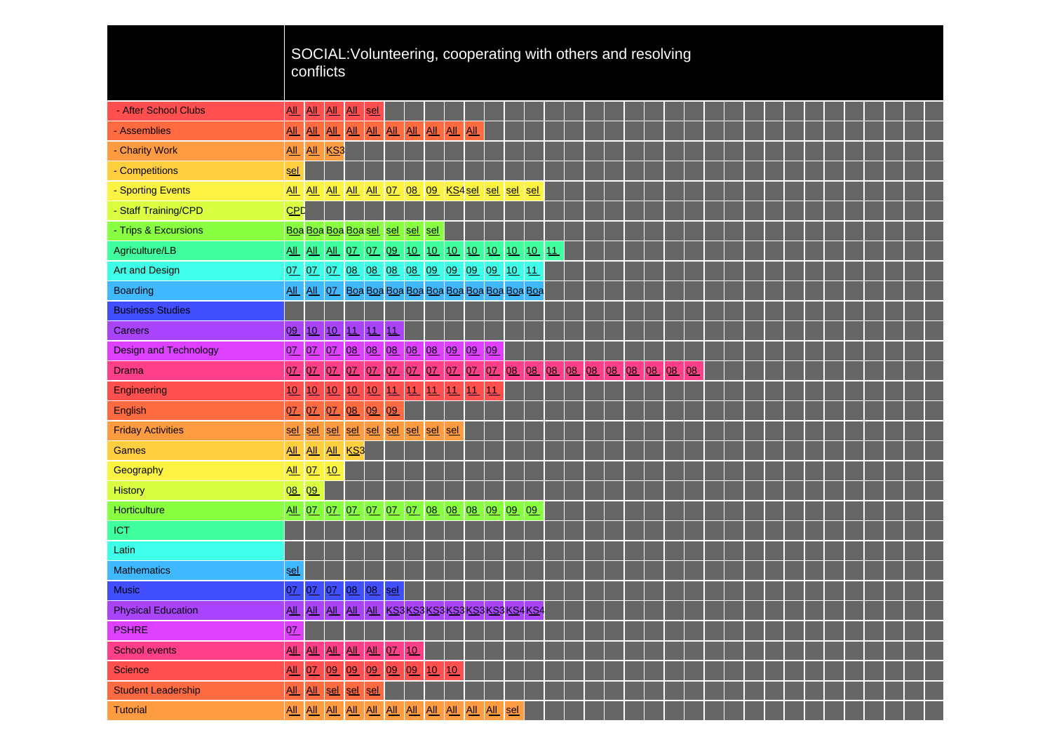|                              |                            |                            | conflicts   |                    |    | SOCIAL: Volunteering, cooperating with others and resolving |    |      |          |     |    |     |                      |  |       |    |    |  |  |  |  |  |  |
|------------------------------|----------------------------|----------------------------|-------------|--------------------|----|-------------------------------------------------------------|----|------|----------|-----|----|-----|----------------------|--|-------|----|----|--|--|--|--|--|--|
| - After School Clubs         | <b>All</b>                 | $\underline{\mathsf{All}}$ | $AL$        | All sel            |    |                                                             |    |      |          |     |    |     |                      |  |       |    |    |  |  |  |  |  |  |
| - Assemblies                 | <b>All</b>                 | AL                         | AL          |                    |    | <u>AIL AIL AIL AIL AIL AIL</u>                              |    |      |          | AII |    |     |                      |  |       |    |    |  |  |  |  |  |  |
| - Charity Work               |                            |                            | All All KS3 |                    |    |                                                             |    |      |          |     |    |     |                      |  |       |    |    |  |  |  |  |  |  |
| - Competitions               | sel                        |                            |             |                    |    |                                                             |    |      |          |     |    |     |                      |  |       |    |    |  |  |  |  |  |  |
| - Sporting Events            | All All                    |                            |             |                    |    | All All All 07 08 09 KS4 sel sel sel                        |    |      |          |     |    | sel |                      |  |       |    |    |  |  |  |  |  |  |
| - Staff Training/CPD         | <b>CPD</b>                 |                            |             |                    |    |                                                             |    |      |          |     |    |     |                      |  |       |    |    |  |  |  |  |  |  |
| - Trips & Excursions         |                            |                            |             |                    |    | Boa Boa Boa Boa sel sel sel sel                             |    |      |          |     |    |     |                      |  |       |    |    |  |  |  |  |  |  |
| Agriculture/LB               |                            |                            |             |                    |    | <u>All All All 07 07 09 10 10 10 10 10 10 10 10 11</u>      |    |      |          |     |    |     |                      |  |       |    |    |  |  |  |  |  |  |
| <b>Art and Design</b>        |                            |                            |             |                    |    | 07 07 07 08 08 08 08 09 09 09 09 10 11                      |    |      |          |     |    |     |                      |  |       |    |    |  |  |  |  |  |  |
| <b>Boarding</b>              | All All                    |                            |             |                    |    |                                                             |    |      |          |     |    |     |                      |  |       |    |    |  |  |  |  |  |  |
| <b>Business Studies</b>      |                            |                            |             |                    |    |                                                             |    |      |          |     |    |     |                      |  |       |    |    |  |  |  |  |  |  |
| <b>Careers</b>               | 09                         |                            |             | 10 10 11 11        |    | 11                                                          |    |      |          |     |    |     |                      |  |       |    |    |  |  |  |  |  |  |
| <b>Design and Technology</b> | 0Z                         |                            |             |                    |    | 07 07 08 08 08 08 08 09 09 09                               |    |      |          |     |    |     |                      |  |       |    |    |  |  |  |  |  |  |
| <b>Drama</b>                 | 07                         | 0Z                         | QZ          |                    |    | 07 07 07 07                                                 |    |      | 07 07 07 |     |    |     | 07 08 08 08 08 08 08 |  | 08 08 | 08 | 08 |  |  |  |  |  |  |
| Engineering                  | 10                         | 10                         | 10          | 10                 | 10 | 11                                                          | 11 | 1111 |          | 11  | 11 |     |                      |  |       |    |    |  |  |  |  |  |  |
| English                      | 07                         | 07                         | QZ          | 08                 | 09 | 09                                                          |    |      |          |     |    |     |                      |  |       |    |    |  |  |  |  |  |  |
| <b>Friday Activities</b>     | <u>sel</u>                 | sel                        | sel         |                    |    | sel sel sel sel sel sel                                     |    |      |          |     |    |     |                      |  |       |    |    |  |  |  |  |  |  |
| Games                        | All All                    |                            |             | All KS3            |    |                                                             |    |      |          |     |    |     |                      |  |       |    |    |  |  |  |  |  |  |
| Geography                    | All 07                     |                            | 10          |                    |    |                                                             |    |      |          |     |    |     |                      |  |       |    |    |  |  |  |  |  |  |
| History                      | 08                         | 09                         |             |                    |    |                                                             |    |      |          |     |    |     |                      |  |       |    |    |  |  |  |  |  |  |
| Horticulture                 |                            |                            |             |                    |    | <u>All 07 07 07 07 07 07 08 08 08 09 09 09 09</u>           |    |      |          |     |    |     |                      |  |       |    |    |  |  |  |  |  |  |
| <b>ICT</b>                   |                            |                            |             |                    |    |                                                             |    |      |          |     |    |     |                      |  |       |    |    |  |  |  |  |  |  |
| Latin                        |                            |                            |             |                    |    |                                                             |    |      |          |     |    |     |                      |  |       |    |    |  |  |  |  |  |  |
| <b>Mathematics</b>           | sel                        |                            |             |                    |    |                                                             |    |      |          |     |    |     |                      |  |       |    |    |  |  |  |  |  |  |
| <b>Music</b>                 |                            |                            |             | 07 07 07 08 08 sel |    |                                                             |    |      |          |     |    |     |                      |  |       |    |    |  |  |  |  |  |  |
| <b>Physical Education</b>    |                            |                            |             |                    |    | AIL AIL AIL AIL AIL KS3 KS3 KS3 KS3 KS3 KS3 KS4 KS4         |    |      |          |     |    |     |                      |  |       |    |    |  |  |  |  |  |  |
| <b>PSHRE</b>                 | 0Z                         |                            |             |                    |    |                                                             |    |      |          |     |    |     |                      |  |       |    |    |  |  |  |  |  |  |
| <b>School events</b>         | $\underline{\mathrm{All}}$ |                            |             |                    |    | <u>AIL AIL AIL AIL 07 10</u>                                |    |      |          |     |    |     |                      |  |       |    |    |  |  |  |  |  |  |
| Science                      | $\underline{\mathsf{All}}$ |                            | $QZ$ $Q9$   |                    |    | 09 09 09 09 10 10                                           |    |      |          |     |    |     |                      |  |       |    |    |  |  |  |  |  |  |
| <b>Student Leadership</b>    | $\underline{\mathsf{All}}$ |                            |             | All sel sel sel    |    |                                                             |    |      |          |     |    |     |                      |  |       |    |    |  |  |  |  |  |  |
| <b>Tutorial</b>              |                            |                            |             |                    |    |                                                             |    |      |          |     |    |     |                      |  |       |    |    |  |  |  |  |  |  |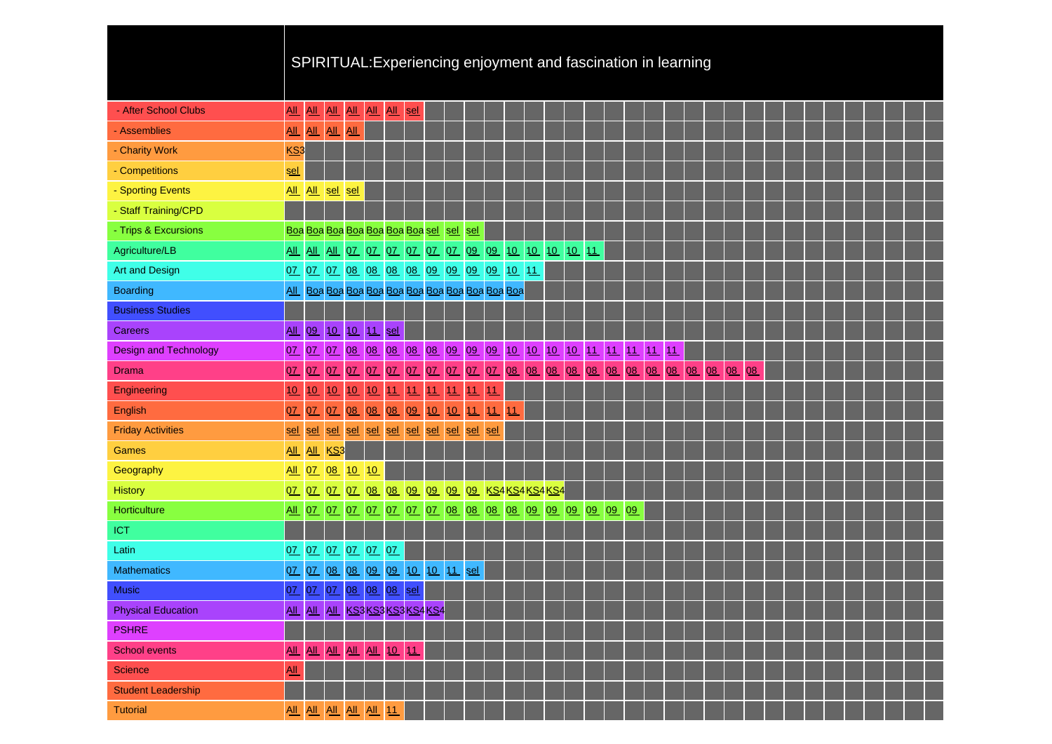| SPIRITUAL:Experiencing enjoyment and fascination in learning |  |  |  |
|--------------------------------------------------------------|--|--|--|
|                                                              |  |  |  |
|                                                              |  |  |  |

| - After School Clubs         | <u>АЩ</u>                  |            |                 |     | ALL ALL ALL ALL ALL                                       | sel |    |                |     |     |  |  |                                                             |  |  |  |    |  |  |  |  |
|------------------------------|----------------------------|------------|-----------------|-----|-----------------------------------------------------------|-----|----|----------------|-----|-----|--|--|-------------------------------------------------------------|--|--|--|----|--|--|--|--|
| - Assemblies                 |                            |            | All All All All |     |                                                           |     |    |                |     |     |  |  |                                                             |  |  |  |    |  |  |  |  |
| - Charity Work               | KS3                        |            |                 |     |                                                           |     |    |                |     |     |  |  |                                                             |  |  |  |    |  |  |  |  |
| - Competitions               | <u>sel</u>                 |            |                 |     |                                                           |     |    |                |     |     |  |  |                                                             |  |  |  |    |  |  |  |  |
| - Sporting Events            |                            |            | All All sel sel |     |                                                           |     |    |                |     |     |  |  |                                                             |  |  |  |    |  |  |  |  |
| - Staff Training/CPD         |                            |            |                 |     |                                                           |     |    |                |     |     |  |  |                                                             |  |  |  |    |  |  |  |  |
| - Trips & Excursions         |                            |            |                 |     | Boa Boa Boa Boa Boa Boa Boa sel sel sel                   |     |    |                |     |     |  |  |                                                             |  |  |  |    |  |  |  |  |
| Agriculture/LB               |                            |            |                 |     | <u>AIL AIL AIL 07 07 07 07 07 07 09 09 10 10 10 10 11</u> |     |    |                |     |     |  |  |                                                             |  |  |  |    |  |  |  |  |
| <b>Art and Design</b>        |                            |            |                 |     | 07 07 07 08 08 08 08 09 09 09 09 10 11                    |     |    |                |     |     |  |  |                                                             |  |  |  |    |  |  |  |  |
| <b>Boarding</b>              |                            |            |                 |     |                                                           |     |    |                |     |     |  |  |                                                             |  |  |  |    |  |  |  |  |
| <b>Business Studies</b>      |                            |            |                 |     |                                                           |     |    |                |     |     |  |  |                                                             |  |  |  |    |  |  |  |  |
| <b>Careers</b>               | <b>All</b>                 | 09 10      |                 |     | 10 11 sel                                                 |     |    |                |     |     |  |  |                                                             |  |  |  |    |  |  |  |  |
| <b>Design and Technology</b> |                            |            |                 |     |                                                           |     |    |                |     |     |  |  | 07 07 07 08 08 08 08 08 09 09 09 10 10 10 10 11 11 11 11 11 |  |  |  |    |  |  |  |  |
| <b>Drama</b>                 | 07                         | 0 <u>7</u> | 07              | 0Z  | $QZ$ $QZ$                                                 |     |    | 07 07 07       |     |     |  |  | 07 07 08 08 08 08 08 08 08 08 08 08 08 08 08                |  |  |  | 08 |  |  |  |  |
| Engineering                  | 10                         | 10         | 10              | 10  | 10 11                                                     | 11  | 11 | 11             | 11  | 11  |  |  |                                                             |  |  |  |    |  |  |  |  |
| English                      | 07                         | 0Z         | QZ              |     | 08 08 08 09                                               |     |    | 10 10 11 11 11 |     |     |  |  |                                                             |  |  |  |    |  |  |  |  |
| <b>Friday Activities</b>     | sel                        | sel        | sel             |     | sel sel sel sel sel sel sel                               |     |    |                | sel | sel |  |  |                                                             |  |  |  |    |  |  |  |  |
| <b>Games</b>                 |                            |            | All All KS3     |     |                                                           |     |    |                |     |     |  |  |                                                             |  |  |  |    |  |  |  |  |
| Geography                    |                            | All 07     | 08              | 10  | 10                                                        |     |    |                |     |     |  |  |                                                             |  |  |  |    |  |  |  |  |
| <b>History</b>               |                            |            |                 |     | 07 07 07 07 08 08 09 09 09 09 KS4KS4KS4KS4                |     |    |                |     |     |  |  |                                                             |  |  |  |    |  |  |  |  |
| Horticulture                 | <b>All</b>                 |            |                 |     |                                                           |     |    |                |     |     |  |  |                                                             |  |  |  |    |  |  |  |  |
| ICT                          |                            |            |                 |     |                                                           |     |    |                |     |     |  |  |                                                             |  |  |  |    |  |  |  |  |
| Latin                        |                            |            |                 |     | 07 07 07 07 07 07                                         |     |    |                |     |     |  |  |                                                             |  |  |  |    |  |  |  |  |
| <b>Mathematics</b>           |                            |            |                 |     | 07 07 08 08 09 09 10 10 11 sel                            |     |    |                |     |     |  |  |                                                             |  |  |  |    |  |  |  |  |
| <b>Music</b>                 | 07                         |            |                 |     | 07 07 08 08 08                                            | sel |    |                |     |     |  |  |                                                             |  |  |  |    |  |  |  |  |
| <b>Physical Education</b>    |                            |            |                 |     | All All All KS3 KS3 KS3 KS4 KS4                           |     |    |                |     |     |  |  |                                                             |  |  |  |    |  |  |  |  |
| <b>PSHRE</b>                 |                            |            |                 |     |                                                           |     |    |                |     |     |  |  |                                                             |  |  |  |    |  |  |  |  |
| <b>School events</b>         | All                        | All All    |                 | AII | All 10                                                    | 11  |    |                |     |     |  |  |                                                             |  |  |  |    |  |  |  |  |
| <b>Science</b>               | $\underline{\mathsf{All}}$ |            |                 |     |                                                           |     |    |                |     |     |  |  |                                                             |  |  |  |    |  |  |  |  |
| <b>Student Leadership</b>    |                            |            |                 |     |                                                           |     |    |                |     |     |  |  |                                                             |  |  |  |    |  |  |  |  |
| <b>Tutorial</b>              |                            |            |                 |     | All All All All All 11                                    |     |    |                |     |     |  |  |                                                             |  |  |  |    |  |  |  |  |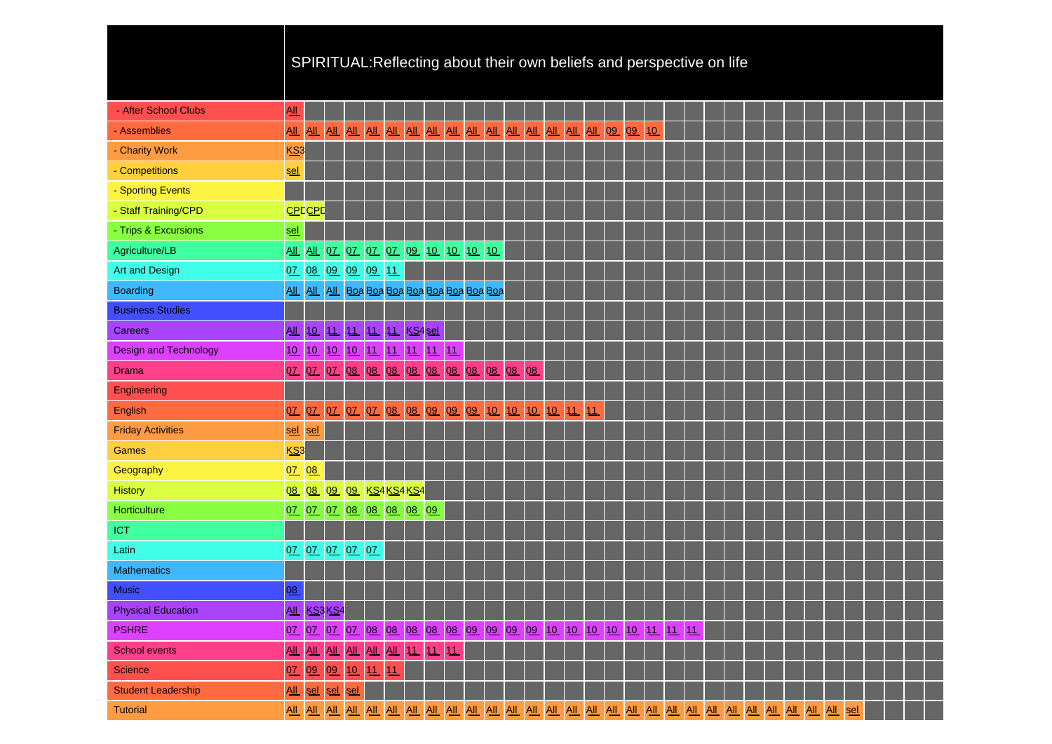# SPIRITUAL:Reflecting about their own beliefs and perspective on life

| - After School Clubs         | $\underline{\mathsf{All}}$ |                            |            |                |                                             |          |    |    |    |    |             |    |                                                                |            |  |  |  |  |  |  |     |  |  |
|------------------------------|----------------------------|----------------------------|------------|----------------|---------------------------------------------|----------|----|----|----|----|-------------|----|----------------------------------------------------------------|------------|--|--|--|--|--|--|-----|--|--|
| - Assemblies                 | $\underline{\mathsf{All}}$ |                            |            |                |                                             |          |    |    |    |    |             |    |                                                                |            |  |  |  |  |  |  |     |  |  |
| - Charity Work               | KS <sub>3</sub>            |                            |            |                |                                             |          |    |    |    |    |             |    |                                                                |            |  |  |  |  |  |  |     |  |  |
| - Competitions               | <u>sel</u>                 |                            |            |                |                                             |          |    |    |    |    |             |    |                                                                |            |  |  |  |  |  |  |     |  |  |
| - Sporting Events            |                            |                            |            |                |                                             |          |    |    |    |    |             |    |                                                                |            |  |  |  |  |  |  |     |  |  |
| - Staff Training/CPD         |                            | <b>CPDCPD</b>              |            |                |                                             |          |    |    |    |    |             |    |                                                                |            |  |  |  |  |  |  |     |  |  |
| - Trips & Excursions         | <u>sel</u>                 |                            |            |                |                                             |          |    |    |    |    |             |    |                                                                |            |  |  |  |  |  |  |     |  |  |
| Agriculture/LB               | $\underline{AII}$          |                            |            |                | <u>All 07 07 07 07 09 10 10 10 10 10</u>    |          |    |    |    |    |             |    |                                                                |            |  |  |  |  |  |  |     |  |  |
| <b>Art and Design</b>        |                            |                            |            |                | 07 08 09 09 09 11                           |          |    |    |    |    |             |    |                                                                |            |  |  |  |  |  |  |     |  |  |
| <b>Boarding</b>              | <b>All</b>                 |                            |            |                | All All Boa Boa Boa Boa Boa Boa Boa Boa Boa |          |    |    |    |    |             |    |                                                                |            |  |  |  |  |  |  |     |  |  |
| <b>Business Studies</b>      |                            |                            |            |                |                                             |          |    |    |    |    |             |    |                                                                |            |  |  |  |  |  |  |     |  |  |
| <b>Careers</b>               | A                          |                            | 10 11      |                | 11 11 11 KS4 sel                            |          |    |    |    |    |             |    |                                                                |            |  |  |  |  |  |  |     |  |  |
| <b>Design and Technology</b> | 10                         |                            |            |                | 10 10 10 11 11 11 11 11                     |          |    |    |    |    |             |    |                                                                |            |  |  |  |  |  |  |     |  |  |
| <b>Drama</b>                 | 07                         |                            |            |                | 07 07 08 08 08 08 08 08                     |          |    |    |    |    | 08 08 08 08 |    |                                                                |            |  |  |  |  |  |  |     |  |  |
| Engineering                  |                            |                            |            |                |                                             |          |    |    |    |    |             |    |                                                                |            |  |  |  |  |  |  |     |  |  |
| English                      | 07                         |                            | 07 07      | 0Z             | 07 08                                       | 08 09 09 |    |    | 09 | 10 | 10          | 10 | 10                                                             | $111$ $11$ |  |  |  |  |  |  |     |  |  |
| <b>Friday Activities</b>     | <u>sel</u>                 | sel                        |            |                |                                             |          |    |    |    |    |             |    |                                                                |            |  |  |  |  |  |  |     |  |  |
| <b>Games</b>                 | KS3                        |                            |            |                |                                             |          |    |    |    |    |             |    |                                                                |            |  |  |  |  |  |  |     |  |  |
| Geography                    | 0Z                         | 08                         |            |                |                                             |          |    |    |    |    |             |    |                                                                |            |  |  |  |  |  |  |     |  |  |
| <b>History</b>               |                            | 08 08 09                   |            |                | 09 KS4 KS4 KS4                              |          |    |    |    |    |             |    |                                                                |            |  |  |  |  |  |  |     |  |  |
| Horticulture                 | QZ                         |                            |            |                | 07 07 08 08 08 08 09                        |          |    |    |    |    |             |    |                                                                |            |  |  |  |  |  |  |     |  |  |
| <b>ICT</b>                   |                            |                            |            |                |                                             |          |    |    |    |    |             |    |                                                                |            |  |  |  |  |  |  |     |  |  |
| Latin                        |                            |                            |            | 07 07 07 07 07 |                                             |          |    |    |    |    |             |    |                                                                |            |  |  |  |  |  |  |     |  |  |
| <b>Mathematics</b>           |                            |                            |            |                |                                             |          |    |    |    |    |             |    |                                                                |            |  |  |  |  |  |  |     |  |  |
| <b>Music</b>                 | 08                         |                            |            |                |                                             |          |    |    |    |    |             |    |                                                                |            |  |  |  |  |  |  |     |  |  |
| <b>Physical Education</b>    |                            |                            | All KS3KS4 |                |                                             |          |    |    |    |    |             |    |                                                                |            |  |  |  |  |  |  |     |  |  |
| <b>PSHRE</b>                 | 07                         |                            |            |                |                                             |          |    |    |    |    |             |    | 07 07 07 08 08 08 08 08 09 09 09 09 09 10 10 10 10 10 11 11 11 |            |  |  |  |  |  |  |     |  |  |
| <b>School events</b>         | $\underline{\mathrm{All}}$ | $\underline{\mathsf{All}}$ | AL         |                | ALL ALL ALL 11                              |          | 11 | 11 |    |    |             |    |                                                                |            |  |  |  |  |  |  |     |  |  |
| <b>Science</b>               | 07                         |                            | 09 09      |                | 10 11 11                                    |          |    |    |    |    |             |    |                                                                |            |  |  |  |  |  |  |     |  |  |
| <b>Student Leadership</b>    | $\underline{\mathsf{All}}$ | sel                        | sel        | sel            |                                             |          |    |    |    |    |             |    |                                                                |            |  |  |  |  |  |  |     |  |  |
| <b>Tutorial</b>              |                            |                            |            |                |                                             |          |    |    |    |    |             |    |                                                                |            |  |  |  |  |  |  | sel |  |  |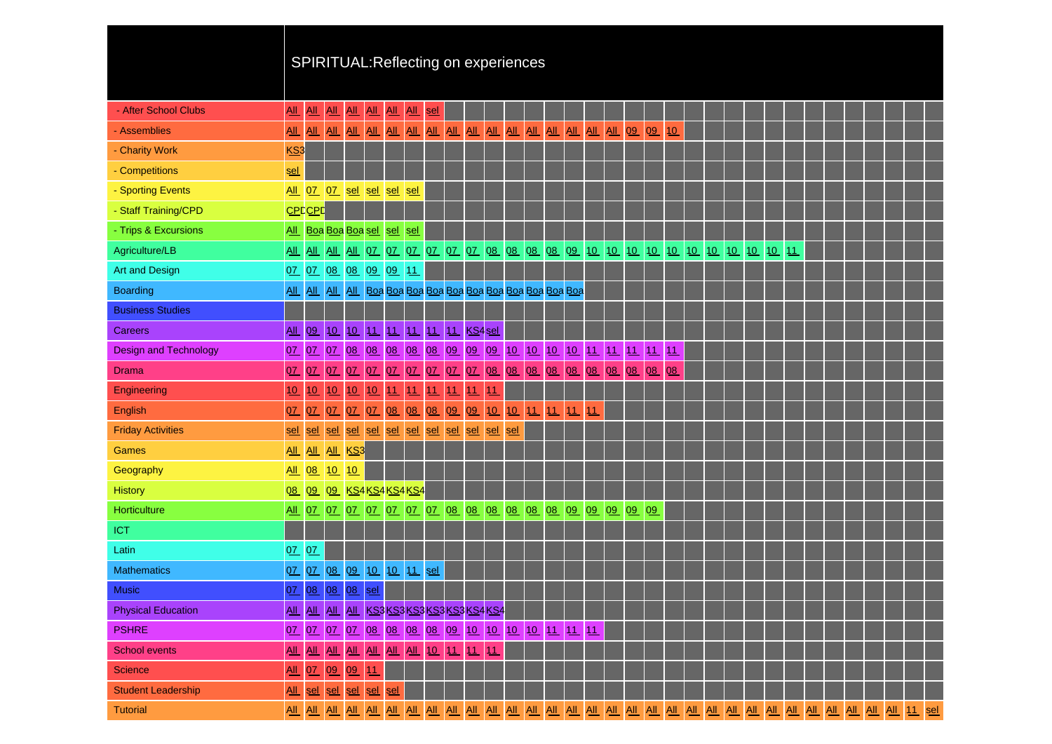|                              |                            |     |                                            |         |             |                                 |            |            |            |    | SPIRITUAL: Reflecting on experiences               |     |       |    |    |                 |    |       |    |  |  |  |  |  |  |  |
|------------------------------|----------------------------|-----|--------------------------------------------|---------|-------------|---------------------------------|------------|------------|------------|----|----------------------------------------------------|-----|-------|----|----|-----------------|----|-------|----|--|--|--|--|--|--|--|
|                              |                            |     |                                            |         |             |                                 |            |            |            |    |                                                    |     |       |    |    |                 |    |       |    |  |  |  |  |  |  |  |
| - After School Clubs         | All                        | All | AL                                         |         | ALL ALL ALL |                                 | AL         | <u>sel</u> |            |    |                                                    |     |       |    |    |                 |    |       |    |  |  |  |  |  |  |  |
| - Assemblies                 | <b>All</b>                 | AL  | AL                                         |         |             |                                 |            |            |            |    |                                                    |     |       |    |    | AIL AIL AIL AIL | 09 | 09    | 10 |  |  |  |  |  |  |  |
| - Charity Work               | KS3                        |     |                                            |         |             |                                 |            |            |            |    |                                                    |     |       |    |    |                 |    |       |    |  |  |  |  |  |  |  |
| - Competitions               | sel                        |     |                                            |         |             |                                 |            |            |            |    |                                                    |     |       |    |    |                 |    |       |    |  |  |  |  |  |  |  |
| - Sporting Events            |                            |     | All 07 07                                  |         |             | sel sel sel                     | <b>sel</b> |            |            |    |                                                    |     |       |    |    |                 |    |       |    |  |  |  |  |  |  |  |
| - Staff Training/CPD         | <b>CPDCPD</b>              |     |                                            |         |             |                                 |            |            |            |    |                                                    |     |       |    |    |                 |    |       |    |  |  |  |  |  |  |  |
| - Trips & Excursions         |                            |     | All Boa Boa Boa sel sel                    |         |             |                                 | <u>sel</u> |            |            |    |                                                    |     |       |    |    |                 |    |       |    |  |  |  |  |  |  |  |
| Agriculture/LB               |                            |     | All All All                                |         |             |                                 |            |            |            |    |                                                    |     |       |    |    |                 |    |       |    |  |  |  |  |  |  |  |
| <b>Art and Design</b>        |                            |     | 07 07 08 08 09 09 11                       |         |             |                                 |            |            |            |    |                                                    |     |       |    |    |                 |    |       |    |  |  |  |  |  |  |  |
| <b>Boarding</b>              |                            |     |                                            |         |             |                                 |            |            |            |    |                                                    |     |       |    |    |                 |    |       |    |  |  |  |  |  |  |  |
| <b>Business Studies</b>      |                            |     |                                            |         |             |                                 |            |            |            |    |                                                    |     |       |    |    |                 |    |       |    |  |  |  |  |  |  |  |
| <b>Careers</b>               | AII                        |     | 09 10                                      |         |             | 10 11 11 11 11 11 11 KS4 sel    |            |            |            |    |                                                    |     |       |    |    |                 |    |       |    |  |  |  |  |  |  |  |
| <b>Design and Technology</b> | 0Z                         |     |                                            |         |             |                                 |            |            |            |    |                                                    |     |       |    |    |                 |    |       |    |  |  |  |  |  |  |  |
| <b>Drama</b>                 | 07                         | 07  | 07                                         | 0Z      |             |                                 |            |            |            |    | 07 07 07 07 07 07 08 08                            |     | $Q_8$ |    |    | 08 08 08 08     |    | 08 08 | 08 |  |  |  |  |  |  |  |
| Engineering                  | 10                         | 10  | 10                                         | 10      | 10          | 11                              | 11         |            | $111$ $11$ | 11 | 11                                                 |     |       |    |    |                 |    |       |    |  |  |  |  |  |  |  |
| English                      | 07                         | 07  | 0 <u>7</u>                                 | 0Z      |             | 07 08                           | Q8         |            | 08 09      | 09 | 10 10                                              |     | 11    | 11 | 11 | 11              |    |       |    |  |  |  |  |  |  |  |
| <b>Friday Activities</b>     | sel                        | sel | sel                                        |         |             | sel sel sel sel sel sel sel sel |            |            |            |    | sel                                                | sel |       |    |    |                 |    |       |    |  |  |  |  |  |  |  |
| <b>Games</b>                 | $\underline{\mathrm{All}}$ | AL  |                                            | All KS3 |             |                                 |            |            |            |    |                                                    |     |       |    |    |                 |    |       |    |  |  |  |  |  |  |  |
| Geography                    | <u>All</u>                 | 08  | 10                                         | 10      |             |                                 |            |            |            |    |                                                    |     |       |    |    |                 |    |       |    |  |  |  |  |  |  |  |
| <b>History</b>               | 08                         |     | 09 09 KS4 KS4 KS4 KS4                      |         |             |                                 |            |            |            |    |                                                    |     |       |    |    |                 |    |       |    |  |  |  |  |  |  |  |
| Horticulture                 | $\underline{\mathrm{All}}$ |     | 07 07                                      |         |             |                                 |            |            |            |    | 07 07 07 07 07 08 08 08 08 08 08 09 09 09 09 09 09 |     |       |    |    |                 |    |       |    |  |  |  |  |  |  |  |
| <b>ICT</b>                   |                            |     |                                            |         |             |                                 |            |            |            |    |                                                    |     |       |    |    |                 |    |       |    |  |  |  |  |  |  |  |
| Latin                        | QZ                         | 07  |                                            |         |             |                                 |            |            |            |    |                                                    |     |       |    |    |                 |    |       |    |  |  |  |  |  |  |  |
| <b>Mathematics</b>           | QZ                         |     | 07 08 09 10 10 11 sel                      |         |             |                                 |            |            |            |    |                                                    |     |       |    |    |                 |    |       |    |  |  |  |  |  |  |  |
| Music                        | $Q\bar{Z}$                 |     | 08 08 08 sel                               |         |             |                                 |            |            |            |    |                                                    |     |       |    |    |                 |    |       |    |  |  |  |  |  |  |  |
| <b>Physical Education</b>    |                            |     |                                            |         |             |                                 |            |            |            |    | AIL AIL AIL AIL KS3 KS3 KS3 KS3 KS3 KS4 KS4        |     |       |    |    |                 |    |       |    |  |  |  |  |  |  |  |
| <b>PSHRE</b>                 |                            |     |                                            |         |             |                                 |            |            |            |    | 07 07 07 07 08 08 08 08 09 10 10 10 10 11 11 11    |     |       |    |    |                 |    |       |    |  |  |  |  |  |  |  |
| <b>School events</b>         | $\underline{\mathsf{All}}$ |     | <u>AIL AIL AIL AIL AIL AIL 10 11 11 11</u> |         |             |                                 |            |            |            |    |                                                    |     |       |    |    |                 |    |       |    |  |  |  |  |  |  |  |
| <b>Science</b>               | $\underline{\mathsf{All}}$ |     | 0Z 09 09 11                                |         |             |                                 |            |            |            |    |                                                    |     |       |    |    |                 |    |       |    |  |  |  |  |  |  |  |
| <b>Student Leadership</b>    | $\underline{\mathsf{All}}$ |     | sel sel                                    |         | sel sel sel |                                 |            |            |            |    |                                                    |     |       |    |    |                 |    |       |    |  |  |  |  |  |  |  |
| <b>Tutorial</b>              |                            |     |                                            |         |             |                                 |            |            |            |    |                                                    |     |       |    |    |                 |    |       |    |  |  |  |  |  |  |  |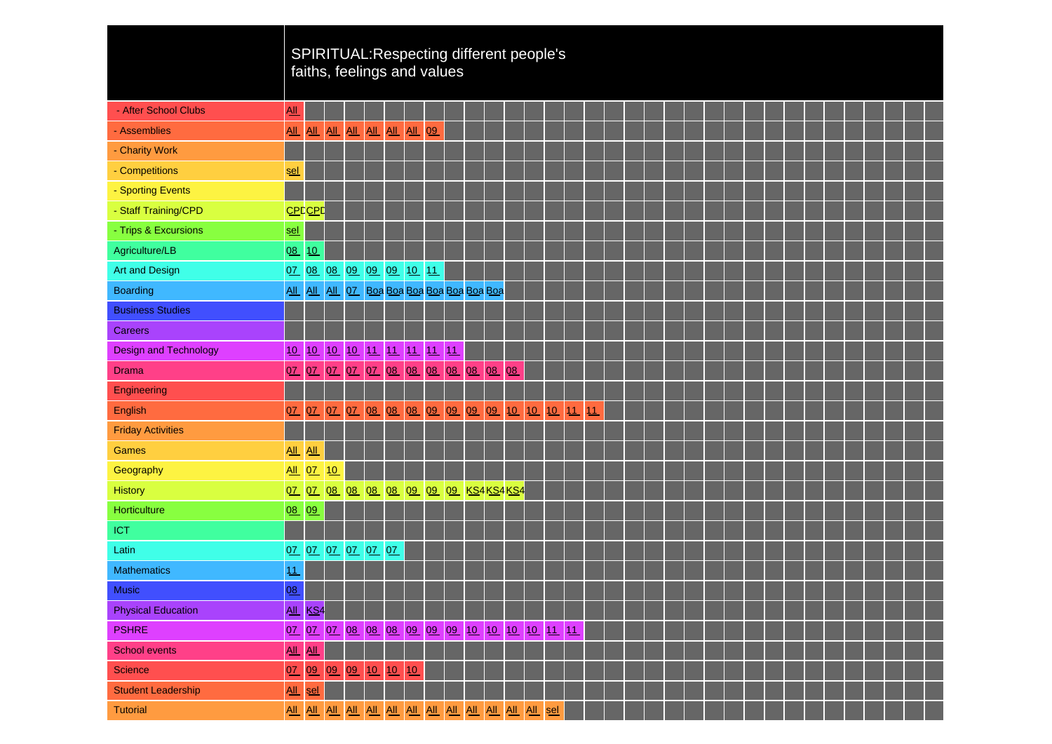|                              |                            |               |            |    | faiths, feelings and values                    |       |    |    |  |       |  | SPIRITUAL: Respecting different people's  |    |  |                                                                                                                      |  |  |  |                                                                                                                      |       |  |  |
|------------------------------|----------------------------|---------------|------------|----|------------------------------------------------|-------|----|----|--|-------|--|-------------------------------------------|----|--|----------------------------------------------------------------------------------------------------------------------|--|--|--|----------------------------------------------------------------------------------------------------------------------|-------|--|--|
| - After School Clubs         | $\underline{AII}$          |               |            |    |                                                |       |    |    |  |       |  |                                           |    |  |                                                                                                                      |  |  |  |                                                                                                                      |       |  |  |
| - Assemblies                 | $\underline{\mathsf{All}}$ |               |            |    | All All All All All                            |       | AL | 09 |  |       |  |                                           |    |  |                                                                                                                      |  |  |  |                                                                                                                      |       |  |  |
| - Charity Work               |                            |               |            |    |                                                |       |    |    |  |       |  |                                           |    |  |                                                                                                                      |  |  |  |                                                                                                                      |       |  |  |
| - Competitions               | <u>sel</u>                 |               |            |    |                                                |       |    |    |  |       |  |                                           |    |  |                                                                                                                      |  |  |  |                                                                                                                      |       |  |  |
| - Sporting Events            |                            |               |            |    |                                                |       |    |    |  |       |  |                                           |    |  |                                                                                                                      |  |  |  |                                                                                                                      |       |  |  |
| - Staff Training/CPD         |                            | <b>CPDCPD</b> |            |    |                                                |       |    |    |  |       |  |                                           |    |  |                                                                                                                      |  |  |  |                                                                                                                      |       |  |  |
| - Trips & Excursions         | <u>sel</u>                 |               |            |    |                                                |       |    |    |  |       |  |                                           |    |  |                                                                                                                      |  |  |  |                                                                                                                      |       |  |  |
| Agriculture/LB               | 08                         | 10            |            |    |                                                |       |    |    |  |       |  |                                           |    |  |                                                                                                                      |  |  |  |                                                                                                                      |       |  |  |
| Art and Design               |                            |               |            |    | 07 08 08 09 09 09 10 11                        |       |    |    |  |       |  |                                           |    |  |                                                                                                                      |  |  |  |                                                                                                                      |       |  |  |
| <b>Boarding</b>              |                            |               |            |    | All All All 07 Boa Boa Boa Boa Boa Boa Boa Boa |       |    |    |  |       |  |                                           |    |  |                                                                                                                      |  |  |  |                                                                                                                      |       |  |  |
| <b>Business Studies</b>      |                            |               |            |    |                                                |       |    |    |  |       |  |                                           |    |  |                                                                                                                      |  |  |  |                                                                                                                      |       |  |  |
| <b>Careers</b>               |                            |               |            |    |                                                |       |    |    |  |       |  |                                           |    |  |                                                                                                                      |  |  |  |                                                                                                                      |       |  |  |
| <b>Design and Technology</b> | 10                         |               |            |    | 10 10 10 11 11 11 11 11                        |       |    |    |  |       |  |                                           |    |  |                                                                                                                      |  |  |  |                                                                                                                      |       |  |  |
| <b>Drama</b>                 | 07                         | 0 <u>7</u>    | 0 <u>7</u> |    | 07 07 08 08 08 08 08                           |       |    |    |  | 08 08 |  |                                           |    |  |                                                                                                                      |  |  |  |                                                                                                                      |       |  |  |
| Engineering                  |                            |               |            |    |                                                |       |    |    |  |       |  |                                           |    |  |                                                                                                                      |  |  |  |                                                                                                                      |       |  |  |
| English                      | 0Z                         |               | 07 07      | 0Z |                                                |       |    |    |  |       |  | 08 08 08 09 09 09 09 10 10 10 11          | 11 |  |                                                                                                                      |  |  |  |                                                                                                                      |       |  |  |
| <b>Friday Activities</b>     |                            |               |            |    |                                                |       |    |    |  |       |  |                                           |    |  |                                                                                                                      |  |  |  |                                                                                                                      |       |  |  |
| Games                        | All All                    |               |            |    |                                                |       |    |    |  |       |  |                                           |    |  |                                                                                                                      |  |  |  |                                                                                                                      |       |  |  |
| Geography                    |                            | <u>All 07</u> | 10         |    |                                                |       |    |    |  |       |  |                                           |    |  |                                                                                                                      |  |  |  |                                                                                                                      |       |  |  |
| <b>History</b>               |                            |               |            |    | 07 07 08 08 08 08 09 09 09 KS4KS4KS4           |       |    |    |  |       |  |                                           |    |  |                                                                                                                      |  |  |  |                                                                                                                      |       |  |  |
| Horticulture                 | 08                         | 09            |            |    |                                                |       |    |    |  |       |  |                                           |    |  |                                                                                                                      |  |  |  |                                                                                                                      |       |  |  |
| <b>ICT</b>                   |                            |               |            |    |                                                |       |    |    |  |       |  |                                           |    |  |                                                                                                                      |  |  |  |                                                                                                                      |       |  |  |
| Latin                        |                            |               |            |    | 07 07 07 07 07 07                              |       |    |    |  |       |  |                                           |    |  |                                                                                                                      |  |  |  |                                                                                                                      |       |  |  |
| <b>Mathematics</b>           | 11                         |               |            |    |                                                |       |    |    |  |       |  |                                           |    |  |                                                                                                                      |  |  |  |                                                                                                                      |       |  |  |
| <b>Music</b>                 | 08                         |               |            |    |                                                |       |    |    |  |       |  | . .                                       |    |  | <b>STATE OF STATE OF STATE OF STATE OF STATE OF STATE OF STATE OF STATE OF STATE OF STATE OF STATE OF STATE OF S</b> |  |  |  | <b>STATE OF STATE OF STATE OF STATE OF STATE OF STATE OF STATE OF STATE OF STATE OF STATE OF STATE OF STATE OF S</b> | a a T |  |  |
| <b>Physical Education</b>    |                            | All KS4       |            |    |                                                |       |    |    |  |       |  |                                           |    |  |                                                                                                                      |  |  |  |                                                                                                                      |       |  |  |
| <b>PSHRE</b>                 | 0Z                         |               |            |    |                                                |       |    |    |  |       |  | 07 07 08 08 08 09 09 09 10 10 10 10 11 11 |    |  |                                                                                                                      |  |  |  |                                                                                                                      |       |  |  |
| <b>School events</b>         |                            | All All       |            |    |                                                |       |    |    |  |       |  |                                           |    |  |                                                                                                                      |  |  |  |                                                                                                                      |       |  |  |
| <b>Science</b>               | 0 <u>7</u>                 |               | 09 09 09   |    |                                                | 10 10 | 10 |    |  |       |  |                                           |    |  |                                                                                                                      |  |  |  |                                                                                                                      |       |  |  |
| <b>Student Leadership</b>    | $\underline{\mathsf{All}}$ | sel           |            |    |                                                |       |    |    |  |       |  |                                           |    |  |                                                                                                                      |  |  |  |                                                                                                                      |       |  |  |
| <b>Tutorial</b>              |                            |               |            |    |                                                |       |    |    |  |       |  |                                           |    |  |                                                                                                                      |  |  |  |                                                                                                                      |       |  |  |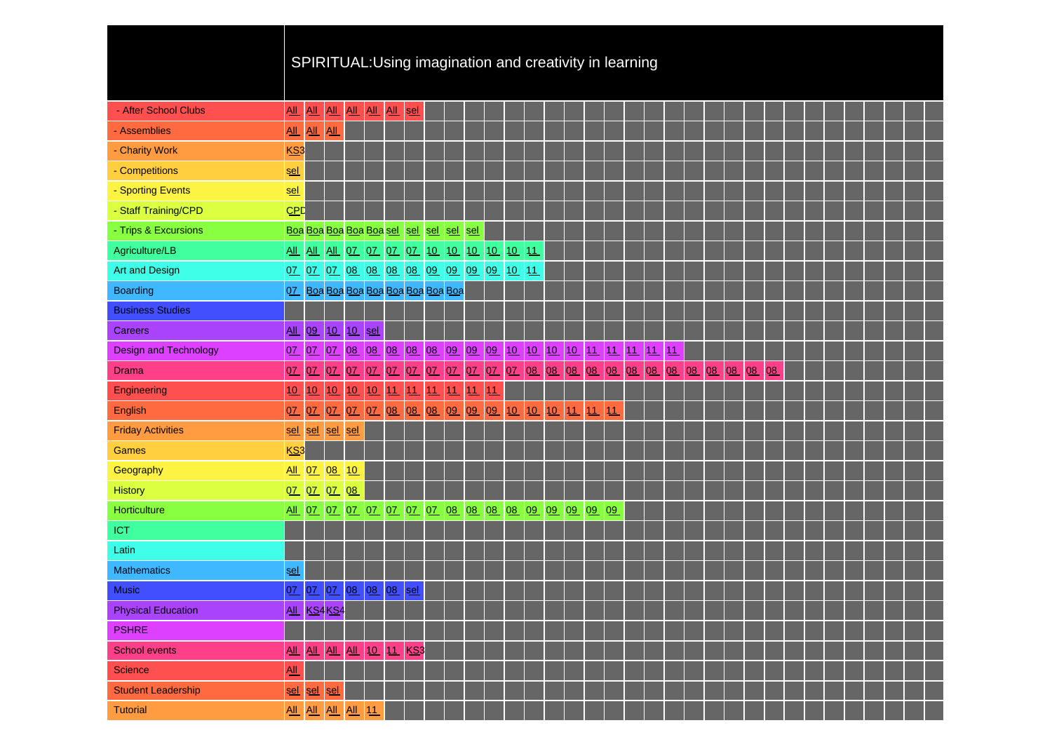| SPIRITUAL:Using imagination and creativity in learning |  |  |
|--------------------------------------------------------|--|--|
|                                                        |  |  |
|                                                        |  |  |

| - After School Clubs         | <u>All</u>                 |             |             | <u>AIL AIL AIL AIL AIL</u>                  |          |                     | sel      |          |           |    |          |    |          |                                                               |       |                                                             |    |       |    |    |    |  |  |  |  |
|------------------------------|----------------------------|-------------|-------------|---------------------------------------------|----------|---------------------|----------|----------|-----------|----|----------|----|----------|---------------------------------------------------------------|-------|-------------------------------------------------------------|----|-------|----|----|----|--|--|--|--|
| - Assemblies                 |                            | All All All |             |                                             |          |                     |          |          |           |    |          |    |          |                                                               |       |                                                             |    |       |    |    |    |  |  |  |  |
| - Charity Work               | KS3                        |             |             |                                             |          |                     |          |          |           |    |          |    |          |                                                               |       |                                                             |    |       |    |    |    |  |  |  |  |
| - Competitions               | sel                        |             |             |                                             |          |                     |          |          |           |    |          |    |          |                                                               |       |                                                             |    |       |    |    |    |  |  |  |  |
| - Sporting Events            | sel                        |             |             |                                             |          |                     |          |          |           |    |          |    |          |                                                               |       |                                                             |    |       |    |    |    |  |  |  |  |
| - Staff Training/CPD         | CPD                        |             |             |                                             |          |                     |          |          |           |    |          |    |          |                                                               |       |                                                             |    |       |    |    |    |  |  |  |  |
| - Trips & Excursions         |                            |             |             | Boa Boa Boa Boa Boa sel sel sel sel sel sel |          |                     |          |          |           |    |          |    |          |                                                               |       |                                                             |    |       |    |    |    |  |  |  |  |
| Agriculture/LB               |                            |             |             |                                             |          |                     |          |          |           |    |          |    |          |                                                               |       |                                                             |    |       |    |    |    |  |  |  |  |
| <b>Art and Design</b>        |                            |             |             | 07 07 07 08 08 08 08 09 09 09 09 10 11      |          |                     |          |          |           |    |          |    |          |                                                               |       |                                                             |    |       |    |    |    |  |  |  |  |
| <b>Boarding</b>              |                            |             |             | 07 Boa Boa Boa Boa Boa Boa Boa Boa Boa      |          |                     |          |          |           |    |          |    |          |                                                               |       |                                                             |    |       |    |    |    |  |  |  |  |
| <b>Business Studies</b>      |                            |             |             |                                             |          |                     |          |          |           |    |          |    |          |                                                               |       |                                                             |    |       |    |    |    |  |  |  |  |
| <b>Careers</b>               | All                        |             |             | 09 10 10 sel                                |          |                     |          |          |           |    |          |    |          |                                                               |       |                                                             |    |       |    |    |    |  |  |  |  |
| <b>Design and Technology</b> |                            |             |             |                                             |          |                     |          |          |           |    |          |    |          |                                                               |       | 07 07 07 08 08 08 08 08 09 09 09 10 10 10 10 11 11 11 11 11 |    |       |    |    |    |  |  |  |  |
| <b>Drama</b>                 | 0Z                         | 07 07       |             | 0Z                                          | 07 07    |                     | 07 07 07 |          | QZ        |    | 07 07 08 |    | 08 08 08 |                                                               | 08 08 | 08                                                          | 08 | 08 08 | 08 | 08 | 08 |  |  |  |  |
| Engineering                  | 10                         | 10          | 10          | 10                                          |          | $10 \vert 11 \vert$ | 11       | 1111     | $\bullet$ | 11 |          |    |          |                                                               |       |                                                             |    |       |    |    |    |  |  |  |  |
| English                      | 0Z                         |             | 07 07       |                                             | 07 07 08 |                     |          | 08 08 09 |           |    | 09 09 10 | 10 | 10 11    | 11                                                            | 11    |                                                             |    |       |    |    |    |  |  |  |  |
| <b>Friday Activities</b>     | sel                        | sel         | $ $ sel     | sel                                         |          |                     |          |          |           |    |          |    |          |                                                               |       |                                                             |    |       |    |    |    |  |  |  |  |
| <b>Games</b>                 | KS3                        |             |             |                                             |          |                     |          |          |           |    |          |    |          |                                                               |       |                                                             |    |       |    |    |    |  |  |  |  |
| Geography                    |                            | All 07      | 08 10       |                                             |          |                     |          |          |           |    |          |    |          |                                                               |       |                                                             |    |       |    |    |    |  |  |  |  |
| <b>History</b>               |                            | 07 07 07    |             | 08                                          |          |                     |          |          |           |    |          |    |          |                                                               |       |                                                             |    |       |    |    |    |  |  |  |  |
| Horticulture                 |                            |             |             |                                             |          |                     |          |          |           |    |          |    |          | <u>All 07 07 07 07 07 07 07 08 08 08 08 09 09 09 09 09 09</u> |       |                                                             |    |       |    |    |    |  |  |  |  |
| <b>ICT</b>                   |                            |             |             |                                             |          |                     |          |          |           |    |          |    |          |                                                               |       |                                                             |    |       |    |    |    |  |  |  |  |
| Latin                        |                            |             |             |                                             |          |                     |          |          |           |    |          |    |          |                                                               |       |                                                             |    |       |    |    |    |  |  |  |  |
| <b>Mathematics</b>           | <u>sel</u>                 |             |             |                                             |          |                     |          |          |           |    |          |    |          |                                                               |       |                                                             |    |       |    |    |    |  |  |  |  |
| <b>Music</b>                 | 0Z                         |             |             | 07 07 08 08 08                              |          |                     | sel      |          |           |    |          |    |          |                                                               |       |                                                             |    |       |    |    |    |  |  |  |  |
| <b>Physical Education</b>    |                            |             | All KS4 KS4 |                                             |          |                     |          |          |           |    |          |    |          |                                                               |       |                                                             |    |       |    |    |    |  |  |  |  |
| <b>PSHRE</b>                 |                            |             |             |                                             |          |                     |          |          |           |    |          |    |          |                                                               |       |                                                             |    |       |    |    |    |  |  |  |  |
| <b>School events</b>         | $\underline{\mathsf{All}}$ |             |             | All All All 10 11 KS3                       |          |                     |          |          |           |    |          |    |          |                                                               |       |                                                             |    |       |    |    |    |  |  |  |  |
| <b>Science</b>               | <u>All</u>                 |             |             |                                             |          |                     |          |          |           |    |          |    |          |                                                               |       |                                                             |    |       |    |    |    |  |  |  |  |
| <b>Student Leadership</b>    | <u>sel</u>                 | sel         | <b>sel</b>  |                                             |          |                     |          |          |           |    |          |    |          |                                                               |       |                                                             |    |       |    |    |    |  |  |  |  |
| <b>Tutorial</b>              |                            |             | All All All | All 11                                      |          |                     |          |          |           |    |          |    |          |                                                               |       |                                                             |    |       |    |    |    |  |  |  |  |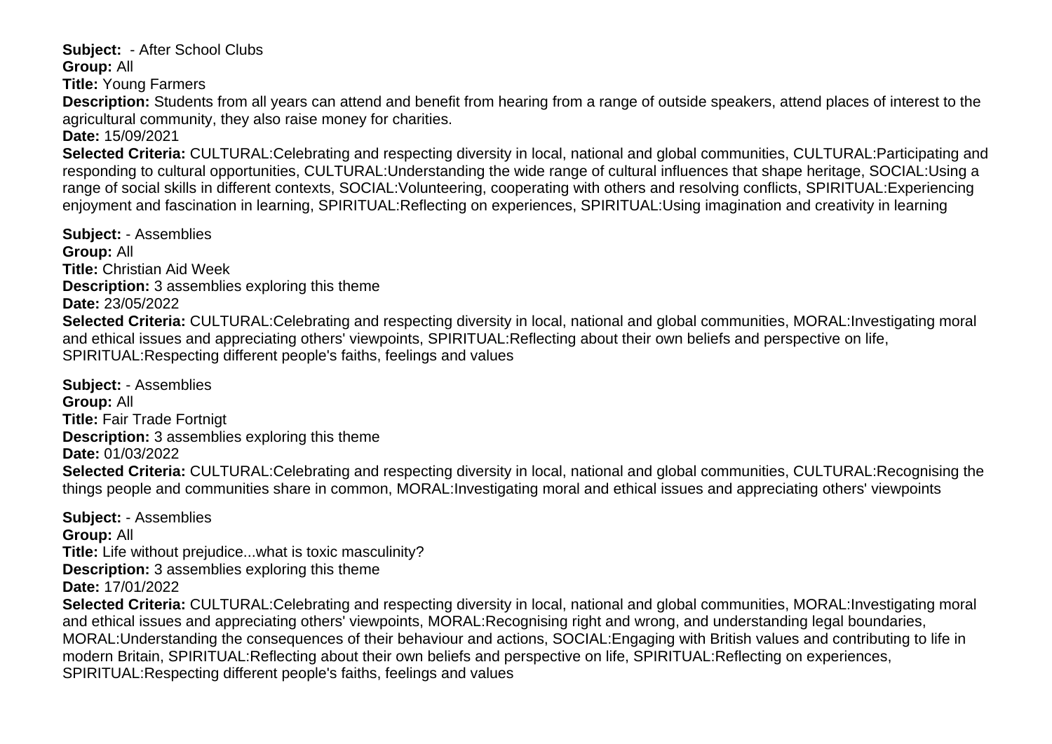<span id="page-18-0"></span>**Subject:** - After School Clubs **Group:** All

**Title:** Young Farmers

**Description:** Students from all years can attend and benefit from hearing from a range of outside speakers, attend places of interest to the agricultural community, they also raise money for charities.

**Date:** 15/09/2021

**Selected Criteria:** CULTURAL:Celebrating and respecting diversity in local, national and global communities, CULTURAL:Participating and responding to cultural opportunities, CULTURAL:Understanding the wide range of cultural influences that shape heritage, SOCIAL:Using a range of social skills in different contexts, SOCIAL:Volunteering, cooperating with others and resolving conflicts, SPIRITUAL:Experiencing enjoyment and fascination in learning, SPIRITUAL:Reflecting on experiences, SPIRITUAL:Using imagination and creativity in learning

<span id="page-18-1"></span>**Subject:** - Assemblies **Group:** All **Title:** Christian Aid Week **Description:** 3 assemblies exploring this theme **Date:** 23/05/2022 **Selected Criteria:** CULTURAL:Celebrating and respecting diversity in local, national and global communities, MORAL:Investigating moral and ethical issues and appreciating others' viewpoints, SPIRITUAL:Reflecting about their own beliefs and perspective on life, SPIRITUAL:Respecting different people's faiths, feelings and values

<span id="page-18-2"></span>**Subject:** - Assemblies **Group:** All **Title:** Fair Trade Fortnigt **Description:** 3 assemblies exploring this theme **Date:** 01/03/2022 **Selected Criteria:** CULTURAL:Celebrating and respecting diversity in local, national and global communities, CULTURAL:Recognising the things people and communities share in common, MORAL:Investigating moral and ethical issues and appreciating others' viewpoints

<span id="page-18-4"></span><span id="page-18-3"></span>**Subject:** - Assemblies **Group:** All **Title:** Life without prejudice...what is toxic masculinity? **Description:** 3 assemblies exploring this theme **Date:** 17/01/2022 **Selected Criteria:** CULTURAL:Celebrating and respecting diversity in local, national and global communities, MORAL:Investigating moral and ethical issues and appreciating others' viewpoints, MORAL:Recognising right and wrong, and understanding legal boundaries, MORAL:Understanding the consequences of their behaviour and actions, SOCIAL:Engaging with British values and contributing to life in modern Britain, SPIRITUAL:Reflecting about their own beliefs and perspective on life, SPIRITUAL:Reflecting on experiences, SPIRITUAL:Respecting different people's faiths, feelings and values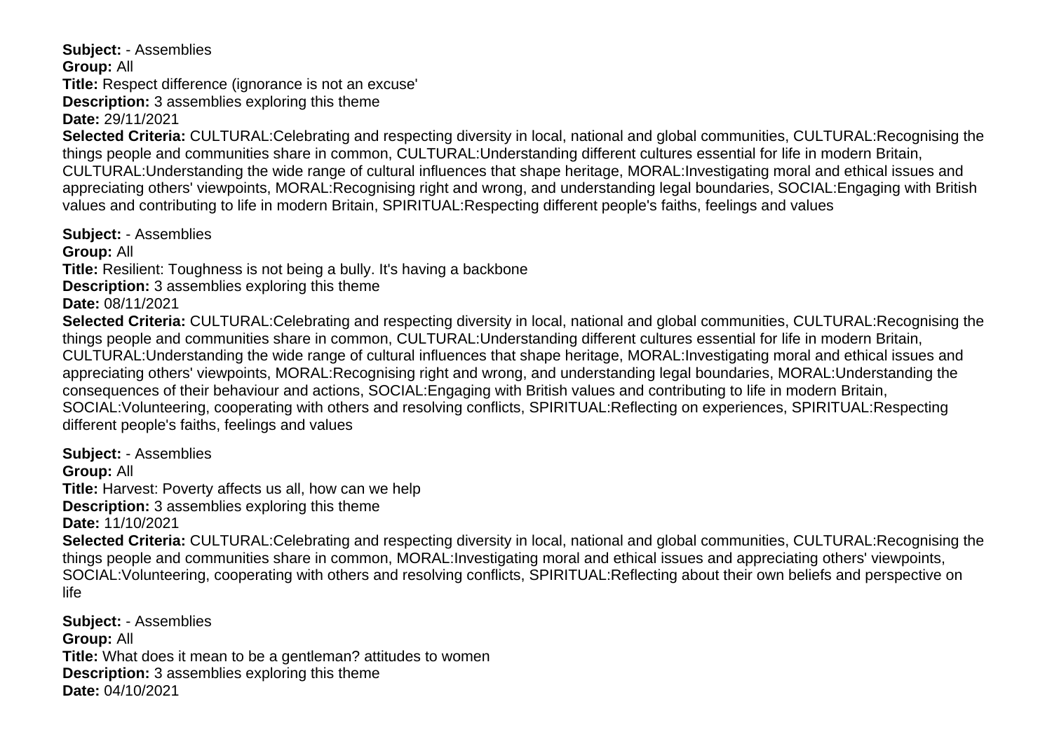**Subject:** - Assemblies **Group:** All **Title:** Respect difference (ignorance is not an excuse' **Description:** 3 assemblies exploring this theme **Date:** 29/11/2021

**Selected Criteria:** CULTURAL:Celebrating and respecting diversity in local, national and global communities, CULTURAL:Recognising the things people and communities share in common, CULTURAL:Understanding different cultures essential for life in modern Britain, CULTURAL:Understanding the wide range of cultural influences that shape heritage, MORAL:Investigating moral and ethical issues and appreciating others' viewpoints, MORAL:Recognising right and wrong, and understanding legal boundaries, SOCIAL:Engaging with British values and contributing to life in modern Britain, SPIRITUAL:Respecting different people's faiths, feelings and values

<span id="page-19-0"></span>**Subject:** - Assemblies **Group:** All **Title:** Resilient: Toughness is not being a bully. It's having a backbone **Description:** 3 assemblies exploring this theme **Date:** 08/11/2021 **Selected Criteria:** CULTURAL:Celebrating and respecting diversity in local, national and global communities, CULTURAL:Recognising the things people and communities share in common, CULTURAL:Understanding different cultures essential for life in modern Britain, CULTURAL:Understanding the wide range of cultural influences that shape heritage, MORAL:Investigating moral and ethical issues and appreciating others' viewpoints, MORAL:Recognising right and wrong, and understanding legal boundaries, MORAL:Understanding the consequences of their behaviour and actions, SOCIAL:Engaging with British values and contributing to life in modern Britain, SOCIAL:Volunteering, cooperating with others and resolving conflicts, SPIRITUAL:Reflecting on experiences, SPIRITUAL:Respecting different people's faiths, feelings and values

<span id="page-19-1"></span>**Subject:** - Assemblies **Group:** All **Title:** Harvest: Poverty affects us all, how can we help **Description:** 3 assemblies exploring this theme **Date:** 11/10/2021 **Selected Criteria:** CULTURAL:Celebrating and respecting diversity in local, national and global communities, CULTURAL:Recognising the things people and communities share in common, MORAL:Investigating moral and ethical issues and appreciating others' viewpoints, SOCIAL:Volunteering, cooperating with others and resolving conflicts, SPIRITUAL:Reflecting about their own beliefs and perspective on life

<span id="page-19-2"></span>**Subject:** - Assemblies **Group:** All **Title:** What does it mean to be a gentleman? attitudes to women **Description:** 3 assemblies exploring this theme **Date:** 04/10/2021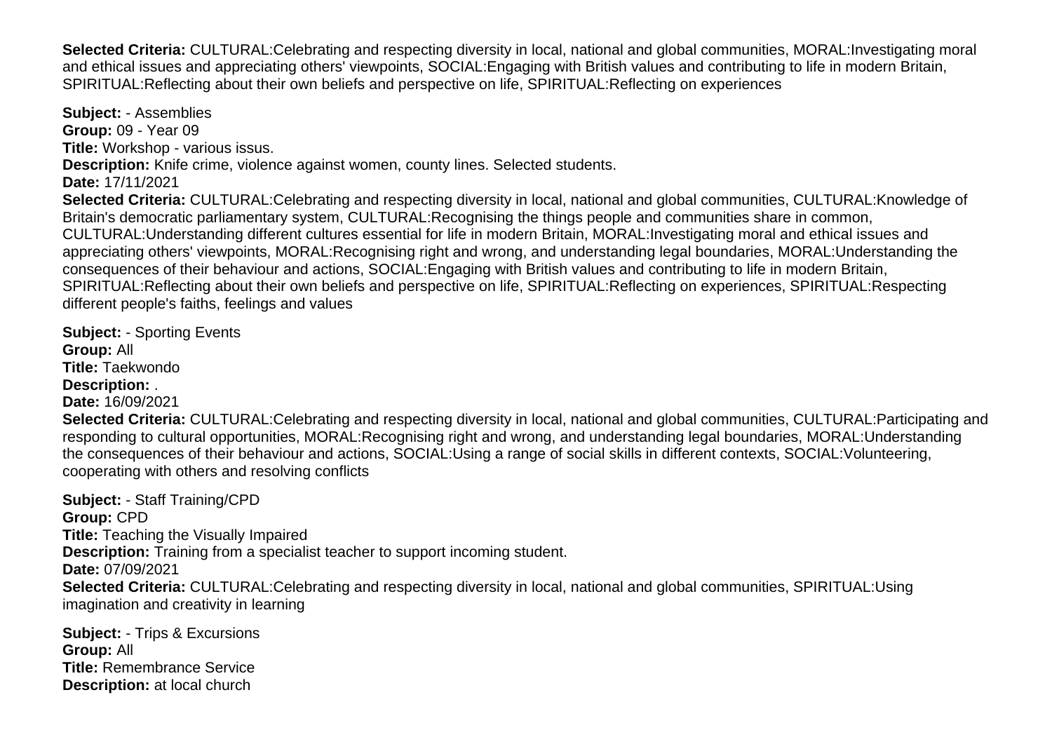**Selected Criteria:** CULTURAL:Celebrating and respecting diversity in local, national and global communities, MORAL:Investigating moral and ethical issues and appreciating others' viewpoints, SOCIAL:Engaging with British values and contributing to life in modern Britain, SPIRITUAL:Reflecting about their own beliefs and perspective on life, SPIRITUAL:Reflecting on experiences

<span id="page-20-0"></span>**Subject:** - Assemblies **Group:** 09 - Year 09 **Title:** Workshop - various issus. **Description:** Knife crime, violence against women, county lines. Selected students. **Date:** 17/11/2021 **Selected Criteria:** CULTURAL:Celebrating and respecting diversity in local, national and global communities, CULTURAL:Knowledge of Britain's democratic parliamentary system, CULTURAL:Recognising the things people and communities share in common, CULTURAL:Understanding different cultures essential for life in modern Britain, MORAL:Investigating moral and ethical issues and appreciating others' viewpoints, MORAL:Recognising right and wrong, and understanding legal boundaries, MORAL:Understanding the consequences of their behaviour and actions, SOCIAL:Engaging with British values and contributing to life in modern Britain, SPIRITUAL:Reflecting about their own beliefs and perspective on life, SPIRITUAL:Reflecting on experiences, SPIRITUAL:Respecting different people's faiths, feelings and values

<span id="page-20-1"></span>**Subject:** - Sporting Events **Group:** All **Title:** Taekwondo **Description:** . **Date:** 16/09/2021 **Selected Criteria:** CULTURAL:Celebrating and respecting diversity in local, national and global communities, CULTURAL:Participating and responding to cultural opportunities, MORAL:Recognising right and wrong, and understanding legal boundaries, MORAL:Understanding the consequences of their behaviour and actions, SOCIAL:Using a range of social skills in different contexts, SOCIAL:Volunteering, cooperating with others and resolving conflicts

<span id="page-20-2"></span>**Subject:** - Staff Training/CPD **Group:** CPD **Title:** Teaching the Visually Impaired **Description:** Training from a specialist teacher to support incoming student. **Date:** 07/09/2021 **Selected Criteria:** CULTURAL:Celebrating and respecting diversity in local, national and global communities, SPIRITUAL:Using imagination and creativity in learning

<span id="page-20-3"></span>**Subject:** - Trips & Excursions **Group:** All **Title:** Remembrance Service **Description:** at local church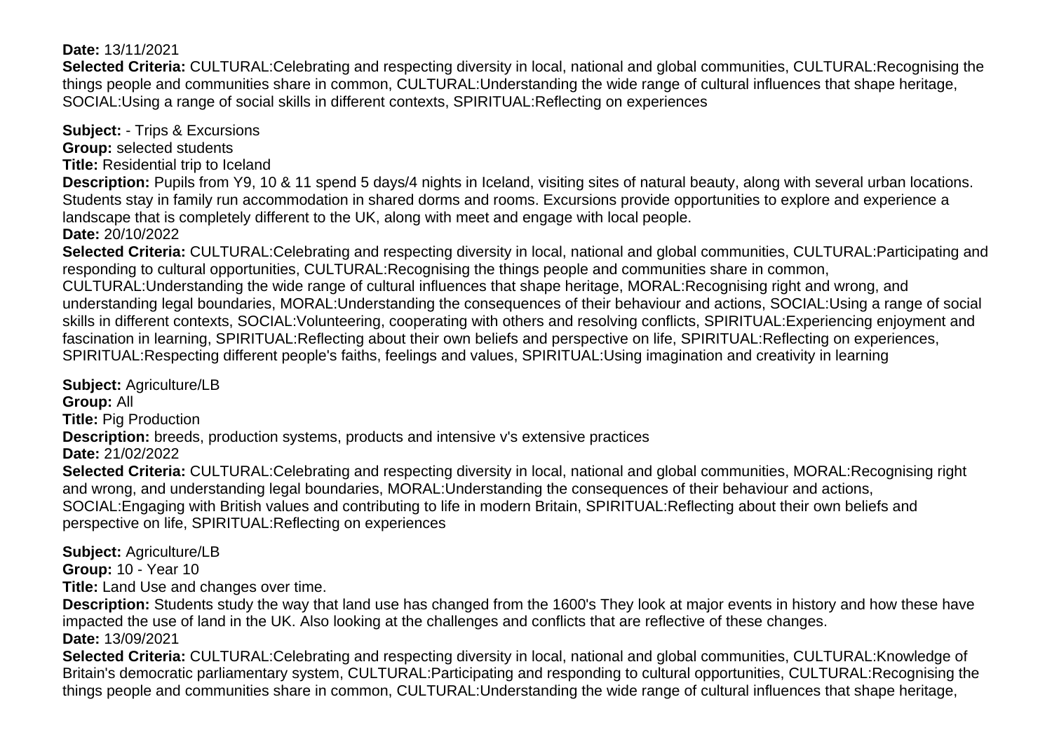#### **Date:** 13/11/2021

**Selected Criteria:** CULTURAL:Celebrating and respecting diversity in local, national and global communities, CULTURAL:Recognising the things people and communities share in common, CULTURAL:Understanding the wide range of cultural influences that shape heritage, SOCIAL:Using a range of social skills in different contexts, SPIRITUAL:Reflecting on experiences

<span id="page-21-0"></span>**Subject:** - Trips & Excursions

**Group:** selected students

**Title:** Residential trip to Iceland

**Description:** Pupils from Y9, 10 & 11 spend 5 days/4 nights in Iceland, visiting sites of natural beauty, along with several urban locations. Students stay in family run accommodation in shared dorms and rooms. Excursions provide opportunities to explore and experience a landscape that is completely different to the UK, along with meet and engage with local people.

**Date:** 20/10/2022

**Selected Criteria:** CULTURAL:Celebrating and respecting diversity in local, national and global communities, CULTURAL:Participating and responding to cultural opportunities, CULTURAL:Recognising the things people and communities share in common, CULTURAL:Understanding the wide range of cultural influences that shape heritage, MORAL:Recognising right and wrong, and understanding legal boundaries, MORAL:Understanding the consequences of their behaviour and actions, SOCIAL:Using a range of social skills in different contexts, SOCIAL:Volunteering, cooperating with others and resolving conflicts, SPIRITUAL:Experiencing enjoyment and fascination in learning, SPIRITUAL:Reflecting about their own beliefs and perspective on life, SPIRITUAL:Reflecting on experiences, SPIRITUAL:Respecting different people's faiths, feelings and values, SPIRITUAL:Using imagination and creativity in learning

<span id="page-21-1"></span>**Subject:** Agriculture/LB **Group:** All **Title:** Pig Production **Description:** breeds, production systems, products and intensive v's extensive practices **Date:** 21/02/2022 **Selected Criteria:** CULTURAL:Celebrating and respecting diversity in local, national and global communities, MORAL:Recognising right and wrong, and understanding legal boundaries, MORAL:Understanding the consequences of their behaviour and actions, SOCIAL:Engaging with British values and contributing to life in modern Britain, SPIRITUAL:Reflecting about their own beliefs and perspective on life, SPIRITUAL:Reflecting on experiences

<span id="page-21-2"></span>**Subject:** Agriculture/LB

**Group:** 10 - Year 10

**Title:** Land Use and changes over time.

**Description:** Students study the way that land use has changed from the 1600's They look at major events in history and how these have impacted the use of land in the UK. Also looking at the challenges and conflicts that are reflective of these changes. **Date:** 13/09/2021

**Selected Criteria:** CULTURAL:Celebrating and respecting diversity in local, national and global communities, CULTURAL:Knowledge of Britain's democratic parliamentary system, CULTURAL:Participating and responding to cultural opportunities, CULTURAL:Recognising the things people and communities share in common, CULTURAL:Understanding the wide range of cultural influences that shape heritage,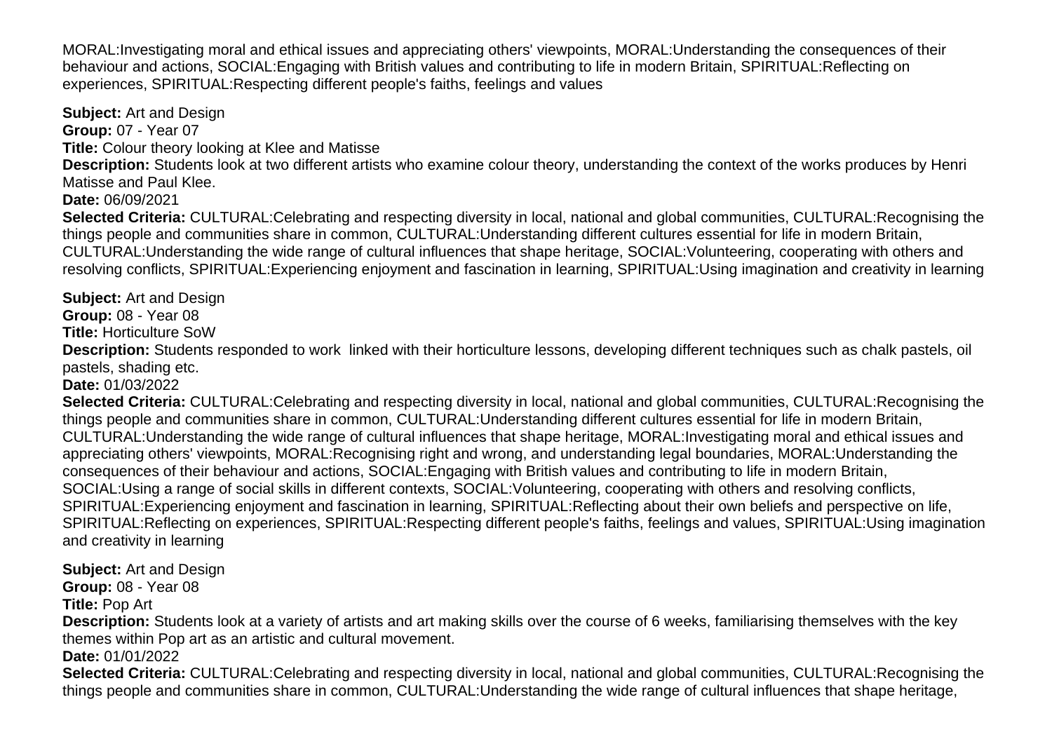MORAL:Investigating moral and ethical issues and appreciating others' viewpoints, MORAL:Understanding the consequences of their behaviour and actions, SOCIAL:Engaging with British values and contributing to life in modern Britain, SPIRITUAL:Reflecting on experiences, SPIRITUAL:Respecting different people's faiths, feelings and values

<span id="page-22-0"></span>**Subject:** Art and Design **Group:** 07 - Year 07 **Title:** Colour theory looking at Klee and Matisse **Description:** Students look at two different artists who examine colour theory, understanding the context of the works produces by Henri Matisse and Paul Klee. **Date:** 06/09/2021 **Selected Criteria:** CULTURAL:Celebrating and respecting diversity in local, national and global communities, CULTURAL:Recognising the things people and communities share in common, CULTURAL:Understanding different cultures essential for life in modern Britain, CULTURAL:Understanding the wide range of cultural influences that shape heritage, SOCIAL:Volunteering, cooperating with others and resolving conflicts, SPIRITUAL:Experiencing enjoyment and fascination in learning, SPIRITUAL:Using imagination and creativity in learning

pastels, shading etc. **Date:** 01/03/2022 **Selected Criteria:** CULTURAL:Celebrating and respecting diversity in local, national and global communities, CULTURAL:Recognising the things people and communities share in common, CULTURAL:Understanding different cultures essential for life in modern Britain, CULTURAL:Understanding the wide range of cultural influences that shape heritage, MORAL:Investigating moral and ethical issues and appreciating others' viewpoints, MORAL:Recognising right and wrong, and understanding legal boundaries, MORAL:Understanding the consequences of their behaviour and actions, SOCIAL:Engaging with British values and contributing to life in modern Britain, SOCIAL:Using a range of social skills in different contexts, SOCIAL:Volunteering, cooperating with others and resolving conflicts, SPIRITUAL:Experiencing enjoyment and fascination in learning, SPIRITUAL:Reflecting about their own beliefs and perspective on life, SPIRITUAL:Reflecting on experiences, SPIRITUAL:Respecting different people's faiths, feelings and values, SPIRITUAL:Using imagination and creativity in learning

**Description:** Students responded to work linked with their horticulture lessons, developing different techniques such as chalk pastels, oil

<span id="page-22-2"></span>**Subject:** Art and Design **Group:** 08 - Year 08

<span id="page-22-1"></span>**Subject:** Art and Design **Group:** 08 - Year 08 **Title:** Horticulture SoW

**Title:** Pop Art

**Description:** Students look at a variety of artists and art making skills over the course of 6 weeks, familiarising themselves with the key themes within Pop art as an artistic and cultural movement.

**Date:** 01/01/2022

**Selected Criteria:** CULTURAL:Celebrating and respecting diversity in local, national and global communities, CULTURAL:Recognising the things people and communities share in common, CULTURAL:Understanding the wide range of cultural influences that shape heritage,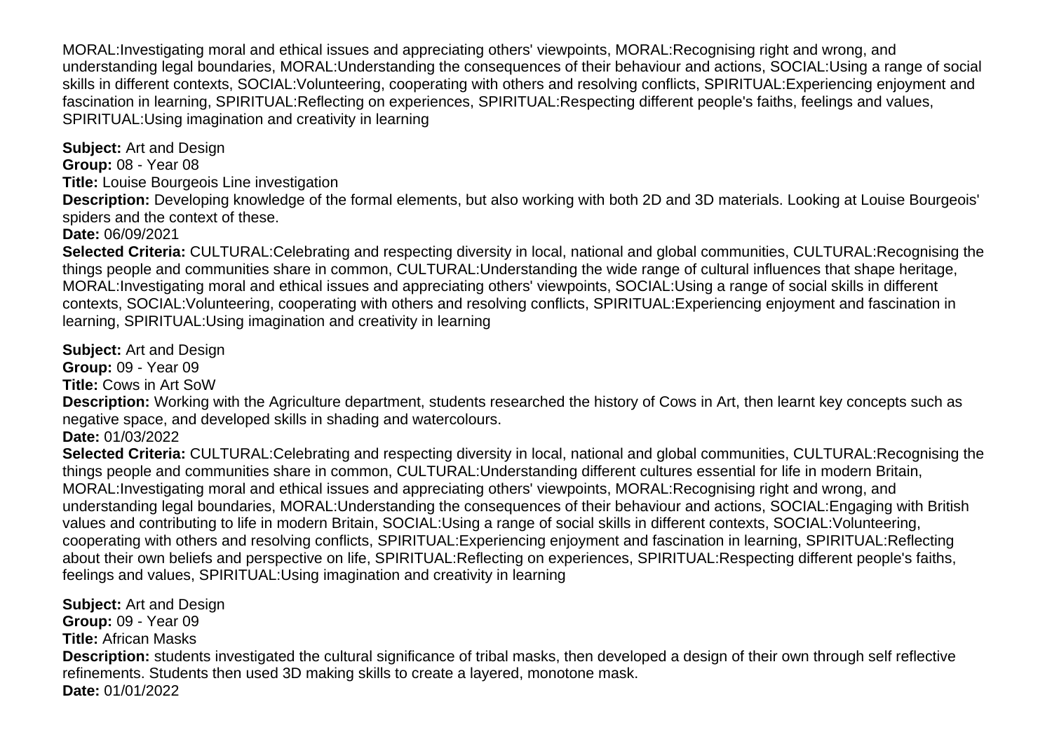MORAL:Investigating moral and ethical issues and appreciating others' viewpoints, MORAL:Recognising right and wrong, and understanding legal boundaries, MORAL:Understanding the consequences of their behaviour and actions, SOCIAL:Using a range of social skills in different contexts, SOCIAL:Volunteering, cooperating with others and resolving conflicts, SPIRITUAL:Experiencing enjoyment and fascination in learning, SPIRITUAL:Reflecting on experiences, SPIRITUAL:Respecting different people's faiths, feelings and values, SPIRITUAL:Using imagination and creativity in learning

<span id="page-23-0"></span>**Subject:** Art and Design **Group:** 08 - Year 08 **Title:** Louise Bourgeois Line investigation

**Description:** Developing knowledge of the formal elements, but also working with both 2D and 3D materials. Looking at Louise Bourgeois' spiders and the context of these.

**Date:** 06/09/2021

**Selected Criteria:** CULTURAL:Celebrating and respecting diversity in local, national and global communities, CULTURAL:Recognising the things people and communities share in common, CULTURAL:Understanding the wide range of cultural influences that shape heritage, MORAL:Investigating moral and ethical issues and appreciating others' viewpoints, SOCIAL:Using a range of social skills in different contexts, SOCIAL:Volunteering, cooperating with others and resolving conflicts, SPIRITUAL:Experiencing enjoyment and fascination in learning, SPIRITUAL:Using imagination and creativity in learning

<span id="page-23-1"></span>**Subject:** Art and Design

**Group:** 09 - Year 09

**Title:** Cows in Art SoW

**Description:** Working with the Agriculture department, students researched the history of Cows in Art, then learnt key concepts such as negative space, and developed skills in shading and watercolours.

**Date:** 01/03/2022

**Selected Criteria:** CULTURAL:Celebrating and respecting diversity in local, national and global communities, CULTURAL:Recognising the things people and communities share in common, CULTURAL:Understanding different cultures essential for life in modern Britain, MORAL:Investigating moral and ethical issues and appreciating others' viewpoints, MORAL:Recognising right and wrong, and understanding legal boundaries, MORAL:Understanding the consequences of their behaviour and actions, SOCIAL:Engaging with British values and contributing to life in modern Britain, SOCIAL:Using a range of social skills in different contexts, SOCIAL:Volunteering, cooperating with others and resolving conflicts, SPIRITUAL:Experiencing enjoyment and fascination in learning, SPIRITUAL:Reflecting about their own beliefs and perspective on life, SPIRITUAL:Reflecting on experiences, SPIRITUAL:Respecting different people's faiths, feelings and values, SPIRITUAL:Using imagination and creativity in learning

<span id="page-23-2"></span>**Subject:** Art and Design **Group:** 09 - Year 09 **Title:** African Masks **Description:** students investigated the cultural significance of tribal masks, then developed a design of their own through self reflective refinements. Students then used 3D making skills to create a layered, monotone mask. **Date:** 01/01/2022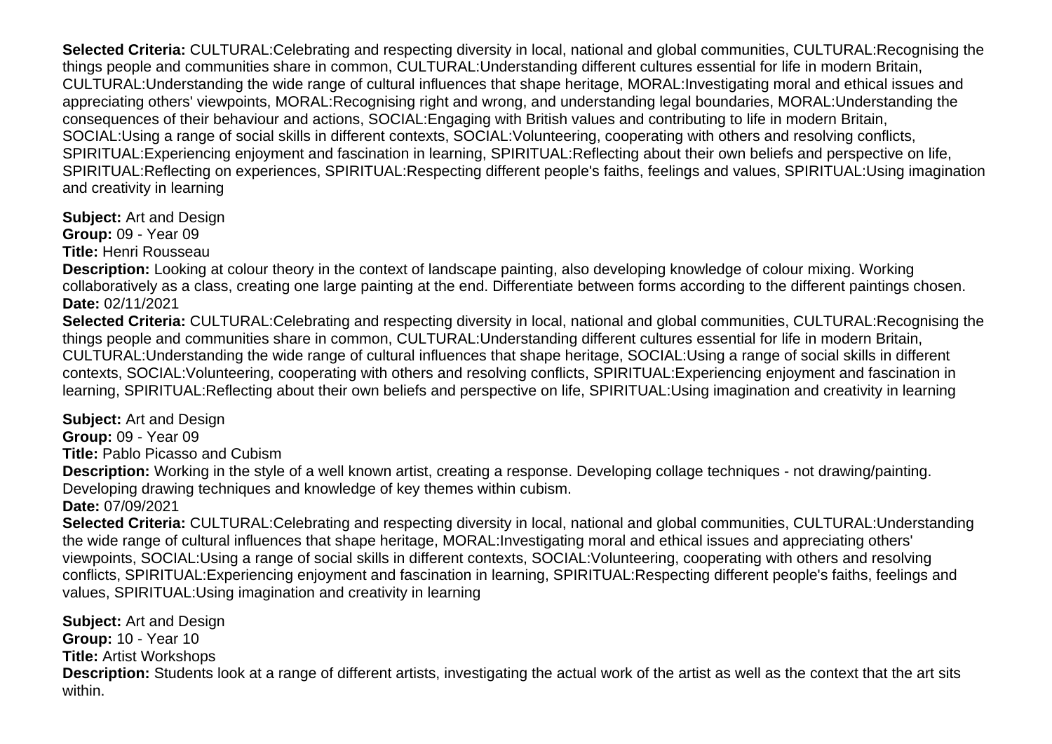**Selected Criteria:** CULTURAL:Celebrating and respecting diversity in local, national and global communities, CULTURAL:Recognising the things people and communities share in common, CULTURAL:Understanding different cultures essential for life in modern Britain, CULTURAL:Understanding the wide range of cultural influences that shape heritage, MORAL:Investigating moral and ethical issues and appreciating others' viewpoints, MORAL:Recognising right and wrong, and understanding legal boundaries, MORAL:Understanding the consequences of their behaviour and actions, SOCIAL:Engaging with British values and contributing to life in modern Britain, SOCIAL:Using a range of social skills in different contexts, SOCIAL:Volunteering, cooperating with others and resolving conflicts, SPIRITUAL:Experiencing enjoyment and fascination in learning, SPIRITUAL:Reflecting about their own beliefs and perspective on life, SPIRITUAL:Reflecting on experiences, SPIRITUAL:Respecting different people's faiths, feelings and values, SPIRITUAL:Using imagination and creativity in learning

<span id="page-24-0"></span>**Subject:** Art and Design **Group:** 09 - Year 09 **Title:** Henri Rousseau

**Description:** Looking at colour theory in the context of landscape painting, also developing knowledge of colour mixing. Working collaboratively as a class, creating one large painting at the end. Differentiate between forms according to the different paintings chosen. **Date:** 02/11/2021

**Selected Criteria:** CULTURAL:Celebrating and respecting diversity in local, national and global communities, CULTURAL:Recognising the things people and communities share in common, CULTURAL:Understanding different cultures essential for life in modern Britain, CULTURAL:Understanding the wide range of cultural influences that shape heritage, SOCIAL:Using a range of social skills in different contexts, SOCIAL:Volunteering, cooperating with others and resolving conflicts, SPIRITUAL:Experiencing enjoyment and fascination in learning, SPIRITUAL:Reflecting about their own beliefs and perspective on life, SPIRITUAL:Using imagination and creativity in learning

<span id="page-24-1"></span>**Subject:** Art and Design

**Group:** 09 - Year 09

**Title:** Pablo Picasso and Cubism

**Description:** Working in the style of a well known artist, creating a response. Developing collage techniques - not drawing/painting. Developing drawing techniques and knowledge of key themes within cubism.

**Date:** 07/09/2021

**Selected Criteria:** CULTURAL:Celebrating and respecting diversity in local, national and global communities, CULTURAL:Understanding the wide range of cultural influences that shape heritage, MORAL:Investigating moral and ethical issues and appreciating others' viewpoints, SOCIAL:Using a range of social skills in different contexts, SOCIAL:Volunteering, cooperating with others and resolving conflicts, SPIRITUAL:Experiencing enjoyment and fascination in learning, SPIRITUAL:Respecting different people's faiths, feelings and values, SPIRITUAL:Using imagination and creativity in learning

<span id="page-24-2"></span>**Subject:** Art and Design **Group:** 10 - Year 10 **Title:** Artist Workshops **Description:** Students look at a range of different artists, investigating the actual work of the artist as well as the context that the art sits within.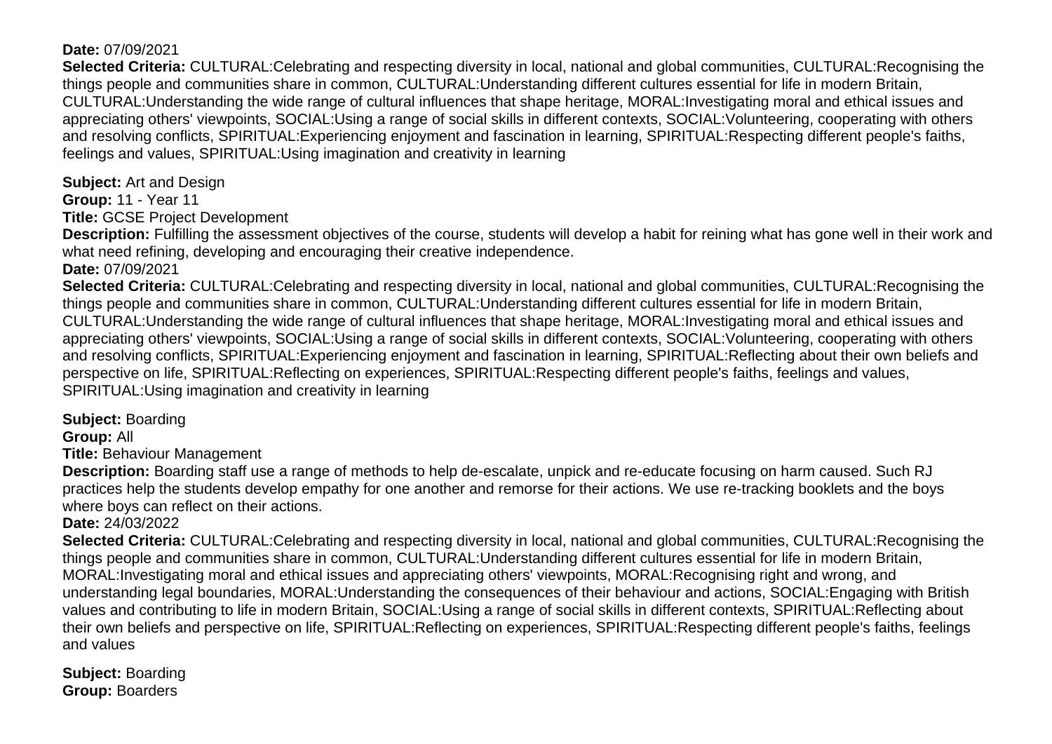### **Date:** 07/09/2021

**Selected Criteria:** CULTURAL:Celebrating and respecting diversity in local, national and global communities, CULTURAL:Recognising the things people and communities share in common, CULTURAL:Understanding different cultures essential for life in modern Britain, CULTURAL:Understanding the wide range of cultural influences that shape heritage, MORAL:Investigating moral and ethical issues and appreciating others' viewpoints, SOCIAL:Using a range of social skills in different contexts, SOCIAL:Volunteering, cooperating with others and resolving conflicts, SPIRITUAL:Experiencing enjoyment and fascination in learning, SPIRITUAL:Respecting different people's faiths, feelings and values, SPIRITUAL:Using imagination and creativity in learning

<span id="page-25-0"></span>**Subject:** Art and Design

**Group:** 11 - Year 11

**Title:** GCSE Project Development

**Description:** Fulfilling the assessment objectives of the course, students will develop a habit for reining what has gone well in their work and what need refining, developing and encouraging their creative independence.

**Date:** 07/09/2021

**Selected Criteria:** CULTURAL:Celebrating and respecting diversity in local, national and global communities, CULTURAL:Recognising the things people and communities share in common, CULTURAL:Understanding different cultures essential for life in modern Britain, CULTURAL:Understanding the wide range of cultural influences that shape heritage, MORAL:Investigating moral and ethical issues and appreciating others' viewpoints, SOCIAL:Using a range of social skills in different contexts, SOCIAL:Volunteering, cooperating with others and resolving conflicts, SPIRITUAL:Experiencing enjoyment and fascination in learning, SPIRITUAL:Reflecting about their own beliefs and perspective on life, SPIRITUAL:Reflecting on experiences, SPIRITUAL:Respecting different people's faiths, feelings and values, SPIRITUAL:Using imagination and creativity in learning

<span id="page-25-1"></span>**Subject:** Boarding

**Group:** All

**Title:** Behaviour Management

**Description:** Boarding staff use a range of methods to help de-escalate, unpick and re-educate focusing on harm caused. Such RJ practices help the students develop empathy for one another and remorse for their actions. We use re-tracking booklets and the boys where boys can reflect on their actions.

#### **Date:** 24/03/2022

**Selected Criteria:** CULTURAL:Celebrating and respecting diversity in local, national and global communities, CULTURAL:Recognising the things people and communities share in common, CULTURAL:Understanding different cultures essential for life in modern Britain, MORAL:Investigating moral and ethical issues and appreciating others' viewpoints, MORAL:Recognising right and wrong, and understanding legal boundaries, MORAL:Understanding the consequences of their behaviour and actions, SOCIAL:Engaging with British values and contributing to life in modern Britain, SOCIAL:Using a range of social skills in different contexts, SPIRITUAL:Reflecting about their own beliefs and perspective on life, SPIRITUAL:Reflecting on experiences, SPIRITUAL:Respecting different people's faiths, feelings and values

<span id="page-25-2"></span>**Subject:** Boarding **Group:** Boarders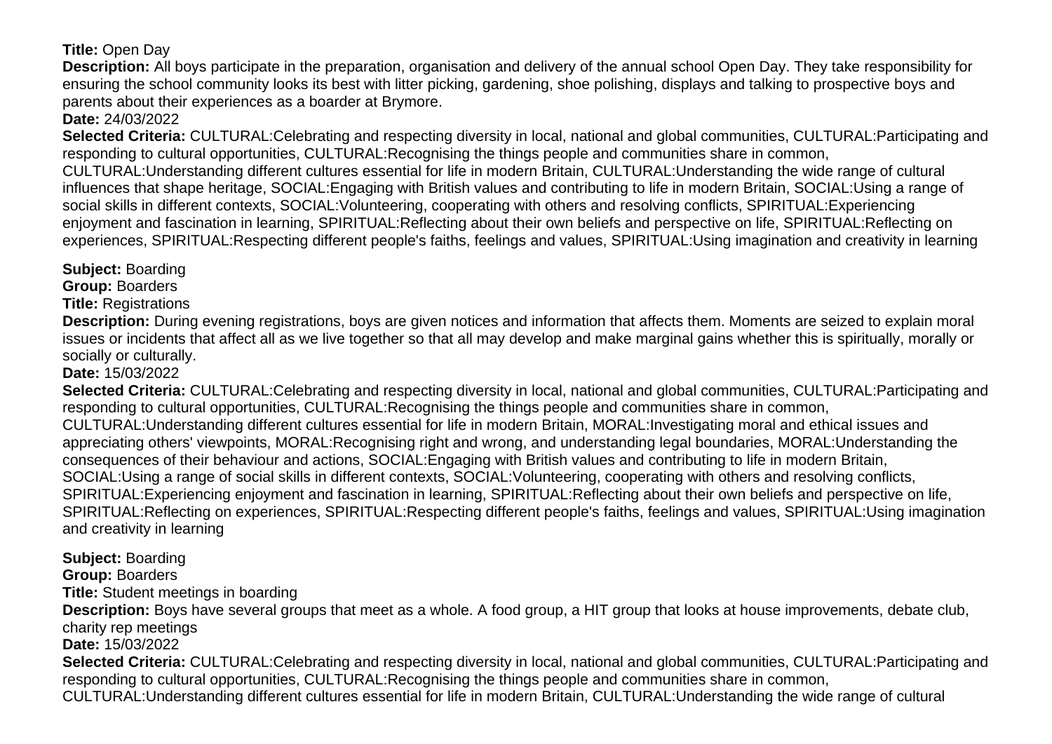# **Title:** Open Day

**Description:** All boys participate in the preparation, organisation and delivery of the annual school Open Day. They take responsibility for ensuring the school community looks its best with litter picking, gardening, shoe polishing, displays and talking to prospective boys and parents about their experiences as a boarder at Brymore.

# **Date:** 24/03/2022

**Selected Criteria:** CULTURAL:Celebrating and respecting diversity in local, national and global communities, CULTURAL:Participating and responding to cultural opportunities, CULTURAL:Recognising the things people and communities share in common, CULTURAL:Understanding different cultures essential for life in modern Britain, CULTURAL:Understanding the wide range of cultural influences that shape heritage, SOCIAL:Engaging with British values and contributing to life in modern Britain, SOCIAL:Using a range of social skills in different contexts, SOCIAL:Volunteering, cooperating with others and resolving conflicts, SPIRITUAL:Experiencing enjoyment and fascination in learning, SPIRITUAL:Reflecting about their own beliefs and perspective on life, SPIRITUAL:Reflecting on experiences, SPIRITUAL:Respecting different people's faiths, feelings and values, SPIRITUAL:Using imagination and creativity in learning

# <span id="page-26-0"></span>**Subject:** Boarding

**Group:** Boarders

**Title:** Registrations

**Description:** During evening registrations, boys are given notices and information that affects them. Moments are seized to explain moral issues or incidents that affect all as we live together so that all may develop and make marginal gains whether this is spiritually, morally or socially or culturally.

# **Date:** 15/03/2022

**Selected Criteria:** CULTURAL:Celebrating and respecting diversity in local, national and global communities, CULTURAL:Participating and responding to cultural opportunities, CULTURAL:Recognising the things people and communities share in common, CULTURAL:Understanding different cultures essential for life in modern Britain, MORAL:Investigating moral and ethical issues and appreciating others' viewpoints, MORAL:Recognising right and wrong, and understanding legal boundaries, MORAL:Understanding the consequences of their behaviour and actions, SOCIAL:Engaging with British values and contributing to life in modern Britain, SOCIAL:Using a range of social skills in different contexts, SOCIAL:Volunteering, cooperating with others and resolving conflicts, SPIRITUAL:Experiencing enjoyment and fascination in learning, SPIRITUAL:Reflecting about their own beliefs and perspective on life, SPIRITUAL:Reflecting on experiences, SPIRITUAL:Respecting different people's faiths, feelings and values, SPIRITUAL:Using imagination and creativity in learning

# <span id="page-26-1"></span>**Subject:** Boarding

**Group:** Boarders

**Title:** Student meetings in boarding

**Description:** Boys have several groups that meet as a whole. A food group, a HIT group that looks at house improvements, debate club, charity rep meetings

# **Date:** 15/03/2022

**Selected Criteria:** CULTURAL:Celebrating and respecting diversity in local, national and global communities, CULTURAL:Participating and responding to cultural opportunities, CULTURAL:Recognising the things people and communities share in common, CULTURAL:Understanding different cultures essential for life in modern Britain, CULTURAL:Understanding the wide range of cultural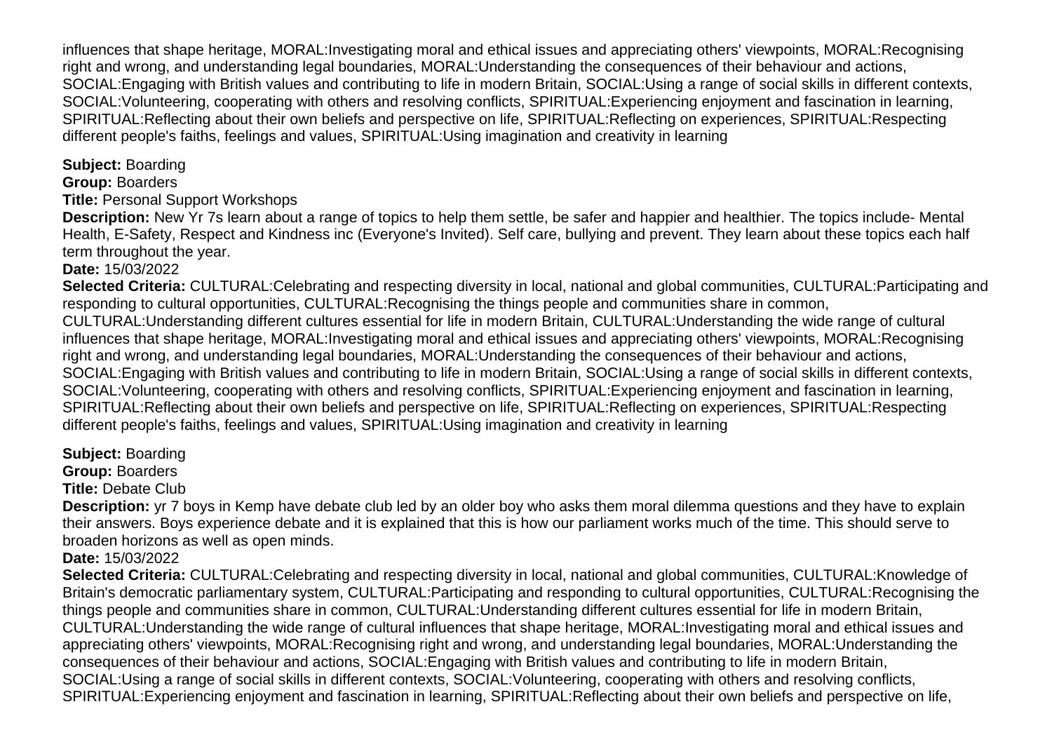influences that shape heritage, MORAL:Investigating moral and ethical issues and appreciating others' viewpoints, MORAL:Recognising right and wrong, and understanding legal boundaries, MORAL:Understanding the consequences of their behaviour and actions, SOCIAL:Engaging with British values and contributing to life in modern Britain, SOCIAL:Using a range of social skills in different contexts, SOCIAL:Volunteering, cooperating with others and resolving conflicts, SPIRITUAL:Experiencing enjoyment and fascination in learning, SPIRITUAL:Reflecting about their own beliefs and perspective on life, SPIRITUAL:Reflecting on experiences, SPIRITUAL:Respecting different people's faiths, feelings and values, SPIRITUAL:Using imagination and creativity in learning

<span id="page-27-0"></span>**Subject:** Boarding

**Group:** Boarders

**Title:** Personal Support Workshops

**Description:** New Yr 7s learn about a range of topics to help them settle, be safer and happier and healthier. The topics include- Mental Health, E-Safety, Respect and Kindness inc (Everyone's Invited). Self care, bullying and prevent. They learn about these topics each half term throughout the year.

# **Date:** 15/03/2022

**Selected Criteria:** CULTURAL:Celebrating and respecting diversity in local, national and global communities, CULTURAL:Participating and responding to cultural opportunities, CULTURAL:Recognising the things people and communities share in common, CULTURAL:Understanding different cultures essential for life in modern Britain, CULTURAL:Understanding the wide range of cultural influences that shape heritage, MORAL:Investigating moral and ethical issues and appreciating others' viewpoints, MORAL:Recognising right and wrong, and understanding legal boundaries, MORAL:Understanding the consequences of their behaviour and actions, SOCIAL:Engaging with British values and contributing to life in modern Britain, SOCIAL:Using a range of social skills in different contexts, SOCIAL:Volunteering, cooperating with others and resolving conflicts, SPIRITUAL:Experiencing enjoyment and fascination in learning, SPIRITUAL:Reflecting about their own beliefs and perspective on life, SPIRITUAL:Reflecting on experiences, SPIRITUAL:Respecting different people's faiths, feelings and values, SPIRITUAL:Using imagination and creativity in learning

# <span id="page-27-1"></span>**Subject:** Boarding

**Group:** Boarders

**Title:** Debate Club

**Description:** yr 7 boys in Kemp have debate club led by an older boy who asks them moral dilemma questions and they have to explain their answers. Boys experience debate and it is explained that this is how our parliament works much of the time. This should serve to broaden horizons as well as open minds.

**Date:** 15/03/2022

**Selected Criteria:** CULTURAL:Celebrating and respecting diversity in local, national and global communities, CULTURAL:Knowledge of Britain's democratic parliamentary system, CULTURAL:Participating and responding to cultural opportunities, CULTURAL:Recognising the things people and communities share in common, CULTURAL:Understanding different cultures essential for life in modern Britain, CULTURAL:Understanding the wide range of cultural influences that shape heritage, MORAL:Investigating moral and ethical issues and appreciating others' viewpoints, MORAL:Recognising right and wrong, and understanding legal boundaries, MORAL:Understanding the consequences of their behaviour and actions, SOCIAL:Engaging with British values and contributing to life in modern Britain, SOCIAL:Using a range of social skills in different contexts, SOCIAL:Volunteering, cooperating with others and resolving conflicts, SPIRITUAL:Experiencing enjoyment and fascination in learning, SPIRITUAL:Reflecting about their own beliefs and perspective on life,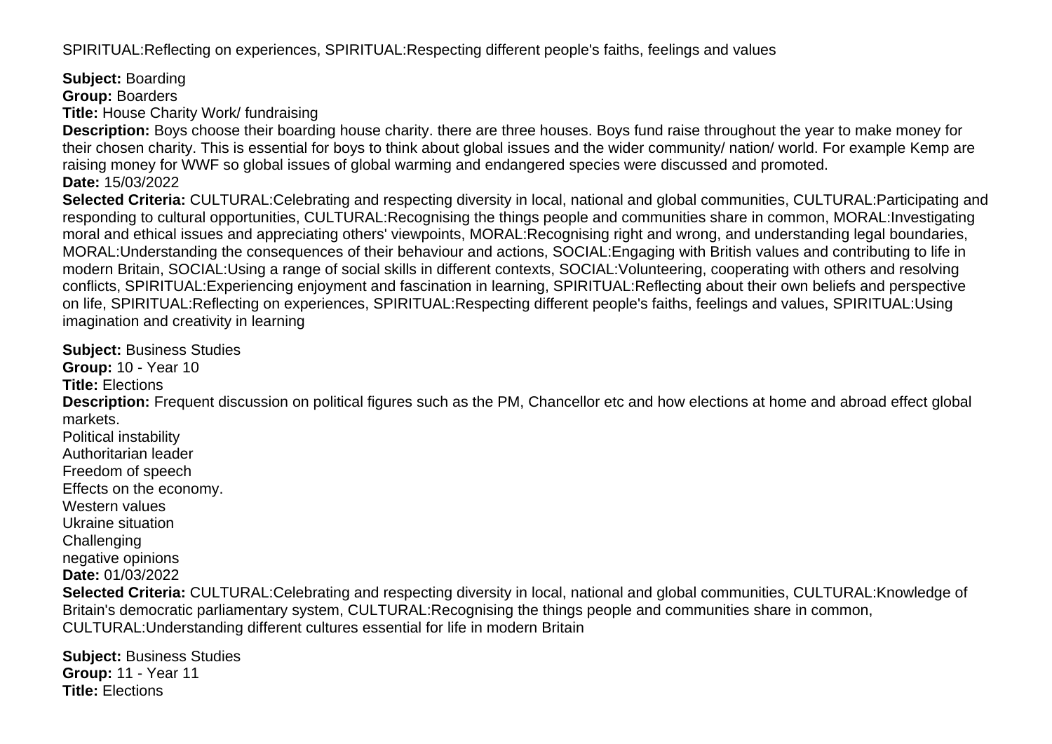SPIRITUAL:Reflecting on experiences, SPIRITUAL:Respecting different people's faiths, feelings and values

<span id="page-28-0"></span>**Subject:** Boarding

**Group:** Boarders

**Title:** House Charity Work/ fundraising

**Description:** Boys choose their boarding house charity. there are three houses. Boys fund raise throughout the year to make money for their chosen charity. This is essential for boys to think about global issues and the wider community/ nation/ world. For example Kemp are raising money for WWF so global issues of global warming and endangered species were discussed and promoted. **Date:** 15/03/2022

**Selected Criteria:** CULTURAL:Celebrating and respecting diversity in local, national and global communities, CULTURAL:Participating and responding to cultural opportunities, CULTURAL:Recognising the things people and communities share in common, MORAL:Investigating moral and ethical issues and appreciating others' viewpoints, MORAL:Recognising right and wrong, and understanding legal boundaries, MORAL:Understanding the consequences of their behaviour and actions, SOCIAL:Engaging with British values and contributing to life in modern Britain, SOCIAL:Using a range of social skills in different contexts, SOCIAL:Volunteering, cooperating with others and resolving conflicts, SPIRITUAL:Experiencing enjoyment and fascination in learning, SPIRITUAL:Reflecting about their own beliefs and perspective on life, SPIRITUAL:Reflecting on experiences, SPIRITUAL:Respecting different people's faiths, feelings and values, SPIRITUAL:Using imagination and creativity in learning

<span id="page-28-1"></span>**Subject:** Business Studies

**Group:** 10 - Year 10

**Title:** Elections

**Description:** Frequent discussion on political figures such as the PM, Chancellor etc and how elections at home and abroad effect global markets.

Political instability Authoritarian leader Freedom of speech Effects on the economy. Western values Ukraine situation **Challenging** negative opinions

**Date:** 01/03/2022 **Selected Criteria:** CULTURAL:Celebrating and respecting diversity in local, national and global communities, CULTURAL:Knowledge of Britain's democratic parliamentary system, CULTURAL:Recognising the things people and communities share in common, CULTURAL:Understanding different cultures essential for life in modern Britain

<span id="page-28-2"></span>**Subject:** Business Studies **Group:** 11 - Year 11 **Title:** Elections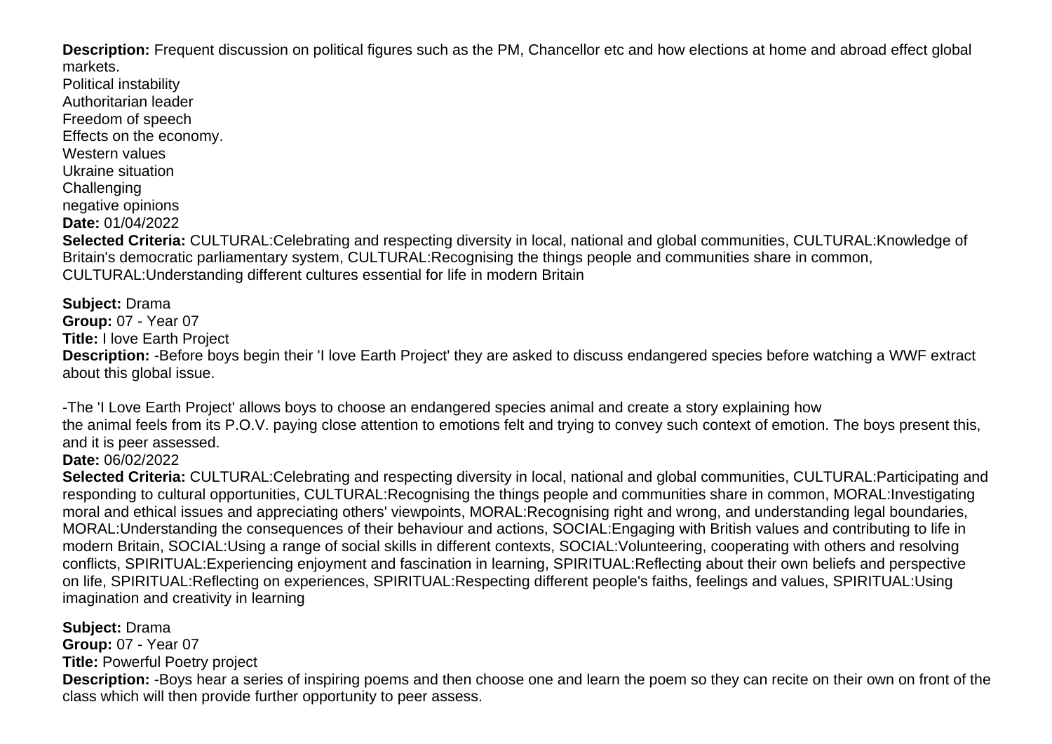**Description:** Frequent discussion on political figures such as the PM, Chancellor etc and how elections at home and abroad effect global markets.

Political instability Authoritarian leader Freedom of speech Effects on the economy. Western values Ukraine situation **Challenging** negative opinions **Date:** 01/04/2022 **Selected Criteria:** CULTURAL:Celebrating and respecting diversity in local, national and global communities, CULTURAL:Knowledge of Britain's democratic parliamentary system, CULTURAL:Recognising the things people and communities share in common, CULTURAL:Understanding different cultures essential for life in modern Britain

<span id="page-29-0"></span>**Subject:** Drama **Group:** 07 - Year 07 **Title:** I love Earth Project **Description:** -Before boys begin their 'I love Earth Project' they are asked to discuss endangered species before watching a WWF extract about this global issue.

-The 'I Love Earth Project' allows boys to choose an endangered species animal and create a story explaining how the animal feels from its P.O.V. paying close attention to emotions felt and trying to convey such context of emotion. The boys present this, and it is peer assessed.

**Date:** 06/02/2022

**Selected Criteria:** CULTURAL:Celebrating and respecting diversity in local, national and global communities, CULTURAL:Participating and responding to cultural opportunities, CULTURAL:Recognising the things people and communities share in common, MORAL:Investigating moral and ethical issues and appreciating others' viewpoints, MORAL:Recognising right and wrong, and understanding legal boundaries, MORAL:Understanding the consequences of their behaviour and actions, SOCIAL:Engaging with British values and contributing to life in modern Britain, SOCIAL:Using a range of social skills in different contexts, SOCIAL:Volunteering, cooperating with others and resolving conflicts, SPIRITUAL:Experiencing enjoyment and fascination in learning, SPIRITUAL:Reflecting about their own beliefs and perspective on life, SPIRITUAL:Reflecting on experiences, SPIRITUAL:Respecting different people's faiths, feelings and values, SPIRITUAL:Using imagination and creativity in learning

<span id="page-29-1"></span>**Subject:** Drama **Group:** 07 - Year 07 **Title:** Powerful Poetry project

**Description:** -Boys hear a series of inspiring poems and then choose one and learn the poem so they can recite on their own on front of the class which will then provide further opportunity to peer assess.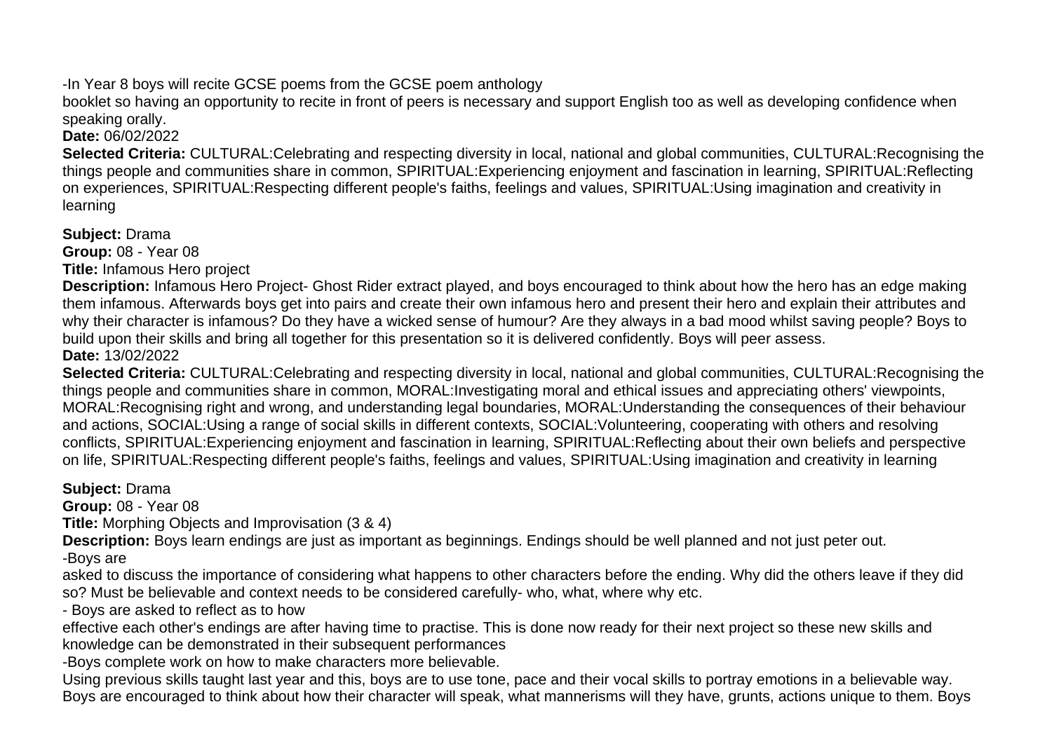-In Year 8 boys will recite GCSE poems from the GCSE poem anthology

booklet so having an opportunity to recite in front of peers is necessary and support English too as well as developing confidence when speaking orally.

**Date:** 06/02/2022

**Selected Criteria:** CULTURAL:Celebrating and respecting diversity in local, national and global communities, CULTURAL:Recognising the things people and communities share in common, SPIRITUAL:Experiencing enjoyment and fascination in learning, SPIRITUAL:Reflecting on experiences, SPIRITUAL:Respecting different people's faiths, feelings and values, SPIRITUAL:Using imagination and creativity in learning

<span id="page-30-0"></span>**Subject:** Drama

**Group:** 08 - Year 08

**Title:** Infamous Hero project

**Description:** Infamous Hero Project- Ghost Rider extract played, and boys encouraged to think about how the hero has an edge making them infamous. Afterwards boys get into pairs and create their own infamous hero and present their hero and explain their attributes and why their character is infamous? Do they have a wicked sense of humour? Are they always in a bad mood whilst saving people? Boys to build upon their skills and bring all together for this presentation so it is delivered confidently. Boys will peer assess. **Date:** 13/02/2022

**Selected Criteria:** CULTURAL:Celebrating and respecting diversity in local, national and global communities, CULTURAL:Recognising the things people and communities share in common, MORAL:Investigating moral and ethical issues and appreciating others' viewpoints, MORAL:Recognising right and wrong, and understanding legal boundaries, MORAL:Understanding the consequences of their behaviour and actions, SOCIAL:Using a range of social skills in different contexts, SOCIAL:Volunteering, cooperating with others and resolving conflicts, SPIRITUAL:Experiencing enjoyment and fascination in learning, SPIRITUAL:Reflecting about their own beliefs and perspective on life, SPIRITUAL:Respecting different people's faiths, feelings and values, SPIRITUAL:Using imagination and creativity in learning

<span id="page-30-1"></span>**Subject:** Drama

**Group:** 08 - Year 08

**Title:** Morphing Objects and Improvisation (3 & 4)

**Description:** Boys learn endings are just as important as beginnings. Endings should be well planned and not just peter out. -Boys are

asked to discuss the importance of considering what happens to other characters before the ending. Why did the others leave if they did so? Must be believable and context needs to be considered carefully- who, what, where why etc.

- Boys are asked to reflect as to how

effective each other's endings are after having time to practise. This is done now ready for their next project so these new skills and knowledge can be demonstrated in their subsequent performances

-Boys complete work on how to make characters more believable.

Using previous skills taught last year and this, boys are to use tone, pace and their vocal skills to portray emotions in a believable way. Boys are encouraged to think about how their character will speak, what mannerisms will they have, grunts, actions unique to them. Boys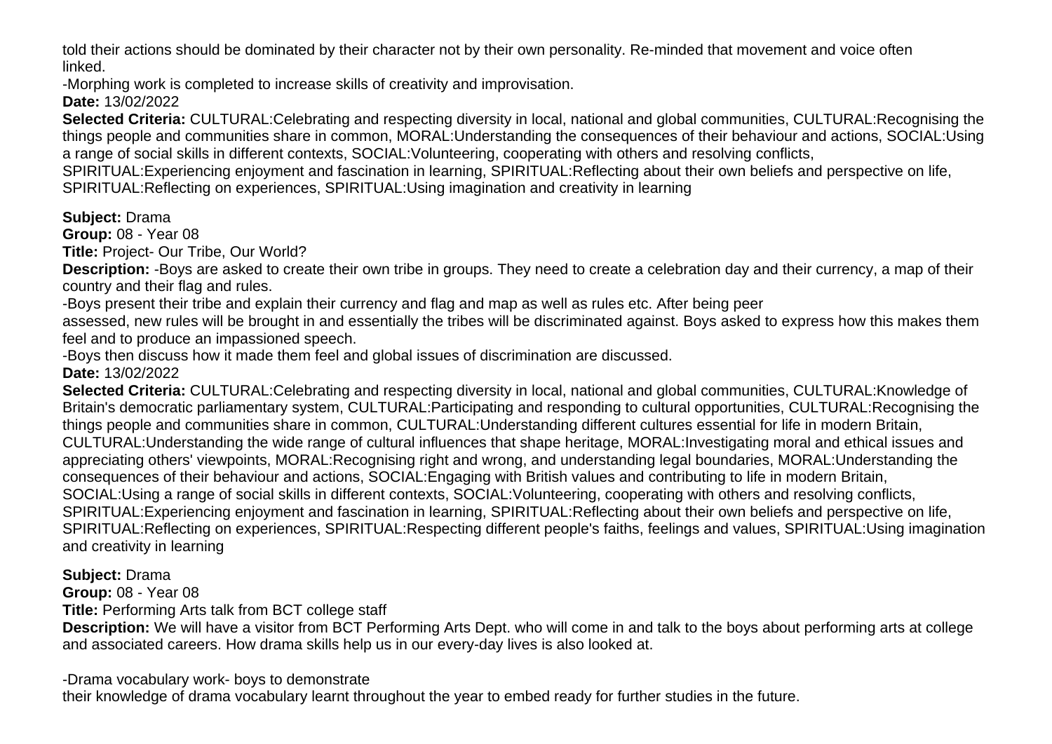told their actions should be dominated by their character not by their own personality. Re-minded that movement and voice often linked.

-Morphing work is completed to increase skills of creativity and improvisation.

**Date:** 13/02/2022

**Selected Criteria:** CULTURAL:Celebrating and respecting diversity in local, national and global communities, CULTURAL:Recognising the things people and communities share in common, MORAL:Understanding the consequences of their behaviour and actions, SOCIAL:Using a range of social skills in different contexts, SOCIAL:Volunteering, cooperating with others and resolving conflicts,

SPIRITUAL:Experiencing enjoyment and fascination in learning, SPIRITUAL:Reflecting about their own beliefs and perspective on life,

SPIRITUAL:Reflecting on experiences, SPIRITUAL:Using imagination and creativity in learning

# <span id="page-31-0"></span>**Subject:** Drama

**Group:** 08 - Year 08

**Title:** Project- Our Tribe, Our World?

**Description:** -Boys are asked to create their own tribe in groups. They need to create a celebration day and their currency, a map of their country and their flag and rules.

-Boys present their tribe and explain their currency and flag and map as well as rules etc. After being peer

assessed, new rules will be brought in and essentially the tribes will be discriminated against. Boys asked to express how this makes them feel and to produce an impassioned speech.

-Boys then discuss how it made them feel and global issues of discrimination are discussed.

**Date:** 13/02/2022

**Selected Criteria:** CULTURAL:Celebrating and respecting diversity in local, national and global communities, CULTURAL:Knowledge of Britain's democratic parliamentary system, CULTURAL:Participating and responding to cultural opportunities, CULTURAL:Recognising the things people and communities share in common, CULTURAL:Understanding different cultures essential for life in modern Britain, CULTURAL:Understanding the wide range of cultural influences that shape heritage, MORAL:Investigating moral and ethical issues and appreciating others' viewpoints, MORAL:Recognising right and wrong, and understanding legal boundaries, MORAL:Understanding the consequences of their behaviour and actions, SOCIAL:Engaging with British values and contributing to life in modern Britain, SOCIAL:Using a range of social skills in different contexts, SOCIAL:Volunteering, cooperating with others and resolving conflicts, SPIRITUAL:Experiencing enjoyment and fascination in learning, SPIRITUAL:Reflecting about their own beliefs and perspective on life, SPIRITUAL:Reflecting on experiences, SPIRITUAL:Respecting different people's faiths, feelings and values, SPIRITUAL:Using imagination and creativity in learning

# <span id="page-31-1"></span>**Subject:** Drama

**Group:** 08 - Year 08

**Title:** Performing Arts talk from BCT college staff

**Description:** We will have a visitor from BCT Performing Arts Dept. who will come in and talk to the boys about performing arts at college and associated careers. How drama skills help us in our every-day lives is also looked at.

-Drama vocabulary work- boys to demonstrate

their knowledge of drama vocabulary learnt throughout the year to embed ready for further studies in the future.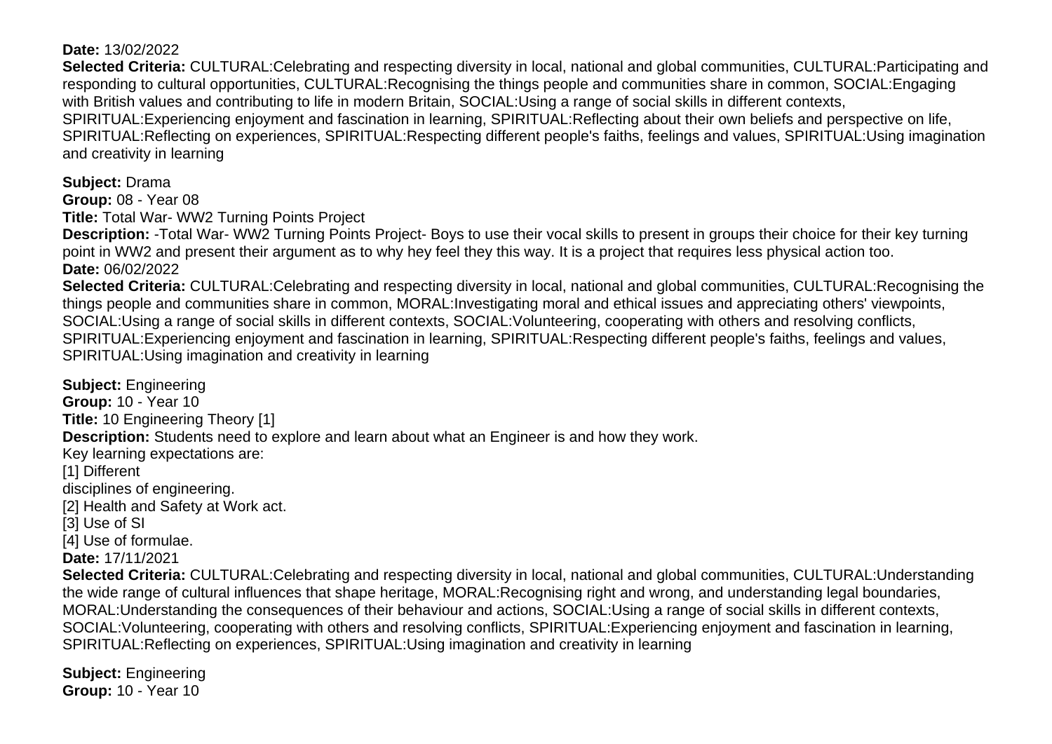#### **Date:** 13/02/2022

**Selected Criteria:** CULTURAL:Celebrating and respecting diversity in local, national and global communities, CULTURAL:Participating and responding to cultural opportunities, CULTURAL:Recognising the things people and communities share in common, SOCIAL:Engaging with British values and contributing to life in modern Britain, SOCIAL:Using a range of social skills in different contexts, SPIRITUAL:Experiencing enjoyment and fascination in learning, SPIRITUAL:Reflecting about their own beliefs and perspective on life, SPIRITUAL:Reflecting on experiences, SPIRITUAL:Respecting different people's faiths, feelings and values, SPIRITUAL:Using imagination and creativity in learning

<span id="page-32-0"></span>**Subject:** Drama

**Group:** 08 - Year 08

**Title:** Total War- WW2 Turning Points Project

**Description:** -Total War- WW2 Turning Points Project- Boys to use their vocal skills to present in groups their choice for their key turning point in WW2 and present their argument as to why hey feel they this way. It is a project that requires less physical action too. **Date:** 06/02/2022

**Selected Criteria:** CULTURAL:Celebrating and respecting diversity in local, national and global communities, CULTURAL:Recognising the things people and communities share in common, MORAL:Investigating moral and ethical issues and appreciating others' viewpoints, SOCIAL:Using a range of social skills in different contexts, SOCIAL:Volunteering, cooperating with others and resolving conflicts, SPIRITUAL:Experiencing enjoyment and fascination in learning, SPIRITUAL:Respecting different people's faiths, feelings and values, SPIRITUAL:Using imagination and creativity in learning

<span id="page-32-1"></span>**Subject:** Engineering **Group:** 10 - Year 10 **Title:** 10 Engineering Theory [1] **Description:** Students need to explore and learn about what an Engineer is and how they work. Key learning expectations are: [1] Different disciplines of engineering. [2] Health and Safety at Work act. [3] Use of SI [4] Use of formulae. **Date:** 17/11/2021

**Selected Criteria:** CULTURAL:Celebrating and respecting diversity in local, national and global communities, CULTURAL:Understanding the wide range of cultural influences that shape heritage, MORAL:Recognising right and wrong, and understanding legal boundaries, MORAL:Understanding the consequences of their behaviour and actions, SOCIAL:Using a range of social skills in different contexts, SOCIAL:Volunteering, cooperating with others and resolving conflicts, SPIRITUAL:Experiencing enjoyment and fascination in learning, SPIRITUAL:Reflecting on experiences, SPIRITUAL:Using imagination and creativity in learning

<span id="page-32-2"></span>**Subject:** Engineering **Group:** 10 - Year 10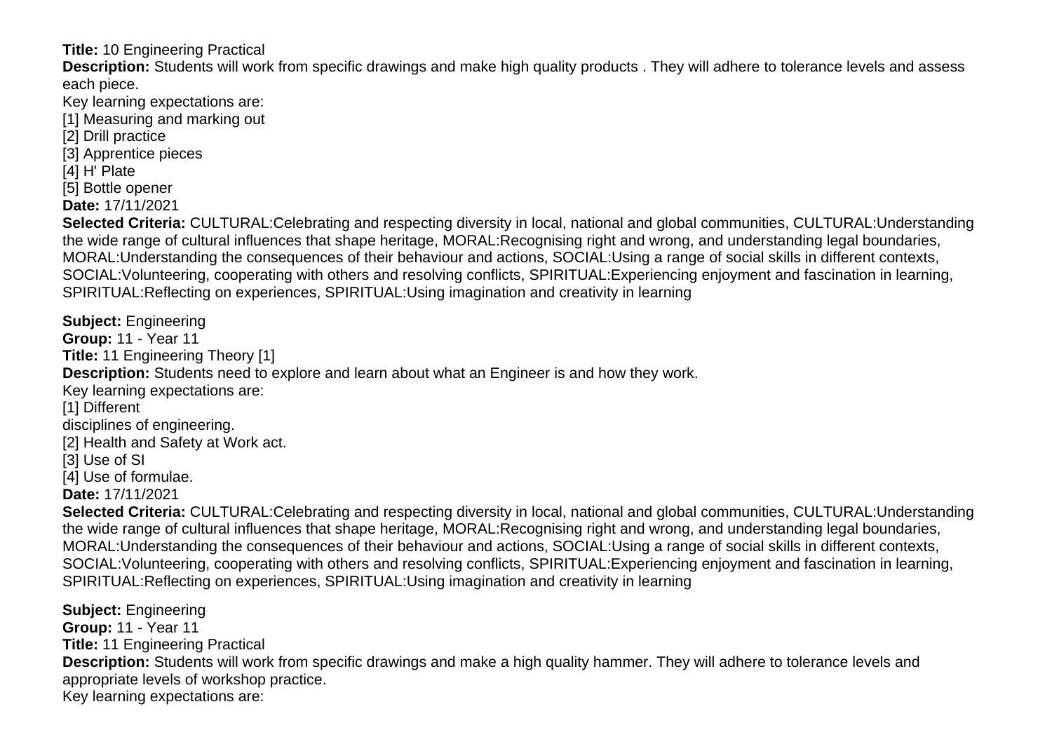**Title:** 10 Engineering Practical

**Description:** Students will work from specific drawings and make high quality products . They will adhere to tolerance levels and assess each piece.

Key learning expectations are:

[1] Measuring and marking out

- [2] Drill practice
- [3] Apprentice pieces

[4] H' Plate

[5] Bottle opener

**Date:** 17/11/2021

**Selected Criteria:** CULTURAL:Celebrating and respecting diversity in local, national and global communities, CULTURAL:Understanding the wide range of cultural influences that shape heritage, MORAL:Recognising right and wrong, and understanding legal boundaries, MORAL:Understanding the consequences of their behaviour and actions, SOCIAL:Using a range of social skills in different contexts, SOCIAL:Volunteering, cooperating with others and resolving conflicts, SPIRITUAL:Experiencing enjoyment and fascination in learning, SPIRITUAL:Reflecting on experiences, SPIRITUAL:Using imagination and creativity in learning

<span id="page-33-0"></span>**Subject:** Engineering **Group:** 11 - Year 11 **Title:** 11 Engineering Theory [1] **Description:** Students need to explore and learn about what an Engineer is and how they work. Key learning expectations are: [1] Different disciplines of engineering. [2] Health and Safety at Work act. [3] Use of SI [4] Use of formulae. **Date:** 17/11/2021 **Selected Criteria:** CULTURAL:Celebrating and respecting diversity in local, national and global communities, CULTURAL:Understanding

the wide range of cultural influences that shape heritage, MORAL:Recognising right and wrong, and understanding legal boundaries, MORAL:Understanding the consequences of their behaviour and actions, SOCIAL:Using a range of social skills in different contexts, SOCIAL:Volunteering, cooperating with others and resolving conflicts, SPIRITUAL:Experiencing enjoyment and fascination in learning, SPIRITUAL:Reflecting on experiences, SPIRITUAL:Using imagination and creativity in learning

<span id="page-33-1"></span>**Subject:** Engineering **Group:** 11 - Year 11 **Title:** 11 Engineering Practical **Description:** Students will work from specific drawings and make a high quality hammer. They will adhere to tolerance levels and appropriate levels of workshop practice. Key learning expectations are: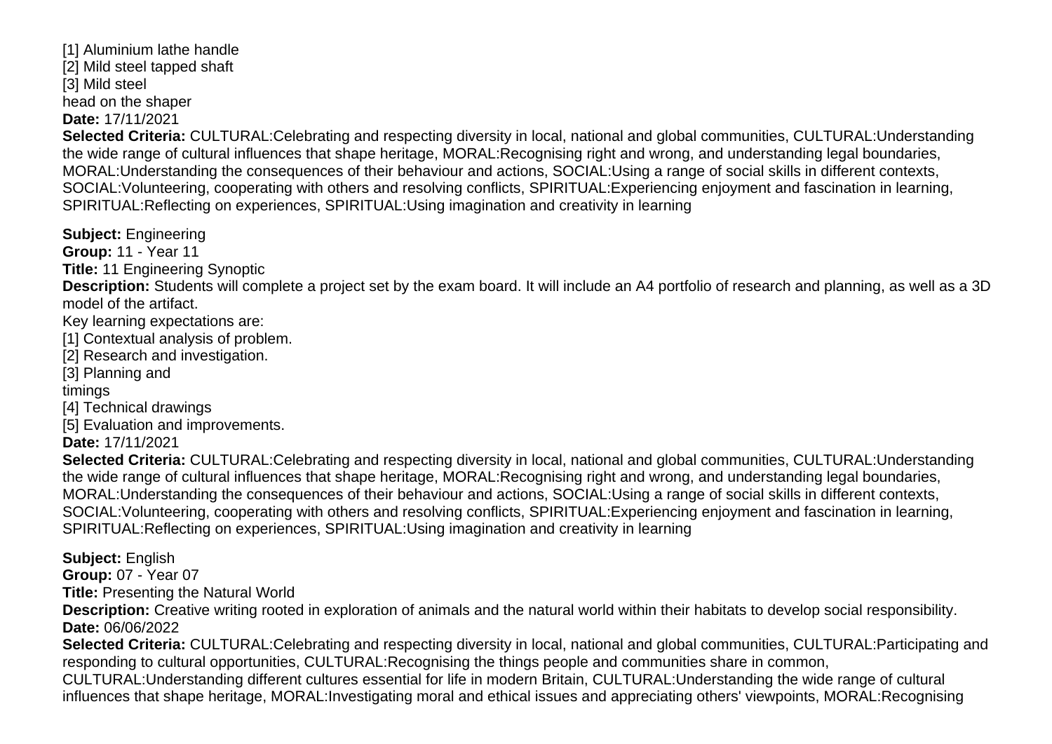[1] Aluminium lathe handle [2] Mild steel tapped shaft [3] Mild steel head on the shaper **Date:** 17/11/2021

**Selected Criteria:** CULTURAL:Celebrating and respecting diversity in local, national and global communities, CULTURAL:Understanding the wide range of cultural influences that shape heritage, MORAL:Recognising right and wrong, and understanding legal boundaries, MORAL:Understanding the consequences of their behaviour and actions, SOCIAL:Using a range of social skills in different contexts, SOCIAL:Volunteering, cooperating with others and resolving conflicts, SPIRITUAL:Experiencing enjoyment and fascination in learning, SPIRITUAL:Reflecting on experiences, SPIRITUAL:Using imagination and creativity in learning

<span id="page-34-0"></span>**Subject:** Engineering

**Group:** 11 - Year 11

**Title:** 11 Engineering Synoptic

**Description:** Students will complete a project set by the exam board. It will include an A4 portfolio of research and planning, as well as a 3D model of the artifact.

Key learning expectations are:

[1] Contextual analysis of problem.

[2] Research and investigation.

[3] Planning and

timings

[4] Technical drawings

[5] Evaluation and improvements.

**Date:** 17/11/2021

**Selected Criteria:** CULTURAL:Celebrating and respecting diversity in local, national and global communities, CULTURAL:Understanding the wide range of cultural influences that shape heritage, MORAL:Recognising right and wrong, and understanding legal boundaries, MORAL:Understanding the consequences of their behaviour and actions, SOCIAL:Using a range of social skills in different contexts, SOCIAL:Volunteering, cooperating with others and resolving conflicts, SPIRITUAL:Experiencing enjoyment and fascination in learning, SPIRITUAL:Reflecting on experiences, SPIRITUAL:Using imagination and creativity in learning

<span id="page-34-1"></span>**Subject:** English

**Group:** 07 - Year 07

**Title:** Presenting the Natural World

**Description:** Creative writing rooted in exploration of animals and the natural world within their habitats to develop social responsibility. **Date:** 06/06/2022

**Selected Criteria:** CULTURAL:Celebrating and respecting diversity in local, national and global communities, CULTURAL:Participating and responding to cultural opportunities, CULTURAL:Recognising the things people and communities share in common,

CULTURAL:Understanding different cultures essential for life in modern Britain, CULTURAL:Understanding the wide range of cultural influences that shape heritage, MORAL:Investigating moral and ethical issues and appreciating others' viewpoints, MORAL:Recognising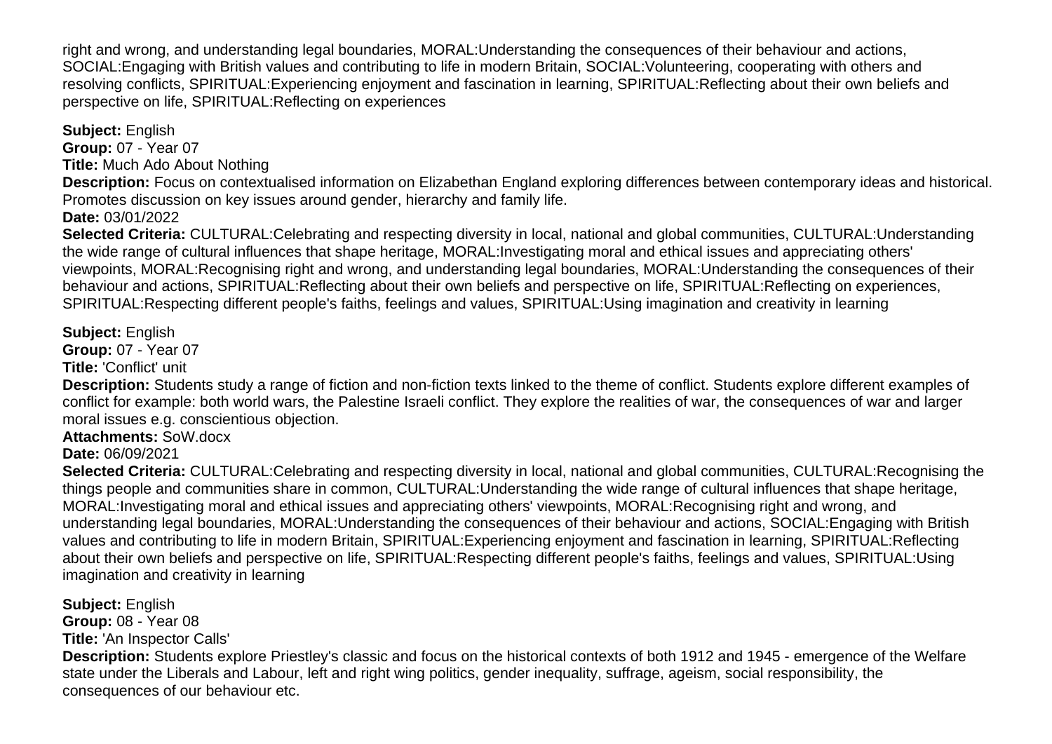right and wrong, and understanding legal boundaries, MORAL:Understanding the consequences of their behaviour and actions, SOCIAL:Engaging with British values and contributing to life in modern Britain, SOCIAL:Volunteering, cooperating with others and resolving conflicts, SPIRITUAL:Experiencing enjoyment and fascination in learning, SPIRITUAL:Reflecting about their own beliefs and perspective on life, SPIRITUAL:Reflecting on experiences

<span id="page-35-0"></span>**Subject:** English

**Group:** 07 - Year 07 **Title:** Much Ado About Nothing

**Description:** Focus on contextualised information on Elizabethan England exploring differences between contemporary ideas and historical. Promotes discussion on key issues around gender, hierarchy and family life.

**Date:** 03/01/2022

**Selected Criteria:** CULTURAL:Celebrating and respecting diversity in local, national and global communities, CULTURAL:Understanding the wide range of cultural influences that shape heritage, MORAL:Investigating moral and ethical issues and appreciating others' viewpoints, MORAL:Recognising right and wrong, and understanding legal boundaries, MORAL:Understanding the consequences of their behaviour and actions, SPIRITUAL:Reflecting about their own beliefs and perspective on life, SPIRITUAL:Reflecting on experiences, SPIRITUAL:Respecting different people's faiths, feelings and values, SPIRITUAL:Using imagination and creativity in learning

### <span id="page-35-1"></span>**Subject:** English

**Group:** 07 - Year 07

**Title:** 'Conflict' unit

**Description:** Students study a range of fiction and non-fiction texts linked to the theme of conflict. Students explore different examples of conflict for example: both world wars, the Palestine Israeli conflict. They explore the realities of war, the consequences of war and larger moral issues e.g. conscientious objection.

**Attachments:** SoW.docx

**Date:** 06/09/2021

**Selected Criteria:** CULTURAL:Celebrating and respecting diversity in local, national and global communities, CULTURAL:Recognising the things people and communities share in common, CULTURAL:Understanding the wide range of cultural influences that shape heritage, MORAL:Investigating moral and ethical issues and appreciating others' viewpoints, MORAL:Recognising right and wrong, and understanding legal boundaries, MORAL:Understanding the consequences of their behaviour and actions, SOCIAL:Engaging with British values and contributing to life in modern Britain, SPIRITUAL:Experiencing enjoyment and fascination in learning, SPIRITUAL:Reflecting about their own beliefs and perspective on life, SPIRITUAL:Respecting different people's faiths, feelings and values, SPIRITUAL:Using imagination and creativity in learning

<span id="page-35-2"></span>**Subject:** English

**Group:** 08 - Year 08

**Title:** 'An Inspector Calls'

**Description:** Students explore Priestley's classic and focus on the historical contexts of both 1912 and 1945 - emergence of the Welfare state under the Liberals and Labour, left and right wing politics, gender inequality, suffrage, ageism, social responsibility, the consequences of our behaviour etc.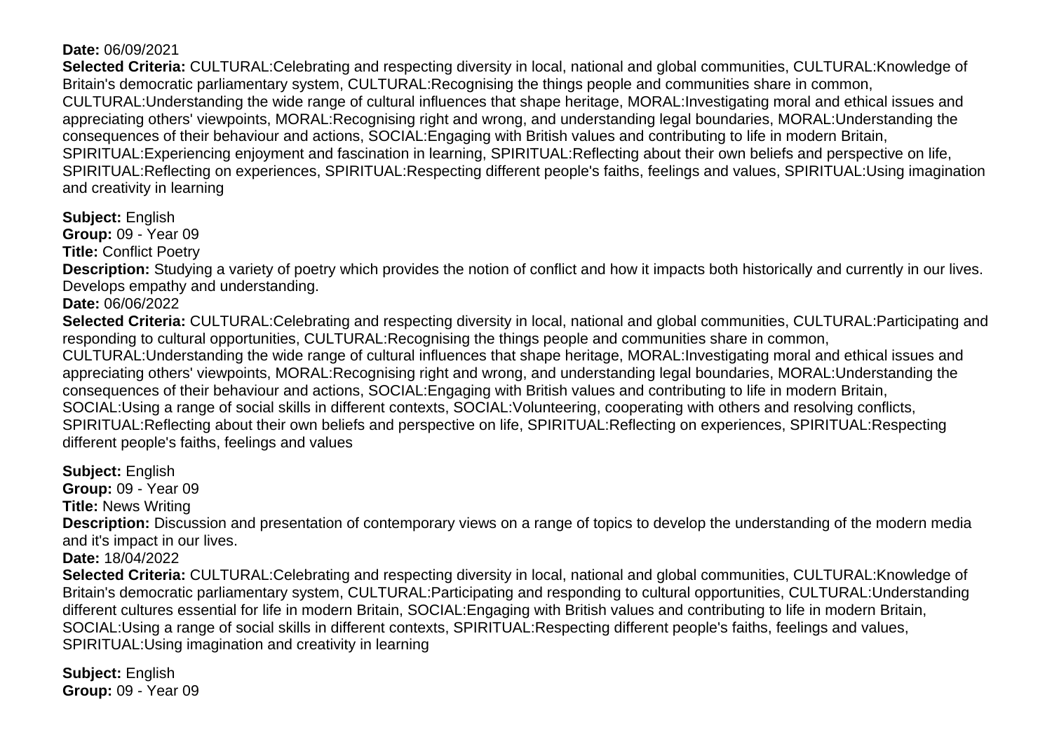## **Date:** 06/09/2021

**Selected Criteria:** CULTURAL:Celebrating and respecting diversity in local, national and global communities, CULTURAL:Knowledge of Britain's democratic parliamentary system, CULTURAL:Recognising the things people and communities share in common, CULTURAL:Understanding the wide range of cultural influences that shape heritage, MORAL:Investigating moral and ethical issues and appreciating others' viewpoints, MORAL:Recognising right and wrong, and understanding legal boundaries, MORAL:Understanding the consequences of their behaviour and actions, SOCIAL:Engaging with British values and contributing to life in modern Britain, SPIRITUAL:Experiencing enjoyment and fascination in learning, SPIRITUAL:Reflecting about their own beliefs and perspective on life, SPIRITUAL:Reflecting on experiences, SPIRITUAL:Respecting different people's faiths, feelings and values, SPIRITUAL:Using imagination and creativity in learning

**Subject:** English

**Group:** 09 - Year 09

**Title:** Conflict Poetry

**Description:** Studying a variety of poetry which provides the notion of conflict and how it impacts both historically and currently in our lives. Develops empathy and understanding.

**Date:** 06/06/2022

**Selected Criteria:** CULTURAL:Celebrating and respecting diversity in local, national and global communities, CULTURAL:Participating and responding to cultural opportunities, CULTURAL:Recognising the things people and communities share in common,

CULTURAL:Understanding the wide range of cultural influences that shape heritage, MORAL:Investigating moral and ethical issues and appreciating others' viewpoints, MORAL:Recognising right and wrong, and understanding legal boundaries, MORAL:Understanding the consequences of their behaviour and actions, SOCIAL:Engaging with British values and contributing to life in modern Britain, SOCIAL:Using a range of social skills in different contexts, SOCIAL:Volunteering, cooperating with others and resolving conflicts, SPIRITUAL:Reflecting about their own beliefs and perspective on life, SPIRITUAL:Reflecting on experiences, SPIRITUAL:Respecting different people's faiths, feelings and values

**Subject:** English **Group:** 09 - Year 09 **Title:** News Writing **Description:** Discussion and presentation of contemporary views on a range of topics to develop the understanding of the modern media and it's impact in our lives. **Date:** 18/04/2022 **Selected Criteria:** CULTURAL:Celebrating and respecting diversity in local, national and global communities, CULTURAL:Knowledge of Britain's democratic parliamentary system, CULTURAL:Participating and responding to cultural opportunities, CULTURAL:Understanding different cultures essential for life in modern Britain, SOCIAL:Engaging with British values and contributing to life in modern Britain, SOCIAL:Using a range of social skills in different contexts, SPIRITUAL:Respecting different people's faiths, feelings and values, SPIRITUAL:Using imagination and creativity in learning

**Subject:** English **Group:** 09 - Year 09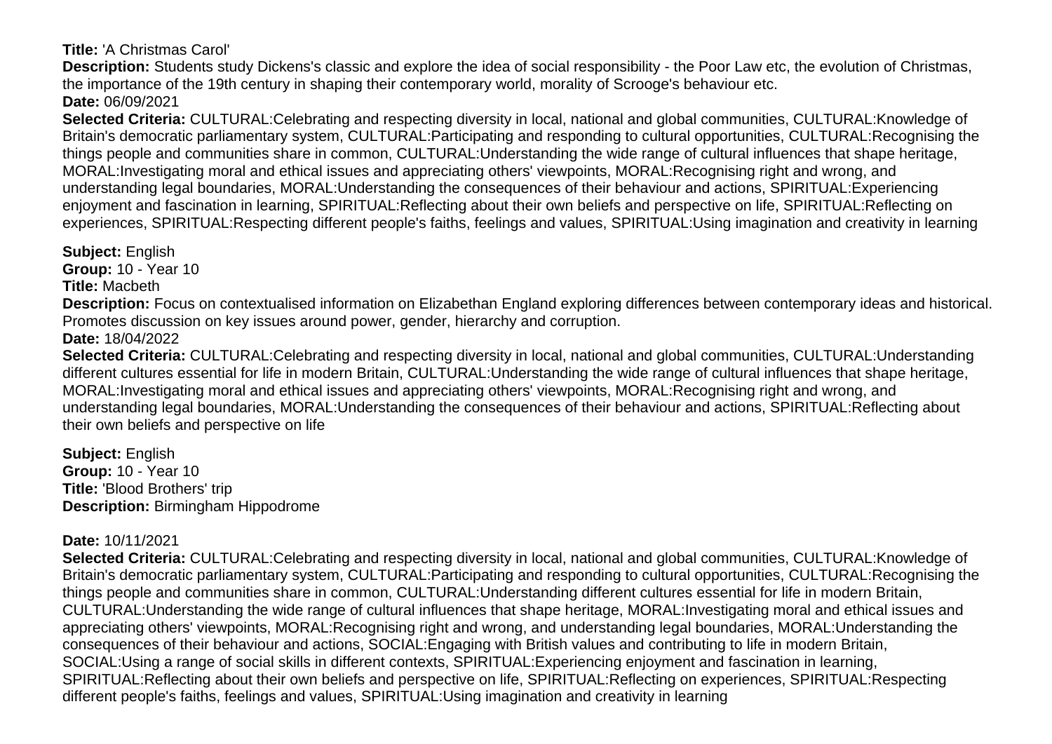**Title:** 'A Christmas Carol'

**Description:** Students study Dickens's classic and explore the idea of social responsibility - the Poor Law etc, the evolution of Christmas, the importance of the 19th century in shaping their contemporary world, morality of Scrooge's behaviour etc. **Date:** 06/09/2021

**Selected Criteria:** CULTURAL:Celebrating and respecting diversity in local, national and global communities, CULTURAL:Knowledge of Britain's democratic parliamentary system, CULTURAL:Participating and responding to cultural opportunities, CULTURAL:Recognising the things people and communities share in common, CULTURAL:Understanding the wide range of cultural influences that shape heritage, MORAL:Investigating moral and ethical issues and appreciating others' viewpoints, MORAL:Recognising right and wrong, and understanding legal boundaries, MORAL:Understanding the consequences of their behaviour and actions, SPIRITUAL:Experiencing enjoyment and fascination in learning, SPIRITUAL:Reflecting about their own beliefs and perspective on life, SPIRITUAL:Reflecting on experiences, SPIRITUAL:Respecting different people's faiths, feelings and values, SPIRITUAL:Using imagination and creativity in learning

**Subject:** English

**Group:** 10 - Year 10

**Title:** Macbeth

**Description:** Focus on contextualised information on Elizabethan England exploring differences between contemporary ideas and historical. Promotes discussion on key issues around power, gender, hierarchy and corruption.

**Date:** 18/04/2022

**Selected Criteria:** CULTURAL:Celebrating and respecting diversity in local, national and global communities, CULTURAL:Understanding different cultures essential for life in modern Britain, CULTURAL:Understanding the wide range of cultural influences that shape heritage, MORAL:Investigating moral and ethical issues and appreciating others' viewpoints, MORAL:Recognising right and wrong, and understanding legal boundaries, MORAL:Understanding the consequences of their behaviour and actions, SPIRITUAL:Reflecting about their own beliefs and perspective on life

**Subject:** English **Group:** 10 - Year 10 **Title:** 'Blood Brothers' trip **Description:** Birmingham Hippodrome

## **Date:** 10/11/2021

**Selected Criteria:** CULTURAL:Celebrating and respecting diversity in local, national and global communities, CULTURAL:Knowledge of Britain's democratic parliamentary system, CULTURAL:Participating and responding to cultural opportunities, CULTURAL:Recognising the things people and communities share in common, CULTURAL:Understanding different cultures essential for life in modern Britain, CULTURAL:Understanding the wide range of cultural influences that shape heritage, MORAL:Investigating moral and ethical issues and appreciating others' viewpoints, MORAL:Recognising right and wrong, and understanding legal boundaries, MORAL:Understanding the consequences of their behaviour and actions, SOCIAL:Engaging with British values and contributing to life in modern Britain, SOCIAL:Using a range of social skills in different contexts, SPIRITUAL:Experiencing enjoyment and fascination in learning, SPIRITUAL:Reflecting about their own beliefs and perspective on life, SPIRITUAL:Reflecting on experiences, SPIRITUAL:Respecting different people's faiths, feelings and values, SPIRITUAL:Using imagination and creativity in learning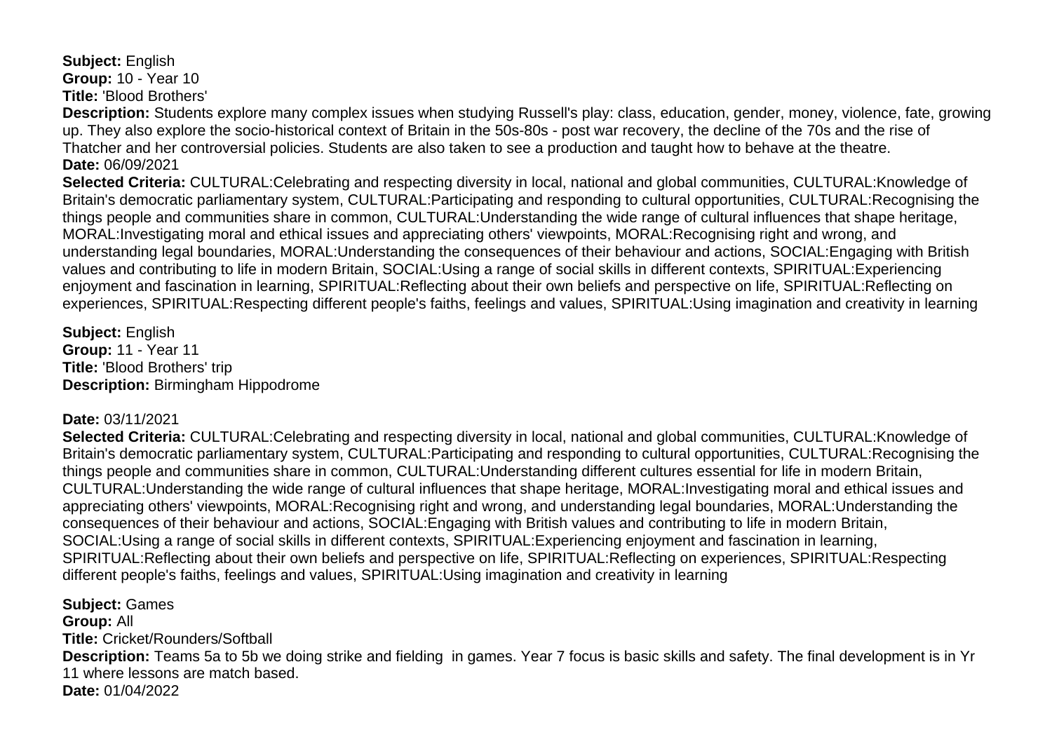**Subject:** English **Group:** 10 - Year 10 **Title:** 'Blood Brothers'

**Description:** Students explore many complex issues when studying Russell's play: class, education, gender, money, violence, fate, growing up. They also explore the socio-historical context of Britain in the 50s-80s - post war recovery, the decline of the 70s and the rise of Thatcher and her controversial policies. Students are also taken to see a production and taught how to behave at the theatre. **Date:** 06/09/2021

**Selected Criteria:** CULTURAL:Celebrating and respecting diversity in local, national and global communities, CULTURAL:Knowledge of Britain's democratic parliamentary system, CULTURAL:Participating and responding to cultural opportunities, CULTURAL:Recognising the things people and communities share in common, CULTURAL:Understanding the wide range of cultural influences that shape heritage, MORAL:Investigating moral and ethical issues and appreciating others' viewpoints, MORAL:Recognising right and wrong, and understanding legal boundaries, MORAL:Understanding the consequences of their behaviour and actions, SOCIAL:Engaging with British values and contributing to life in modern Britain, SOCIAL:Using a range of social skills in different contexts, SPIRITUAL:Experiencing enjoyment and fascination in learning, SPIRITUAL:Reflecting about their own beliefs and perspective on life, SPIRITUAL:Reflecting on experiences, SPIRITUAL:Respecting different people's faiths, feelings and values, SPIRITUAL:Using imagination and creativity in learning

**Subject:** English **Group:** 11 - Year 11 **Title:** 'Blood Brothers' trip **Description:** Birmingham Hippodrome

#### **Date:** 03/11/2021

**Selected Criteria:** CULTURAL:Celebrating and respecting diversity in local, national and global communities, CULTURAL:Knowledge of Britain's democratic parliamentary system, CULTURAL:Participating and responding to cultural opportunities, CULTURAL:Recognising the things people and communities share in common, CULTURAL:Understanding different cultures essential for life in modern Britain, CULTURAL:Understanding the wide range of cultural influences that shape heritage, MORAL:Investigating moral and ethical issues and appreciating others' viewpoints, MORAL:Recognising right and wrong, and understanding legal boundaries, MORAL:Understanding the consequences of their behaviour and actions, SOCIAL:Engaging with British values and contributing to life in modern Britain, SOCIAL:Using a range of social skills in different contexts, SPIRITUAL:Experiencing enjoyment and fascination in learning, SPIRITUAL:Reflecting about their own beliefs and perspective on life, SPIRITUAL:Reflecting on experiences, SPIRITUAL:Respecting different people's faiths, feelings and values, SPIRITUAL:Using imagination and creativity in learning

**Subject:** Games **Group:** All **Title:** Cricket/Rounders/Softball **Description:** Teams 5a to 5b we doing strike and fielding in games. Year 7 focus is basic skills and safety. The final development is in Yr 11 where lessons are match based. **Date:** 01/04/2022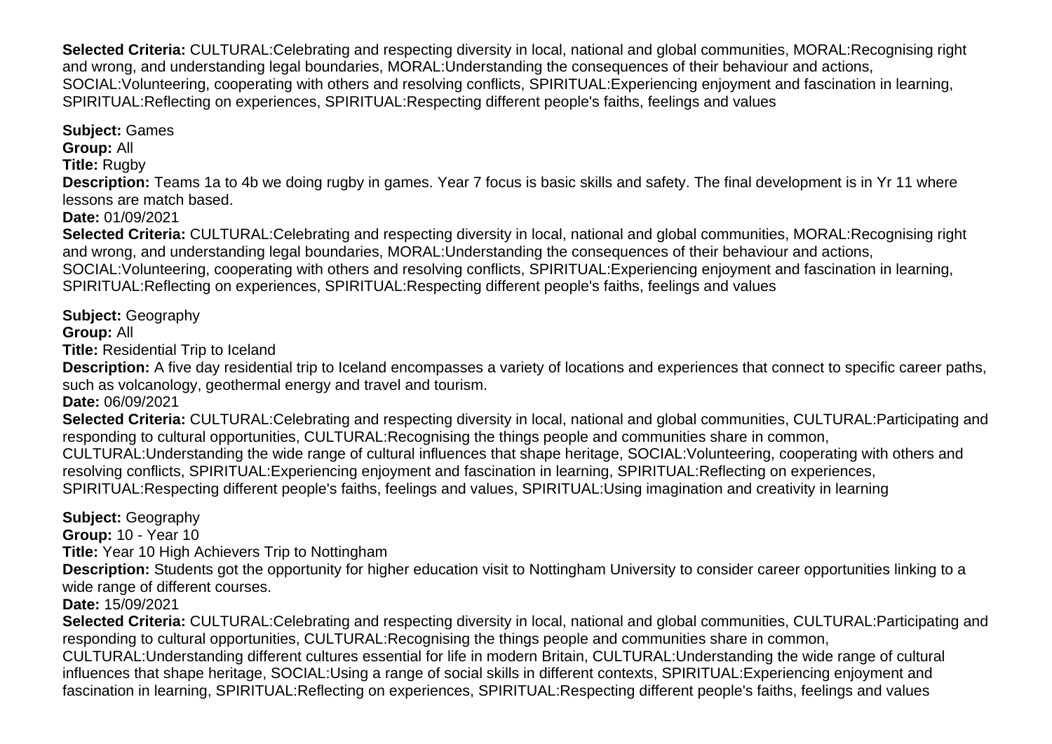**Selected Criteria:** CULTURAL:Celebrating and respecting diversity in local, national and global communities, MORAL:Recognising right and wrong, and understanding legal boundaries, MORAL:Understanding the consequences of their behaviour and actions, SOCIAL:Volunteering, cooperating with others and resolving conflicts, SPIRITUAL:Experiencing enjoyment and fascination in learning, SPIRITUAL:Reflecting on experiences, SPIRITUAL:Respecting different people's faiths, feelings and values

**Subject:** Games **Group:** All

**Title:** Rugby

**Description:** Teams 1a to 4b we doing rugby in games. Year 7 focus is basic skills and safety. The final development is in Yr 11 where lessons are match based.

**Date:** 01/09/2021

**Selected Criteria:** CULTURAL:Celebrating and respecting diversity in local, national and global communities, MORAL:Recognising right and wrong, and understanding legal boundaries, MORAL:Understanding the consequences of their behaviour and actions, SOCIAL:Volunteering, cooperating with others and resolving conflicts, SPIRITUAL:Experiencing enjoyment and fascination in learning, SPIRITUAL:Reflecting on experiences, SPIRITUAL:Respecting different people's faiths, feelings and values

**Subject:** Geography

# **Group:** All

**Title:** Residential Trip to Iceland

**Description:** A five day residential trip to Iceland encompasses a variety of locations and experiences that connect to specific career paths, such as volcanology, geothermal energy and travel and tourism.

**Date:** 06/09/2021

**Selected Criteria:** CULTURAL:Celebrating and respecting diversity in local, national and global communities, CULTURAL:Participating and responding to cultural opportunities, CULTURAL:Recognising the things people and communities share in common,

CULTURAL:Understanding the wide range of cultural influences that shape heritage, SOCIAL:Volunteering, cooperating with others and resolving conflicts, SPIRITUAL:Experiencing enjoyment and fascination in learning, SPIRITUAL:Reflecting on experiences,

SPIRITUAL:Respecting different people's faiths, feelings and values, SPIRITUAL:Using imagination and creativity in learning

**Subject:** Geography

**Group:** 10 - Year 10

**Title:** Year 10 High Achievers Trip to Nottingham

**Description:** Students got the opportunity for higher education visit to Nottingham University to consider career opportunities linking to a wide range of different courses.

**Date:** 15/09/2021

**Selected Criteria:** CULTURAL:Celebrating and respecting diversity in local, national and global communities, CULTURAL:Participating and responding to cultural opportunities, CULTURAL:Recognising the things people and communities share in common, CULTURAL:Understanding different cultures essential for life in modern Britain, CULTURAL:Understanding the wide range of cultural influences that shape heritage, SOCIAL:Using a range of social skills in different contexts, SPIRITUAL:Experiencing enjoyment and fascination in learning, SPIRITUAL:Reflecting on experiences, SPIRITUAL:Respecting different people's faiths, feelings and values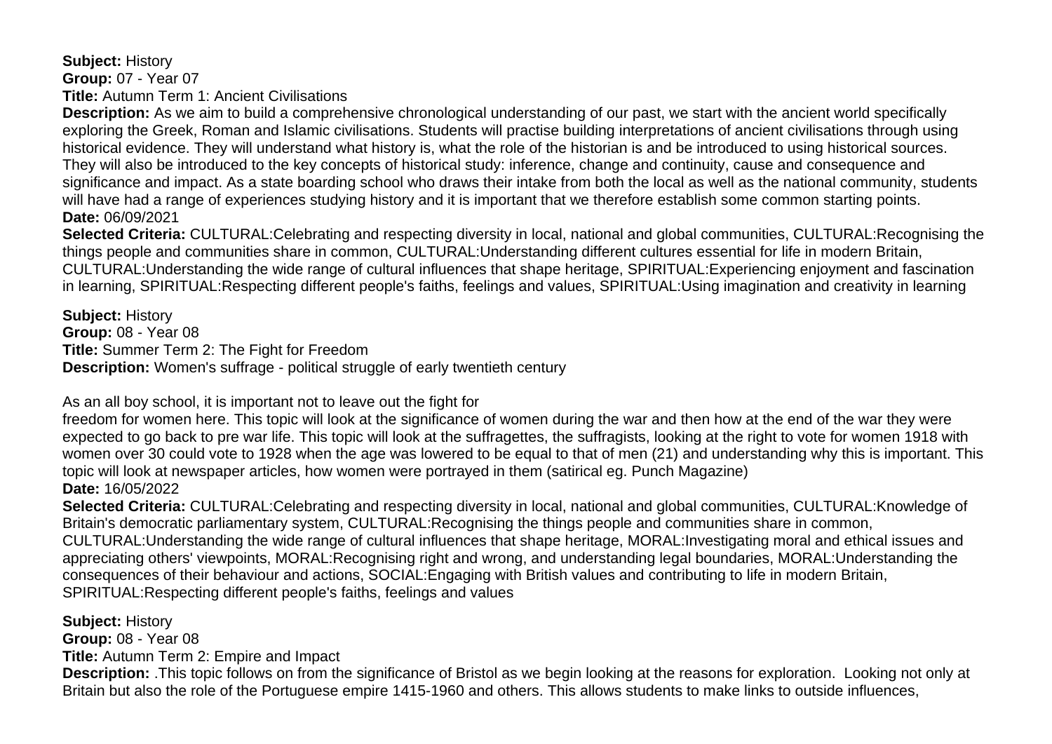**Subject:** History

**Group:** 07 - Year 07

**Title:** Autumn Term 1: Ancient Civilisations

**Description:** As we aim to build a comprehensive chronological understanding of our past, we start with the ancient world specifically exploring the Greek, Roman and Islamic civilisations. Students will practise building interpretations of ancient civilisations through using historical evidence. They will understand what history is, what the role of the historian is and be introduced to using historical sources. They will also be introduced to the key concepts of historical study: inference, change and continuity, cause and consequence and significance and impact. As a state boarding school who draws their intake from both the local as well as the national community, students will have had a range of experiences studying history and it is important that we therefore establish some common starting points. **Date:** 06/09/2021

**Selected Criteria:** CULTURAL:Celebrating and respecting diversity in local, national and global communities, CULTURAL:Recognising the things people and communities share in common, CULTURAL:Understanding different cultures essential for life in modern Britain, CULTURAL:Understanding the wide range of cultural influences that shape heritage, SPIRITUAL:Experiencing enjoyment and fascination in learning, SPIRITUAL:Respecting different people's faiths, feelings and values, SPIRITUAL:Using imagination and creativity in learning

**Subject:** History **Group:** 08 - Year 08 **Title:** Summer Term 2: The Fight for Freedom **Description:** Women's suffrage - political struggle of early twentieth century

As an all boy school, it is important not to leave out the fight for

freedom for women here. This topic will look at the significance of women during the war and then how at the end of the war they were expected to go back to pre war life. This topic will look at the suffragettes, the suffragists, looking at the right to vote for women 1918 with women over 30 could vote to 1928 when the age was lowered to be equal to that of men (21) and understanding why this is important. This topic will look at newspaper articles, how women were portrayed in them (satirical eg. Punch Magazine) **Date:** 16/05/2022

**Selected Criteria:** CULTURAL:Celebrating and respecting diversity in local, national and global communities, CULTURAL:Knowledge of Britain's democratic parliamentary system, CULTURAL:Recognising the things people and communities share in common, CULTURAL:Understanding the wide range of cultural influences that shape heritage, MORAL:Investigating moral and ethical issues and appreciating others' viewpoints, MORAL:Recognising right and wrong, and understanding legal boundaries, MORAL:Understanding the consequences of their behaviour and actions, SOCIAL:Engaging with British values and contributing to life in modern Britain, SPIRITUAL:Respecting different people's faiths, feelings and values

**Subject:** History

**Group:** 08 - Year 08

**Title:** Autumn Term 2: Empire and Impact

**Description:** .This topic follows on from the significance of Bristol as we begin looking at the reasons for exploration. Looking not only at Britain but also the role of the Portuguese empire 1415-1960 and others. This allows students to make links to outside influences,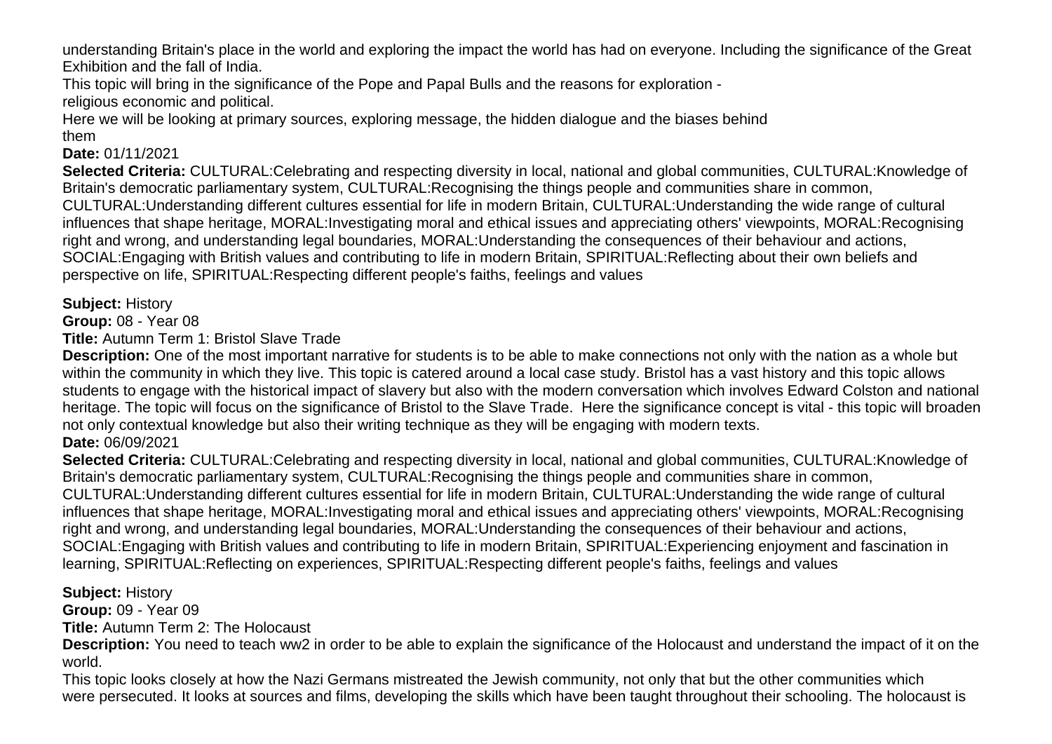understanding Britain's place in the world and exploring the impact the world has had on everyone. Including the significance of the Great Exhibition and the fall of India.

This topic will bring in the significance of the Pope and Papal Bulls and the reasons for exploration -

religious economic and political.

Here we will be looking at primary sources, exploring message, the hidden dialogue and the biases behind them

## **Date:** 01/11/2021

**Selected Criteria:** CULTURAL:Celebrating and respecting diversity in local, national and global communities, CULTURAL:Knowledge of Britain's democratic parliamentary system, CULTURAL:Recognising the things people and communities share in common, CULTURAL:Understanding different cultures essential for life in modern Britain, CULTURAL:Understanding the wide range of cultural influences that shape heritage, MORAL:Investigating moral and ethical issues and appreciating others' viewpoints, MORAL:Recognising right and wrong, and understanding legal boundaries, MORAL:Understanding the consequences of their behaviour and actions, SOCIAL:Engaging with British values and contributing to life in modern Britain, SPIRITUAL:Reflecting about their own beliefs and perspective on life, SPIRITUAL:Respecting different people's faiths, feelings and values

**Subject:** History

**Group:** 08 - Year 08

**Title:** Autumn Term 1: Bristol Slave Trade

**Description:** One of the most important narrative for students is to be able to make connections not only with the nation as a whole but within the community in which they live. This topic is catered around a local case study. Bristol has a vast history and this topic allows students to engage with the historical impact of slavery but also with the modern conversation which involves Edward Colston and national heritage. The topic will focus on the significance of Bristol to the Slave Trade. Here the significance concept is vital - this topic will broaden not only contextual knowledge but also their writing technique as they will be engaging with modern texts. **Date:** 06/09/2021

**Selected Criteria:** CULTURAL:Celebrating and respecting diversity in local, national and global communities, CULTURAL:Knowledge of Britain's democratic parliamentary system, CULTURAL:Recognising the things people and communities share in common, CULTURAL:Understanding different cultures essential for life in modern Britain, CULTURAL:Understanding the wide range of cultural influences that shape heritage, MORAL:Investigating moral and ethical issues and appreciating others' viewpoints, MORAL:Recognising right and wrong, and understanding legal boundaries, MORAL:Understanding the consequences of their behaviour and actions, SOCIAL:Engaging with British values and contributing to life in modern Britain, SPIRITUAL:Experiencing enjoyment and fascination in learning, SPIRITUAL:Reflecting on experiences, SPIRITUAL:Respecting different people's faiths, feelings and values

# **Subject:** History

**Group:** 09 - Year 09

**Title:** Autumn Term 2: The Holocaust

**Description:** You need to teach ww2 in order to be able to explain the significance of the Holocaust and understand the impact of it on the world.

This topic looks closely at how the Nazi Germans mistreated the Jewish community, not only that but the other communities which were persecuted. It looks at sources and films, developing the skills which have been taught throughout their schooling. The holocaust is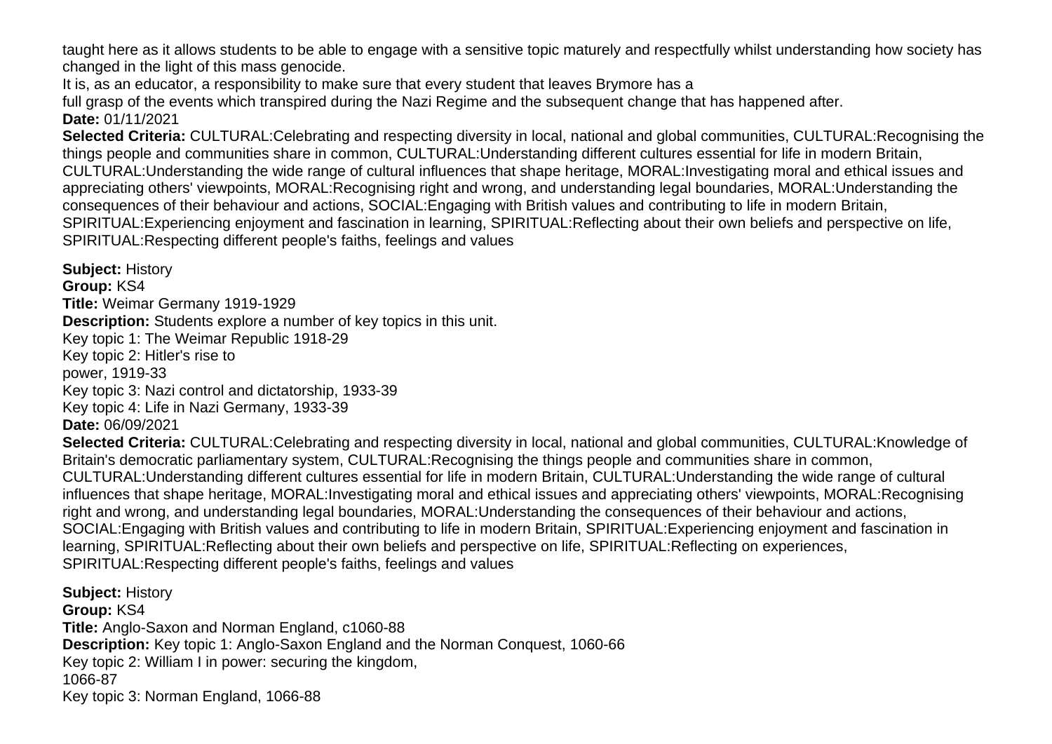taught here as it allows students to be able to engage with a sensitive topic maturely and respectfully whilst understanding how society has changed in the light of this mass genocide.

It is, as an educator, a responsibility to make sure that every student that leaves Brymore has a

full grasp of the events which transpired during the Nazi Regime and the subsequent change that has happened after.

## **Date:** 01/11/2021

**Selected Criteria:** CULTURAL:Celebrating and respecting diversity in local, national and global communities, CULTURAL:Recognising the things people and communities share in common, CULTURAL:Understanding different cultures essential for life in modern Britain, CULTURAL:Understanding the wide range of cultural influences that shape heritage, MORAL:Investigating moral and ethical issues and appreciating others' viewpoints, MORAL:Recognising right and wrong, and understanding legal boundaries, MORAL:Understanding the consequences of their behaviour and actions, SOCIAL:Engaging with British values and contributing to life in modern Britain, SPIRITUAL:Experiencing enjoyment and fascination in learning, SPIRITUAL:Reflecting about their own beliefs and perspective on life, SPIRITUAL:Respecting different people's faiths, feelings and values

**Subject:** History **Group:** KS4 **Title:** Weimar Germany 1919-1929 **Description:** Students explore a number of key topics in this unit. Key topic 1: The Weimar Republic 1918-29 Key topic 2: Hitler's rise to power, 1919-33 Key topic 3: Nazi control and dictatorship, 1933-39 Key topic 4: Life in Nazi Germany, 1933-39 **Date:** 06/09/2021 **Selected Criteria:** CULTURAL:Celebrating and respecting diversity in local, national and global communities, CULTURAL:Knowledge of Britain's democratic parliamentary system, CULTURAL:Recognising the things people and communities share in common, CULTURAL:Understanding different cultures essential for life in modern Britain, CULTURAL:Understanding the wide range of cultural influences that shape heritage, MORAL:Investigating moral and ethical issues and appreciating others' viewpoints, MORAL:Recognising right and wrong, and understanding legal boundaries, MORAL:Understanding the consequences of their behaviour and actions, SOCIAL:Engaging with British values and contributing to life in modern Britain, SPIRITUAL:Experiencing enjoyment and fascination in learning, SPIRITUAL:Reflecting about their own beliefs and perspective on life, SPIRITUAL:Reflecting on experiences, SPIRITUAL:Respecting different people's faiths, feelings and values

**Subject:** History **Group:** KS4 **Title:** Anglo-Saxon and Norman England, c1060-88 **Description:** Key topic 1: Anglo-Saxon England and the Norman Conquest, 1060-66 Key topic 2: William I in power: securing the kingdom, 1066-87 Key topic 3: Norman England, 1066-88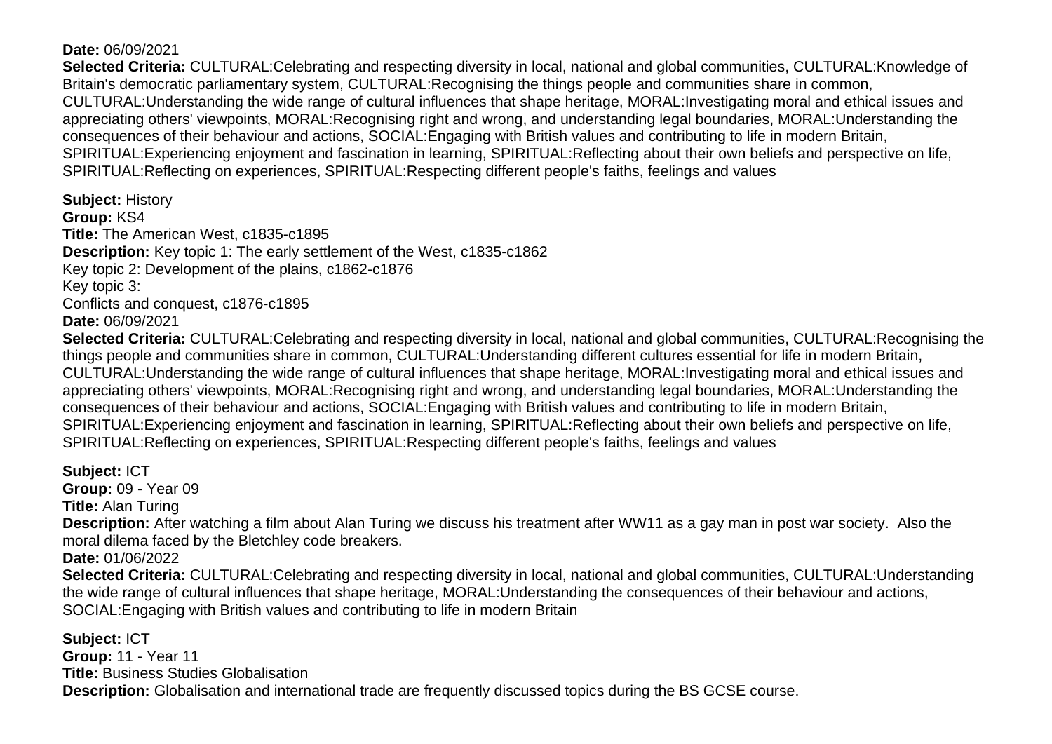## **Date:** 06/09/2021

**Selected Criteria:** CULTURAL:Celebrating and respecting diversity in local, national and global communities, CULTURAL:Knowledge of Britain's democratic parliamentary system, CULTURAL:Recognising the things people and communities share in common, CULTURAL:Understanding the wide range of cultural influences that shape heritage, MORAL:Investigating moral and ethical issues and appreciating others' viewpoints, MORAL:Recognising right and wrong, and understanding legal boundaries, MORAL:Understanding the consequences of their behaviour and actions, SOCIAL:Engaging with British values and contributing to life in modern Britain, SPIRITUAL:Experiencing enjoyment and fascination in learning, SPIRITUAL:Reflecting about their own beliefs and perspective on life, SPIRITUAL:Reflecting on experiences, SPIRITUAL:Respecting different people's faiths, feelings and values

**Subject:** History **Group:** KS4 **Title:** The American West, c1835-c1895 **Description:** Key topic 1: The early settlement of the West, c1835-c1862 Key topic 2: Development of the plains, c1862-c1876 Key topic 3: Conflicts and conquest, c1876-c1895 **Date:** 06/09/2021

**Selected Criteria:** CULTURAL:Celebrating and respecting diversity in local, national and global communities, CULTURAL:Recognising the things people and communities share in common, CULTURAL:Understanding different cultures essential for life in modern Britain, CULTURAL:Understanding the wide range of cultural influences that shape heritage, MORAL:Investigating moral and ethical issues and appreciating others' viewpoints, MORAL:Recognising right and wrong, and understanding legal boundaries, MORAL:Understanding the consequences of their behaviour and actions, SOCIAL:Engaging with British values and contributing to life in modern Britain, SPIRITUAL:Experiencing enjoyment and fascination in learning, SPIRITUAL:Reflecting about their own beliefs and perspective on life, SPIRITUAL:Reflecting on experiences, SPIRITUAL:Respecting different people's faiths, feelings and values

**Subject:** ICT **Group:** 09 - Year 09 **Title:** Alan Turing **Description:** After watching a film about Alan Turing we discuss his treatment after WW11 as a gay man in post war society. Also the moral dilema faced by the Bletchley code breakers. **Date:** 01/06/2022 **Selected Criteria:** CULTURAL:Celebrating and respecting diversity in local, national and global communities, CULTURAL:Understanding the wide range of cultural influences that shape heritage, MORAL:Understanding the consequences of their behaviour and actions, SOCIAL:Engaging with British values and contributing to life in modern Britain

**Subject:** ICT **Group:** 11 - Year 11 **Title:** Business Studies Globalisation **Description:** Globalisation and international trade are frequently discussed topics during the BS GCSE course.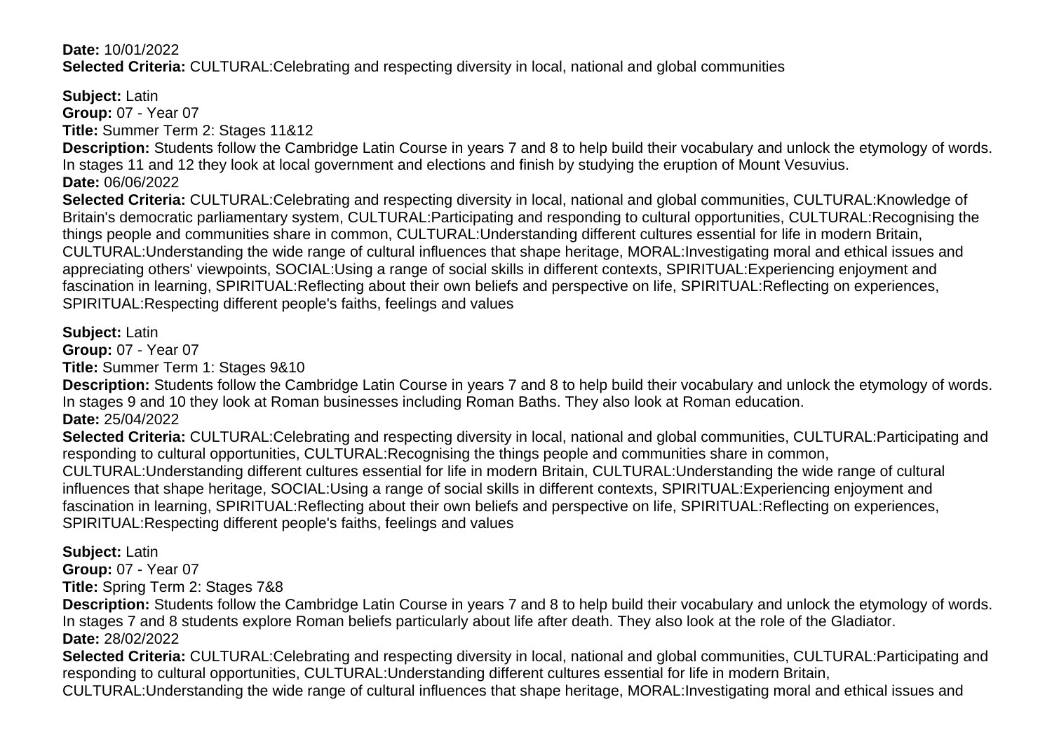## **Date:** 10/01/2022 **Selected Criteria:** CULTURAL:Celebrating and respecting diversity in local, national and global communities

**Subject:** Latin **Group:** 07 - Year 07 **Title:** Summer Term 2: Stages 11&12

**Description:** Students follow the Cambridge Latin Course in years 7 and 8 to help build their vocabulary and unlock the etymology of words. In stages 11 and 12 they look at local government and elections and finish by studying the eruption of Mount Vesuvius. **Date:** 06/06/2022

**Selected Criteria:** CULTURAL:Celebrating and respecting diversity in local, national and global communities, CULTURAL:Knowledge of Britain's democratic parliamentary system, CULTURAL:Participating and responding to cultural opportunities, CULTURAL:Recognising the things people and communities share in common, CULTURAL:Understanding different cultures essential for life in modern Britain, CULTURAL:Understanding the wide range of cultural influences that shape heritage, MORAL:Investigating moral and ethical issues and appreciating others' viewpoints, SOCIAL:Using a range of social skills in different contexts, SPIRITUAL:Experiencing enjoyment and fascination in learning, SPIRITUAL:Reflecting about their own beliefs and perspective on life, SPIRITUAL:Reflecting on experiences, SPIRITUAL:Respecting different people's faiths, feelings and values

#### **Subject:** Latin

**Group:** 07 - Year 07

**Title:** Summer Term 1: Stages 9&10

**Description:** Students follow the Cambridge Latin Course in years 7 and 8 to help build their vocabulary and unlock the etymology of words. In stages 9 and 10 they look at Roman businesses including Roman Baths. They also look at Roman education. **Date:** 25/04/2022

**Selected Criteria:** CULTURAL:Celebrating and respecting diversity in local, national and global communities, CULTURAL:Participating and responding to cultural opportunities, CULTURAL:Recognising the things people and communities share in common,

CULTURAL:Understanding different cultures essential for life in modern Britain, CULTURAL:Understanding the wide range of cultural influences that shape heritage, SOCIAL:Using a range of social skills in different contexts, SPIRITUAL:Experiencing enjoyment and fascination in learning, SPIRITUAL:Reflecting about their own beliefs and perspective on life, SPIRITUAL:Reflecting on experiences, SPIRITUAL:Respecting different people's faiths, feelings and values

# **Subject:** Latin

**Group:** 07 - Year 07

**Title:** Spring Term 2: Stages 7&8

**Description:** Students follow the Cambridge Latin Course in years 7 and 8 to help build their vocabulary and unlock the etymology of words. In stages 7 and 8 students explore Roman beliefs particularly about life after death. They also look at the role of the Gladiator. **Date:** 28/02/2022

**Selected Criteria:** CULTURAL:Celebrating and respecting diversity in local, national and global communities, CULTURAL:Participating and responding to cultural opportunities, CULTURAL:Understanding different cultures essential for life in modern Britain,

CULTURAL:Understanding the wide range of cultural influences that shape heritage, MORAL:Investigating moral and ethical issues and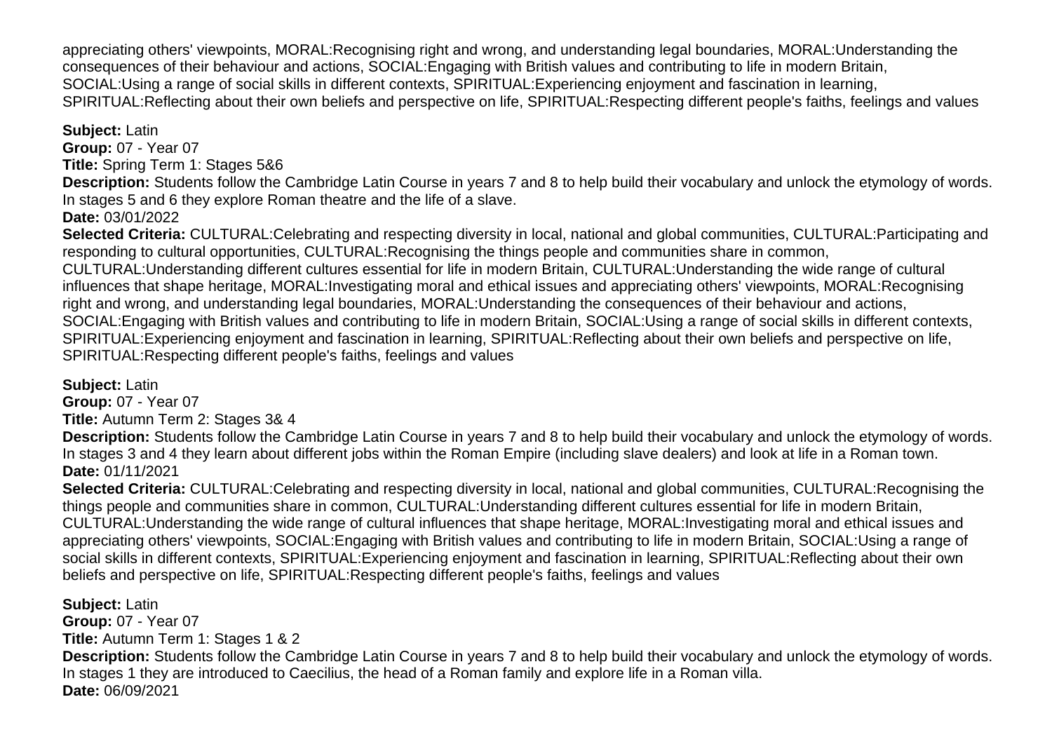appreciating others' viewpoints, MORAL:Recognising right and wrong, and understanding legal boundaries, MORAL:Understanding the consequences of their behaviour and actions, SOCIAL:Engaging with British values and contributing to life in modern Britain, SOCIAL:Using a range of social skills in different contexts, SPIRITUAL:Experiencing enjoyment and fascination in learning, SPIRITUAL:Reflecting about their own beliefs and perspective on life, SPIRITUAL:Respecting different people's faiths, feelings and values

## **Subject:** Latin

**Group:** 07 - Year 07 **Title:** Spring Term 1: Stages 5&6

**Description:** Students follow the Cambridge Latin Course in years 7 and 8 to help build their vocabulary and unlock the etymology of words. In stages 5 and 6 they explore Roman theatre and the life of a slave.

**Date:** 03/01/2022

**Selected Criteria:** CULTURAL:Celebrating and respecting diversity in local, national and global communities, CULTURAL:Participating and responding to cultural opportunities, CULTURAL:Recognising the things people and communities share in common, CULTURAL:Understanding different cultures essential for life in modern Britain, CULTURAL:Understanding the wide range of cultural influences that shape heritage, MORAL:Investigating moral and ethical issues and appreciating others' viewpoints, MORAL:Recognising right and wrong, and understanding legal boundaries, MORAL:Understanding the consequences of their behaviour and actions, SOCIAL:Engaging with British values and contributing to life in modern Britain, SOCIAL:Using a range of social skills in different contexts, SPIRITUAL:Experiencing enjoyment and fascination in learning, SPIRITUAL:Reflecting about their own beliefs and perspective on life, SPIRITUAL:Respecting different people's faiths, feelings and values

**Subject:** Latin

**Group:** 07 - Year 07

**Title:** Autumn Term 2: Stages 3& 4

**Description:** Students follow the Cambridge Latin Course in years 7 and 8 to help build their vocabulary and unlock the etymology of words. In stages 3 and 4 they learn about different jobs within the Roman Empire (including slave dealers) and look at life in a Roman town. **Date:** 01/11/2021

**Selected Criteria:** CULTURAL:Celebrating and respecting diversity in local, national and global communities, CULTURAL:Recognising the things people and communities share in common, CULTURAL:Understanding different cultures essential for life in modern Britain, CULTURAL:Understanding the wide range of cultural influences that shape heritage, MORAL:Investigating moral and ethical issues and appreciating others' viewpoints, SOCIAL:Engaging with British values and contributing to life in modern Britain, SOCIAL:Using a range of social skills in different contexts, SPIRITUAL:Experiencing enjoyment and fascination in learning, SPIRITUAL:Reflecting about their own beliefs and perspective on life, SPIRITUAL:Respecting different people's faiths, feelings and values

**Subject:** Latin **Group:** 07 - Year 07 **Title:** Autumn Term 1: Stages 1 & 2 **Description:** Students follow the Cambridge Latin Course in years 7 and 8 to help build their vocabulary and unlock the etymology of words. In stages 1 they are introduced to Caecilius, the head of a Roman family and explore life in a Roman villa. **Date:** 06/09/2021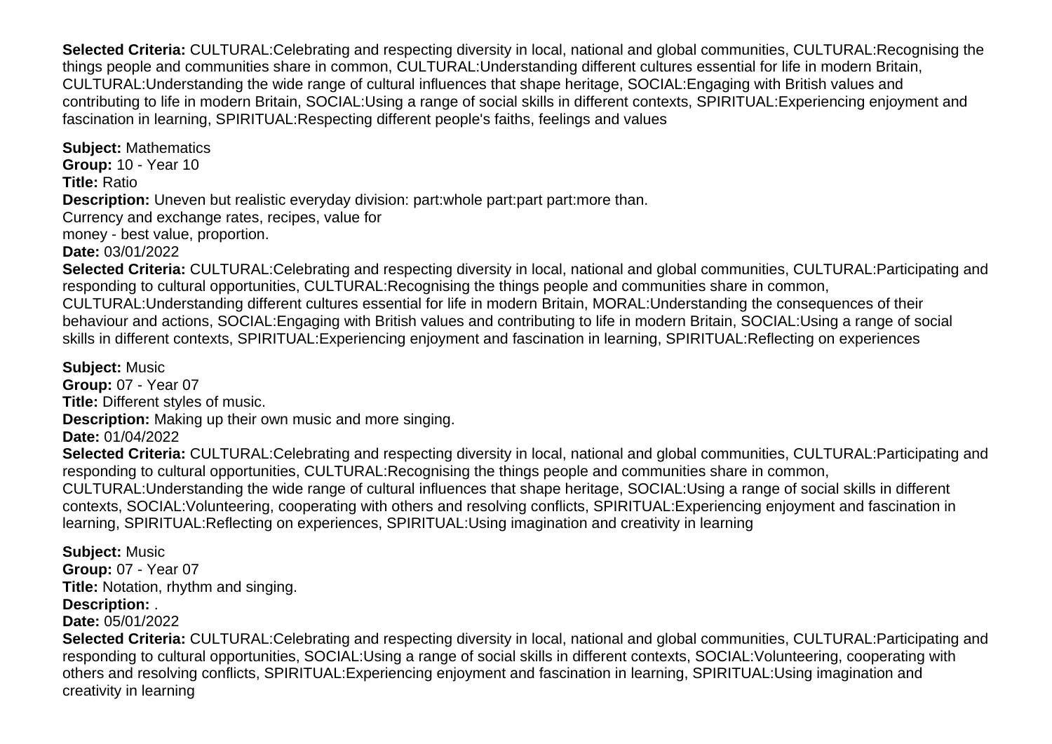**Selected Criteria:** CULTURAL:Celebrating and respecting diversity in local, national and global communities, CULTURAL:Recognising the things people and communities share in common, CULTURAL:Understanding different cultures essential for life in modern Britain, CULTURAL:Understanding the wide range of cultural influences that shape heritage, SOCIAL:Engaging with British values and contributing to life in modern Britain, SOCIAL:Using a range of social skills in different contexts, SPIRITUAL:Experiencing enjoyment and fascination in learning, SPIRITUAL:Respecting different people's faiths, feelings and values

**Subject:** Mathematics **Group:** 10 - Year 10 **Title:** Ratio **Description:** Uneven but realistic everyday division: part:whole part:part part:more than. Currency and exchange rates, recipes, value for money - best value, proportion.

**Date:** 03/01/2022

**Selected Criteria:** CULTURAL:Celebrating and respecting diversity in local, national and global communities, CULTURAL:Participating and responding to cultural opportunities, CULTURAL:Recognising the things people and communities share in common, CULTURAL:Understanding different cultures essential for life in modern Britain, MORAL:Understanding the consequences of their behaviour and actions, SOCIAL:Engaging with British values and contributing to life in modern Britain, SOCIAL:Using a range of social skills in different contexts, SPIRITUAL:Experiencing enjoyment and fascination in learning, SPIRITUAL:Reflecting on experiences

**Subject:** Music **Group:** 07 - Year 07 **Title:** Different styles of music. **Description:** Making up their own music and more singing. **Date:** 01/04/2022 **Selected Criteria:** CULTURAL:Celebrating and respecting diversity in local, national and global communities, CULTURAL:Participating and responding to cultural opportunities, CULTURAL:Recognising the things people and communities share in common, CULTURAL:Understanding the wide range of cultural influences that shape heritage, SOCIAL:Using a range of social skills in different contexts, SOCIAL:Volunteering, cooperating with others and resolving conflicts, SPIRITUAL:Experiencing enjoyment and fascination in learning, SPIRITUAL:Reflecting on experiences, SPIRITUAL:Using imagination and creativity in learning

**Subject:** Music **Group:** 07 - Year 07 **Title:** Notation, rhythm and singing. **Description:** .

**Date:** 05/01/2022

**Selected Criteria:** CULTURAL:Celebrating and respecting diversity in local, national and global communities, CULTURAL:Participating and responding to cultural opportunities, SOCIAL:Using a range of social skills in different contexts, SOCIAL:Volunteering, cooperating with others and resolving conflicts, SPIRITUAL:Experiencing enjoyment and fascination in learning, SPIRITUAL:Using imagination and creativity in learning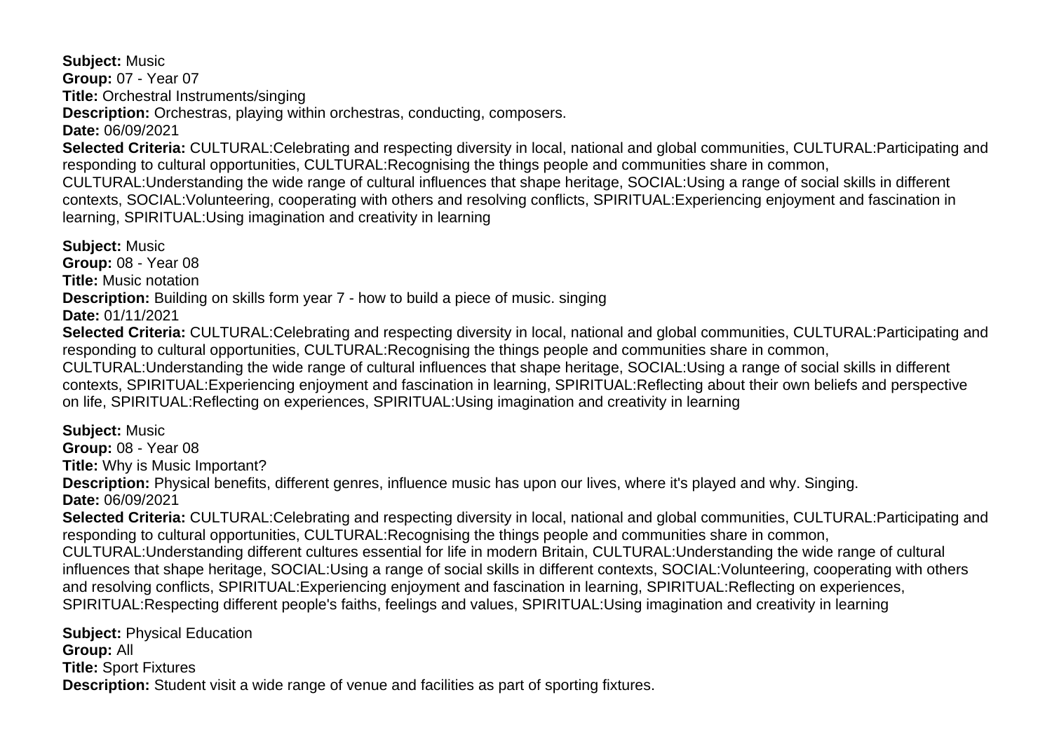**Subject:** Music **Group:** 07 - Year 07 **Title:** Orchestral Instruments/singing **Description:** Orchestras, playing within orchestras, conducting, composers. **Date:** 06/09/2021 **Selected Criteria:** CULTURAL:Celebrating and respecting diversity in local, national and global communities, CULTURAL:Participating and responding to cultural opportunities, CULTURAL:Recognising the things people and communities share in common,

CULTURAL:Understanding the wide range of cultural influences that shape heritage, SOCIAL:Using a range of social skills in different contexts, SOCIAL:Volunteering, cooperating with others and resolving conflicts, SPIRITUAL:Experiencing enjoyment and fascination in learning, SPIRITUAL:Using imagination and creativity in learning

**Subject:** Music **Group:** 08 - Year 08 **Title:** Music notation **Description:** Building on skills form year 7 - how to build a piece of music. singing **Date:** 01/11/2021 **Selected Criteria:** CULTURAL:Celebrating and respecting diversity in local, national and global communities, CULTURAL:Participating and responding to cultural opportunities, CULTURAL:Recognising the things people and communities share in common, CULTURAL:Understanding the wide range of cultural influences that shape heritage, SOCIAL:Using a range of social skills in different contexts, SPIRITUAL:Experiencing enjoyment and fascination in learning, SPIRITUAL:Reflecting about their own beliefs and perspective

on life, SPIRITUAL:Reflecting on experiences, SPIRITUAL:Using imagination and creativity in learning

**Subject:** Music

**Group:** 08 - Year 08

**Title:** Why is Music Important?

**Description:** Physical benefits, different genres, influence music has upon our lives, where it's played and why. Singing.

**Date:** 06/09/2021

**Selected Criteria:** CULTURAL:Celebrating and respecting diversity in local, national and global communities, CULTURAL:Participating and responding to cultural opportunities, CULTURAL:Recognising the things people and communities share in common, CULTURAL:Understanding different cultures essential for life in modern Britain, CULTURAL:Understanding the wide range of cultural influences that shape heritage, SOCIAL:Using a range of social skills in different contexts, SOCIAL:Volunteering, cooperating with others and resolving conflicts, SPIRITUAL:Experiencing enjoyment and fascination in learning, SPIRITUAL:Reflecting on experiences,

SPIRITUAL:Respecting different people's faiths, feelings and values, SPIRITUAL:Using imagination and creativity in learning

**Subject:** Physical Education **Group:** All **Title:** Sport Fixtures **Description:** Student visit a wide range of venue and facilities as part of sporting fixtures.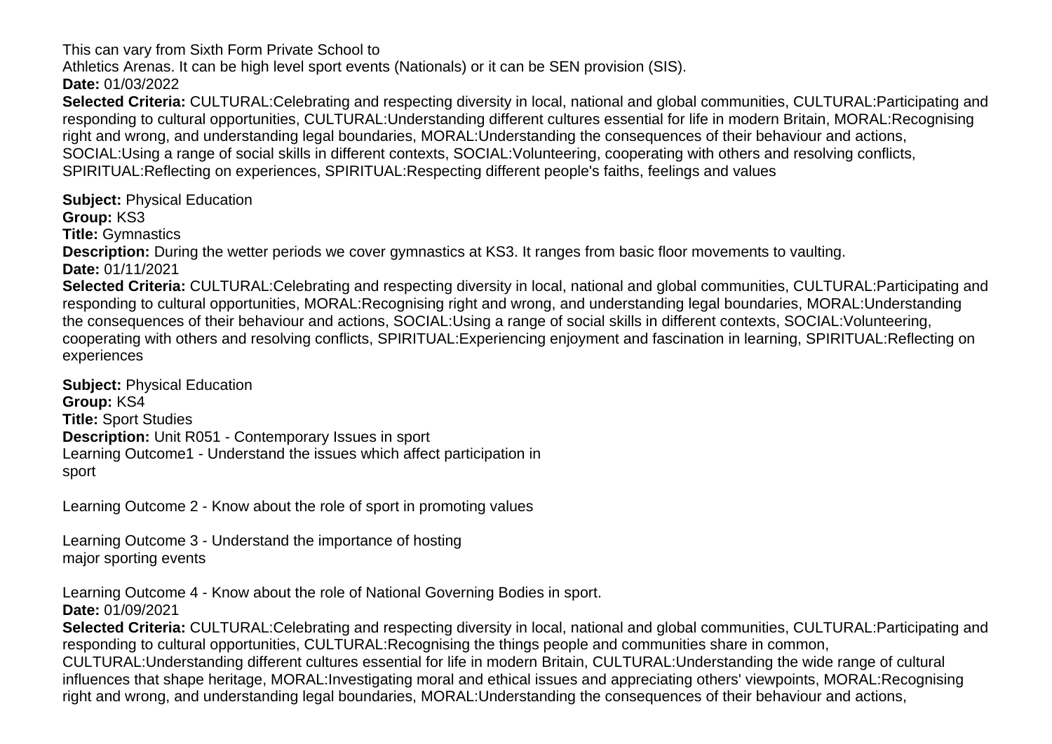This can vary from Sixth Form Private School to

Athletics Arenas. It can be high level sport events (Nationals) or it can be SEN provision (SIS).

**Date:** 01/03/2022

**Selected Criteria:** CULTURAL:Celebrating and respecting diversity in local, national and global communities, CULTURAL:Participating and responding to cultural opportunities, CULTURAL:Understanding different cultures essential for life in modern Britain, MORAL:Recognising right and wrong, and understanding legal boundaries, MORAL:Understanding the consequences of their behaviour and actions, SOCIAL:Using a range of social skills in different contexts, SOCIAL:Volunteering, cooperating with others and resolving conflicts, SPIRITUAL:Reflecting on experiences, SPIRITUAL:Respecting different people's faiths, feelings and values

**Subject:** Physical Education

**Group:** KS3

**Title:** Gymnastics

**Description:** During the wetter periods we cover gymnastics at KS3. It ranges from basic floor movements to vaulting.

**Date:** 01/11/2021

**Selected Criteria:** CULTURAL:Celebrating and respecting diversity in local, national and global communities, CULTURAL:Participating and responding to cultural opportunities, MORAL:Recognising right and wrong, and understanding legal boundaries, MORAL:Understanding the consequences of their behaviour and actions, SOCIAL:Using a range of social skills in different contexts, SOCIAL:Volunteering, cooperating with others and resolving conflicts, SPIRITUAL:Experiencing enjoyment and fascination in learning, SPIRITUAL:Reflecting on experiences

**Subject:** Physical Education **Group:** KS4 **Title:** Sport Studies **Description:** Unit R051 - Contemporary Issues in sport Learning Outcome1 - Understand the issues which affect participation in sport

Learning Outcome 2 - Know about the role of sport in promoting values

Learning Outcome 3 - Understand the importance of hosting major sporting events

Learning Outcome 4 - Know about the role of National Governing Bodies in sport. **Date:** 01/09/2021

**Selected Criteria:** CULTURAL:Celebrating and respecting diversity in local, national and global communities, CULTURAL:Participating and responding to cultural opportunities, CULTURAL:Recognising the things people and communities share in common, CULTURAL:Understanding different cultures essential for life in modern Britain, CULTURAL:Understanding the wide range of cultural influences that shape heritage, MORAL:Investigating moral and ethical issues and appreciating others' viewpoints, MORAL:Recognising right and wrong, and understanding legal boundaries, MORAL:Understanding the consequences of their behaviour and actions,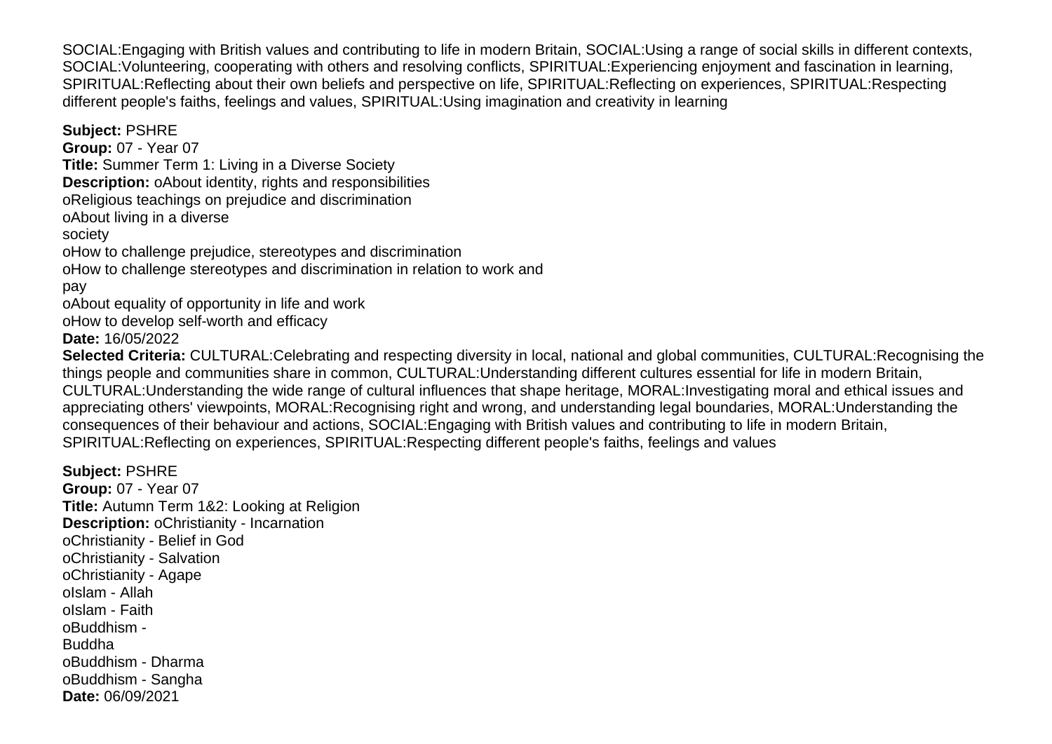SOCIAL:Engaging with British values and contributing to life in modern Britain, SOCIAL:Using a range of social skills in different contexts, SOCIAL:Volunteering, cooperating with others and resolving conflicts, SPIRITUAL:Experiencing enjoyment and fascination in learning, SPIRITUAL:Reflecting about their own beliefs and perspective on life, SPIRITUAL:Reflecting on experiences, SPIRITUAL:Respecting different people's faiths, feelings and values, SPIRITUAL:Using imagination and creativity in learning

**Subject:** PSHRE **Group:** 07 - Year 07 **Title:** Summer Term 1: Living in a Diverse Society **Description:** o About identity, rights and responsibilities o Religious teachings on prejudice and discrimination o About living in a diverse society o How to challenge prejudice, stereotypes and discrimination o How to challenge stereotypes and discrimination in relation to work and pay o About equality of opportunity in life and work o How to develop self-worth and efficacy **Date:** 16/05/2022 **Selected Criteria:** CULTURAL:Celebrating and respecting diversity in local, national and global communities, CULTURAL:Recognising the things people and communities share in common, CULTURAL:Understanding different cultures essential for life in modern Britain, CULTURAL:Understanding the wide range of cultural influences that shape heritage, MORAL:Investigating moral and ethical issues and appreciating others' viewpoints, MORAL:Recognising right and wrong, and understanding legal boundaries, MORAL:Understanding the consequences of their behaviour and actions, SOCIAL:Engaging with British values and contributing to life in modern Britain, SPIRITUAL:Reflecting on experiences, SPIRITUAL:Respecting different people's faiths, feelings and values

**Subject:** PSHRE

**Group:** 07 - Year 07 **Title:** Autumn Term 1&2: Looking at Religion **Description:** o Christianity - Incarnation o Christianity - Belief in God o Christianity - Salvation o Christianity - Agape o Islam - Allah o Islam - Faith o Buddhism - Buddha o Buddhism - Dharma o Buddhism - Sangha **Date:** 06/09/2021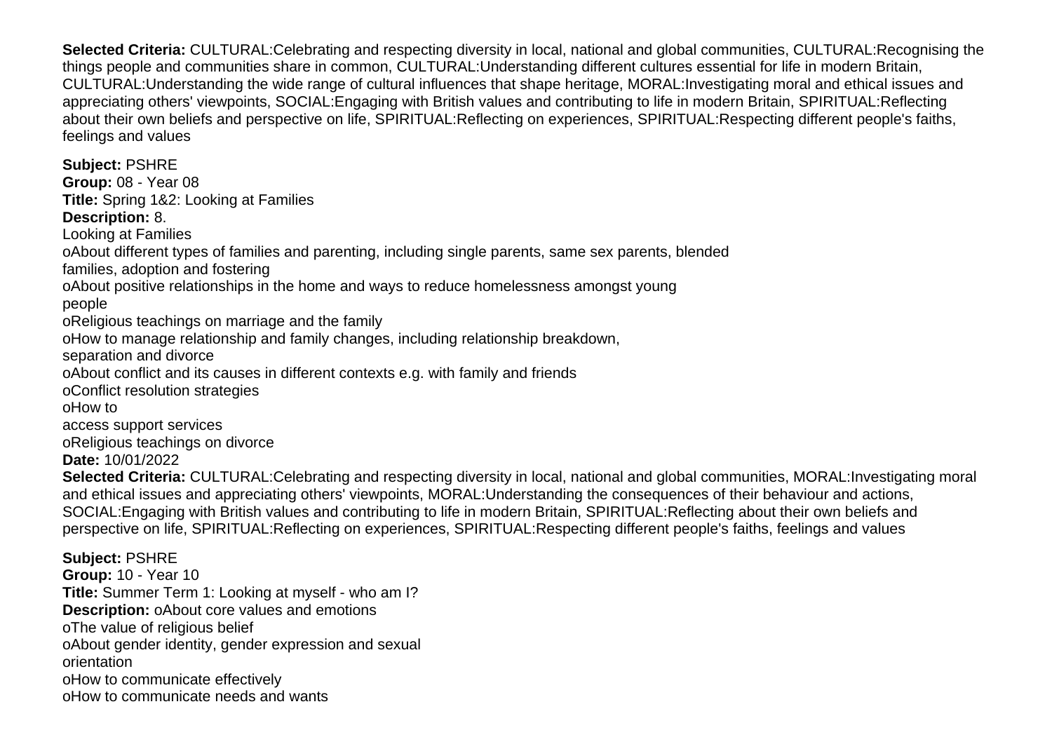**Selected Criteria:** CULTURAL:Celebrating and respecting diversity in local, national and global communities, CULTURAL:Recognising the things people and communities share in common, CULTURAL:Understanding different cultures essential for life in modern Britain, CULTURAL:Understanding the wide range of cultural influences that shape heritage, MORAL:Investigating moral and ethical issues and appreciating others' viewpoints, SOCIAL:Engaging with British values and contributing to life in modern Britain, SPIRITUAL:Reflecting about their own beliefs and perspective on life, SPIRITUAL:Reflecting on experiences, SPIRITUAL:Respecting different people's faiths, feelings and values

**Subject:** PSHRE **Group:** 08 - Year 08 **Title:** Spring 1&2: Looking at Families **Description:** 8. Looking at Families o About different types of families and parenting, including single parents, same sex parents, blended families, adoption and fostering o About positive relationships in the home and ways to reduce homelessness amongst young people o Religious teachings on marriage and the family o How to manage relationship and family changes, including relationship breakdown, separation and divorce o About conflict and its causes in different contexts e.g. with family and friends o Conflict resolution strategies o How to access support services o Religious teachings on divorce **Date:** 10/01/2022 **Selected Criteria:** CULTURAL:Celebrating and respecting diversity in local, national and global communities, MORAL:Investigating moral and ethical issues and appreciating others' viewpoints, MORAL:Understanding the consequences of their behaviour and actions,

SOCIAL:Engaging with British values and contributing to life in modern Britain, SPIRITUAL:Reflecting about their own beliefs and perspective on life, SPIRITUAL:Reflecting on experiences, SPIRITUAL:Respecting different people's faiths, feelings and values

**Subject:** PSHRE

**Group:** 10 - Year 10

**Title:** Summer Term 1: Looking at myself - who am I?

**Description:** o About core values and emotions

o The value of religious belief

o About gender identity, gender expression and sexual orientation

o How to communicate effectively

o How to communicate needs and wants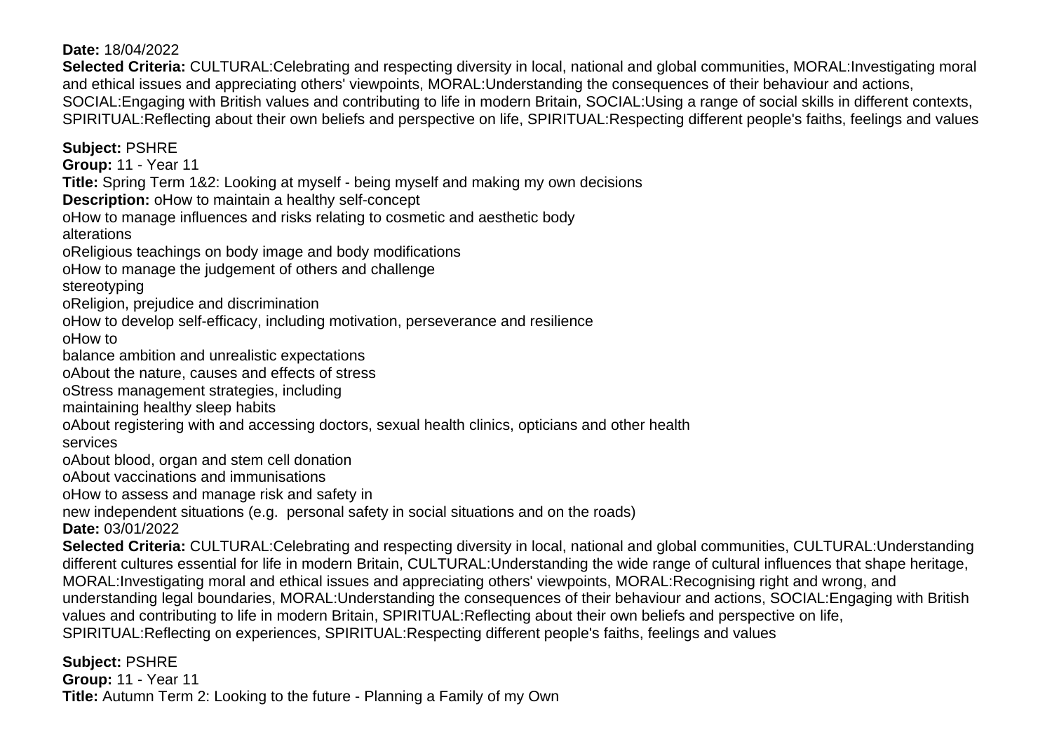#### **Date:** 18/04/2022

**Selected Criteria:** CULTURAL:Celebrating and respecting diversity in local, national and global communities, MORAL:Investigating moral and ethical issues and appreciating others' viewpoints, MORAL:Understanding the consequences of their behaviour and actions, SOCIAL:Engaging with British values and contributing to life in modern Britain, SOCIAL:Using a range of social skills in different contexts, SPIRITUAL:Reflecting about their own beliefs and perspective on life, SPIRITUAL:Respecting different people's faiths, feelings and values

**Subject:** PSHRE

**Group:** 11 - Year 11

**Title:** Spring Term 1&2: Looking at myself - being myself and making my own decisions

**Description:** o How to maintain a healthy self-concept

o How to manage influences and risks relating to cosmetic and aesthetic body

alterations

o Religious teachings on body image and body modifications

o How to manage the judgement of others and challenge

stereotyping

o Religion, prejudice and discrimination

o How to develop self-efficacy, including motivation, perseverance and resilience

o How to

balance ambition and unrealistic expectations

o About the nature, causes and effects of stress

o Stress management strategies, including

maintaining healthy sleep habits

o About registering with and accessing doctors, sexual health clinics, opticians and other health

services

o About blood, organ and stem cell donation

o About vaccinations and immunisations

o How to assess and manage risk and safety in

new independent situations (e.g. personal safety in social situations and on the roads)

**Date:** 03/01/2022

**Selected Criteria:** CULTURAL:Celebrating and respecting diversity in local, national and global communities, CULTURAL:Understanding different cultures essential for life in modern Britain, CULTURAL:Understanding the wide range of cultural influences that shape heritage, MORAL:Investigating moral and ethical issues and appreciating others' viewpoints, MORAL:Recognising right and wrong, and understanding legal boundaries, MORAL:Understanding the consequences of their behaviour and actions, SOCIAL:Engaging with British values and contributing to life in modern Britain, SPIRITUAL:Reflecting about their own beliefs and perspective on life, SPIRITUAL:Reflecting on experiences, SPIRITUAL:Respecting different people's faiths, feelings and values

**Subject:** PSHRE **Group:** 11 - Year 11 **Title:** Autumn Term 2: Looking to the future - Planning a Family of my Own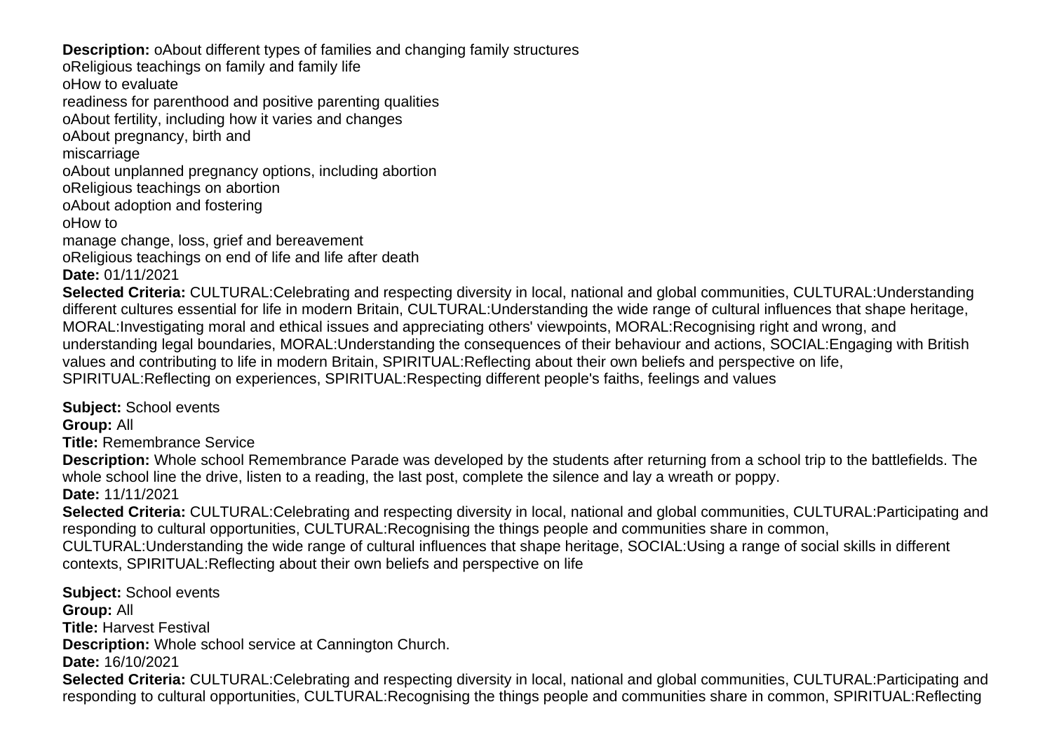**Description:** o About different types of families and changing family structures

o Religious teachings on family and family life

o How to evaluate

readiness for parenthood and positive parenting qualities

o About fertility, including how it varies and changes

o About pregnancy, birth and

miscarriage

o About unplanned pregnancy options, including abortion

o Religious teachings on abortion

o About adoption and fostering

o How to

manage change, loss, grief and bereavement

o Religious teachings on end of life and life after death

**Date:** 01/11/2021

**Selected Criteria:** CULTURAL:Celebrating and respecting diversity in local, national and global communities, CULTURAL:Understanding different cultures essential for life in modern Britain, CULTURAL:Understanding the wide range of cultural influences that shape heritage, MORAL:Investigating moral and ethical issues and appreciating others' viewpoints, MORAL:Recognising right and wrong, and understanding legal boundaries, MORAL:Understanding the consequences of their behaviour and actions, SOCIAL:Engaging with British values and contributing to life in modern Britain, SPIRITUAL:Reflecting about their own beliefs and perspective on life, SPIRITUAL:Reflecting on experiences, SPIRITUAL:Respecting different people's faiths, feelings and values

**Subject:** School events **Group:** All

**Title:** Remembrance Service

**Description:** Whole school Remembrance Parade was developed by the students after returning from a school trip to the battlefields. The whole school line the drive, listen to a reading, the last post, complete the silence and lay a wreath or poppy. **Date:** 11/11/2021

**Selected Criteria:** CULTURAL:Celebrating and respecting diversity in local, national and global communities, CULTURAL:Participating and responding to cultural opportunities, CULTURAL:Recognising the things people and communities share in common,

CULTURAL:Understanding the wide range of cultural influences that shape heritage, SOCIAL:Using a range of social skills in different contexts, SPIRITUAL:Reflecting about their own beliefs and perspective on life

**Subject:** School events **Group:** All **Title:** Harvest Festival **Description:** Whole school service at Cannington Church. **Date:** 16/10/2021 **Selected Criteria:** CULTURAL:Celebrating and respecting diversity in local, national and global communities, CULTURAL:Participating and responding to cultural opportunities, CULTURAL:Recognising the things people and communities share in common, SPIRITUAL:Reflecting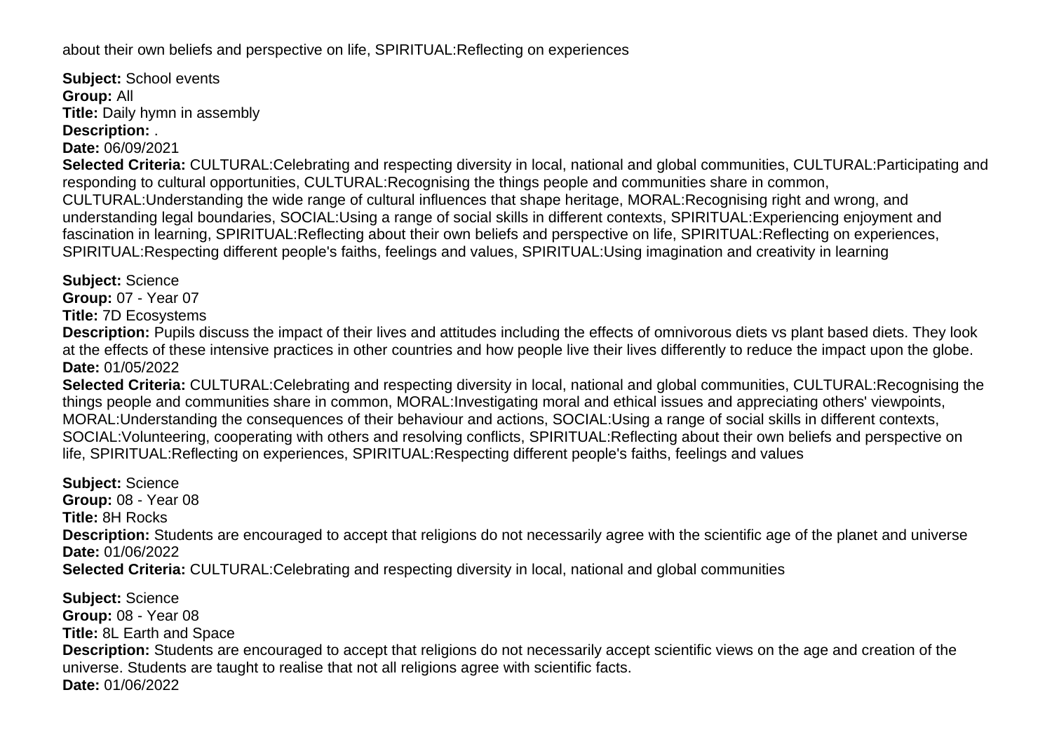about their own beliefs and perspective on life, SPIRITUAL:Reflecting on experiences

**Subject:** School events **Group:** All **Title:** Daily hymn in assembly **Description:** .

**Date:** 06/09/2021

**Selected Criteria:** CULTURAL:Celebrating and respecting diversity in local, national and global communities, CULTURAL:Participating and responding to cultural opportunities, CULTURAL:Recognising the things people and communities share in common, CULTURAL:Understanding the wide range of cultural influences that shape heritage, MORAL:Recognising right and wrong, and understanding legal boundaries, SOCIAL:Using a range of social skills in different contexts, SPIRITUAL:Experiencing enjoyment and fascination in learning, SPIRITUAL:Reflecting about their own beliefs and perspective on life, SPIRITUAL:Reflecting on experiences, SPIRITUAL:Respecting different people's faiths, feelings and values, SPIRITUAL:Using imagination and creativity in learning

**Subject:** Science

**Group:** 07 - Year 07

**Title:** 7D Ecosystems

**Description:** Pupils discuss the impact of their lives and attitudes including the effects of omnivorous diets vs plant based diets. They look at the effects of these intensive practices in other countries and how people live their lives differently to reduce the impact upon the globe. **Date:** 01/05/2022

**Selected Criteria:** CULTURAL:Celebrating and respecting diversity in local, national and global communities, CULTURAL:Recognising the things people and communities share in common, MORAL:Investigating moral and ethical issues and appreciating others' viewpoints, MORAL:Understanding the consequences of their behaviour and actions, SOCIAL:Using a range of social skills in different contexts, SOCIAL:Volunteering, cooperating with others and resolving conflicts, SPIRITUAL:Reflecting about their own beliefs and perspective on life, SPIRITUAL:Reflecting on experiences, SPIRITUAL:Respecting different people's faiths, feelings and values

**Subject:** Science **Group:** 08 - Year 08 **Title:** 8H Rocks **Description:** Students are encouraged to accept that religions do not necessarily agree with the scientific age of the planet and universe **Date:** 01/06/2022 **Selected Criteria:** CULTURAL:Celebrating and respecting diversity in local, national and global communities

**Subject:** Science **Group:** 08 - Year 08 **Title:** 8L Earth and Space **Description:** Students are encouraged to accept that religions do not necessarily accept scientific views on the age and creation of the universe. Students are taught to realise that not all religions agree with scientific facts. **Date:** 01/06/2022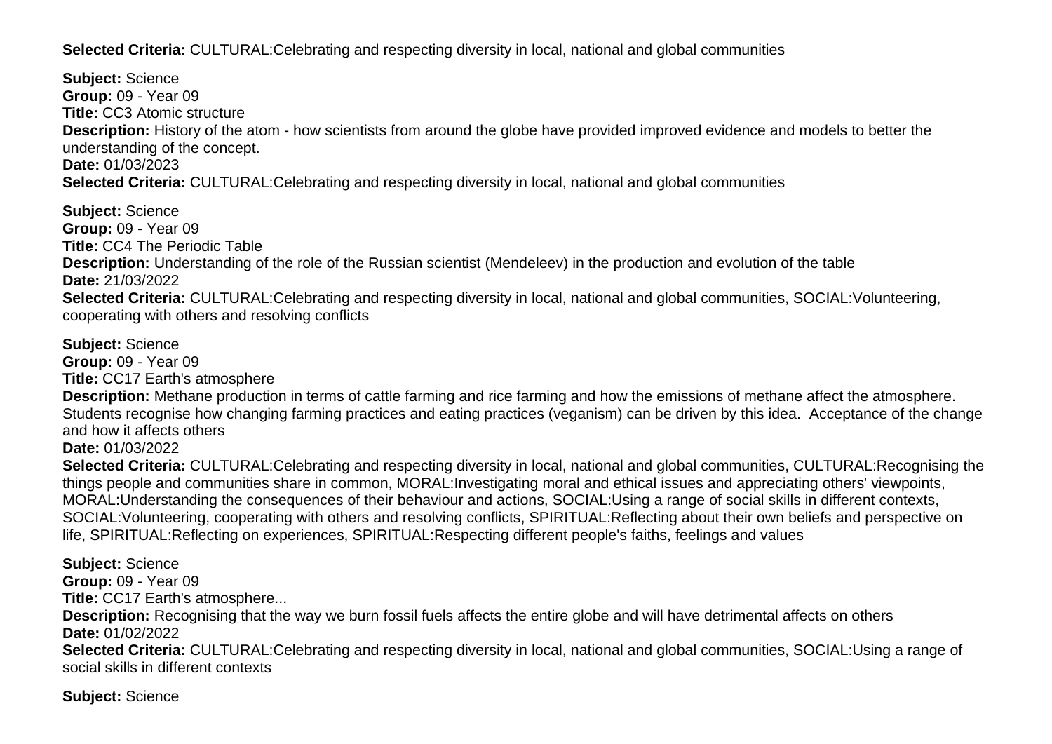**Selected Criteria:** CULTURAL:Celebrating and respecting diversity in local, national and global communities

**Subject:** Science **Group:** 09 - Year 09 **Title:** CC3 Atomic structure **Description:** History of the atom - how scientists from around the globe have provided improved evidence and models to better the understanding of the concept. **Date:** 01/03/2023 **Selected Criteria:** CULTURAL:Celebrating and respecting diversity in local, national and global communities

**Subject:** Science **Group:** 09 - Year 09 **Title:** CC4 The Periodic Table **Description:** Understanding of the role of the Russian scientist (Mendeleev) in the production and evolution of the table **Date:** 21/03/2022 **Selected Criteria:** CULTURAL:Celebrating and respecting diversity in local, national and global communities, SOCIAL:Volunteering, cooperating with others and resolving conflicts

**Subject:** Science **Group:** 09 - Year 09 **Title:** CC17 Earth's atmosphere **Description:** Methane production in terms of cattle farming and rice farming and how the emissions of methane affect the atmosphere. Students recognise how changing farming practices and eating practices (veganism) can be driven by this idea. Acceptance of the change and how it affects others **Date:** 01/03/2022 **Selected Criteria:** CULTURAL:Celebrating and respecting diversity in local, national and global communities, CULTURAL:Recognising the

things people and communities share in common, MORAL:Investigating moral and ethical issues and appreciating others' viewpoints, MORAL:Understanding the consequences of their behaviour and actions, SOCIAL:Using a range of social skills in different contexts, SOCIAL:Volunteering, cooperating with others and resolving conflicts, SPIRITUAL:Reflecting about their own beliefs and perspective on life, SPIRITUAL:Reflecting on experiences, SPIRITUAL:Respecting different people's faiths, feelings and values

**Subject:** Science

**Group:** 09 - Year 09

**Title:** CC17 Earth's atmosphere...

**Description:** Recognising that the way we burn fossil fuels affects the entire globe and will have detrimental affects on others **Date:** 01/02/2022

**Selected Criteria:** CULTURAL:Celebrating and respecting diversity in local, national and global communities, SOCIAL:Using a range of social skills in different contexts

**Subject:** Science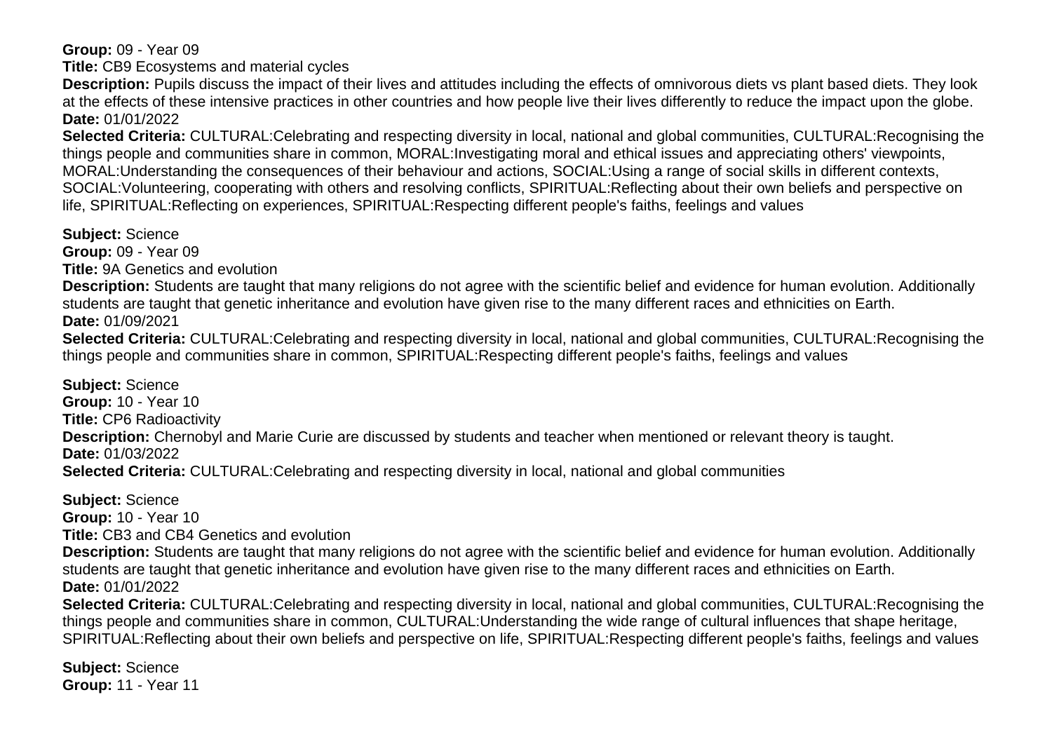**Group:** 09 - Year 09

**Title:** CB9 Ecosystems and material cycles

**Description:** Pupils discuss the impact of their lives and attitudes including the effects of omnivorous diets vs plant based diets. They look at the effects of these intensive practices in other countries and how people live their lives differently to reduce the impact upon the globe. **Date:** 01/01/2022

**Selected Criteria:** CULTURAL:Celebrating and respecting diversity in local, national and global communities, CULTURAL:Recognising the things people and communities share in common, MORAL:Investigating moral and ethical issues and appreciating others' viewpoints, MORAL:Understanding the consequences of their behaviour and actions, SOCIAL:Using a range of social skills in different contexts, SOCIAL:Volunteering, cooperating with others and resolving conflicts, SPIRITUAL:Reflecting about their own beliefs and perspective on life, SPIRITUAL:Reflecting on experiences, SPIRITUAL:Respecting different people's faiths, feelings and values

**Subject:** Science

**Group:** 09 - Year 09

**Title:** 9A Genetics and evolution

**Description:** Students are taught that many religions do not agree with the scientific belief and evidence for human evolution. Additionally students are taught that genetic inheritance and evolution have given rise to the many different races and ethnicities on Earth. **Date:** 01/09/2021

**Selected Criteria:** CULTURAL:Celebrating and respecting diversity in local, national and global communities, CULTURAL:Recognising the things people and communities share in common, SPIRITUAL:Respecting different people's faiths, feelings and values

**Subject:** Science **Group:** 10 - Year 10 **Title:** CP6 Radioactivity **Description:** Chernobyl and Marie Curie are discussed by students and teacher when mentioned or relevant theory is taught. **Date:** 01/03/2022 **Selected Criteria:** CULTURAL:Celebrating and respecting diversity in local, national and global communities

**Subject:** Science **Group:** 10 - Year 10 **Title:** CB3 and CB4 Genetics and evolution **Description:** Students are taught that many religions do not agree with the scientific belief and evidence for human evolution. Additionally students are taught that genetic inheritance and evolution have given rise to the many different races and ethnicities on Earth. **Date:** 01/01/2022 **Selected Criteria:** CULTURAL:Celebrating and respecting diversity in local, national and global communities, CULTURAL:Recognising the

things people and communities share in common, CULTURAL:Understanding the wide range of cultural influences that shape heritage, SPIRITUAL:Reflecting about their own beliefs and perspective on life, SPIRITUAL:Respecting different people's faiths, feelings and values

**Subject:** Science **Group:** 11 - Year 11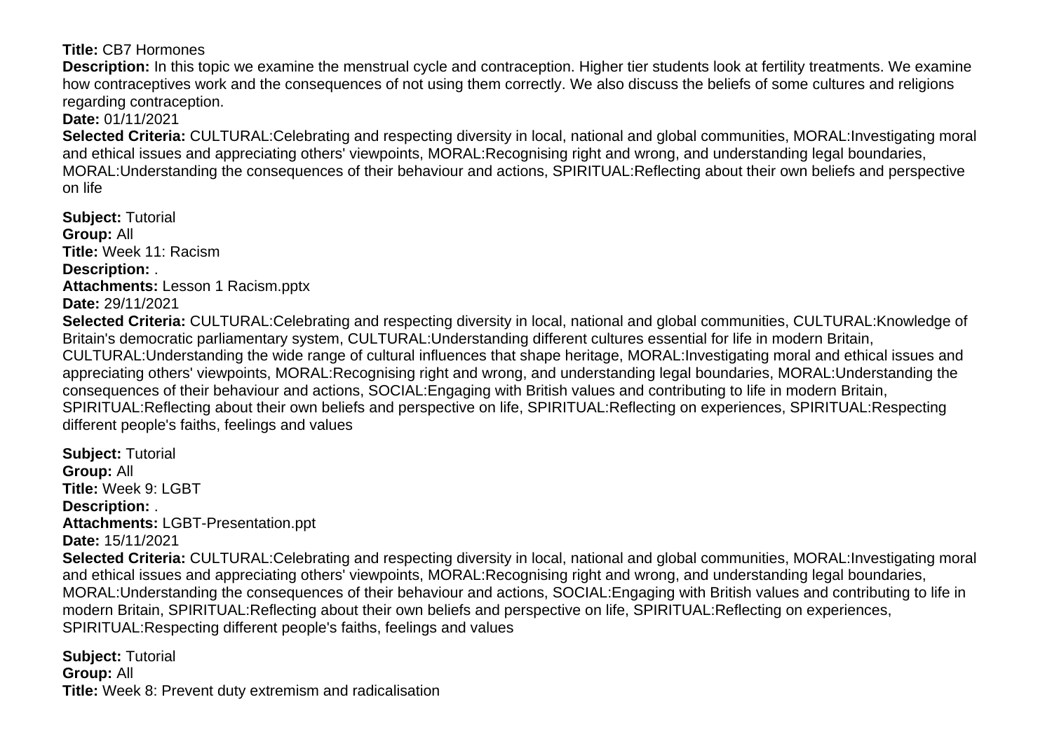## **Title:** CB7 Hormones

**Description:** In this topic we examine the menstrual cycle and contraception. Higher tier students look at fertility treatments. We examine how contraceptives work and the consequences of not using them correctly. We also discuss the beliefs of some cultures and religions regarding contraception.

**Date:** 01/11/2021

**Selected Criteria:** CULTURAL:Celebrating and respecting diversity in local, national and global communities, MORAL:Investigating moral and ethical issues and appreciating others' viewpoints, MORAL:Recognising right and wrong, and understanding legal boundaries, MORAL:Understanding the consequences of their behaviour and actions, SPIRITUAL:Reflecting about their own beliefs and perspective on life

**Subject:** Tutorial **Group:** All **Title:** Week 11: Racism **Description:** . **Attachments:** Lesson 1 Racism.pptx **Date:** 29/11/2021 **Selected Criteria:** CULTURAL:Celebrating and respecting diversity in local, national and global communities, CULTURAL:Knowledge of Britain's democratic parliamentary system, CULTURAL:Understanding different cultures essential for life in modern Britain, CULTURAL:Understanding the wide range of cultural influences that shape heritage, MORAL:Investigating moral and ethical issues and appreciating others' viewpoints, MORAL:Recognising right and wrong, and understanding legal boundaries, MORAL:Understanding the consequences of their behaviour and actions, SOCIAL:Engaging with British values and contributing to life in modern Britain, SPIRITUAL:Reflecting about their own beliefs and perspective on life, SPIRITUAL:Reflecting on experiences, SPIRITUAL:Respecting different people's faiths, feelings and values

**Subject:** Tutorial **Group:** All **Title:** Week 9: LGBT **Description:** . **Attachments:** LGBT-Presentation.ppt **Date:** 15/11/2021 **Selected Criteria:** CULTURAL:Celebrating and respecting diversity in local, national and global communities, MORAL:Investigating moral and ethical issues and appreciating others' viewpoints, MORAL:Recognising right and wrong, and understanding legal boundaries, MORAL:Understanding the consequences of their behaviour and actions, SOCIAL:Engaging with British values and contributing to life in modern Britain, SPIRITUAL:Reflecting about their own beliefs and perspective on life, SPIRITUAL:Reflecting on experiences, SPIRITUAL:Respecting different people's faiths, feelings and values

**Subject:** Tutorial **Group:** All **Title:** Week 8: Prevent duty extremism and radicalisation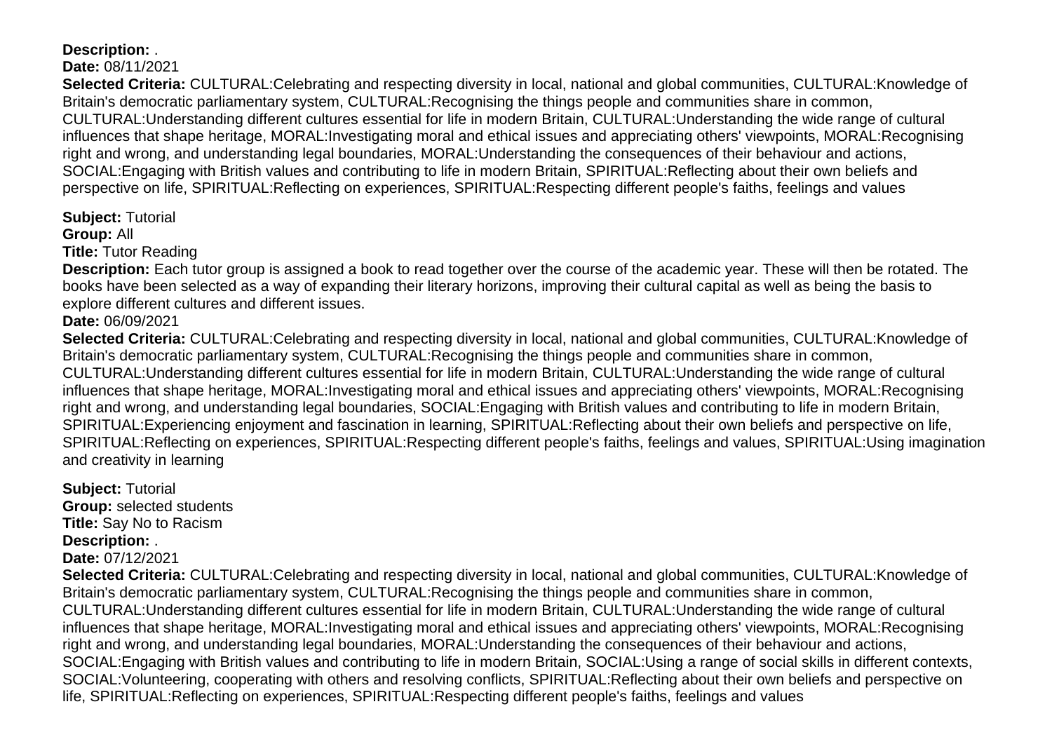# **Description:** .

## **Date:** 08/11/2021

**Selected Criteria:** CULTURAL:Celebrating and respecting diversity in local, national and global communities, CULTURAL:Knowledge of Britain's democratic parliamentary system, CULTURAL:Recognising the things people and communities share in common, CULTURAL:Understanding different cultures essential for life in modern Britain, CULTURAL:Understanding the wide range of cultural influences that shape heritage, MORAL:Investigating moral and ethical issues and appreciating others' viewpoints, MORAL:Recognising right and wrong, and understanding legal boundaries, MORAL:Understanding the consequences of their behaviour and actions, SOCIAL:Engaging with British values and contributing to life in modern Britain, SPIRITUAL:Reflecting about their own beliefs and perspective on life, SPIRITUAL:Reflecting on experiences, SPIRITUAL:Respecting different people's faiths, feelings and values

## **Subject:** Tutorial

**Group:** All

**Title:** Tutor Reading

**Description:** Each tutor group is assigned a book to read together over the course of the academic year. These will then be rotated. The books have been selected as a way of expanding their literary horizons, improving their cultural capital as well as being the basis to explore different cultures and different issues.

# **Date:** 06/09/2021

**Selected Criteria:** CULTURAL:Celebrating and respecting diversity in local, national and global communities, CULTURAL:Knowledge of Britain's democratic parliamentary system, CULTURAL:Recognising the things people and communities share in common, CULTURAL:Understanding different cultures essential for life in modern Britain, CULTURAL:Understanding the wide range of cultural influences that shape heritage, MORAL:Investigating moral and ethical issues and appreciating others' viewpoints, MORAL:Recognising right and wrong, and understanding legal boundaries, SOCIAL:Engaging with British values and contributing to life in modern Britain, SPIRITUAL:Experiencing enjoyment and fascination in learning, SPIRITUAL:Reflecting about their own beliefs and perspective on life, SPIRITUAL:Reflecting on experiences, SPIRITUAL:Respecting different people's faiths, feelings and values, SPIRITUAL:Using imagination and creativity in learning

**Subject:** Tutorial **Group:** selected students **Title:** Say No to Racism **Description:** . **Date:** 07/12/2021

**Selected Criteria:** CULTURAL:Celebrating and respecting diversity in local, national and global communities, CULTURAL:Knowledge of Britain's democratic parliamentary system, CULTURAL:Recognising the things people and communities share in common, CULTURAL:Understanding different cultures essential for life in modern Britain, CULTURAL:Understanding the wide range of cultural influences that shape heritage, MORAL:Investigating moral and ethical issues and appreciating others' viewpoints, MORAL:Recognising right and wrong, and understanding legal boundaries, MORAL:Understanding the consequences of their behaviour and actions, SOCIAL:Engaging with British values and contributing to life in modern Britain, SOCIAL:Using a range of social skills in different contexts, SOCIAL:Volunteering, cooperating with others and resolving conflicts, SPIRITUAL:Reflecting about their own beliefs and perspective on life, SPIRITUAL:Reflecting on experiences, SPIRITUAL:Respecting different people's faiths, feelings and values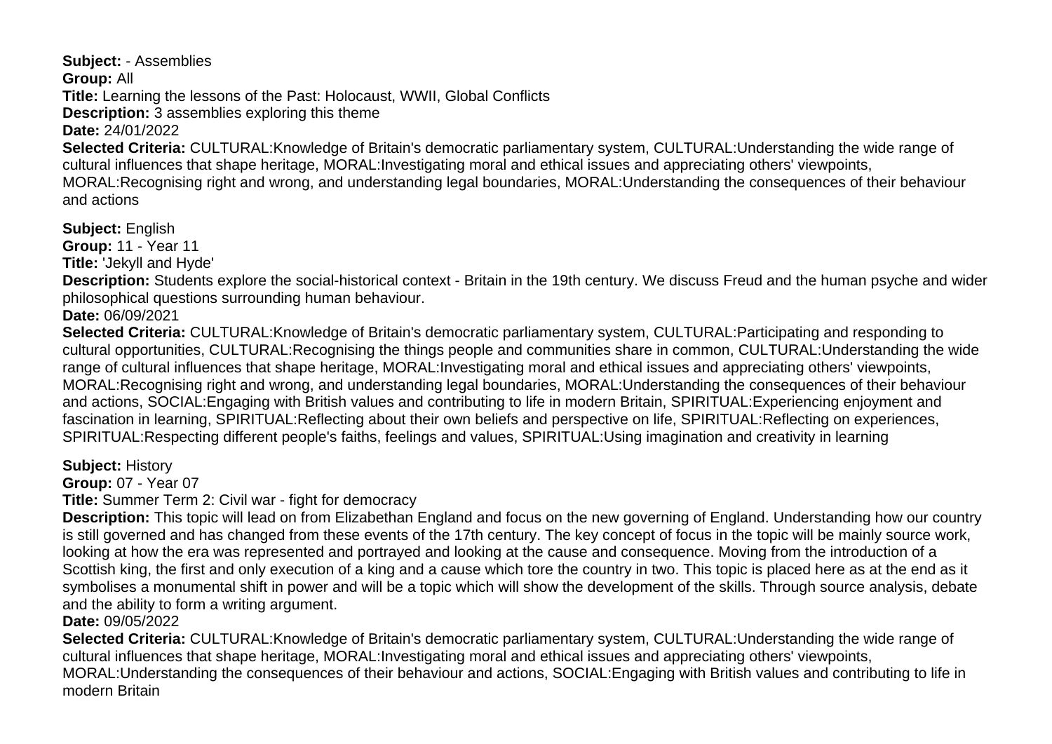**Subject:** - Assemblies **Group:** All **Title:** Learning the lessons of the Past: Holocaust, WWII, Global Conflicts **Description:** 3 assemblies exploring this theme **Date:** 24/01/2022 **Selected Criteria:** CULTURAL:Knowledge of Britain's democratic parliamentary system, CULTURAL:Understanding the wide range of cultural influences that shape heritage, MORAL:Investigating moral and ethical issues and appreciating others' viewpoints, MORAL:Recognising right and wrong, and understanding legal boundaries, MORAL:Understanding the consequences of their behaviour and actions

**Subject:** English

**Group:** 11 - Year 11

**Title:** 'Jekyll and Hyde'

**Description:** Students explore the social-historical context - Britain in the 19th century. We discuss Freud and the human psyche and wider philosophical questions surrounding human behaviour.

**Date:** 06/09/2021

**Selected Criteria:** CULTURAL:Knowledge of Britain's democratic parliamentary system, CULTURAL:Participating and responding to cultural opportunities, CULTURAL:Recognising the things people and communities share in common, CULTURAL:Understanding the wide range of cultural influences that shape heritage, MORAL:Investigating moral and ethical issues and appreciating others' viewpoints, MORAL:Recognising right and wrong, and understanding legal boundaries, MORAL:Understanding the consequences of their behaviour and actions, SOCIAL:Engaging with British values and contributing to life in modern Britain, SPIRITUAL:Experiencing enjoyment and fascination in learning, SPIRITUAL:Reflecting about their own beliefs and perspective on life, SPIRITUAL:Reflecting on experiences, SPIRITUAL:Respecting different people's faiths, feelings and values, SPIRITUAL:Using imagination and creativity in learning

**Subject:** History

**Group:** 07 - Year 07

**Title:** Summer Term 2: Civil war - fight for democracy

**Description:** This topic will lead on from Elizabethan England and focus on the new governing of England. Understanding how our country is still governed and has changed from these events of the 17th century. The key concept of focus in the topic will be mainly source work, looking at how the era was represented and portrayed and looking at the cause and consequence. Moving from the introduction of a Scottish king, the first and only execution of a king and a cause which tore the country in two. This topic is placed here as at the end as it symbolises a monumental shift in power and will be a topic which will show the development of the skills. Through source analysis, debate and the ability to form a writing argument.

**Date:** 09/05/2022

**Selected Criteria:** CULTURAL:Knowledge of Britain's democratic parliamentary system, CULTURAL:Understanding the wide range of cultural influences that shape heritage, MORAL:Investigating moral and ethical issues and appreciating others' viewpoints, MORAL:Understanding the consequences of their behaviour and actions, SOCIAL:Engaging with British values and contributing to life in modern Britain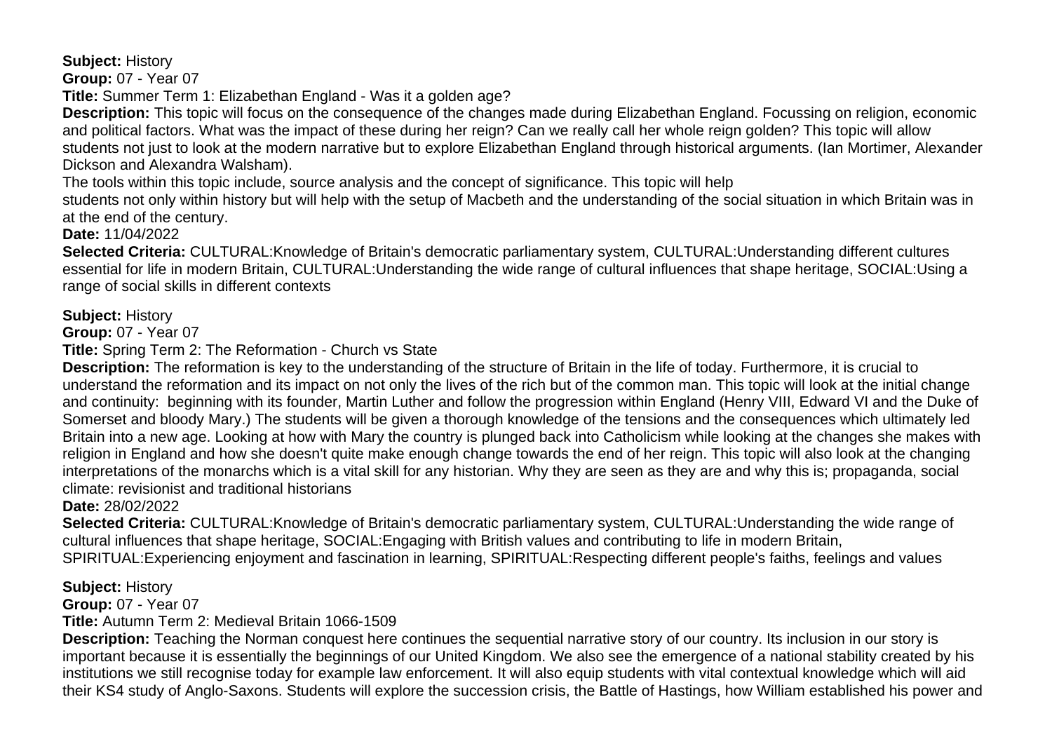**Subject:** History

**Group:** 07 - Year 07

**Title:** Summer Term 1: Elizabethan England - Was it a golden age?

**Description:** This topic will focus on the consequence of the changes made during Elizabethan England. Focussing on religion, economic and political factors. What was the impact of these during her reign? Can we really call her whole reign golden? This topic will allow students not just to look at the modern narrative but to explore Elizabethan England through historical arguments. (Ian Mortimer, Alexander Dickson and Alexandra Walsham).

The tools within this topic include, source analysis and the concept of significance. This topic will help

students not only within history but will help with the setup of Macbeth and the understanding of the social situation in which Britain was in at the end of the century.

**Date:** 11/04/2022

**Selected Criteria:** CULTURAL:Knowledge of Britain's democratic parliamentary system, CULTURAL:Understanding different cultures essential for life in modern Britain, CULTURAL:Understanding the wide range of cultural influences that shape heritage, SOCIAL:Using a range of social skills in different contexts

## **Subject:** History

**Group:** 07 - Year 07

**Title:** Spring Term 2: The Reformation - Church vs State

**Description:** The reformation is key to the understanding of the structure of Britain in the life of today. Furthermore, it is crucial to understand the reformation and its impact on not only the lives of the rich but of the common man. This topic will look at the initial change and continuity: beginning with its founder, Martin Luther and follow the progression within England (Henry VIII, Edward VI and the Duke of Somerset and bloody Mary.) The students will be given a thorough knowledge of the tensions and the consequences which ultimately led Britain into a new age. Looking at how with Mary the country is plunged back into Catholicism while looking at the changes she makes with religion in England and how she doesn't quite make enough change towards the end of her reign. This topic will also look at the changing interpretations of the monarchs which is a vital skill for any historian. Why they are seen as they are and why this is; propaganda, social climate: revisionist and traditional historians

**Date:** 28/02/2022

**Selected Criteria:** CULTURAL:Knowledge of Britain's democratic parliamentary system, CULTURAL:Understanding the wide range of cultural influences that shape heritage, SOCIAL:Engaging with British values and contributing to life in modern Britain, SPIRITUAL:Experiencing enjoyment and fascination in learning, SPIRITUAL:Respecting different people's faiths, feelings and values

# **Subject:** History

**Group:** 07 - Year 07

**Title:** Autumn Term 2: Medieval Britain 1066-1509

**Description:** Teaching the Norman conquest here continues the sequential narrative story of our country. Its inclusion in our story is important because it is essentially the beginnings of our United Kingdom. We also see the emergence of a national stability created by his institutions we still recognise today for example law enforcement. It will also equip students with vital contextual knowledge which will aid their KS4 study of Anglo-Saxons. Students will explore the succession crisis, the Battle of Hastings, how William established his power and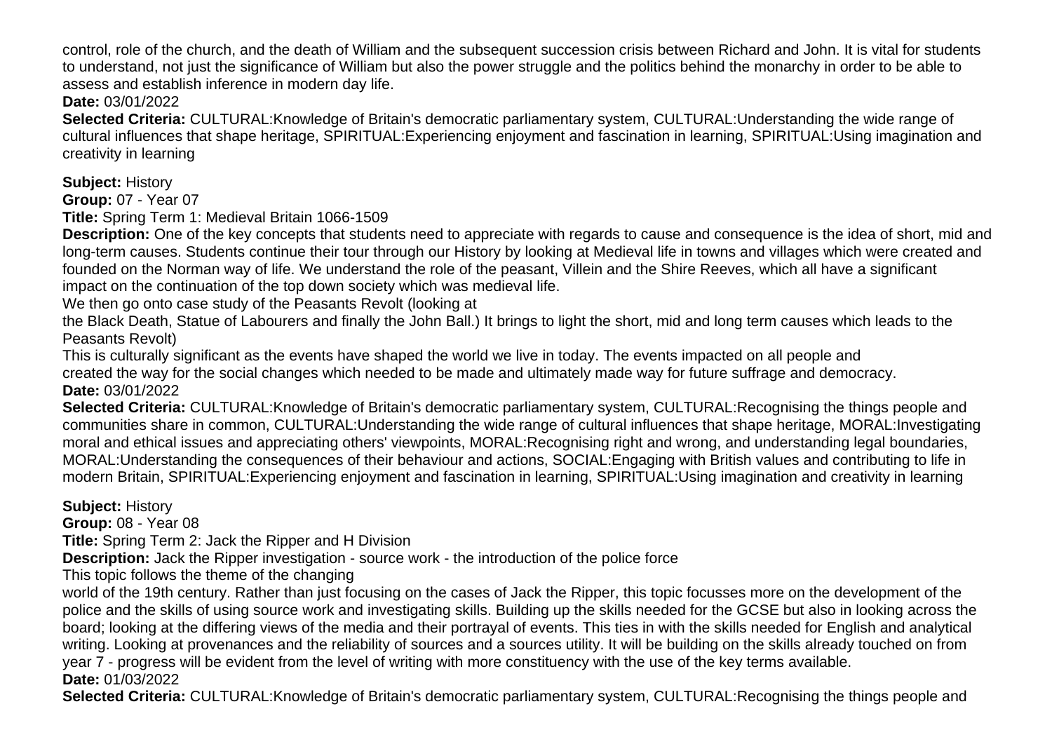control, role of the church, and the death of William and the subsequent succession crisis between Richard and John. It is vital for students to understand, not just the significance of William but also the power struggle and the politics behind the monarchy in order to be able to assess and establish inference in modern day life.

**Date:** 03/01/2022

**Selected Criteria:** CULTURAL:Knowledge of Britain's democratic parliamentary system, CULTURAL:Understanding the wide range of cultural influences that shape heritage, SPIRITUAL:Experiencing enjoyment and fascination in learning, SPIRITUAL:Using imagination and creativity in learning

**Subject:** History

**Group:** 07 - Year 07

**Title:** Spring Term 1: Medieval Britain 1066-1509

**Description:** One of the key concepts that students need to appreciate with regards to cause and consequence is the idea of short, mid and long-term causes. Students continue their tour through our History by looking at Medieval life in towns and villages which were created and founded on the Norman way of life. We understand the role of the peasant, Villein and the Shire Reeves, which all have a significant impact on the continuation of the top down society which was medieval life.

We then go onto case study of the Peasants Revolt (looking at

the Black Death, Statue of Labourers and finally the John Ball.) It brings to light the short, mid and long term causes which leads to the Peasants Revolt)

This is culturally significant as the events have shaped the world we live in today. The events impacted on all people and created the way for the social changes which needed to be made and ultimately made way for future suffrage and democracy. **Date:** 03/01/2022

**Selected Criteria:** CULTURAL:Knowledge of Britain's democratic parliamentary system, CULTURAL:Recognising the things people and communities share in common, CULTURAL:Understanding the wide range of cultural influences that shape heritage, MORAL:Investigating moral and ethical issues and appreciating others' viewpoints, MORAL:Recognising right and wrong, and understanding legal boundaries, MORAL:Understanding the consequences of their behaviour and actions, SOCIAL:Engaging with British values and contributing to life in modern Britain, SPIRITUAL:Experiencing enjoyment and fascination in learning, SPIRITUAL:Using imagination and creativity in learning

**Subject:** History

**Group:** 08 - Year 08

**Title:** Spring Term 2: Jack the Ripper and H Division

**Description:** Jack the Ripper investigation - source work - the introduction of the police force

This topic follows the theme of the changing

world of the 19th century. Rather than just focusing on the cases of Jack the Ripper, this topic focusses more on the development of the police and the skills of using source work and investigating skills. Building up the skills needed for the GCSE but also in looking across the board; looking at the differing views of the media and their portrayal of events. This ties in with the skills needed for English and analytical writing. Looking at provenances and the reliability of sources and a sources utility. It will be building on the skills already touched on from year 7 - progress will be evident from the level of writing with more constituency with the use of the key terms available. **Date:** 01/03/2022

**Selected Criteria:** CULTURAL:Knowledge of Britain's democratic parliamentary system, CULTURAL:Recognising the things people and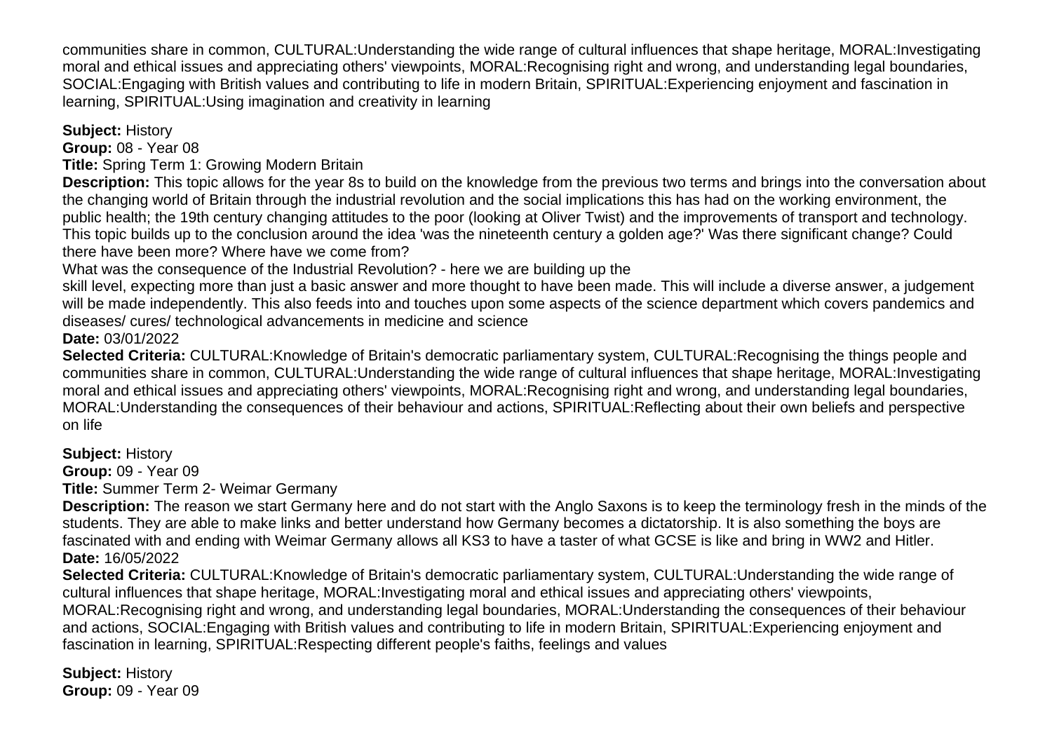communities share in common, CULTURAL:Understanding the wide range of cultural influences that shape heritage, MORAL:Investigating moral and ethical issues and appreciating others' viewpoints, MORAL:Recognising right and wrong, and understanding legal boundaries, SOCIAL:Engaging with British values and contributing to life in modern Britain, SPIRITUAL:Experiencing enjoyment and fascination in learning, SPIRITUAL:Using imagination and creativity in learning

**Subject:** History

**Group:** 08 - Year 08

**Title:** Spring Term 1: Growing Modern Britain

**Description:** This topic allows for the year 8s to build on the knowledge from the previous two terms and brings into the conversation about the changing world of Britain through the industrial revolution and the social implications this has had on the working environment, the public health; the 19th century changing attitudes to the poor (looking at Oliver Twist) and the improvements of transport and technology. This topic builds up to the conclusion around the idea 'was the nineteenth century a golden age?' Was there significant change? Could there have been more? Where have we come from?

What was the consequence of the Industrial Revolution? - here we are building up the

skill level, expecting more than just a basic answer and more thought to have been made. This will include a diverse answer, a judgement will be made independently. This also feeds into and touches upon some aspects of the science department which covers pandemics and diseases/ cures/ technological advancements in medicine and science

**Date:** 03/01/2022

**Selected Criteria:** CULTURAL:Knowledge of Britain's democratic parliamentary system, CULTURAL:Recognising the things people and communities share in common, CULTURAL:Understanding the wide range of cultural influences that shape heritage, MORAL:Investigating moral and ethical issues and appreciating others' viewpoints, MORAL:Recognising right and wrong, and understanding legal boundaries, MORAL:Understanding the consequences of their behaviour and actions, SPIRITUAL:Reflecting about their own beliefs and perspective on life

## **Subject:** History

**Group:** 09 - Year 09

**Title:** Summer Term 2- Weimar Germany

**Description:** The reason we start Germany here and do not start with the Anglo Saxons is to keep the terminology fresh in the minds of the students. They are able to make links and better understand how Germany becomes a dictatorship. It is also something the boys are fascinated with and ending with Weimar Germany allows all KS3 to have a taster of what GCSE is like and bring in WW2 and Hitler. **Date:** 16/05/2022

**Selected Criteria:** CULTURAL:Knowledge of Britain's democratic parliamentary system, CULTURAL:Understanding the wide range of cultural influences that shape heritage, MORAL:Investigating moral and ethical issues and appreciating others' viewpoints, MORAL:Recognising right and wrong, and understanding legal boundaries, MORAL:Understanding the consequences of their behaviour and actions, SOCIAL:Engaging with British values and contributing to life in modern Britain, SPIRITUAL:Experiencing enjoyment and fascination in learning, SPIRITUAL:Respecting different people's faiths, feelings and values

**Subject:** History **Group:** 09 - Year 09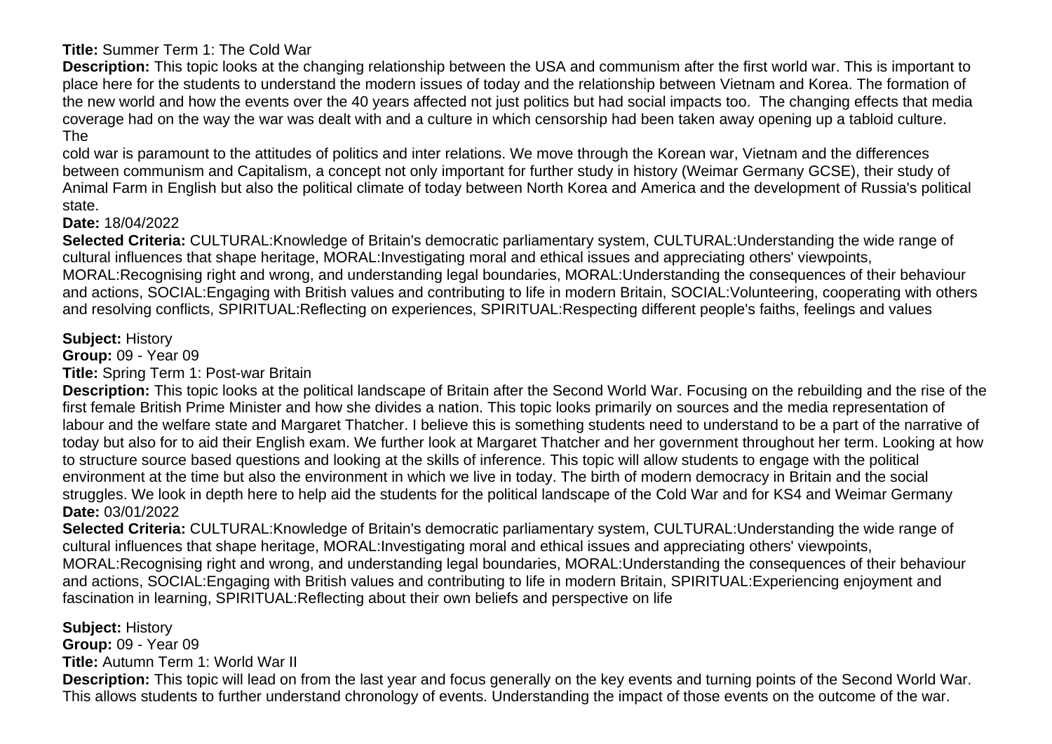# **Title:** Summer Term 1: The Cold War

**Description:** This topic looks at the changing relationship between the USA and communism after the first world war. This is important to place here for the students to understand the modern issues of today and the relationship between Vietnam and Korea. The formation of the new world and how the events over the 40 years affected not just politics but had social impacts too. The changing effects that media coverage had on the way the war was dealt with and a culture in which censorship had been taken away opening up a tabloid culture. The

cold war is paramount to the attitudes of politics and inter relations. We move through the Korean war, Vietnam and the differences between communism and Capitalism, a concept not only important for further study in history (Weimar Germany GCSE), their study of Animal Farm in English but also the political climate of today between North Korea and America and the development of Russia's political state.

# **Date:** 18/04/2022

**Selected Criteria:** CULTURAL:Knowledge of Britain's democratic parliamentary system, CULTURAL:Understanding the wide range of cultural influences that shape heritage, MORAL:Investigating moral and ethical issues and appreciating others' viewpoints, MORAL:Recognising right and wrong, and understanding legal boundaries, MORAL:Understanding the consequences of their behaviour and actions, SOCIAL:Engaging with British values and contributing to life in modern Britain, SOCIAL:Volunteering, cooperating with others and resolving conflicts, SPIRITUAL:Reflecting on experiences, SPIRITUAL:Respecting different people's faiths, feelings and values

# **Subject:** History

**Group:** 09 - Year 09

**Title:** Spring Term 1: Post-war Britain

**Description:** This topic looks at the political landscape of Britain after the Second World War. Focusing on the rebuilding and the rise of the first female British Prime Minister and how she divides a nation. This topic looks primarily on sources and the media representation of labour and the welfare state and Margaret Thatcher. I believe this is something students need to understand to be a part of the narrative of today but also for to aid their English exam. We further look at Margaret Thatcher and her government throughout her term. Looking at how to structure source based questions and looking at the skills of inference. This topic will allow students to engage with the political environment at the time but also the environment in which we live in today. The birth of modern democracy in Britain and the social struggles. We look in depth here to help aid the students for the political landscape of the Cold War and for KS4 and Weimar Germany **Date:** 03/01/2022

**Selected Criteria:** CULTURAL:Knowledge of Britain's democratic parliamentary system, CULTURAL:Understanding the wide range of cultural influences that shape heritage, MORAL:Investigating moral and ethical issues and appreciating others' viewpoints, MORAL:Recognising right and wrong, and understanding legal boundaries, MORAL:Understanding the consequences of their behaviour and actions, SOCIAL:Engaging with British values and contributing to life in modern Britain, SPIRITUAL:Experiencing enjoyment and fascination in learning, SPIRITUAL:Reflecting about their own beliefs and perspective on life

**Subject:** History

**Group:** 09 - Year 09 **Title:** Autumn Term 1: World War II

**Description:** This topic will lead on from the last year and focus generally on the key events and turning points of the Second World War. This allows students to further understand chronology of events. Understanding the impact of those events on the outcome of the war.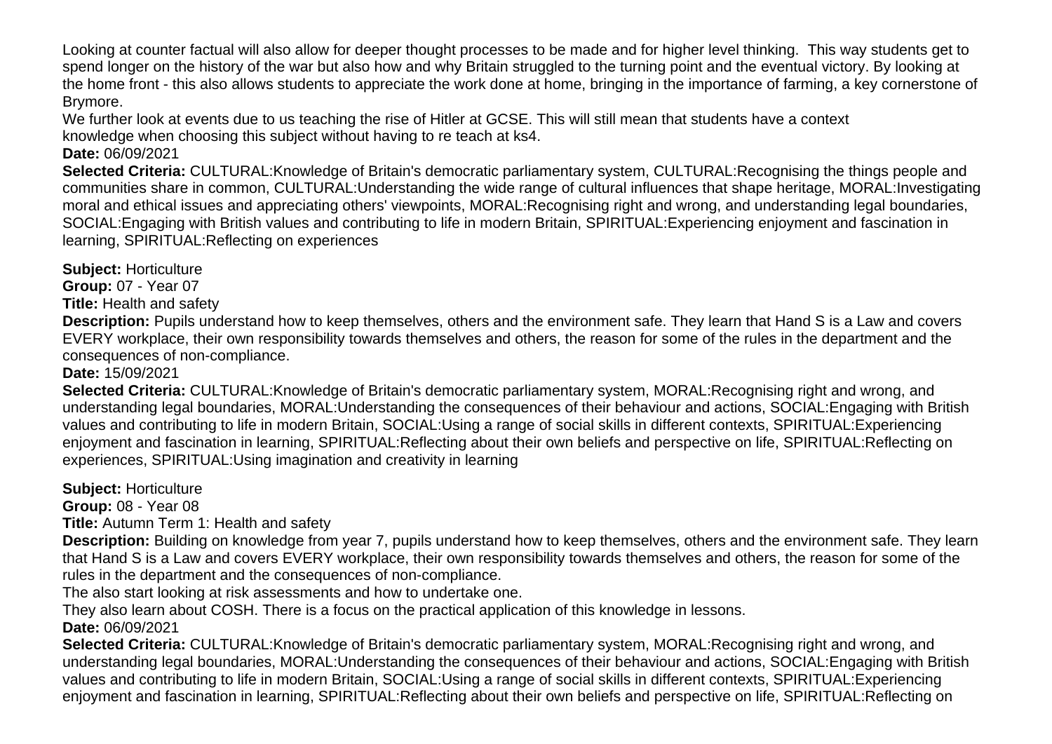Looking at counter factual will also allow for deeper thought processes to be made and for higher level thinking. This way students get to spend longer on the history of the war but also how and why Britain struggled to the turning point and the eventual victory. By looking at the home front - this also allows students to appreciate the work done at home, bringing in the importance of farming, a key cornerstone of Brymore.

We further look at events due to us teaching the rise of Hitler at GCSE. This will still mean that students have a context knowledge when choosing this subject without having to re teach at ks4.

## **Date:** 06/09/2021

**Selected Criteria:** CULTURAL:Knowledge of Britain's democratic parliamentary system, CULTURAL:Recognising the things people and communities share in common, CULTURAL:Understanding the wide range of cultural influences that shape heritage, MORAL:Investigating moral and ethical issues and appreciating others' viewpoints, MORAL:Recognising right and wrong, and understanding legal boundaries, SOCIAL:Engaging with British values and contributing to life in modern Britain, SPIRITUAL:Experiencing enjoyment and fascination in learning, SPIRITUAL:Reflecting on experiences

**Subject:** Horticulture

**Group:** 07 - Year 07

**Title:** Health and safety

**Description:** Pupils understand how to keep themselves, others and the environment safe. They learn that Hand S is a Law and covers EVERY workplace, their own responsibility towards themselves and others, the reason for some of the rules in the department and the consequences of non-compliance.

**Date:** 15/09/2021

**Selected Criteria:** CULTURAL:Knowledge of Britain's democratic parliamentary system, MORAL:Recognising right and wrong, and understanding legal boundaries, MORAL:Understanding the consequences of their behaviour and actions, SOCIAL:Engaging with British values and contributing to life in modern Britain, SOCIAL:Using a range of social skills in different contexts, SPIRITUAL:Experiencing enjoyment and fascination in learning, SPIRITUAL:Reflecting about their own beliefs and perspective on life, SPIRITUAL:Reflecting on experiences, SPIRITUAL:Using imagination and creativity in learning

**Subject:** Horticulture

**Group:** 08 - Year 08

**Title:** Autumn Term 1: Health and safety

**Description:** Building on knowledge from year 7, pupils understand how to keep themselves, others and the environment safe. They learn that Hand S is a Law and covers EVERY workplace, their own responsibility towards themselves and others, the reason for some of the rules in the department and the consequences of non-compliance.

The also start looking at risk assessments and how to undertake one.

They also learn about COSH. There is a focus on the practical application of this knowledge in lessons.

**Date:** 06/09/2021 **Selected Criteria:** CULTURAL:Knowledge of Britain's democratic parliamentary system, MORAL:Recognising right and wrong, and understanding legal boundaries, MORAL:Understanding the consequences of their behaviour and actions, SOCIAL:Engaging with British values and contributing to life in modern Britain, SOCIAL:Using a range of social skills in different contexts, SPIRITUAL:Experiencing enjoyment and fascination in learning, SPIRITUAL:Reflecting about their own beliefs and perspective on life, SPIRITUAL:Reflecting on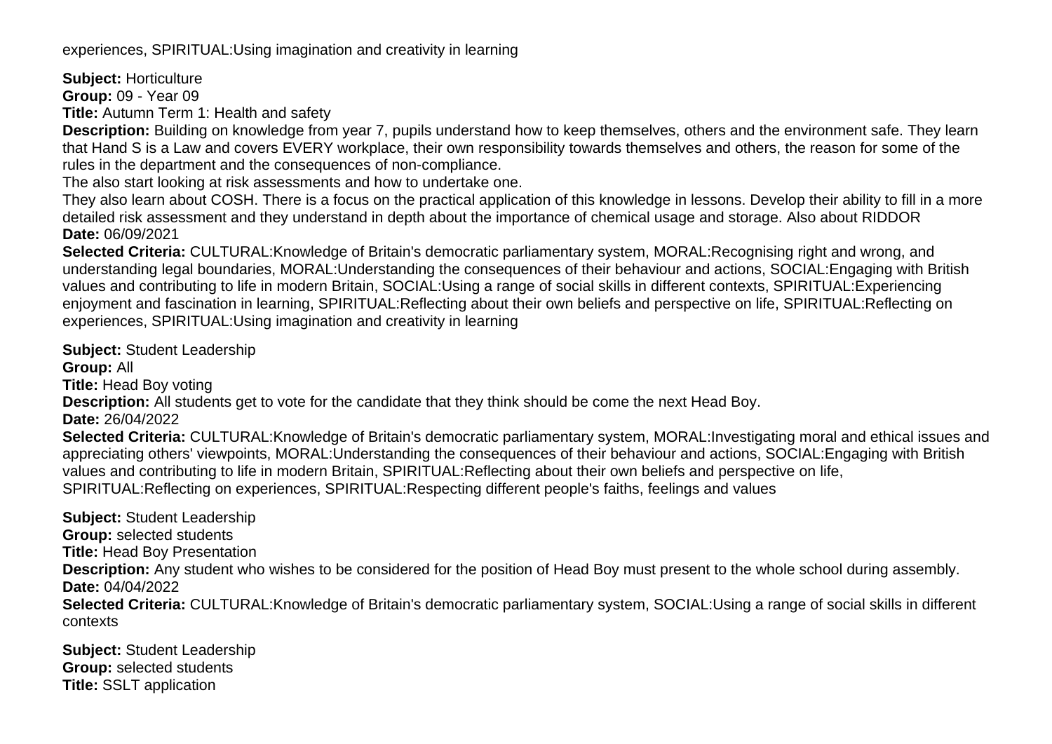experiences, SPIRITUAL:Using imagination and creativity in learning

**Subject:** Horticulture

**Group:** 09 - Year 09

**Title:** Autumn Term 1: Health and safety

**Description:** Building on knowledge from year 7, pupils understand how to keep themselves, others and the environment safe. They learn that Hand S is a Law and covers EVERY workplace, their own responsibility towards themselves and others, the reason for some of the rules in the department and the consequences of non-compliance.

The also start looking at risk assessments and how to undertake one.

They also learn about COSH. There is a focus on the practical application of this knowledge in lessons. Develop their ability to fill in a more detailed risk assessment and they understand in depth about the importance of chemical usage and storage. Also about RIDDOR **Date:** 06/09/2021

**Selected Criteria:** CULTURAL:Knowledge of Britain's democratic parliamentary system, MORAL:Recognising right and wrong, and understanding legal boundaries, MORAL:Understanding the consequences of their behaviour and actions, SOCIAL:Engaging with British values and contributing to life in modern Britain, SOCIAL:Using a range of social skills in different contexts, SPIRITUAL:Experiencing enjoyment and fascination in learning, SPIRITUAL:Reflecting about their own beliefs and perspective on life, SPIRITUAL:Reflecting on experiences, SPIRITUAL:Using imagination and creativity in learning

**Subject:** Student Leadership

**Group:** All

**Title:** Head Boy voting

**Description:** All students get to vote for the candidate that they think should be come the next Head Boy.

**Date:** 26/04/2022

**Selected Criteria:** CULTURAL:Knowledge of Britain's democratic parliamentary system, MORAL:Investigating moral and ethical issues and appreciating others' viewpoints, MORAL:Understanding the consequences of their behaviour and actions, SOCIAL:Engaging with British values and contributing to life in modern Britain, SPIRITUAL:Reflecting about their own beliefs and perspective on life, SPIRITUAL:Reflecting on experiences, SPIRITUAL:Respecting different people's faiths, feelings and values

**Subject:** Student Leadership **Group:** selected students **Title:** Head Boy Presentation **Description:** Any student who wishes to be considered for the position of Head Boy must present to the whole school during assembly. **Date:** 04/04/2022 **Selected Criteria:** CULTURAL:Knowledge of Britain's democratic parliamentary system, SOCIAL:Using a range of social skills in different contexts

**Subject:** Student Leadership **Group:** selected students **Title:** SSLT application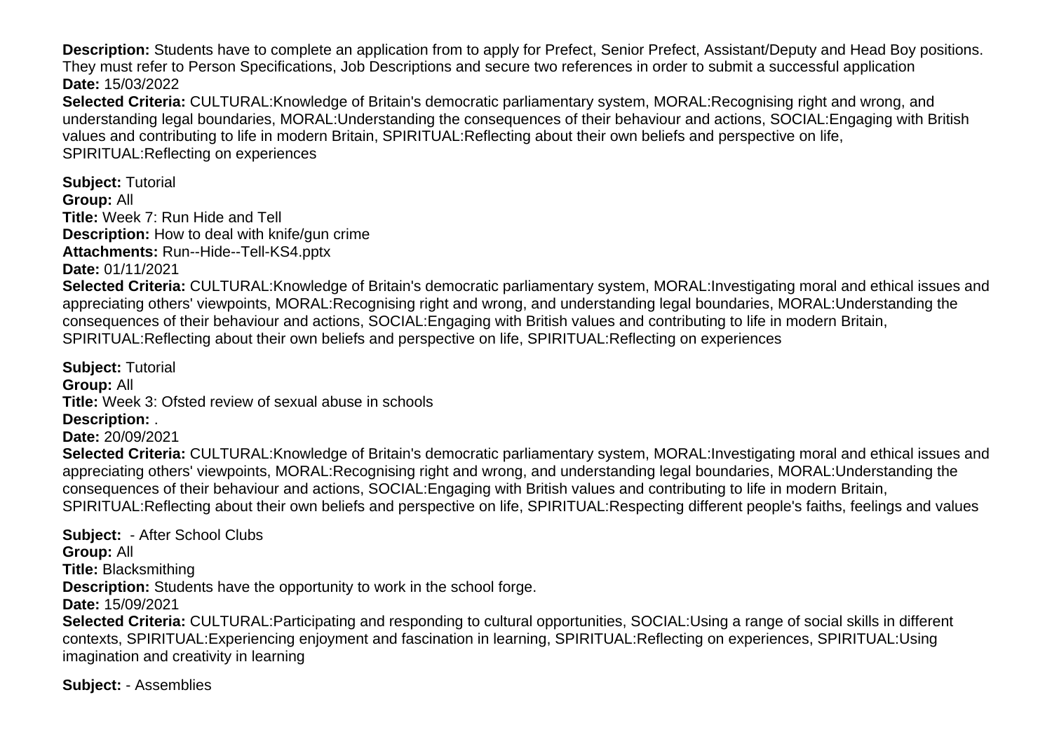**Description:** Students have to complete an application from to apply for Prefect, Senior Prefect, Assistant/Deputy and Head Boy positions. They must refer to Person Specifications, Job Descriptions and secure two references in order to submit a successful application **Date:** 15/03/2022

**Selected Criteria:** CULTURAL:Knowledge of Britain's democratic parliamentary system, MORAL:Recognising right and wrong, and understanding legal boundaries, MORAL:Understanding the consequences of their behaviour and actions, SOCIAL:Engaging with British values and contributing to life in modern Britain, SPIRITUAL:Reflecting about their own beliefs and perspective on life, SPIRITUAL:Reflecting on experiences

**Subject:** Tutorial **Group:** All **Title:** Week 7: Run Hide and Tell **Description:** How to deal with knife/gun crime **Attachments:** Run--Hide--Tell-KS4.pptx

**Date:** 01/11/2021

**Selected Criteria:** CULTURAL:Knowledge of Britain's democratic parliamentary system, MORAL:Investigating moral and ethical issues and appreciating others' viewpoints, MORAL:Recognising right and wrong, and understanding legal boundaries, MORAL:Understanding the consequences of their behaviour and actions, SOCIAL:Engaging with British values and contributing to life in modern Britain, SPIRITUAL:Reflecting about their own beliefs and perspective on life, SPIRITUAL:Reflecting on experiences

**Subject:** Tutorial **Group:** All **Title:** Week 3: Ofsted review of sexual abuse in schools **Description:** .

**Date:** 20/09/2021

**Selected Criteria:** CULTURAL:Knowledge of Britain's democratic parliamentary system, MORAL:Investigating moral and ethical issues and appreciating others' viewpoints, MORAL:Recognising right and wrong, and understanding legal boundaries, MORAL:Understanding the consequences of their behaviour and actions, SOCIAL:Engaging with British values and contributing to life in modern Britain, SPIRITUAL:Reflecting about their own beliefs and perspective on life, SPIRITUAL:Respecting different people's faiths, feelings and values

**Subject:** - After School Clubs **Group:** All **Title:** Blacksmithing **Description:** Students have the opportunity to work in the school forge. **Date:** 15/09/2021 **Selected Criteria:** CULTURAL:Participating and responding to cultural opportunities, SOCIAL:Using a range of social skills in different contexts, SPIRITUAL:Experiencing enjoyment and fascination in learning, SPIRITUAL:Reflecting on experiences, SPIRITUAL:Using imagination and creativity in learning

**Subject:** - Assemblies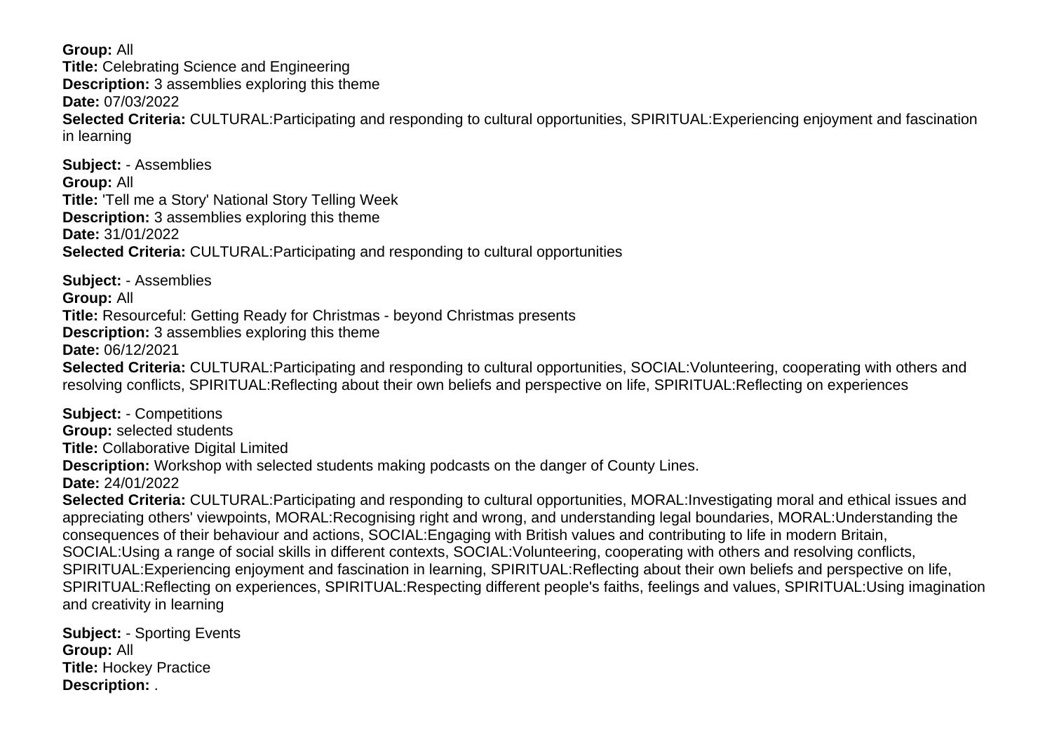**Group:** All **Title:** Celebrating Science and Engineering **Description:** 3 assemblies exploring this theme **Date:** 07/03/2022 **Selected Criteria:** CULTURAL:Participating and responding to cultural opportunities, SPIRITUAL:Experiencing enjoyment and fascination in learning

**Subject:** - Assemblies **Group:** All **Title:** 'Tell me a Story' National Story Telling Week **Description:** 3 assemblies exploring this theme **Date:** 31/01/2022 **Selected Criteria:** CULTURAL:Participating and responding to cultural opportunities

**Subject:** - Assemblies **Group:** All **Title:** Resourceful: Getting Ready for Christmas - beyond Christmas presents **Description:** 3 assemblies exploring this theme **Date:** 06/12/2021 **Selected Criteria:** CULTURAL:Participating and responding to cultural opportunities, SOCIAL:Volunteering, cooperating with others and resolving conflicts, SPIRITUAL:Reflecting about their own beliefs and perspective on life, SPIRITUAL:Reflecting on experiences

**Subject:** - Competitions **Group:** selected students **Title:** Collaborative Digital Limited **Description:** Workshop with selected students making podcasts on the danger of County Lines. **Date:** 24/01/2022 **Selected Criteria:** CULTURAL:Participating and responding to cultural opportunities, MORAL:Investigating moral and ethical issues and

appreciating others' viewpoints, MORAL:Recognising right and wrong, and understanding legal boundaries, MORAL:Understanding the consequences of their behaviour and actions, SOCIAL:Engaging with British values and contributing to life in modern Britain, SOCIAL:Using a range of social skills in different contexts, SOCIAL:Volunteering, cooperating with others and resolving conflicts, SPIRITUAL:Experiencing enjoyment and fascination in learning, SPIRITUAL:Reflecting about their own beliefs and perspective on life, SPIRITUAL:Reflecting on experiences, SPIRITUAL:Respecting different people's faiths, feelings and values, SPIRITUAL:Using imagination and creativity in learning

**Subject:** - Sporting Events **Group:** All **Title:** Hockey Practice **Description:** .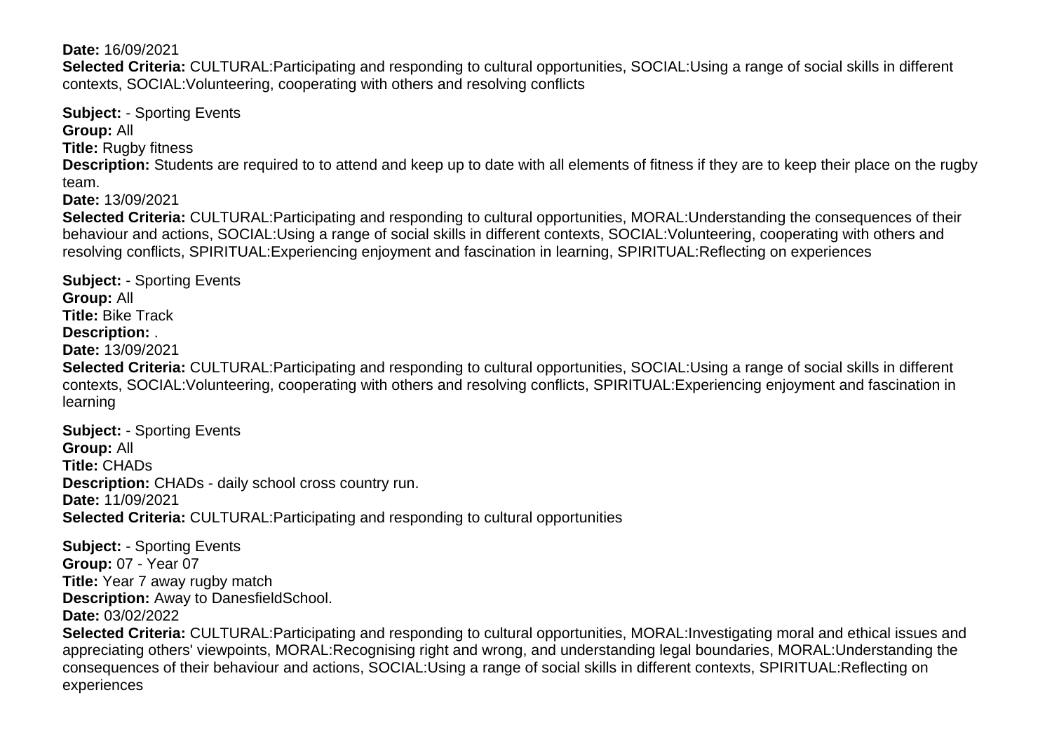**Date:** 16/09/2021

**Selected Criteria:** CULTURAL:Participating and responding to cultural opportunities, SOCIAL:Using a range of social skills in different contexts, SOCIAL:Volunteering, cooperating with others and resolving conflicts

**Subject:** - Sporting Events **Group:** All **Title:** Rugby fitness **Description:** Students are required to to attend and keep up to date with all elements of fitness if they are to keep their place on the rugby team. **Date:** 13/09/2021 **Selected Criteria:** CULTURAL:Participating and responding to cultural opportunities, MORAL:Understanding the consequences of their

behaviour and actions, SOCIAL:Using a range of social skills in different contexts, SOCIAL:Volunteering, cooperating with others and resolving conflicts, SPIRITUAL:Experiencing enjoyment and fascination in learning, SPIRITUAL:Reflecting on experiences

**Subject:** - Sporting Events **Group:** All **Title:** Bike Track **Description:** . **Date:** 13/09/2021 **Selected Criteria:** CULTURAL:Participating and responding to cultural opportunities, SOCIAL:Using a range of social skills in different contexts, SOCIAL:Volunteering, cooperating with others and resolving conflicts, SPIRITUAL:Experiencing enjoyment and fascination in learning

**Subject:** - Sporting Events **Group:** All **Title:** CHADs **Description:** CHADs - daily school cross country run. **Date:** 11/09/2021 **Selected Criteria:** CULTURAL:Participating and responding to cultural opportunities

**Subject:** - Sporting Events **Group:** 07 - Year 07 **Title:** Year 7 away rugby match **Description:** Away to DanesfieldSchool. **Date:** 03/02/2022

**Selected Criteria:** CULTURAL:Participating and responding to cultural opportunities, MORAL:Investigating moral and ethical issues and appreciating others' viewpoints, MORAL:Recognising right and wrong, and understanding legal boundaries, MORAL:Understanding the consequences of their behaviour and actions, SOCIAL:Using a range of social skills in different contexts, SPIRITUAL:Reflecting on experiences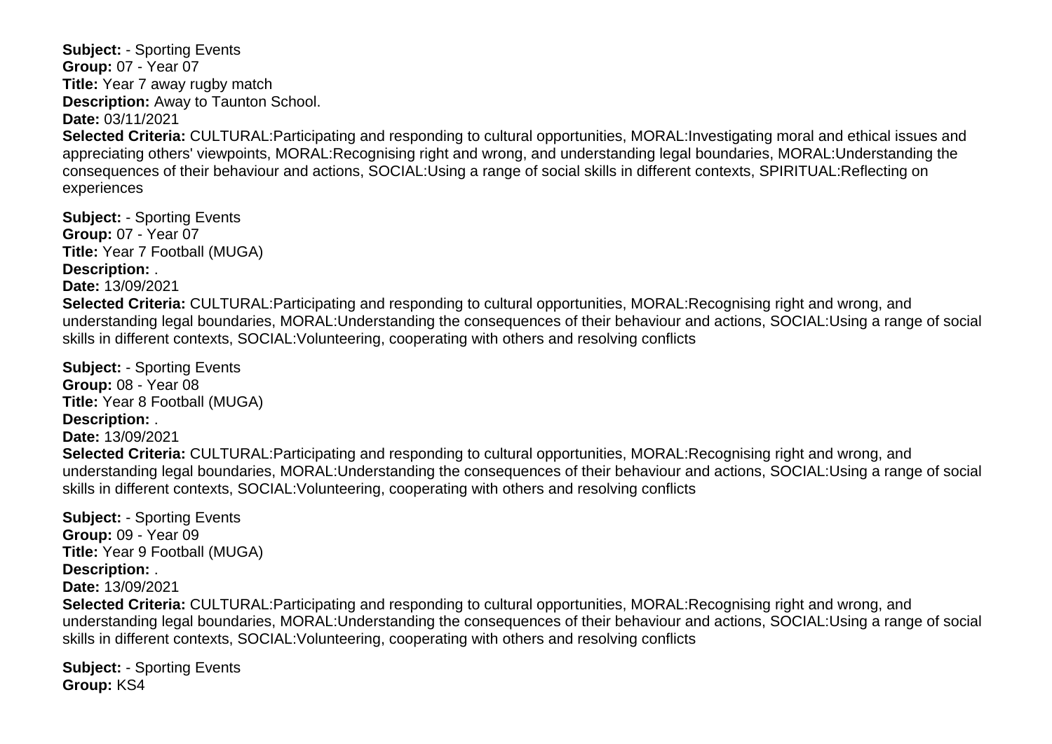**Subject:** - Sporting Events **Group:** 07 - Year 07 **Title:** Year 7 away rugby match **Description:** Away to Taunton School. **Date:** 03/11/2021 **Selected Criteria:** CULTURAL:Participating and responding to cultural opportunities, MORAL:Investigating moral and ethical issues and appreciating others' viewpoints, MORAL:Recognising right and wrong, and understanding legal boundaries, MORAL:Understanding the consequences of their behaviour and actions, SOCIAL:Using a range of social skills in different contexts, SPIRITUAL:Reflecting on experiences

**Subject:** - Sporting Events **Group:** 07 - Year 07 **Title:** Year 7 Football (MUGA) **Description:** . **Date:** 13/09/2021 **Selected Criteria:** CULTURAL:Participating and responding to cultural opportunities, MORAL:Recognising right and wrong, and understanding legal boundaries, MORAL:Understanding the consequences of their behaviour and actions, SOCIAL:Using a range of social skills in different contexts, SOCIAL:Volunteering, cooperating with others and resolving conflicts **Subject:** - Sporting Events **Group:** 08 - Year 08 **Title:** Year 8 Football (MUGA) **Description:** . **Date:** 13/09/2021 **Selected Criteria:** CULTURAL:Participating and responding to cultural opportunities, MORAL:Recognising right and wrong, and understanding legal boundaries, MORAL:Understanding the consequences of their behaviour and actions, SOCIAL:Using a range of social skills in different contexts, SOCIAL:Volunteering, cooperating with others and resolving conflicts

**Subject:** - Sporting Events **Group:** 09 - Year 09 **Title:** Year 9 Football (MUGA) **Description:** . **Date:** 13/09/2021 **Selected Criteria:** CULTURAL:Participating and responding to cultural opportunities, MORAL:Recognising right and wrong, and understanding legal boundaries, MORAL:Understanding the consequences of their behaviour and actions, SOCIAL:Using a range of social skills in different contexts, SOCIAL:Volunteering, cooperating with others and resolving conflicts

**Subject:** - Sporting Events **Group:** KS4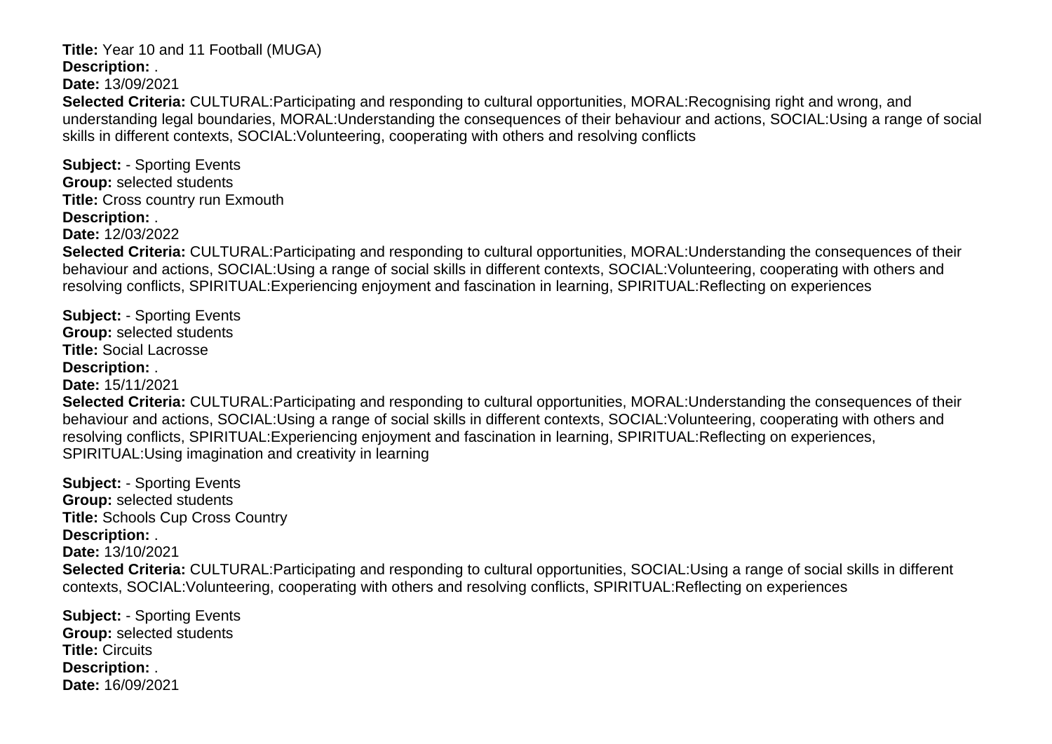#### **Title:** Year 10 and 11 Football (MUGA) **Description:** .

**Date:** 13/09/2021

**Selected Criteria:** CULTURAL:Participating and responding to cultural opportunities, MORAL:Recognising right and wrong, and understanding legal boundaries, MORAL:Understanding the consequences of their behaviour and actions, SOCIAL:Using a range of social skills in different contexts, SOCIAL:Volunteering, cooperating with others and resolving conflicts

**Subject:** - Sporting Events **Group:** selected students **Title:** Cross country run Exmouth **Description:** .

**Date:** 12/03/2022

**Selected Criteria:** CULTURAL:Participating and responding to cultural opportunities, MORAL:Understanding the consequences of their behaviour and actions, SOCIAL:Using a range of social skills in different contexts, SOCIAL:Volunteering, cooperating with others and resolving conflicts, SPIRITUAL:Experiencing enjoyment and fascination in learning, SPIRITUAL:Reflecting on experiences

**Subject:** - Sporting Events **Group:** selected students **Title:** Social Lacrosse **Description:** . **Date:** 15/11/2021 **Selected Criteria:** CULTURAL:Participating and responding to cultural opportunities, MORAL:Understanding the consequences of their

behaviour and actions, SOCIAL:Using a range of social skills in different contexts, SOCIAL:Volunteering, cooperating with others and resolving conflicts, SPIRITUAL:Experiencing enjoyment and fascination in learning, SPIRITUAL:Reflecting on experiences, SPIRITUAL:Using imagination and creativity in learning

**Subject:** - Sporting Events **Group:** selected students **Title:** Schools Cup Cross Country **Description:** . **Date:** 13/10/2021 **Selected Criteria:** CULTURAL:Participating and responding to cultural opportunities, SOCIAL:Using a range of social skills in different contexts, SOCIAL:Volunteering, cooperating with others and resolving conflicts, SPIRITUAL:Reflecting on experiences

**Subject:** - Sporting Events **Group:** selected students **Title:** Circuits **Description:** . **Date:** 16/09/2021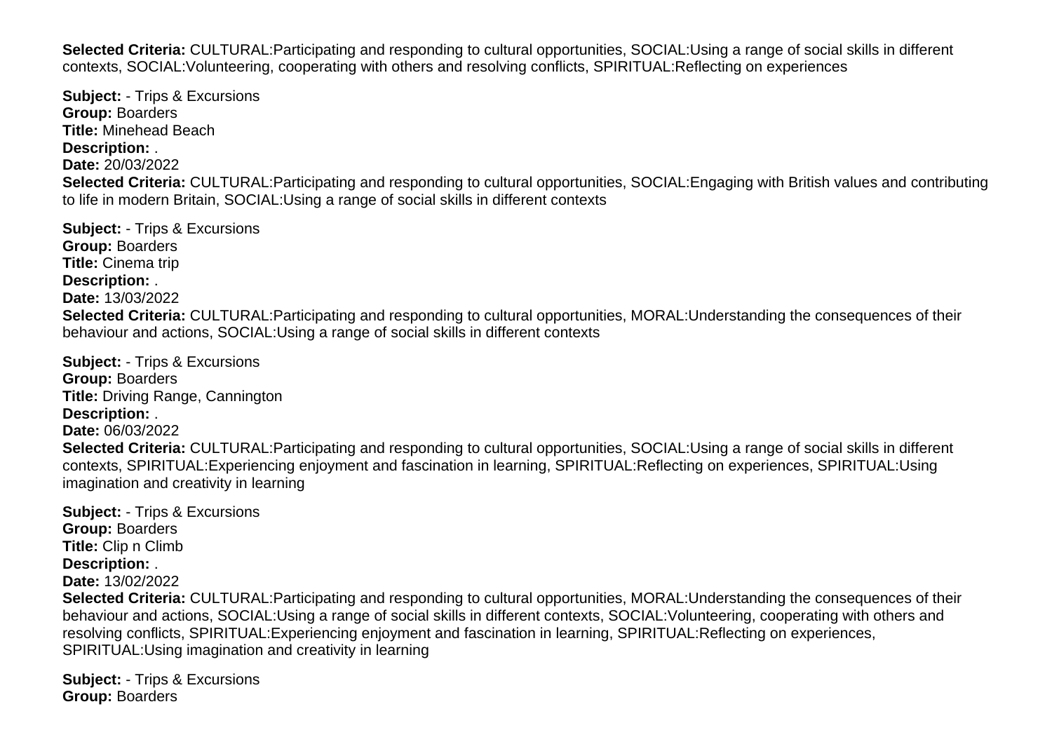**Selected Criteria:** CULTURAL:Participating and responding to cultural opportunities, SOCIAL:Using a range of social skills in different contexts, SOCIAL:Volunteering, cooperating with others and resolving conflicts, SPIRITUAL:Reflecting on experiences

**Subject:** - Trips & Excursions **Group:** Boarders **Title:** Minehead Beach **Description:** . **Date:** 20/03/2022 **Selected Criteria:** CULTURAL:Participating and responding to cultural opportunities, SOCIAL:Engaging with British values and contributing to life in modern Britain, SOCIAL:Using a range of social skills in different contexts

**Subject:** - Trips & Excursions **Group:** Boarders **Title:** Cinema trip **Description:** . **Date:** 13/03/2022 **Selected Criteria:** CULTURAL:Participating and responding to cultural opportunities, MORAL:Understanding the consequences of their behaviour and actions, SOCIAL:Using a range of social skills in different contexts

**Subject:** - Trips & Excursions **Group:** Boarders **Title:** Driving Range, Cannington **Description:** . **Date:** 06/03/2022 **Selected Criteria:** CULTURAL:Participating and responding to cultural opportunities, SOCIAL:Using a range of social skills in different contexts, SPIRITUAL:Experiencing enjoyment and fascination in learning, SPIRITUAL:Reflecting on experiences, SPIRITUAL:Using imagination and creativity in learning

**Subject:** - Trips & Excursions **Group:** Boarders **Title:** Clip n Climb **Description:** . **Date:** 13/02/2022 **Selected Criteria:** CULTURAL:Participating and responding to cultural opportunities, MORAL:Understanding the consequences of their behaviour and actions, SOCIAL:Using a range of social skills in different contexts, SOCIAL:Volunteering, cooperating with others and resolving conflicts, SPIRITUAL:Experiencing enjoyment and fascination in learning, SPIRITUAL:Reflecting on experiences,

SPIRITUAL:Using imagination and creativity in learning

**Subject:** - Trips & Excursions **Group:** Boarders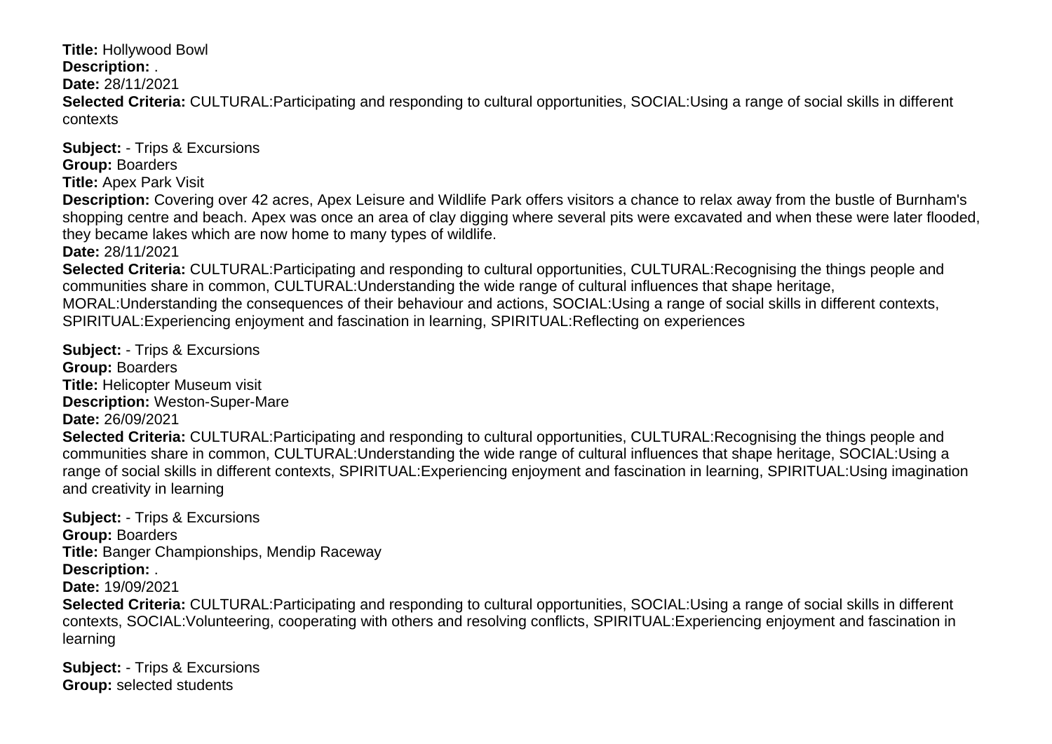**Title:** Hollywood Bowl

**Description:** .

**Date:** 28/11/2021

**Selected Criteria:** CULTURAL:Participating and responding to cultural opportunities, SOCIAL:Using a range of social skills in different contexts

**Subject:** - Trips & Excursions **Group:** Boarders **Title:** Apex Park Visit

**Description:** Covering over 42 acres, Apex Leisure and Wildlife Park offers visitors a chance to relax away from the bustle of Burnham's shopping centre and beach. Apex was once an area of clay digging where several pits were excavated and when these were later flooded. they became lakes which are now home to many types of wildlife.

**Date:** 28/11/2021

**Selected Criteria:** CULTURAL:Participating and responding to cultural opportunities, CULTURAL:Recognising the things people and communities share in common, CULTURAL:Understanding the wide range of cultural influences that shape heritage, MORAL:Understanding the consequences of their behaviour and actions, SOCIAL:Using a range of social skills in different contexts, SPIRITUAL:Experiencing enjoyment and fascination in learning, SPIRITUAL:Reflecting on experiences

**Subject:** - Trips & Excursions **Group:** Boarders **Title:** Helicopter Museum visit **Description:** Weston-Super-Mare **Date:** 26/09/2021 **Selected Criteria:** CULTURAL:Participating and responding to cultural opportunities, CULTURAL:Recognising the things people and communities share in common, CULTURAL:Understanding the wide range of cultural influences that shape heritage, SOCIAL:Using a range of social skills in different contexts, SPIRITUAL:Experiencing enjoyment and fascination in learning, SPIRITUAL:Using imagination and creativity in learning

**Subject:** - Trips & Excursions **Group:** Boarders **Title:** Banger Championships, Mendip Raceway **Description:** . **Date:** 19/09/2021 **Selected Criteria:** CULTURAL:Participating and responding to cultural opportunities, SOCIAL:Using a range of social skills in different contexts, SOCIAL:Volunteering, cooperating with others and resolving conflicts, SPIRITUAL:Experiencing enjoyment and fascination in learning

**Subject:** - Trips & Excursions **Group:** selected students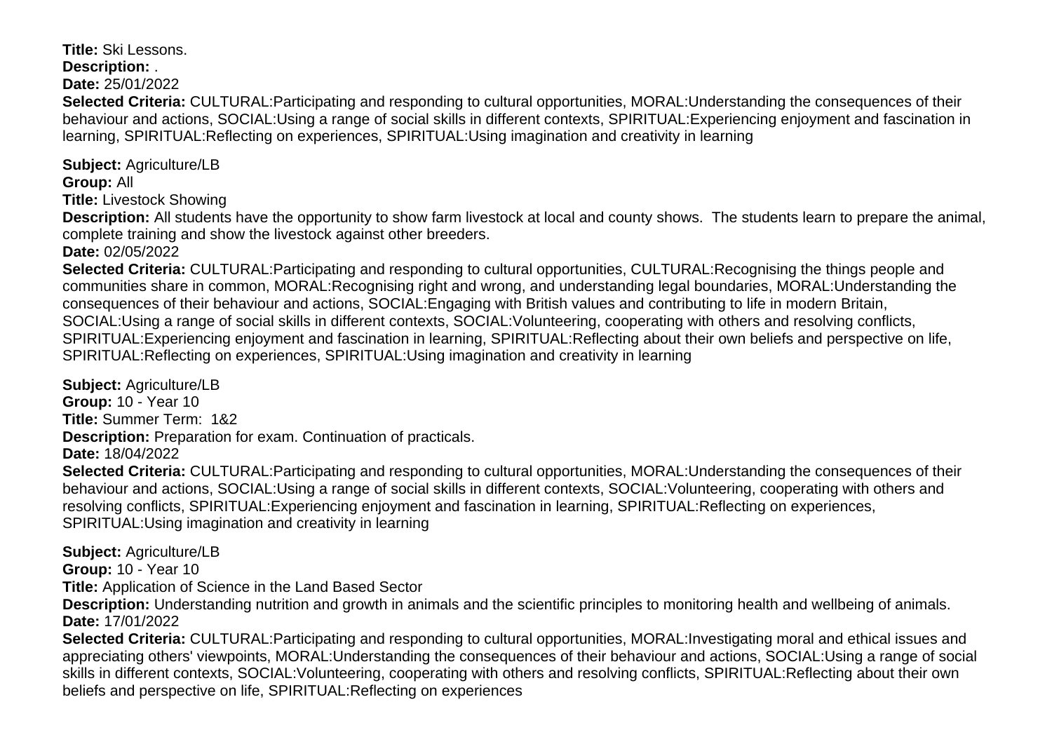**Title:** Ski Lessons. **Description:** .

**Date:** 25/01/2022

**Selected Criteria:** CULTURAL:Participating and responding to cultural opportunities, MORAL:Understanding the consequences of their behaviour and actions, SOCIAL:Using a range of social skills in different contexts, SPIRITUAL:Experiencing enjoyment and fascination in learning, SPIRITUAL:Reflecting on experiences, SPIRITUAL:Using imagination and creativity in learning

**Subject:** Agriculture/LB **Group:** All

**Title:** Livestock Showing

**Description:** All students have the opportunity to show farm livestock at local and county shows. The students learn to prepare the animal, complete training and show the livestock against other breeders.

**Date:** 02/05/2022

**Selected Criteria:** CULTURAL:Participating and responding to cultural opportunities, CULTURAL:Recognising the things people and communities share in common, MORAL:Recognising right and wrong, and understanding legal boundaries, MORAL:Understanding the consequences of their behaviour and actions, SOCIAL:Engaging with British values and contributing to life in modern Britain, SOCIAL:Using a range of social skills in different contexts, SOCIAL:Volunteering, cooperating with others and resolving conflicts, SPIRITUAL:Experiencing enjoyment and fascination in learning, SPIRITUAL:Reflecting about their own beliefs and perspective on life, SPIRITUAL:Reflecting on experiences, SPIRITUAL:Using imagination and creativity in learning

**Subject:** Agriculture/LB **Group:** 10 - Year 10 **Title:** Summer Term: 1&2 **Description:** Preparation for exam. Continuation of practicals. **Date:** 18/04/2022

**Selected Criteria:** CULTURAL:Participating and responding to cultural opportunities, MORAL:Understanding the consequences of their behaviour and actions, SOCIAL:Using a range of social skills in different contexts, SOCIAL:Volunteering, cooperating with others and resolving conflicts, SPIRITUAL:Experiencing enjoyment and fascination in learning, SPIRITUAL:Reflecting on experiences, SPIRITUAL:Using imagination and creativity in learning

**Subject:** Agriculture/LB

**Group:** 10 - Year 10

**Title:** Application of Science in the Land Based Sector

**Description:** Understanding nutrition and growth in animals and the scientific principles to monitoring health and wellbeing of animals. **Date:** 17/01/2022

**Selected Criteria:** CULTURAL:Participating and responding to cultural opportunities, MORAL:Investigating moral and ethical issues and appreciating others' viewpoints, MORAL:Understanding the consequences of their behaviour and actions, SOCIAL:Using a range of social skills in different contexts, SOCIAL:Volunteering, cooperating with others and resolving conflicts, SPIRITUAL:Reflecting about their own beliefs and perspective on life, SPIRITUAL:Reflecting on experiences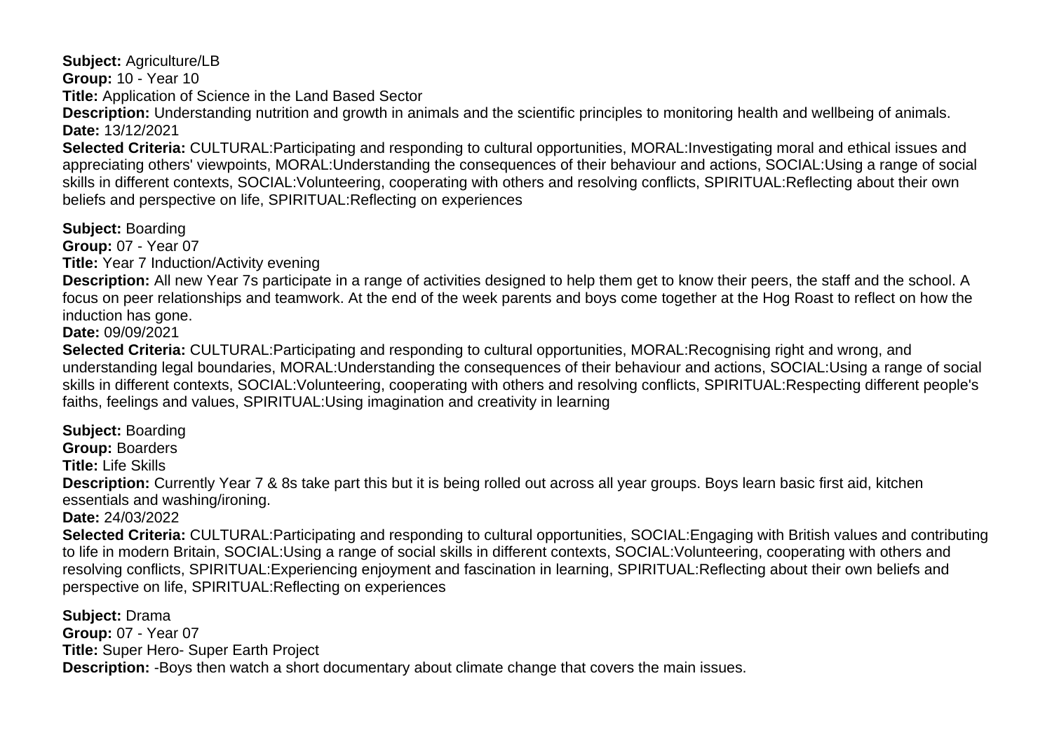**Subject:** Agriculture/LB **Group:** 10 - Year 10 **Title:** Application of Science in the Land Based Sector

perspective on life, SPIRITUAL:Reflecting on experiences

**Description:** Understanding nutrition and growth in animals and the scientific principles to monitoring health and wellbeing of animals. **Date:** 13/12/2021

**Selected Criteria:** CULTURAL:Participating and responding to cultural opportunities, MORAL:Investigating moral and ethical issues and appreciating others' viewpoints, MORAL:Understanding the consequences of their behaviour and actions, SOCIAL:Using a range of social skills in different contexts, SOCIAL:Volunteering, cooperating with others and resolving conflicts, SPIRITUAL:Reflecting about their own beliefs and perspective on life, SPIRITUAL:Reflecting on experiences

**Subject:** Boarding

**Group:** 07 - Year 07

**Title:** Year 7 Induction/Activity evening

**Description:** All new Year 7s participate in a range of activities designed to help them get to know their peers, the staff and the school. A focus on peer relationships and teamwork. At the end of the week parents and boys come together at the Hog Roast to reflect on how the induction has gone.

**Date:** 09/09/2021

**Selected Criteria:** CULTURAL:Participating and responding to cultural opportunities, MORAL:Recognising right and wrong, and understanding legal boundaries, MORAL:Understanding the consequences of their behaviour and actions, SOCIAL:Using a range of social skills in different contexts, SOCIAL:Volunteering, cooperating with others and resolving conflicts, SPIRITUAL:Respecting different people's faiths, feelings and values, SPIRITUAL:Using imagination and creativity in learning

**Subject:** Boarding **Group:** Boarders **Title:** Life Skills **Description:** Currently Year 7 & 8s take part this but it is being rolled out across all year groups. Boys learn basic first aid, kitchen essentials and washing/ironing. **Date:** 24/03/2022 **Selected Criteria:** CULTURAL:Participating and responding to cultural opportunities, SOCIAL:Engaging with British values and contributing to life in modern Britain, SOCIAL:Using a range of social skills in different contexts, SOCIAL:Volunteering, cooperating with others and resolving conflicts, SPIRITUAL:Experiencing enjoyment and fascination in learning, SPIRITUAL:Reflecting about their own beliefs and

**Subject:** Drama **Group:** 07 - Year 07 **Title:** Super Hero- Super Earth Project **Description:** -Boys then watch a short documentary about climate change that covers the main issues.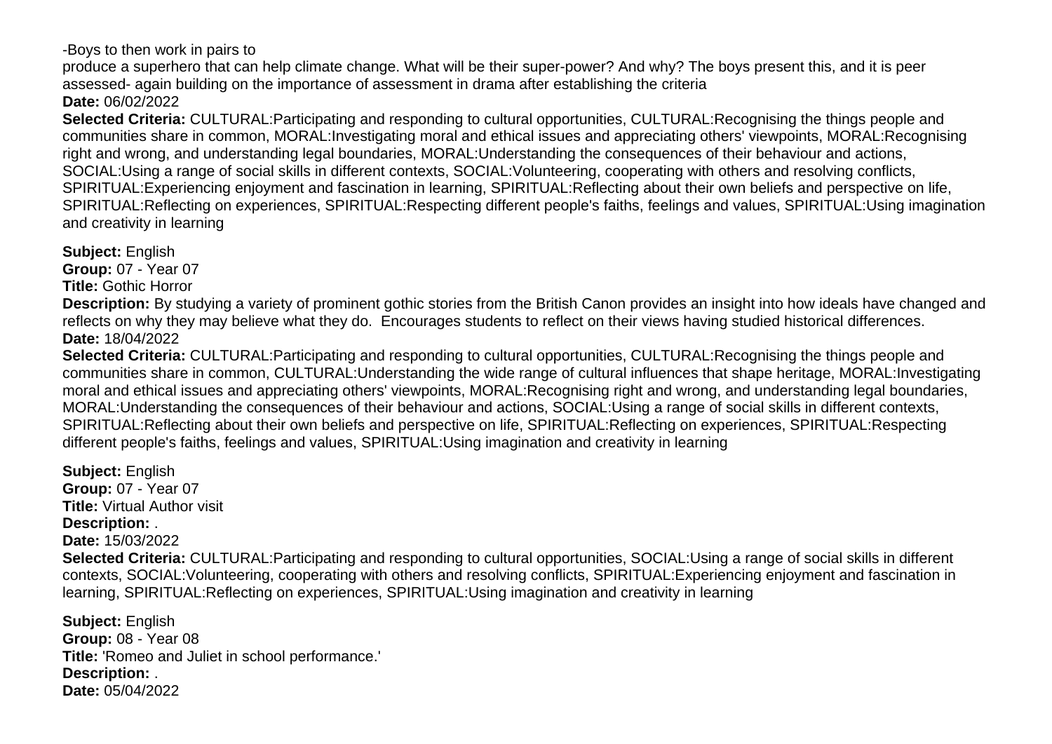-Boys to then work in pairs to

produce a superhero that can help climate change. What will be their super-power? And why? The boys present this, and it is peer assessed- again building on the importance of assessment in drama after establishing the criteria **Date:** 06/02/2022

**Selected Criteria:** CULTURAL:Participating and responding to cultural opportunities, CULTURAL:Recognising the things people and communities share in common, MORAL:Investigating moral and ethical issues and appreciating others' viewpoints, MORAL:Recognising right and wrong, and understanding legal boundaries, MORAL:Understanding the consequences of their behaviour and actions, SOCIAL:Using a range of social skills in different contexts, SOCIAL:Volunteering, cooperating with others and resolving conflicts, SPIRITUAL:Experiencing enjoyment and fascination in learning, SPIRITUAL:Reflecting about their own beliefs and perspective on life, SPIRITUAL:Reflecting on experiences, SPIRITUAL:Respecting different people's faiths, feelings and values, SPIRITUAL:Using imagination and creativity in learning

**Subject:** English

**Group:** 07 - Year 07

**Title:** Gothic Horror

**Description:** By studying a variety of prominent gothic stories from the British Canon provides an insight into how ideals have changed and reflects on why they may believe what they do. Encourages students to reflect on their views having studied historical differences. **Date:** 18/04/2022

**Selected Criteria:** CULTURAL:Participating and responding to cultural opportunities, CULTURAL:Recognising the things people and communities share in common, CULTURAL:Understanding the wide range of cultural influences that shape heritage, MORAL:Investigating moral and ethical issues and appreciating others' viewpoints, MORAL:Recognising right and wrong, and understanding legal boundaries, MORAL:Understanding the consequences of their behaviour and actions, SOCIAL:Using a range of social skills in different contexts, SPIRITUAL:Reflecting about their own beliefs and perspective on life, SPIRITUAL:Reflecting on experiences, SPIRITUAL:Respecting different people's faiths, feelings and values, SPIRITUAL:Using imagination and creativity in learning

**Subject:** English **Group:** 07 - Year 07 **Title:** Virtual Author visit **Description:** . **Date:** 15/03/2022 **Selected Criteria:** CULTURAL:Participating and responding to cultural opportunities, SOCIAL:Using a range of social skills in different contexts, SOCIAL:Volunteering, cooperating with others and resolving conflicts, SPIRITUAL:Experiencing enjoyment and fascination in learning, SPIRITUAL:Reflecting on experiences, SPIRITUAL:Using imagination and creativity in learning

**Subject:** English **Group:** 08 - Year 08 **Title:** 'Romeo and Juliet in school performance.' **Description:** . **Date:** 05/04/2022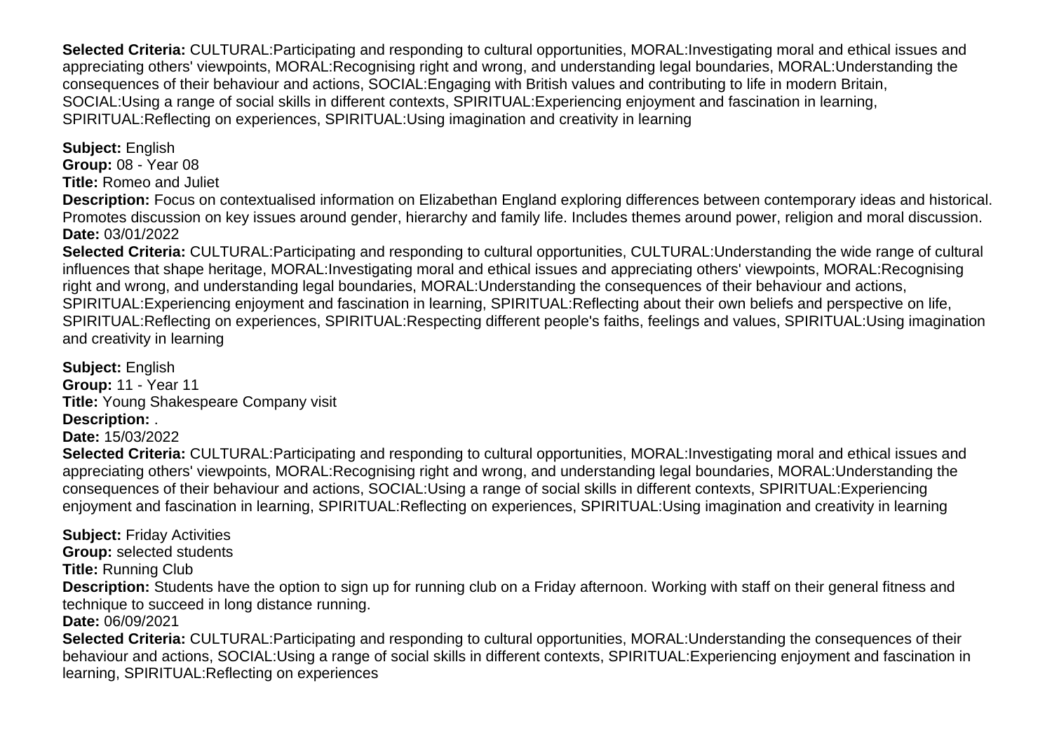**Selected Criteria:** CULTURAL:Participating and responding to cultural opportunities, MORAL:Investigating moral and ethical issues and appreciating others' viewpoints, MORAL:Recognising right and wrong, and understanding legal boundaries, MORAL:Understanding the consequences of their behaviour and actions, SOCIAL:Engaging with British values and contributing to life in modern Britain, SOCIAL:Using a range of social skills in different contexts, SPIRITUAL:Experiencing enjoyment and fascination in learning, SPIRITUAL:Reflecting on experiences, SPIRITUAL:Using imagination and creativity in learning

**Subject:** English **Group:** 08 - Year 08 **Title:** Romeo and Juliet

**Description:** Focus on contextualised information on Elizabethan England exploring differences between contemporary ideas and historical. Promotes discussion on key issues around gender, hierarchy and family life. Includes themes around power, religion and moral discussion. **Date:** 03/01/2022

**Selected Criteria:** CULTURAL:Participating and responding to cultural opportunities, CULTURAL:Understanding the wide range of cultural influences that shape heritage, MORAL:Investigating moral and ethical issues and appreciating others' viewpoints, MORAL:Recognising right and wrong, and understanding legal boundaries, MORAL:Understanding the consequences of their behaviour and actions, SPIRITUAL:Experiencing enjoyment and fascination in learning, SPIRITUAL:Reflecting about their own beliefs and perspective on life, SPIRITUAL:Reflecting on experiences, SPIRITUAL:Respecting different people's faiths, feelings and values, SPIRITUAL:Using imagination and creativity in learning

**Subject:** English **Group:** 11 - Year 11 **Title:** Young Shakespeare Company visit **Description:** .

**Date:** 15/03/2022

**Selected Criteria:** CULTURAL:Participating and responding to cultural opportunities, MORAL:Investigating moral and ethical issues and appreciating others' viewpoints, MORAL:Recognising right and wrong, and understanding legal boundaries, MORAL:Understanding the consequences of their behaviour and actions, SOCIAL:Using a range of social skills in different contexts, SPIRITUAL:Experiencing enjoyment and fascination in learning, SPIRITUAL:Reflecting on experiences, SPIRITUAL:Using imagination and creativity in learning

**Subject:** Friday Activities **Group:** selected students **Title:** Running Club **Description:** Students have the option to sign up for running club on a Friday afternoon. Working with staff on their general fitness and technique to succeed in long distance running. **Date:** 06/09/2021 **Selected Criteria:** CULTURAL:Participating and responding to cultural opportunities, MORAL:Understanding the consequences of their behaviour and actions, SOCIAL:Using a range of social skills in different contexts, SPIRITUAL:Experiencing enjoyment and fascination in

learning, SPIRITUAL:Reflecting on experiences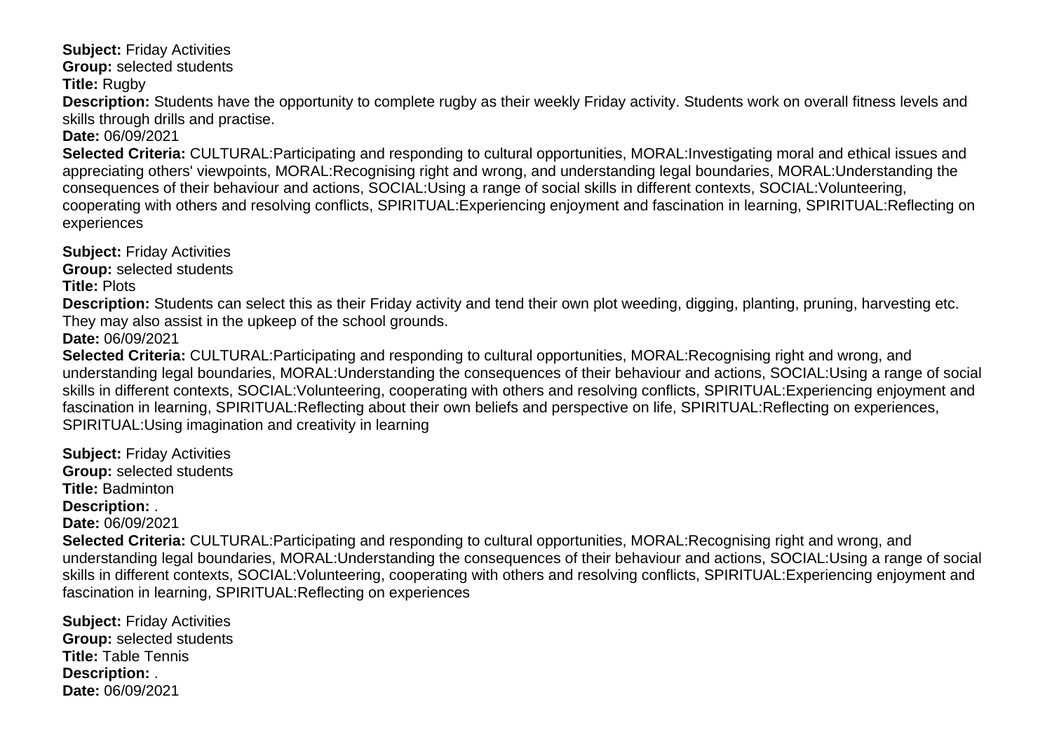**Subject:** Friday Activities

**Group:** selected students

**Title:** Rugby

**Description:** Students have the opportunity to complete rugby as their weekly Friday activity. Students work on overall fitness levels and skills through drills and practise.

**Date:** 06/09/2021

**Selected Criteria:** CULTURAL:Participating and responding to cultural opportunities, MORAL:Investigating moral and ethical issues and appreciating others' viewpoints, MORAL:Recognising right and wrong, and understanding legal boundaries, MORAL:Understanding the consequences of their behaviour and actions, SOCIAL:Using a range of social skills in different contexts, SOCIAL:Volunteering, cooperating with others and resolving conflicts, SPIRITUAL:Experiencing enjoyment and fascination in learning, SPIRITUAL:Reflecting on experiences

**Subject:** Friday Activities **Group:** selected students

**Title:** Plots

**Description:** Students can select this as their Friday activity and tend their own plot weeding, digging, planting, pruning, harvesting etc. They may also assist in the upkeep of the school grounds.

**Date:** 06/09/2021

**Selected Criteria:** CULTURAL:Participating and responding to cultural opportunities, MORAL:Recognising right and wrong, and understanding legal boundaries, MORAL:Understanding the consequences of their behaviour and actions, SOCIAL:Using a range of social skills in different contexts, SOCIAL:Volunteering, cooperating with others and resolving conflicts, SPIRITUAL:Experiencing enjoyment and fascination in learning, SPIRITUAL:Reflecting about their own beliefs and perspective on life, SPIRITUAL:Reflecting on experiences, SPIRITUAL:Using imagination and creativity in learning

**Subject:** Friday Activities **Group:** selected students **Title:** Badminton **Description:** . **Date:** 06/09/2021 **Selected Criteria:** CULTURAL:Participating and responding to cultural opportunities, MORAL:Recognising right and wrong, and understanding legal boundaries, MORAL:Understanding the consequences of their behaviour and actions, SOCIAL:Using a range of social skills in different contexts, SOCIAL:Volunteering, cooperating with others and resolving conflicts, SPIRITUAL:Experiencing enjoyment and fascination in learning, SPIRITUAL:Reflecting on experiences

**Subject:** Friday Activities **Group:** selected students **Title:** Table Tennis **Description:** . **Date:** 06/09/2021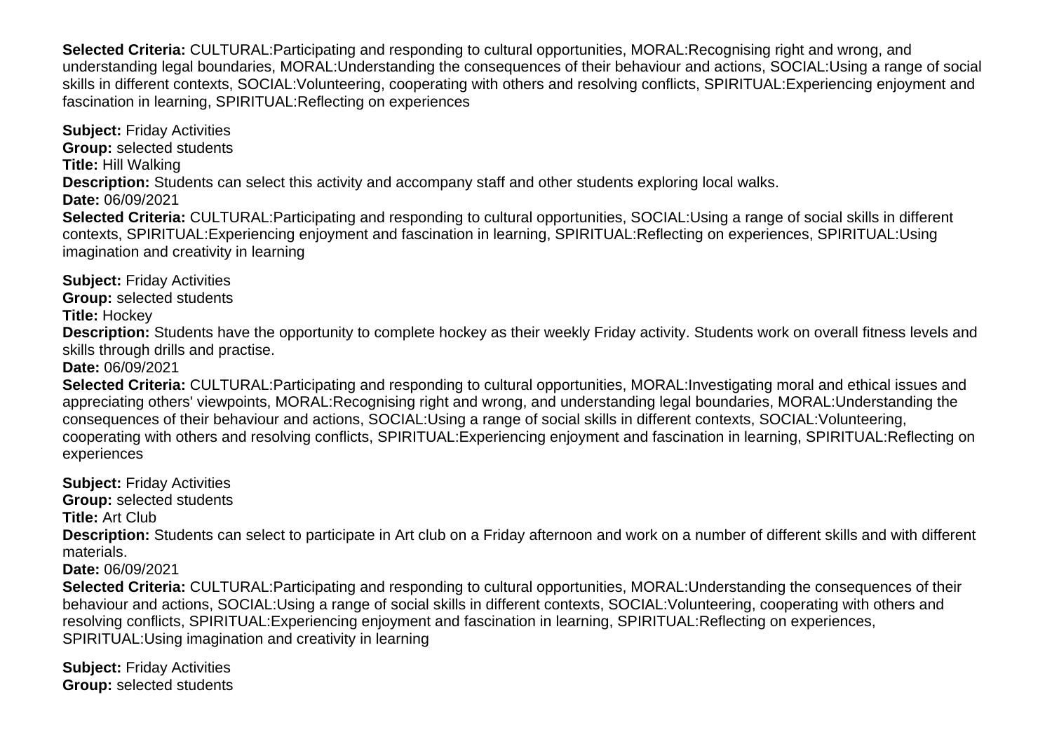**Selected Criteria:** CULTURAL:Participating and responding to cultural opportunities, MORAL:Recognising right and wrong, and understanding legal boundaries, MORAL:Understanding the consequences of their behaviour and actions, SOCIAL:Using a range of social skills in different contexts, SOCIAL:Volunteering, cooperating with others and resolving conflicts, SPIRITUAL:Experiencing enjoyment and fascination in learning, SPIRITUAL:Reflecting on experiences

**Subject:** Friday Activities **Group:** selected students **Title:** Hill Walking **Description:** Students can select this activity and accompany staff and other students exploring local walks. **Date:** 06/09/2021 **Selected Criteria:** CULTURAL:Participating and responding to cultural opportunities, SOCIAL:Using a range of social skills in different contexts, SPIRITUAL:Experiencing enjoyment and fascination in learning, SPIRITUAL:Reflecting on experiences, SPIRITUAL:Using imagination and creativity in learning

**Subject:** Friday Activities **Group:** selected students **Title:** Hockey

**Description:** Students have the opportunity to complete hockey as their weekly Friday activity. Students work on overall fitness levels and skills through drills and practise.

**Date:** 06/09/2021

**Selected Criteria:** CULTURAL:Participating and responding to cultural opportunities, MORAL:Investigating moral and ethical issues and appreciating others' viewpoints, MORAL:Recognising right and wrong, and understanding legal boundaries, MORAL:Understanding the consequences of their behaviour and actions, SOCIAL:Using a range of social skills in different contexts, SOCIAL:Volunteering, cooperating with others and resolving conflicts, SPIRITUAL:Experiencing enjoyment and fascination in learning, SPIRITUAL:Reflecting on experiences

**Subject:** Friday Activities **Group:** selected students **Title:** Art Club **Description:** Students can select to participate in Art club on a Friday afternoon and work on a number of different skills and with different materials. **Date:** 06/09/2021 **Selected Criteria:** CULTURAL:Participating and responding to cultural opportunities, MORAL:Understanding the consequences of their behaviour and actions, SOCIAL:Using a range of social skills in different contexts, SOCIAL:Volunteering, cooperating with others and

resolving conflicts, SPIRITUAL:Experiencing enjoyment and fascination in learning, SPIRITUAL:Reflecting on experiences,

SPIRITUAL:Using imagination and creativity in learning

**Subject:** Friday Activities **Group:** selected students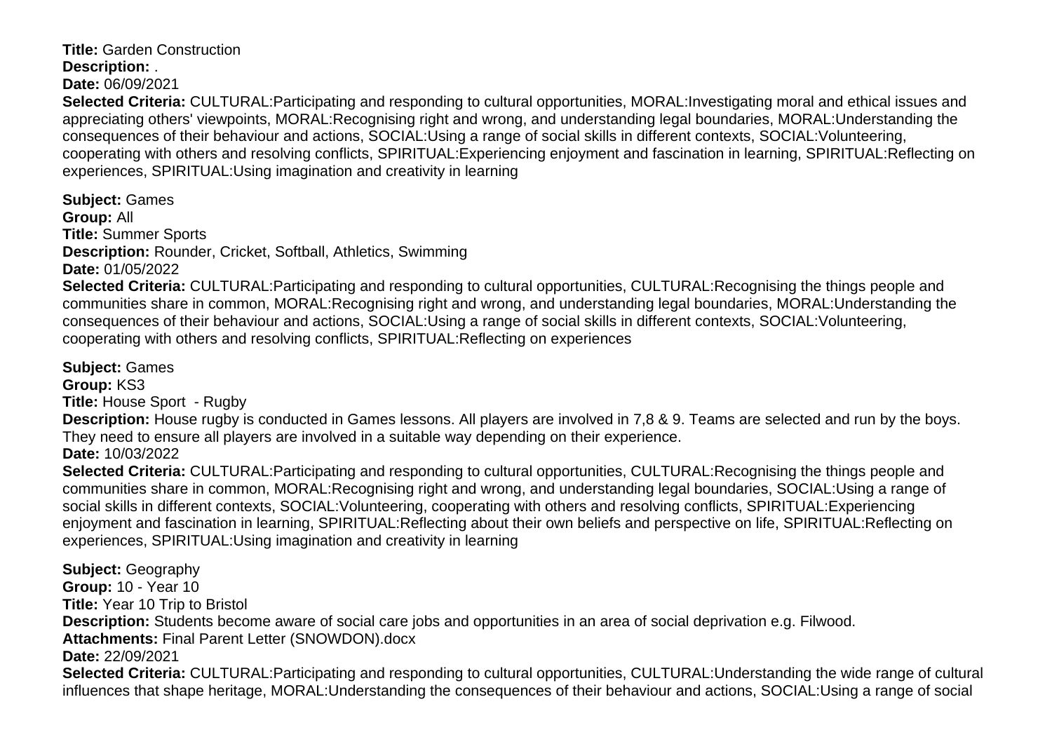**Title:** Garden Construction **Description:** .

**Date:** 06/09/2021

**Selected Criteria:** CULTURAL:Participating and responding to cultural opportunities, MORAL:Investigating moral and ethical issues and appreciating others' viewpoints, MORAL:Recognising right and wrong, and understanding legal boundaries, MORAL:Understanding the consequences of their behaviour and actions, SOCIAL:Using a range of social skills in different contexts, SOCIAL:Volunteering, cooperating with others and resolving conflicts, SPIRITUAL:Experiencing enjoyment and fascination in learning, SPIRITUAL:Reflecting on experiences, SPIRITUAL:Using imagination and creativity in learning

**Subject:** Games **Group:** All **Title:** Summer Sports **Description:** Rounder, Cricket, Softball, Athletics, Swimming **Date:** 01/05/2022

**Selected Criteria:** CULTURAL:Participating and responding to cultural opportunities, CULTURAL:Recognising the things people and communities share in common, MORAL:Recognising right and wrong, and understanding legal boundaries, MORAL:Understanding the consequences of their behaviour and actions, SOCIAL:Using a range of social skills in different contexts, SOCIAL:Volunteering, cooperating with others and resolving conflicts, SPIRITUAL:Reflecting on experiences

**Subject:** Games **Group:** KS3 **Title:** House Sport - Rugby

**Description:** House rugby is conducted in Games lessons. All players are involved in 7,8 & 9. Teams are selected and run by the boys. They need to ensure all players are involved in a suitable way depending on their experience. **Date:** 10/03/2022

**Selected Criteria:** CULTURAL:Participating and responding to cultural opportunities, CULTURAL:Recognising the things people and communities share in common, MORAL:Recognising right and wrong, and understanding legal boundaries, SOCIAL:Using a range of social skills in different contexts, SOCIAL:Volunteering, cooperating with others and resolving conflicts, SPIRITUAL:Experiencing enjoyment and fascination in learning, SPIRITUAL:Reflecting about their own beliefs and perspective on life, SPIRITUAL:Reflecting on experiences, SPIRITUAL:Using imagination and creativity in learning

**Subject:** Geography **Group:** 10 - Year 10 **Title:** Year 10 Trip to Bristol **Description:** Students become aware of social care jobs and opportunities in an area of social deprivation e.g. Filwood. **Attachments:** Final Parent Letter (SNOWDON).docx **Date:** 22/09/2021 **Selected Criteria:** CULTURAL:Participating and responding to cultural opportunities, CULTURAL:Understanding the wide range of cultural influences that shape heritage, MORAL:Understanding the consequences of their behaviour and actions, SOCIAL:Using a range of social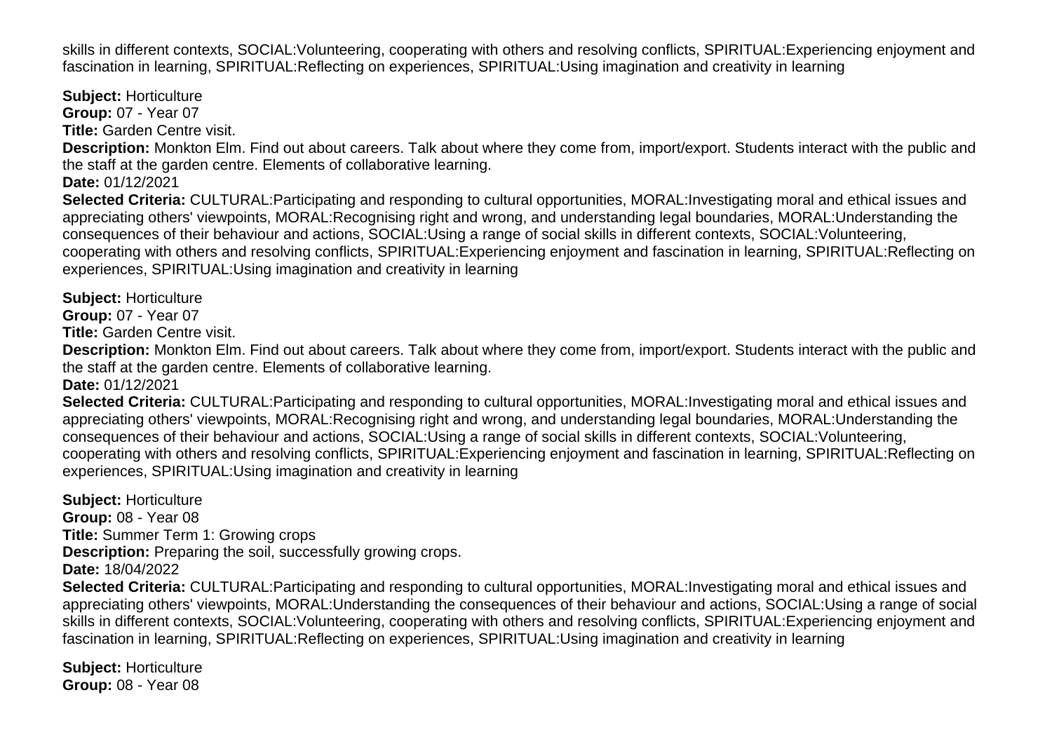skills in different contexts, SOCIAL:Volunteering, cooperating with others and resolving conflicts, SPIRITUAL:Experiencing enjoyment and fascination in learning, SPIRITUAL:Reflecting on experiences, SPIRITUAL:Using imagination and creativity in learning

**Subject:** Horticulture **Group:** 07 - Year 07 **Title:** Garden Centre visit. **Description:** Monkton Elm. Find out about careers. Talk about where they come from, import/export. Students interact with the public and the staff at the garden centre. Elements of collaborative learning. **Date:** 01/12/2021 **Selected Criteria:** CULTURAL:Participating and responding to cultural opportunities, MORAL:Investigating moral and ethical issues and appreciating others' viewpoints, MORAL:Recognising right and wrong, and understanding legal boundaries, MORAL:Understanding the consequences of their behaviour and actions, SOCIAL:Using a range of social skills in different contexts, SOCIAL:Volunteering, cooperating with others and resolving conflicts, SPIRITUAL:Experiencing enjoyment and fascination in learning, SPIRITUAL:Reflecting on experiences, SPIRITUAL:Using imagination and creativity in learning

**Subject:** Horticulture

**Group:** 07 - Year 07

**Title:** Garden Centre visit.

**Description:** Monkton Elm. Find out about careers. Talk about where they come from, import/export. Students interact with the public and the staff at the garden centre. Elements of collaborative learning.

**Date:** 01/12/2021

**Selected Criteria:** CULTURAL:Participating and responding to cultural opportunities, MORAL:Investigating moral and ethical issues and appreciating others' viewpoints, MORAL:Recognising right and wrong, and understanding legal boundaries, MORAL:Understanding the consequences of their behaviour and actions, SOCIAL:Using a range of social skills in different contexts, SOCIAL:Volunteering, cooperating with others and resolving conflicts, SPIRITUAL:Experiencing enjoyment and fascination in learning, SPIRITUAL:Reflecting on experiences, SPIRITUAL:Using imagination and creativity in learning

**Subject:** Horticulture **Group:** 08 - Year 08 **Title:** Summer Term 1: Growing crops **Description:** Preparing the soil, successfully growing crops. **Date:** 18/04/2022 **Selected Criteria:** CULTURAL:Participating and responding to cultural opportunities, MORAL:Investigating moral and ethical issues and appreciating others' viewpoints, MORAL:Understanding the consequences of their behaviour and actions, SOCIAL:Using a range of social skills in different contexts, SOCIAL:Volunteering, cooperating with others and resolving conflicts, SPIRITUAL:Experiencing enjoyment and fascination in learning, SPIRITUAL:Reflecting on experiences, SPIRITUAL:Using imagination and creativity in learning

**Subject:** Horticulture **Group:** 08 - Year 08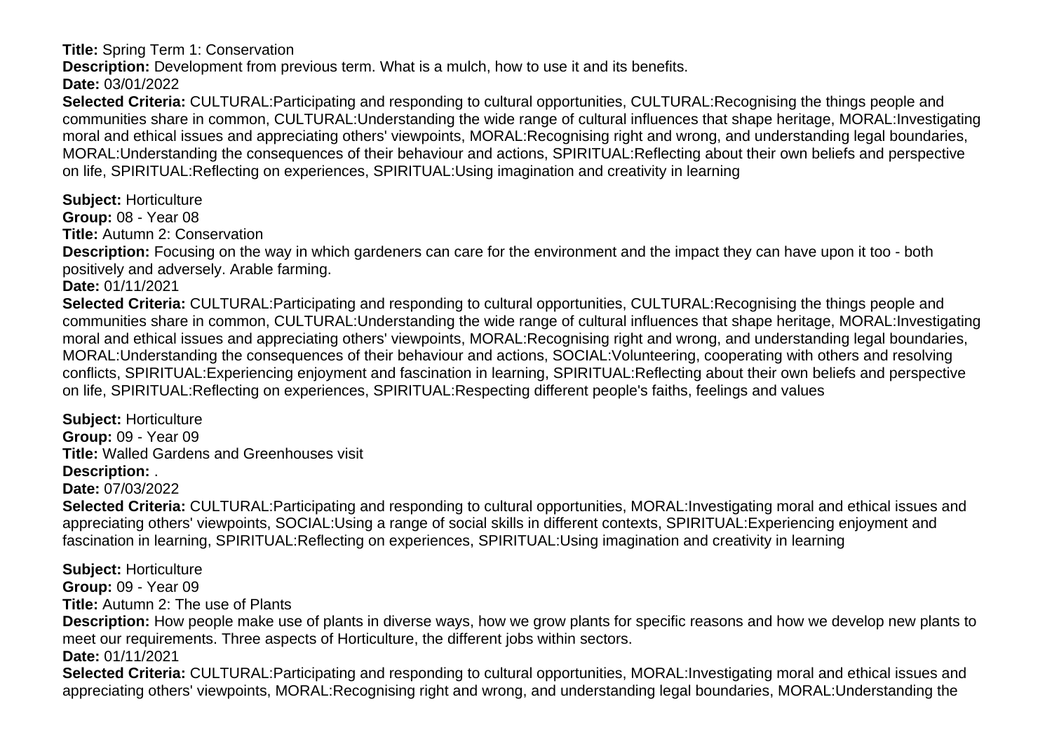**Title:** Spring Term 1: Conservation

**Description:** Development from previous term. What is a mulch, how to use it and its benefits.

**Date:** 03/01/2022

**Selected Criteria:** CULTURAL:Participating and responding to cultural opportunities, CULTURAL:Recognising the things people and communities share in common, CULTURAL:Understanding the wide range of cultural influences that shape heritage, MORAL:Investigating moral and ethical issues and appreciating others' viewpoints, MORAL:Recognising right and wrong, and understanding legal boundaries, MORAL:Understanding the consequences of their behaviour and actions, SPIRITUAL:Reflecting about their own beliefs and perspective on life, SPIRITUAL:Reflecting on experiences, SPIRITUAL:Using imagination and creativity in learning

**Subject:** Horticulture

**Group:** 08 - Year 08

**Title:** Autumn 2: Conservation

**Description:** Focusing on the way in which gardeners can care for the environment and the impact they can have upon it too - both positively and adversely. Arable farming.

**Date:** 01/11/2021

**Selected Criteria:** CULTURAL:Participating and responding to cultural opportunities, CULTURAL:Recognising the things people and communities share in common, CULTURAL:Understanding the wide range of cultural influences that shape heritage, MORAL:Investigating moral and ethical issues and appreciating others' viewpoints, MORAL:Recognising right and wrong, and understanding legal boundaries, MORAL:Understanding the consequences of their behaviour and actions, SOCIAL:Volunteering, cooperating with others and resolving conflicts, SPIRITUAL:Experiencing enjoyment and fascination in learning, SPIRITUAL:Reflecting about their own beliefs and perspective on life, SPIRITUAL:Reflecting on experiences, SPIRITUAL:Respecting different people's faiths, feelings and values

**Subject:** Horticulture **Group:** 09 - Year 09 **Title:** Walled Gardens and Greenhouses visit **Description:** .

**Date:** 07/03/2022

**Selected Criteria:** CULTURAL:Participating and responding to cultural opportunities, MORAL:Investigating moral and ethical issues and appreciating others' viewpoints, SOCIAL:Using a range of social skills in different contexts, SPIRITUAL:Experiencing enjoyment and fascination in learning, SPIRITUAL:Reflecting on experiences, SPIRITUAL:Using imagination and creativity in learning

**Subject:** Horticulture **Group:** 09 - Year 09 **Title:** Autumn 2: The use of Plants **Description:** How people make use of plants in diverse ways, how we grow plants for specific reasons and how we develop new plants to meet our requirements. Three aspects of Horticulture, the different jobs within sectors. **Date:** 01/11/2021 **Selected Criteria:** CULTURAL:Participating and responding to cultural opportunities, MORAL:Investigating moral and ethical issues and appreciating others' viewpoints, MORAL:Recognising right and wrong, and understanding legal boundaries, MORAL:Understanding the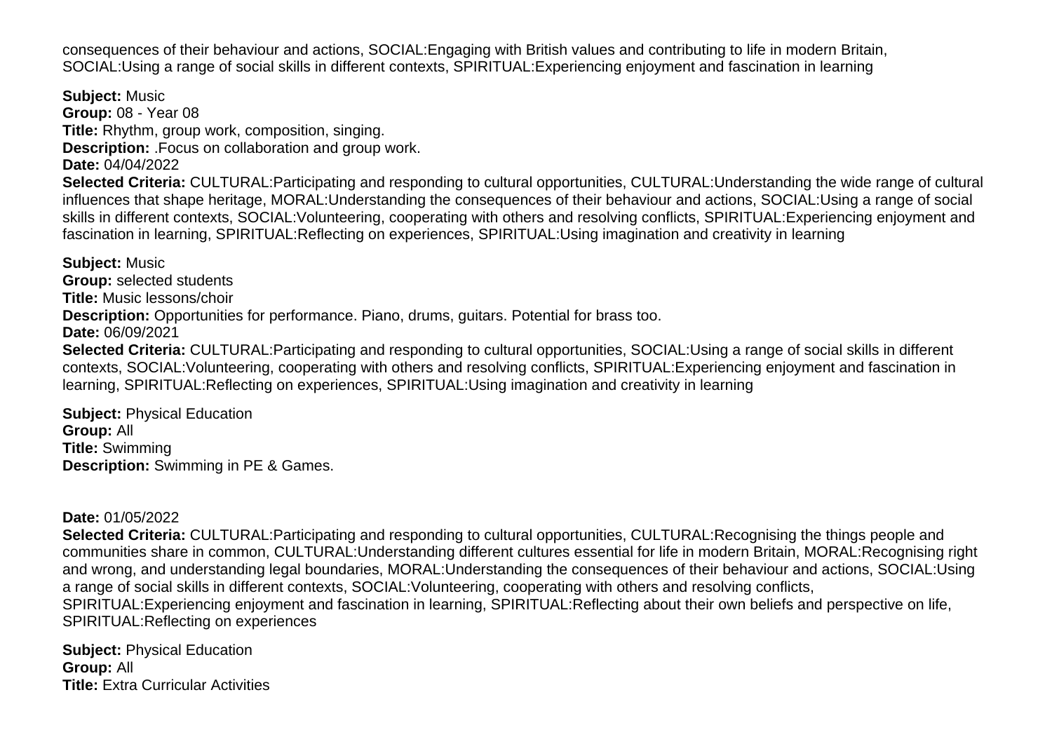consequences of their behaviour and actions, SOCIAL:Engaging with British values and contributing to life in modern Britain, SOCIAL:Using a range of social skills in different contexts, SPIRITUAL:Experiencing enjoyment and fascination in learning

**Subject:** Music **Group:** 08 - Year 08 **Title:** Rhythm, group work, composition, singing. **Description:** .Focus on collaboration and group work. **Date:** 04/04/2022 **Selected Criteria:** CULTURAL:Participating and responding to cultural opportunities, CULTURAL:Understanding the wide range of cultural influences that shape heritage, MORAL:Understanding the consequences of their behaviour and actions, SOCIAL:Using a range of social skills in different contexts, SOCIAL:Volunteering, cooperating with others and resolving conflicts, SPIRITUAL:Experiencing enjoyment and fascination in learning, SPIRITUAL:Reflecting on experiences, SPIRITUAL:Using imagination and creativity in learning

**Subject:** Music **Group:** selected students **Title:** Music lessons/choir **Description:** Opportunities for performance. Piano, drums, guitars. Potential for brass too. **Date:** 06/09/2021 **Selected Criteria:** CULTURAL:Participating and responding to cultural opportunities, SOCIAL:Using a range of social skills in different contexts, SOCIAL:Volunteering, cooperating with others and resolving conflicts, SPIRITUAL:Experiencing enjoyment and fascination in learning, SPIRITUAL:Reflecting on experiences, SPIRITUAL:Using imagination and creativity in learning

**Subject:** Physical Education **Group:** All **Title:** Swimming **Description:** Swimming in PE & Games.

#### **Date:** 01/05/2022

**Selected Criteria:** CULTURAL:Participating and responding to cultural opportunities, CULTURAL:Recognising the things people and communities share in common, CULTURAL:Understanding different cultures essential for life in modern Britain, MORAL:Recognising right and wrong, and understanding legal boundaries, MORAL:Understanding the consequences of their behaviour and actions, SOCIAL:Using a range of social skills in different contexts, SOCIAL:Volunteering, cooperating with others and resolving conflicts, SPIRITUAL:Experiencing enjoyment and fascination in learning, SPIRITUAL:Reflecting about their own beliefs and perspective on life, SPIRITUAL:Reflecting on experiences

**Subject:** Physical Education **Group:** All **Title:** Extra Curricular Activities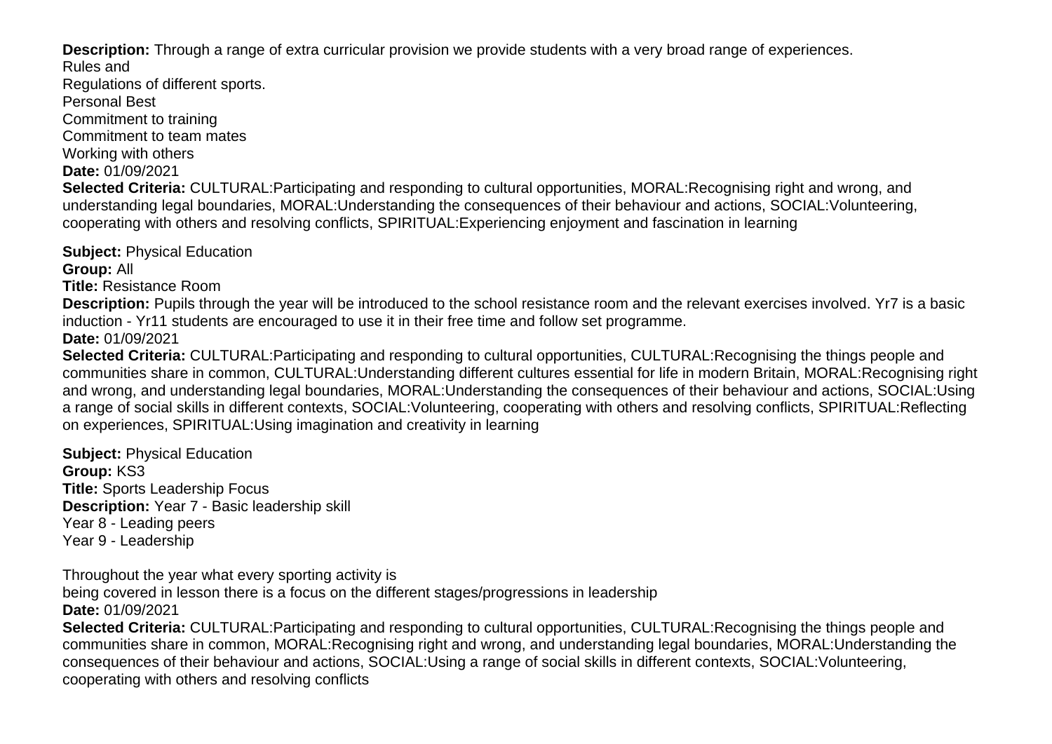**Description:** Through a range of extra curricular provision we provide students with a very broad range of experiences. Rules and

Regulations of different sports.

Personal Best

Commitment to training

Commitment to team mates

Working with others

**Date:** 01/09/2021

**Selected Criteria:** CULTURAL:Participating and responding to cultural opportunities, MORAL:Recognising right and wrong, and understanding legal boundaries, MORAL:Understanding the consequences of their behaviour and actions, SOCIAL:Volunteering, cooperating with others and resolving conflicts, SPIRITUAL:Experiencing enjoyment and fascination in learning

**Subject:** Physical Education

**Group:** All

**Title:** Resistance Room

**Description:** Pupils through the year will be introduced to the school resistance room and the relevant exercises involved. Yr7 is a basic induction - Yr11 students are encouraged to use it in their free time and follow set programme.

**Date:** 01/09/2021

**Selected Criteria:** CULTURAL:Participating and responding to cultural opportunities, CULTURAL:Recognising the things people and communities share in common, CULTURAL:Understanding different cultures essential for life in modern Britain, MORAL:Recognising right and wrong, and understanding legal boundaries, MORAL:Understanding the consequences of their behaviour and actions, SOCIAL:Using a range of social skills in different contexts, SOCIAL:Volunteering, cooperating with others and resolving conflicts, SPIRITUAL:Reflecting on experiences, SPIRITUAL:Using imagination and creativity in learning

**Subject:** Physical Education **Group:** KS3 **Title:** Sports Leadership Focus **Description:** Year 7 - Basic leadership skill Year 8 - Leading peers Year 9 - Leadership

Throughout the year what every sporting activity is

being covered in lesson there is a focus on the different stages/progressions in leadership **Date:** 01/09/2021

**Selected Criteria:** CULTURAL:Participating and responding to cultural opportunities, CULTURAL:Recognising the things people and communities share in common, MORAL:Recognising right and wrong, and understanding legal boundaries, MORAL:Understanding the consequences of their behaviour and actions, SOCIAL:Using a range of social skills in different contexts, SOCIAL:Volunteering, cooperating with others and resolving conflicts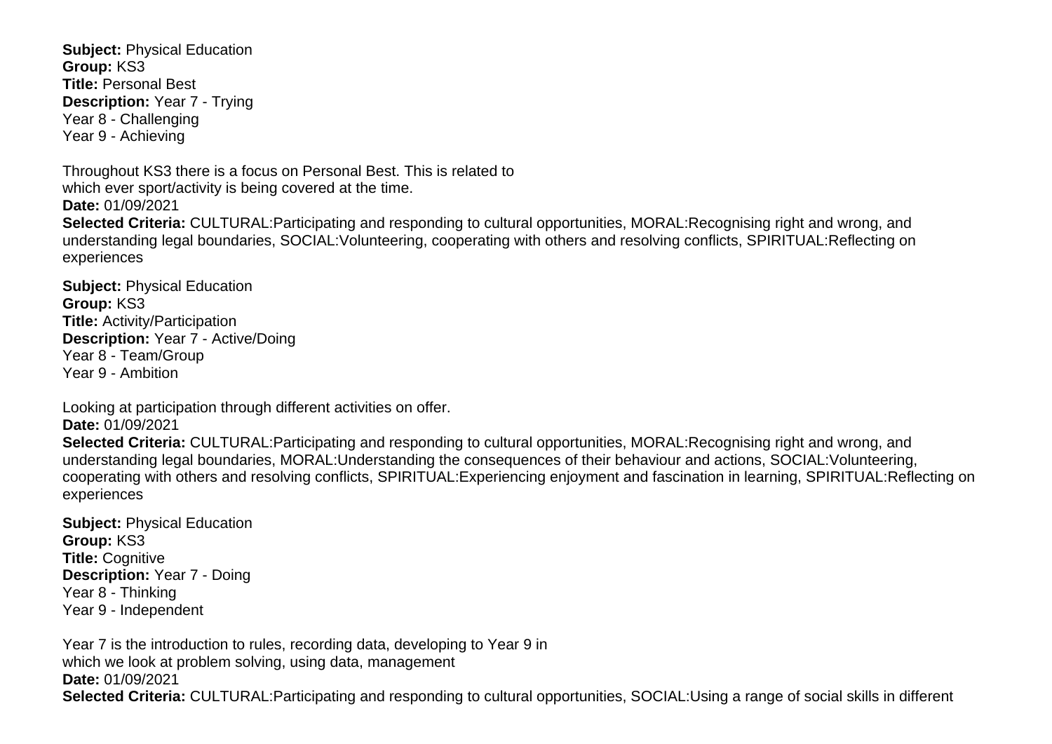**Subject:** Physical Education **Group:** KS3 **Title:** Personal Best **Description:** Year 7 - Trying Year 8 - Challenging Year 9 - Achieving

Throughout KS3 there is a focus on Personal Best. This is related to which ever sport/activity is being covered at the time. **Date:** 01/09/2021

**Selected Criteria:** CULTURAL:Participating and responding to cultural opportunities, MORAL:Recognising right and wrong, and understanding legal boundaries, SOCIAL:Volunteering, cooperating with others and resolving conflicts, SPIRITUAL:Reflecting on experiences

**Subject:** Physical Education **Group:** KS3 **Title:** Activity/Participation **Description:** Year 7 - Active/Doing Year 8 - Team/Group Year 9 - Ambition

Looking at participation through different activities on offer. **Date:** 01/09/2021

**Selected Criteria:** CULTURAL:Participating and responding to cultural opportunities, MORAL:Recognising right and wrong, and understanding legal boundaries, MORAL:Understanding the consequences of their behaviour and actions, SOCIAL:Volunteering, cooperating with others and resolving conflicts, SPIRITUAL:Experiencing enjoyment and fascination in learning, SPIRITUAL:Reflecting on experiences

**Subject:** Physical Education **Group:** KS3 **Title:** Cognitive **Description:** Year 7 - Doing Year 8 - Thinking Year 9 - Independent

Year 7 is the introduction to rules, recording data, developing to Year 9 in which we look at problem solving, using data, management **Date:** 01/09/2021 **Selected Criteria:** CULTURAL:Participating and responding to cultural opportunities, SOCIAL:Using a range of social skills in different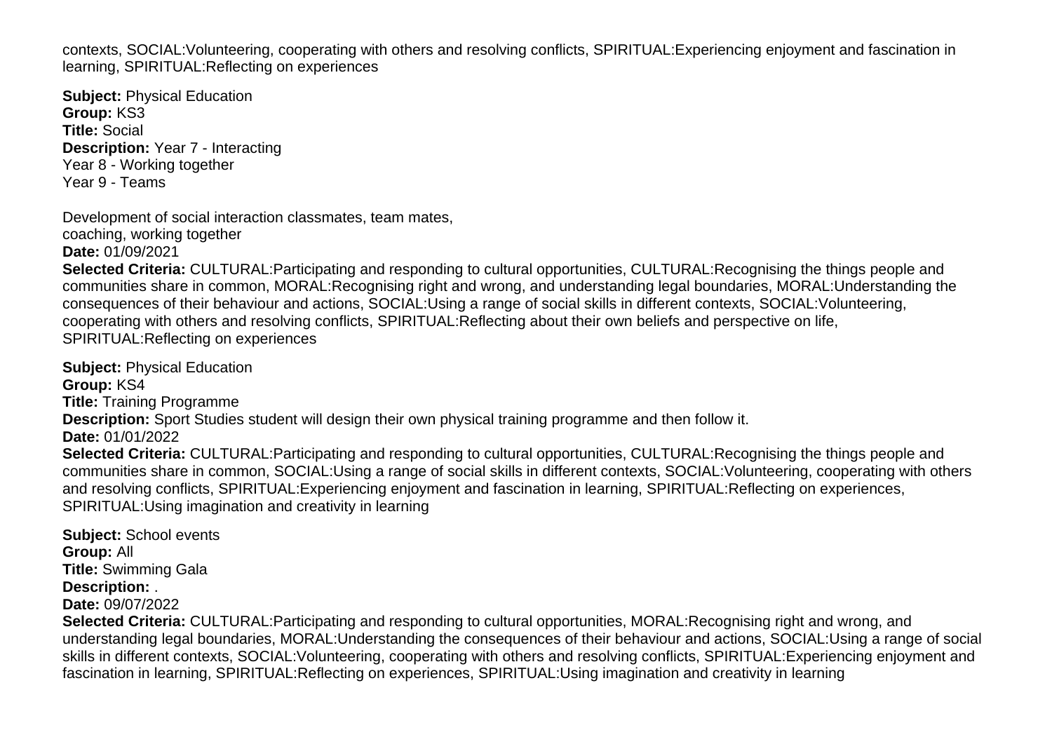contexts, SOCIAL:Volunteering, cooperating with others and resolving conflicts, SPIRITUAL:Experiencing enjoyment and fascination in learning, SPIRITUAL:Reflecting on experiences

**Subject:** Physical Education **Group:** KS3 **Title:** Social **Description:** Year 7 - Interacting Year 8 - Working together Year 9 - Teams

Development of social interaction classmates, team mates,

coaching, working together **Date:** 01/09/2021

**Selected Criteria:** CULTURAL:Participating and responding to cultural opportunities, CULTURAL:Recognising the things people and communities share in common, MORAL:Recognising right and wrong, and understanding legal boundaries, MORAL:Understanding the consequences of their behaviour and actions, SOCIAL:Using a range of social skills in different contexts, SOCIAL:Volunteering, cooperating with others and resolving conflicts, SPIRITUAL:Reflecting about their own beliefs and perspective on life, SPIRITUAL:Reflecting on experiences

**Subject:** Physical Education **Group:** KS4 **Title:** Training Programme **Description:** Sport Studies student will design their own physical training programme and then follow it. **Date:** 01/01/2022 **Selected Criteria:** CULTURAL:Participating and responding to cultural opportunities, CULTURAL:Recognising the things people and communities share in common, SOCIAL:Using a range of social skills in different contexts, SOCIAL:Volunteering, cooperating with others and resolving conflicts, SPIRITUAL:Experiencing enjoyment and fascination in learning, SPIRITUAL:Reflecting on experiences, SPIRITUAL:Using imagination and creativity in learning

**Subject:** School events **Group:** All **Title:** Swimming Gala **Description:** . **Date:** 09/07/2022 **Selected Criteria:** CULTURAL:Participating and responding to cultural opportunities, MORAL:Recognising right and wrong, and understanding legal boundaries, MORAL:Understanding the consequences of their behaviour and actions, SOCIAL:Using a range of social skills in different contexts, SOCIAL:Volunteering, cooperating with others and resolving conflicts, SPIRITUAL:Experiencing enjoyment and fascination in learning, SPIRITUAL:Reflecting on experiences, SPIRITUAL:Using imagination and creativity in learning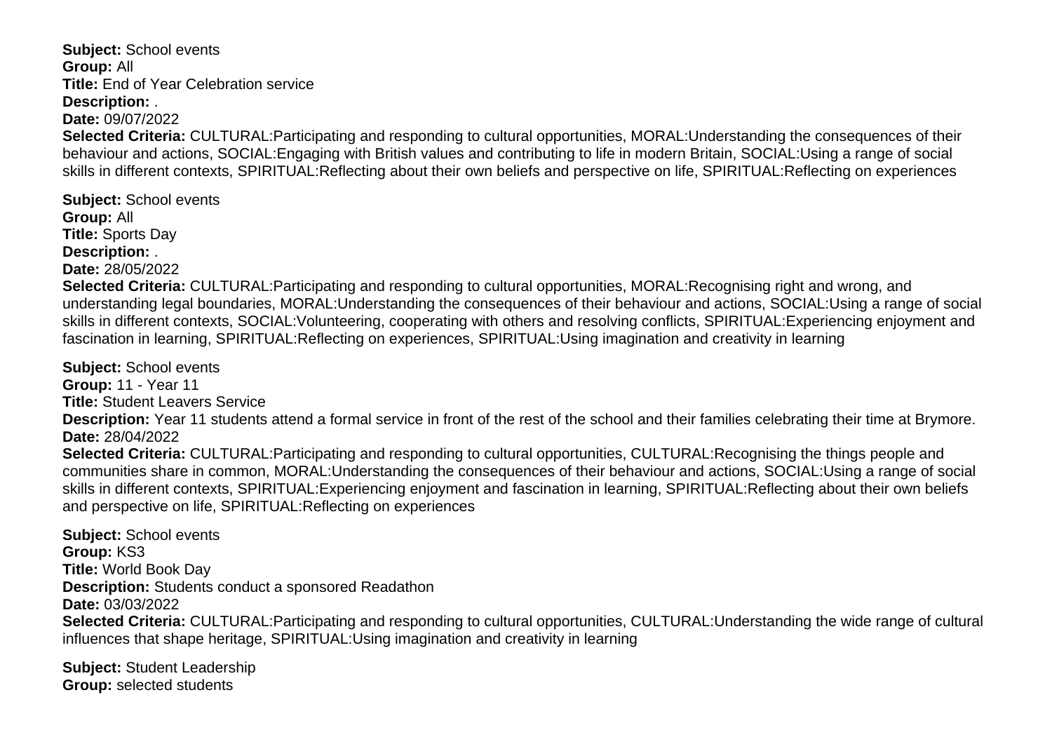**Subject:** School events **Group:** All **Title:** End of Year Celebration service **Description:** .

**Date:** 09/07/2022

**Selected Criteria:** CULTURAL:Participating and responding to cultural opportunities, MORAL:Understanding the consequences of their behaviour and actions, SOCIAL:Engaging with British values and contributing to life in modern Britain, SOCIAL:Using a range of social skills in different contexts, SPIRITUAL:Reflecting about their own beliefs and perspective on life, SPIRITUAL:Reflecting on experiences

**Subject:** School events **Group:** All **Title:** Sports Day **Description:** . **Date:** 28/05/2022

**Selected Criteria:** CULTURAL:Participating and responding to cultural opportunities, MORAL:Recognising right and wrong, and understanding legal boundaries, MORAL:Understanding the consequences of their behaviour and actions, SOCIAL:Using a range of social skills in different contexts, SOCIAL:Volunteering, cooperating with others and resolving conflicts, SPIRITUAL:Experiencing enjoyment and fascination in learning, SPIRITUAL:Reflecting on experiences, SPIRITUAL:Using imagination and creativity in learning

**Subject:** School events **Group:** 11 - Year 11 **Title:** Student Leavers Service **Description:** Year 11 students attend a formal service in front of the rest of the school and their families celebrating their time at Brymore. **Date:** 28/04/2022 **Selected Criteria:** CULTURAL:Participating and responding to cultural opportunities, CULTURAL:Recognising the things people and communities share in common, MORAL:Understanding the consequences of their behaviour and actions, SOCIAL:Using a range of social skills in different contexts, SPIRITUAL:Experiencing enjoyment and fascination in learning, SPIRITUAL:Reflecting about their own beliefs and perspective on life, SPIRITUAL:Reflecting on experiences

**Subject:** School events **Group:** KS3 **Title:** World Book Day **Description:** Students conduct a sponsored Readathon **Date:** 03/03/2022 **Selected Criteria:** CULTURAL:Participating and responding to cultural opportunities, CULTURAL:Understanding the wide range of cultural influences that shape heritage, SPIRITUAL:Using imagination and creativity in learning

**Subject:** Student Leadership **Group:** selected students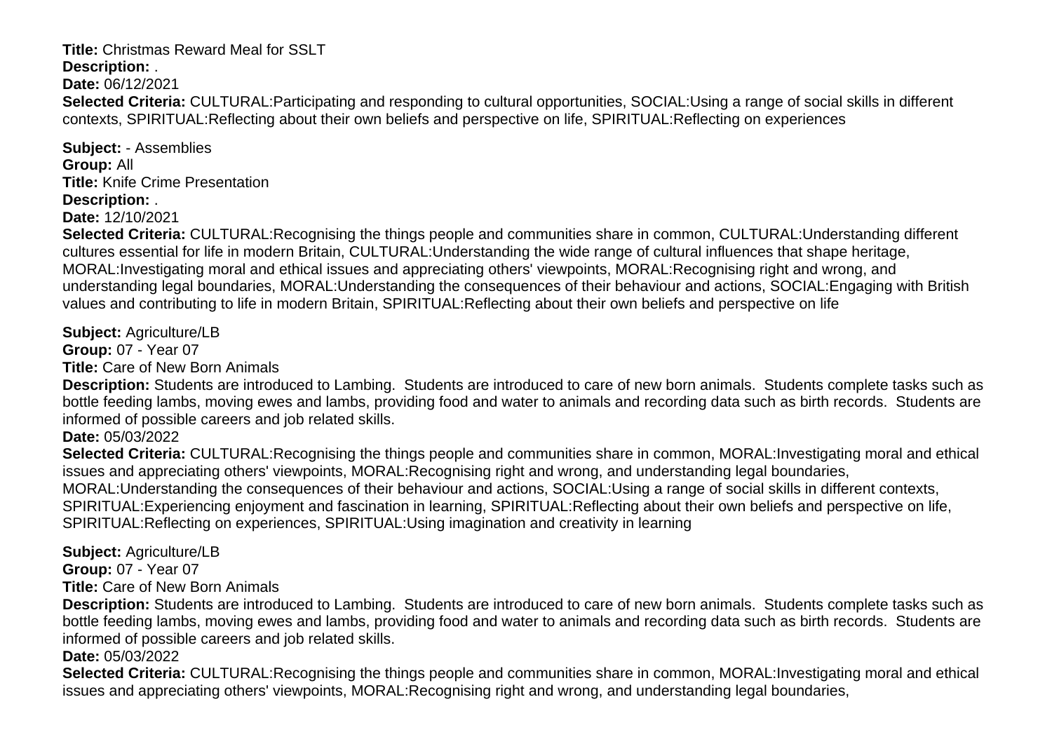### **Title:** Christmas Reward Meal for SSLT

**Description:** .

**Date:** 06/12/2021

**Selected Criteria:** CULTURAL:Participating and responding to cultural opportunities, SOCIAL:Using a range of social skills in different contexts, SPIRITUAL:Reflecting about their own beliefs and perspective on life, SPIRITUAL:Reflecting on experiences

**Subject:** - Assemblies **Group:** All **Title:** Knife Crime Presentation **Description:** .

**Date:** 12/10/2021

**Selected Criteria:** CULTURAL:Recognising the things people and communities share in common, CULTURAL:Understanding different cultures essential for life in modern Britain, CULTURAL:Understanding the wide range of cultural influences that shape heritage, MORAL:Investigating moral and ethical issues and appreciating others' viewpoints, MORAL:Recognising right and wrong, and understanding legal boundaries, MORAL:Understanding the consequences of their behaviour and actions, SOCIAL:Engaging with British values and contributing to life in modern Britain, SPIRITUAL:Reflecting about their own beliefs and perspective on life

**Subject:** Agriculture/LB

**Group:** 07 - Year 07

**Title:** Care of New Born Animals

**Description:** Students are introduced to Lambing. Students are introduced to care of new born animals. Students complete tasks such as bottle feeding lambs, moving ewes and lambs, providing food and water to animals and recording data such as birth records. Students are informed of possible careers and job related skills.

**Date:** 05/03/2022

**Selected Criteria:** CULTURAL:Recognising the things people and communities share in common, MORAL:Investigating moral and ethical issues and appreciating others' viewpoints, MORAL:Recognising right and wrong, and understanding legal boundaries,

MORAL:Understanding the consequences of their behaviour and actions, SOCIAL:Using a range of social skills in different contexts,

SPIRITUAL:Experiencing enjoyment and fascination in learning, SPIRITUAL:Reflecting about their own beliefs and perspective on life,

SPIRITUAL:Reflecting on experiences, SPIRITUAL:Using imagination and creativity in learning

**Subject:** Agriculture/LB

**Group:** 07 - Year 07

**Title:** Care of New Born Animals

**Description:** Students are introduced to Lambing. Students are introduced to care of new born animals. Students complete tasks such as bottle feeding lambs, moving ewes and lambs, providing food and water to animals and recording data such as birth records. Students are informed of possible careers and job related skills.

**Date:** 05/03/2022

**Selected Criteria:** CULTURAL:Recognising the things people and communities share in common, MORAL:Investigating moral and ethical issues and appreciating others' viewpoints, MORAL:Recognising right and wrong, and understanding legal boundaries,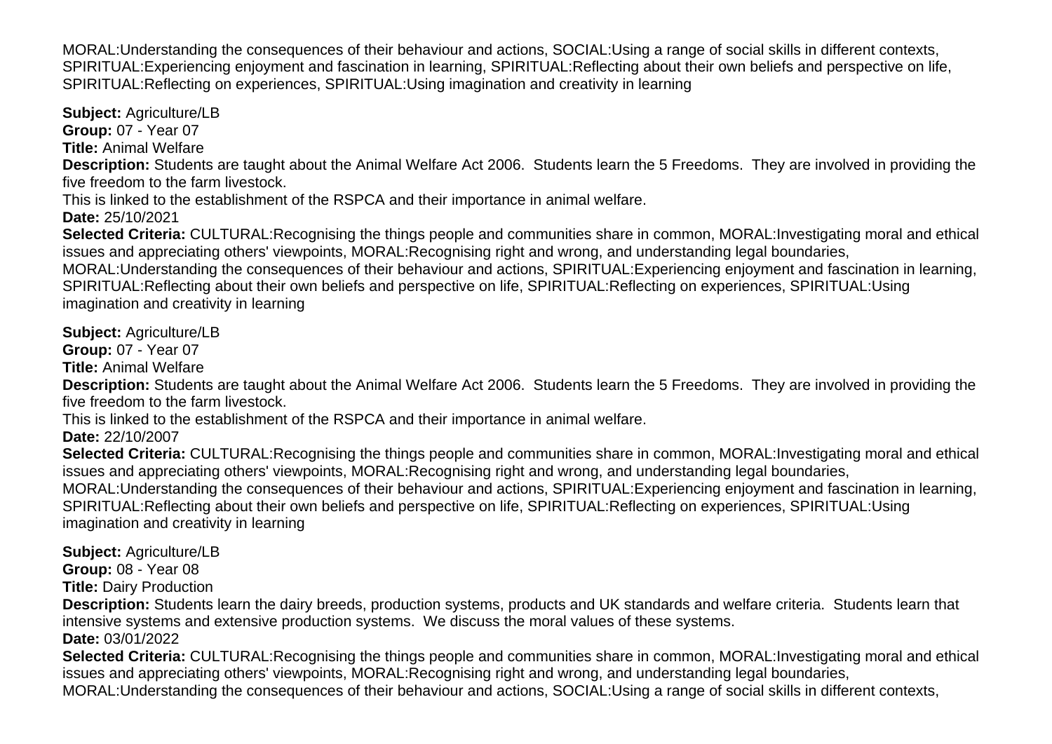MORAL:Understanding the consequences of their behaviour and actions, SOCIAL:Using a range of social skills in different contexts, SPIRITUAL:Experiencing enjoyment and fascination in learning, SPIRITUAL:Reflecting about their own beliefs and perspective on life, SPIRITUAL:Reflecting on experiences, SPIRITUAL:Using imagination and creativity in learning

**Subject:** Agriculture/LB

**Group:** 07 - Year 07

**Title:** Animal Welfare

**Description:** Students are taught about the Animal Welfare Act 2006. Students learn the 5 Freedoms. They are involved in providing the five freedom to the farm livestock.

This is linked to the establishment of the RSPCA and their importance in animal welfare.

**Date:** 25/10/2021

**Selected Criteria:** CULTURAL:Recognising the things people and communities share in common, MORAL:Investigating moral and ethical issues and appreciating others' viewpoints, MORAL:Recognising right and wrong, and understanding legal boundaries, MORAL:Understanding the consequences of their behaviour and actions, SPIRITUAL:Experiencing enjoyment and fascination in learning,

SPIRITUAL:Reflecting about their own beliefs and perspective on life, SPIRITUAL:Reflecting on experiences, SPIRITUAL:Using imagination and creativity in learning

**Subject:** Agriculture/LB

**Group:** 07 - Year 07

**Title:** Animal Welfare

**Description:** Students are taught about the Animal Welfare Act 2006. Students learn the 5 Freedoms. They are involved in providing the five freedom to the farm livestock.

This is linked to the establishment of the RSPCA and their importance in animal welfare.

**Date:** 22/10/2007

**Selected Criteria:** CULTURAL:Recognising the things people and communities share in common, MORAL:Investigating moral and ethical issues and appreciating others' viewpoints, MORAL:Recognising right and wrong, and understanding legal boundaries,

MORAL:Understanding the consequences of their behaviour and actions, SPIRITUAL:Experiencing enjoyment and fascination in learning, SPIRITUAL:Reflecting about their own beliefs and perspective on life, SPIRITUAL:Reflecting on experiences, SPIRITUAL:Using imagination and creativity in learning

**Subject:** Agriculture/LB

**Group:** 08 - Year 08

**Title:** Dairy Production

**Description:** Students learn the dairy breeds, production systems, products and UK standards and welfare criteria. Students learn that intensive systems and extensive production systems. We discuss the moral values of these systems.

**Date:** 03/01/2022

**Selected Criteria:** CULTURAL:Recognising the things people and communities share in common, MORAL:Investigating moral and ethical issues and appreciating others' viewpoints, MORAL:Recognising right and wrong, and understanding legal boundaries, MORAL:Understanding the consequences of their behaviour and actions, SOCIAL:Using a range of social skills in different contexts,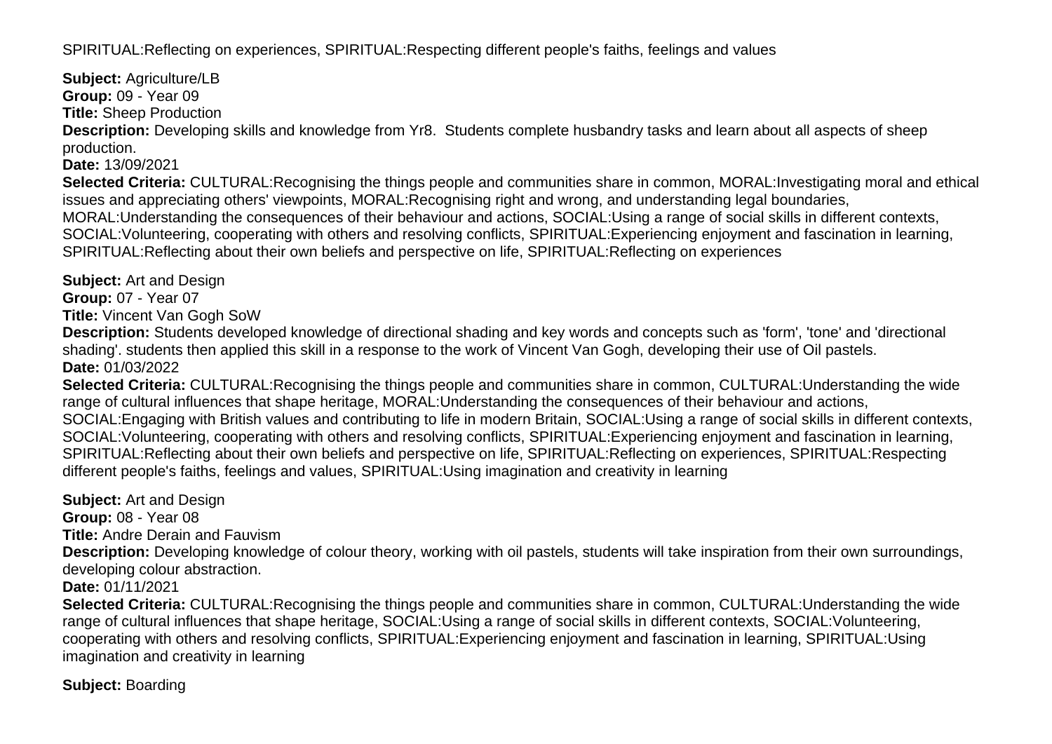SPIRITUAL:Reflecting on experiences, SPIRITUAL:Respecting different people's faiths, feelings and values

**Subject:** Agriculture/LB **Group:** 09 - Year 09

**Title:** Sheep Production

**Description:** Developing skills and knowledge from Yr8. Students complete husbandry tasks and learn about all aspects of sheep production.

**Date:** 13/09/2021

**Selected Criteria:** CULTURAL:Recognising the things people and communities share in common, MORAL:Investigating moral and ethical issues and appreciating others' viewpoints, MORAL:Recognising right and wrong, and understanding legal boundaries, MORAL:Understanding the consequences of their behaviour and actions, SOCIAL:Using a range of social skills in different contexts, SOCIAL:Volunteering, cooperating with others and resolving conflicts, SPIRITUAL:Experiencing enjoyment and fascination in learning, SPIRITUAL:Reflecting about their own beliefs and perspective on life, SPIRITUAL:Reflecting on experiences

**Subject:** Art and Design **Group:** 07 - Year 07

**Title:** Vincent Van Gogh SoW

**Description:** Students developed knowledge of directional shading and key words and concepts such as 'form', 'tone' and 'directional shading'. students then applied this skill in a response to the work of Vincent Van Gogh, developing their use of Oil pastels. **Date:** 01/03/2022

**Selected Criteria:** CULTURAL:Recognising the things people and communities share in common, CULTURAL:Understanding the wide range of cultural influences that shape heritage, MORAL:Understanding the consequences of their behaviour and actions, SOCIAL:Engaging with British values and contributing to life in modern Britain, SOCIAL:Using a range of social skills in different contexts, SOCIAL:Volunteering, cooperating with others and resolving conflicts, SPIRITUAL:Experiencing enjoyment and fascination in learning, SPIRITUAL:Reflecting about their own beliefs and perspective on life, SPIRITUAL:Reflecting on experiences, SPIRITUAL:Respecting different people's faiths, feelings and values, SPIRITUAL:Using imagination and creativity in learning

**Subject:** Art and Design **Group:** 08 - Year 08 **Title:** Andre Derain and Fauvism **Description:** Developing knowledge of colour theory, working with oil pastels, students will take inspiration from their own surroundings, developing colour abstraction. **Date:** 01/11/2021 **Selected Criteria:** CULTURAL:Recognising the things people and communities share in common, CULTURAL:Understanding the wide range of cultural influences that shape heritage, SOCIAL:Using a range of social skills in different contexts, SOCIAL:Volunteering, cooperating with others and resolving conflicts, SPIRITUAL:Experiencing enjoyment and fascination in learning, SPIRITUAL:Using

imagination and creativity in learning

**Subject:** Boarding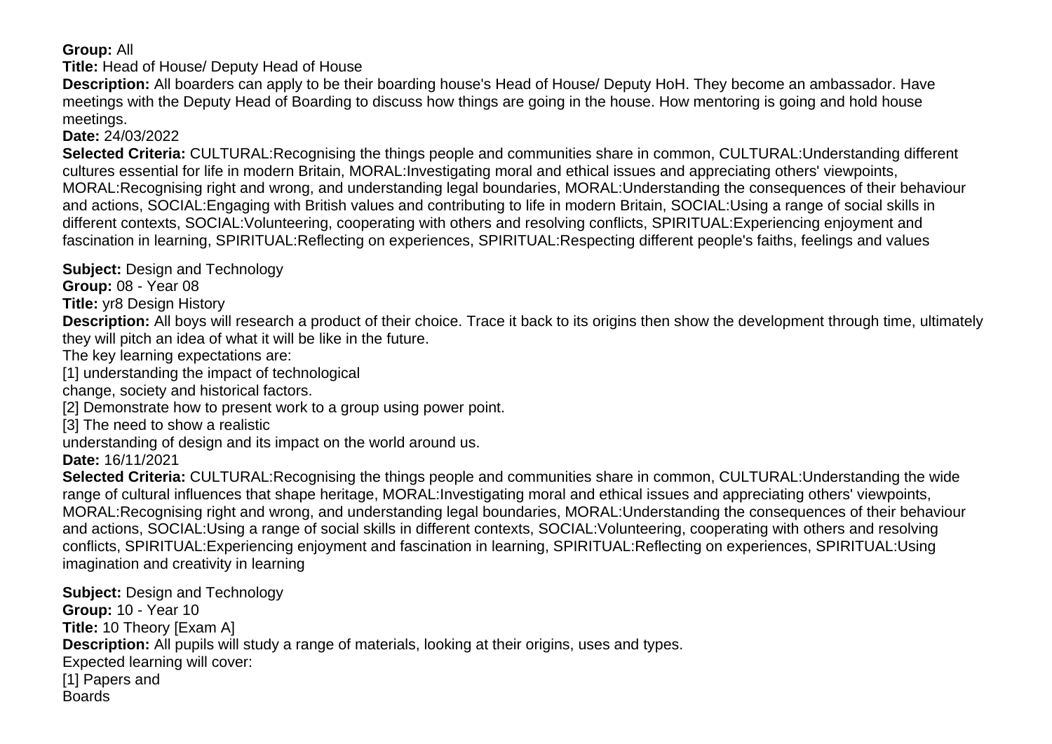## **Group:** All

**Title:** Head of House/ Deputy Head of House

**Description:** All boarders can apply to be their boarding house's Head of House/ Deputy HoH. They become an ambassador. Have meetings with the Deputy Head of Boarding to discuss how things are going in the house. How mentoring is going and hold house meetings.

**Date:** 24/03/2022

**Selected Criteria:** CULTURAL:Recognising the things people and communities share in common, CULTURAL:Understanding different cultures essential for life in modern Britain, MORAL:Investigating moral and ethical issues and appreciating others' viewpoints, MORAL:Recognising right and wrong, and understanding legal boundaries, MORAL:Understanding the consequences of their behaviour and actions, SOCIAL:Engaging with British values and contributing to life in modern Britain, SOCIAL:Using a range of social skills in different contexts, SOCIAL:Volunteering, cooperating with others and resolving conflicts, SPIRITUAL:Experiencing enjoyment and fascination in learning, SPIRITUAL:Reflecting on experiences, SPIRITUAL:Respecting different people's faiths, feelings and values

**Subject:** Design and Technology

**Group:** 08 - Year 08

**Title:** yr8 Design History

**Description:** All boys will research a product of their choice. Trace it back to its origins then show the development through time, ultimately they will pitch an idea of what it will be like in the future.

The key learning expectations are:

[1] understanding the impact of technological

change, society and historical factors.

[2] Demonstrate how to present work to a group using power point.

[3] The need to show a realistic

understanding of design and its impact on the world around us.

**Date:** 16/11/2021

**Selected Criteria:** CULTURAL:Recognising the things people and communities share in common, CULTURAL:Understanding the wide range of cultural influences that shape heritage, MORAL:Investigating moral and ethical issues and appreciating others' viewpoints, MORAL:Recognising right and wrong, and understanding legal boundaries, MORAL:Understanding the consequences of their behaviour and actions, SOCIAL:Using a range of social skills in different contexts, SOCIAL:Volunteering, cooperating with others and resolving conflicts, SPIRITUAL:Experiencing enjoyment and fascination in learning, SPIRITUAL:Reflecting on experiences, SPIRITUAL:Using imagination and creativity in learning

**Subject: Design and Technology Group:** 10 - Year 10 **Title:** 10 Theory [Exam A] **Description:** All pupils will study a range of materials, looking at their origins, uses and types. Expected learning will cover: [1] Papers and **Boards**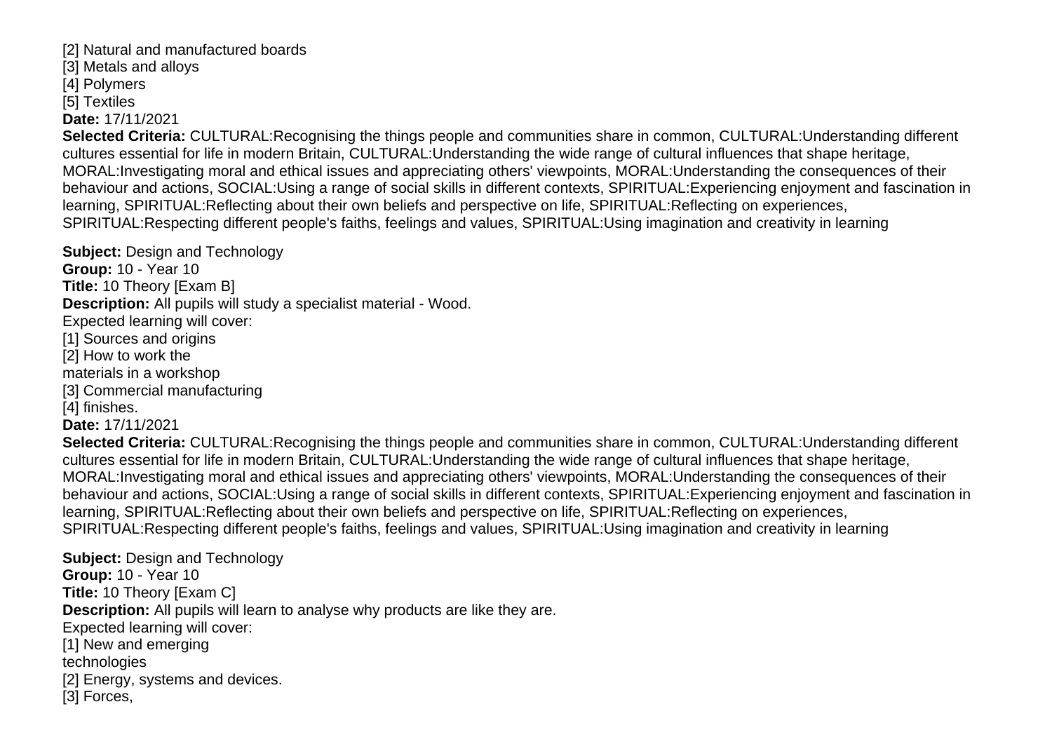[2] Natural and manufactured boards [3] Metals and alloys

[4] Polymers

[5] Textiles

**Date:** 17/11/2021

**Selected Criteria:** CULTURAL:Recognising the things people and communities share in common, CULTURAL:Understanding different cultures essential for life in modern Britain, CULTURAL:Understanding the wide range of cultural influences that shape heritage, MORAL:Investigating moral and ethical issues and appreciating others' viewpoints, MORAL:Understanding the consequences of their behaviour and actions, SOCIAL:Using a range of social skills in different contexts, SPIRITUAL:Experiencing enjoyment and fascination in learning, SPIRITUAL:Reflecting about their own beliefs and perspective on life, SPIRITUAL:Reflecting on experiences, SPIRITUAL:Respecting different people's faiths, feelings and values, SPIRITUAL:Using imagination and creativity in learning

**Subject: Design and Technology Group:** 10 - Year 10 **Title:** 10 Theory [Exam B] **Description:** All pupils will study a specialist material - Wood. Expected learning will cover: [1] Sources and origins [2] How to work the materials in a workshop [3] Commercial manufacturing [4] finishes. **Date:** 17/11/2021

**Selected Criteria:** CULTURAL:Recognising the things people and communities share in common, CULTURAL:Understanding different cultures essential for life in modern Britain, CULTURAL:Understanding the wide range of cultural influences that shape heritage, MORAL:Investigating moral and ethical issues and appreciating others' viewpoints, MORAL:Understanding the consequences of their behaviour and actions, SOCIAL:Using a range of social skills in different contexts, SPIRITUAL:Experiencing enjoyment and fascination in learning, SPIRITUAL:Reflecting about their own beliefs and perspective on life, SPIRITUAL:Reflecting on experiences, SPIRITUAL:Respecting different people's faiths, feelings and values, SPIRITUAL:Using imagination and creativity in learning

**Subject:** Design and Technology **Group:** 10 - Year 10 **Title:** 10 Theory [Exam C] **Description:** All pupils will learn to analyse why products are like they are. Expected learning will cover: [1] New and emerging technologies [2] Energy, systems and devices. [3] Forces,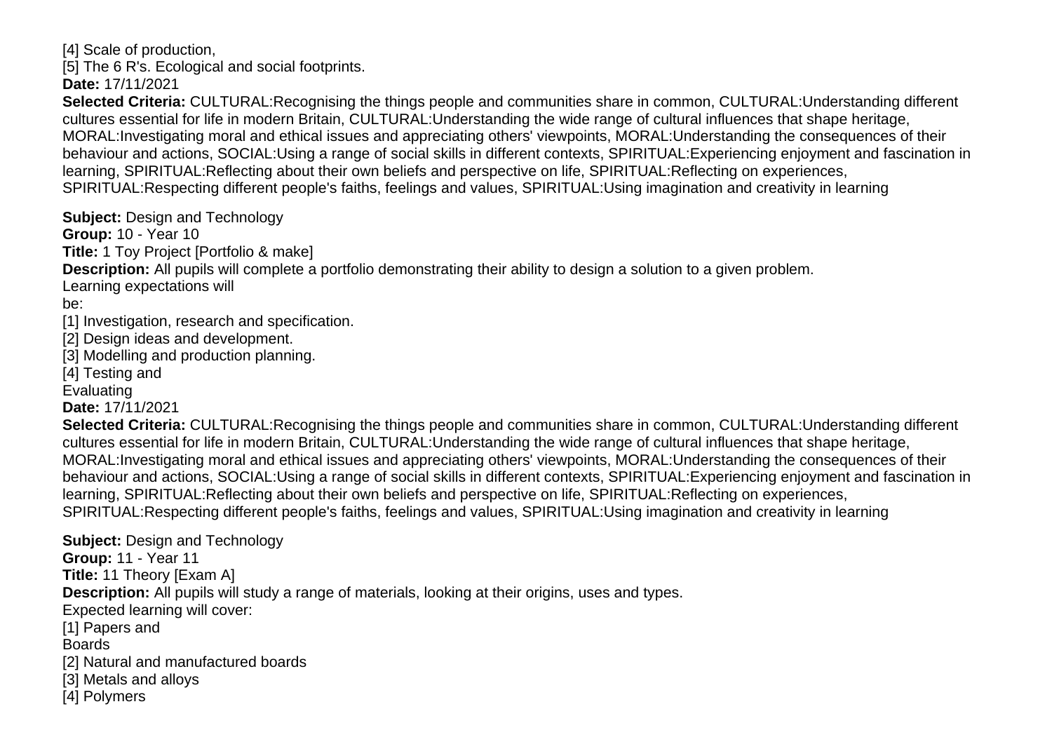[4] Scale of production, [5] The 6 R's. Ecological and social footprints. **Date:** 17/11/2021

**Selected Criteria:** CULTURAL:Recognising the things people and communities share in common, CULTURAL:Understanding different cultures essential for life in modern Britain, CULTURAL:Understanding the wide range of cultural influences that shape heritage, MORAL:Investigating moral and ethical issues and appreciating others' viewpoints, MORAL:Understanding the consequences of their behaviour and actions, SOCIAL:Using a range of social skills in different contexts, SPIRITUAL:Experiencing enjoyment and fascination in learning, SPIRITUAL:Reflecting about their own beliefs and perspective on life, SPIRITUAL:Reflecting on experiences, SPIRITUAL:Respecting different people's faiths, feelings and values, SPIRITUAL:Using imagination and creativity in learning

**Subject: Design and Technology** 

**Group:** 10 - Year 10

**Title:** 1 Toy Project [Portfolio & make]

**Description:** All pupils will complete a portfolio demonstrating their ability to design a solution to a given problem.

Learning expectations will

be:

[1] Investigation, research and specification.

- [2] Design ideas and development.
- [3] Modelling and production planning.

[4] Testing and

Evaluating

**Date:** 17/11/2021

**Selected Criteria:** CULTURAL:Recognising the things people and communities share in common, CULTURAL:Understanding different cultures essential for life in modern Britain, CULTURAL:Understanding the wide range of cultural influences that shape heritage, MORAL:Investigating moral and ethical issues and appreciating others' viewpoints, MORAL:Understanding the consequences of their behaviour and actions, SOCIAL:Using a range of social skills in different contexts, SPIRITUAL:Experiencing enjoyment and fascination in learning, SPIRITUAL:Reflecting about their own beliefs and perspective on life, SPIRITUAL:Reflecting on experiences, SPIRITUAL:Respecting different people's faiths, feelings and values, SPIRITUAL:Using imagination and creativity in learning

**Subject:** Design and Technology **Group:** 11 - Year 11 **Title:** 11 Theory [Exam A] **Description:** All pupils will study a range of materials, looking at their origins, uses and types. Expected learning will cover: [1] Papers and Boards [2] Natural and manufactured boards [3] Metals and alloys [4] Polymers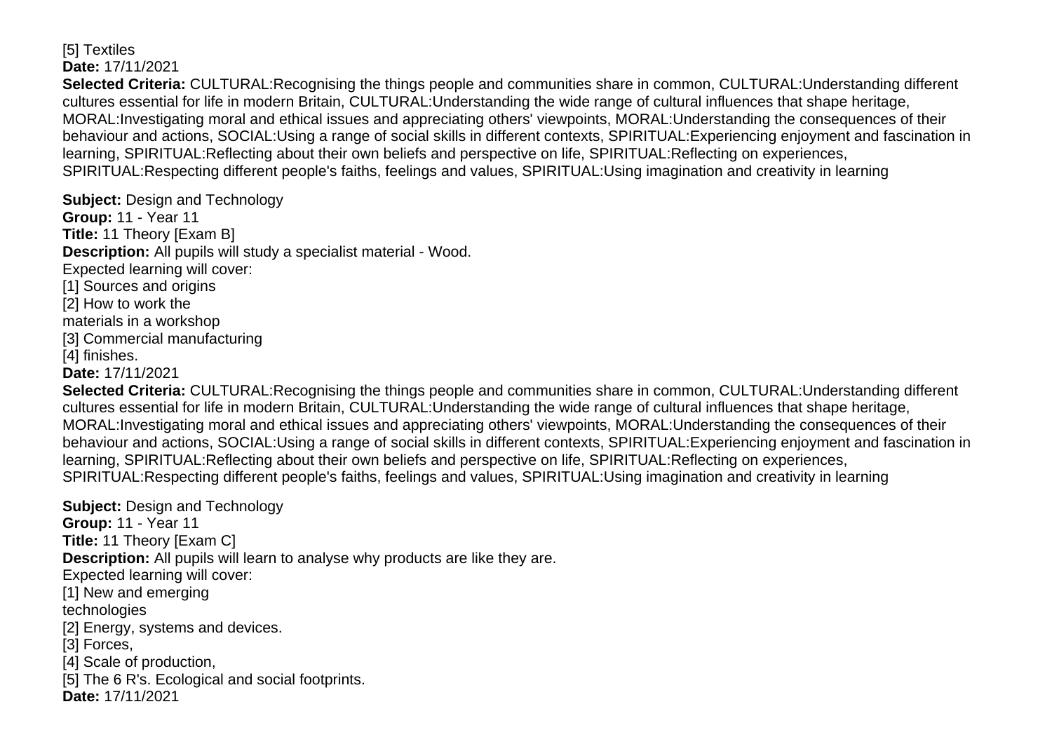#### [5] Textiles **Date:** 17/11/2021

**Selected Criteria:** CULTURAL:Recognising the things people and communities share in common, CULTURAL:Understanding different cultures essential for life in modern Britain, CULTURAL:Understanding the wide range of cultural influences that shape heritage, MORAL:Investigating moral and ethical issues and appreciating others' viewpoints, MORAL:Understanding the consequences of their behaviour and actions, SOCIAL:Using a range of social skills in different contexts, SPIRITUAL:Experiencing enjoyment and fascination in learning, SPIRITUAL:Reflecting about their own beliefs and perspective on life, SPIRITUAL:Reflecting on experiences, SPIRITUAL:Respecting different people's faiths, feelings and values, SPIRITUAL:Using imagination and creativity in learning

**Subject:** Design and Technology **Group:** 11 - Year 11 **Title:** 11 Theory [Exam B] **Description:** All pupils will study a specialist material - Wood. Expected learning will cover: [1] Sources and origins [2] How to work the materials in a workshop [3] Commercial manufacturing [4] finishes. **Date:** 17/11/2021

**Selected Criteria:** CULTURAL:Recognising the things people and communities share in common, CULTURAL:Understanding different cultures essential for life in modern Britain, CULTURAL:Understanding the wide range of cultural influences that shape heritage, MORAL:Investigating moral and ethical issues and appreciating others' viewpoints, MORAL:Understanding the consequences of their behaviour and actions, SOCIAL:Using a range of social skills in different contexts, SPIRITUAL:Experiencing enjoyment and fascination in learning, SPIRITUAL:Reflecting about their own beliefs and perspective on life, SPIRITUAL:Reflecting on experiences, SPIRITUAL:Respecting different people's faiths, feelings and values, SPIRITUAL:Using imagination and creativity in learning

**Subject:** Design and Technology **Group:** 11 - Year 11 **Title:** 11 Theory [Exam C] **Description:** All pupils will learn to analyse why products are like they are. Expected learning will cover: [1] New and emerging technologies [2] Energy, systems and devices. [3] Forces, [4] Scale of production, [5] The 6 R's. Ecological and social footprints. **Date:** 17/11/2021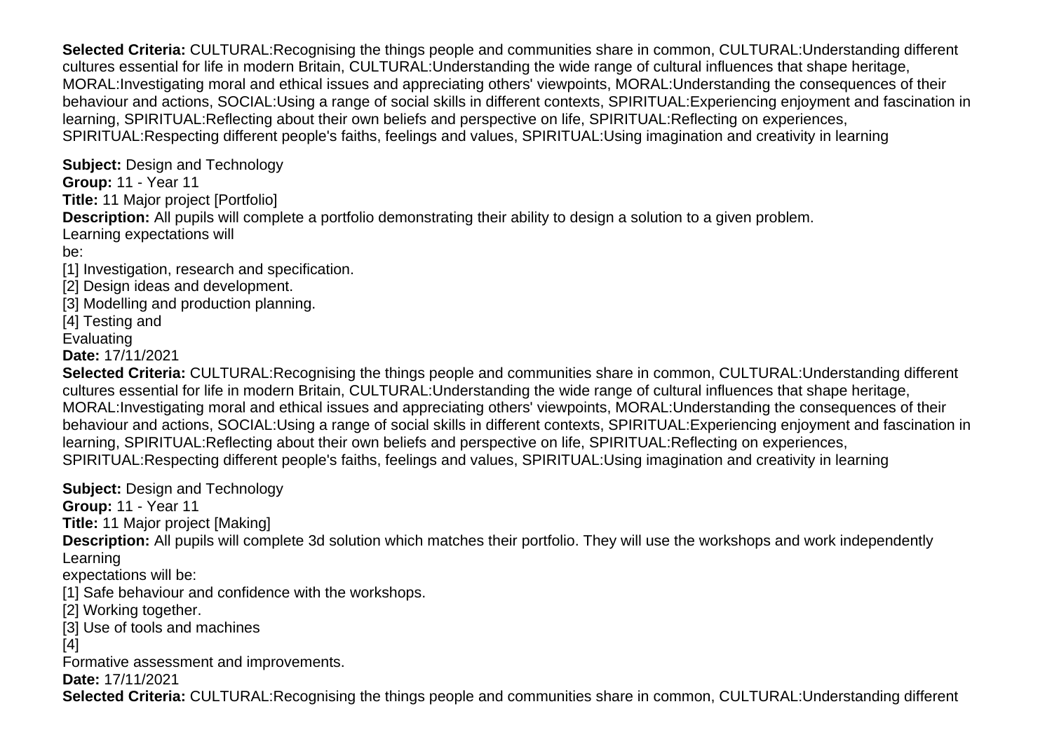**Selected Criteria:** CULTURAL:Recognising the things people and communities share in common, CULTURAL:Understanding different cultures essential for life in modern Britain, CULTURAL:Understanding the wide range of cultural influences that shape heritage, MORAL:Investigating moral and ethical issues and appreciating others' viewpoints, MORAL:Understanding the consequences of their behaviour and actions, SOCIAL:Using a range of social skills in different contexts, SPIRITUAL:Experiencing enjoyment and fascination in learning, SPIRITUAL:Reflecting about their own beliefs and perspective on life, SPIRITUAL:Reflecting on experiences, SPIRITUAL:Respecting different people's faiths, feelings and values, SPIRITUAL:Using imagination and creativity in learning

**Subject:** Design and Technology

**Group:** 11 - Year 11

**Title:** 11 Major project [Portfolio]

**Description:** All pupils will complete a portfolio demonstrating their ability to design a solution to a given problem.

Learning expectations will

be:

[1] Investigation, research and specification.

- [2] Design ideas and development.
- [3] Modelling and production planning.

[4] Testing and

**Evaluating** 

**Date:** 17/11/2021

**Selected Criteria:** CULTURAL:Recognising the things people and communities share in common, CULTURAL:Understanding different cultures essential for life in modern Britain, CULTURAL:Understanding the wide range of cultural influences that shape heritage, MORAL:Investigating moral and ethical issues and appreciating others' viewpoints, MORAL:Understanding the consequences of their behaviour and actions, SOCIAL:Using a range of social skills in different contexts, SPIRITUAL:Experiencing enjoyment and fascination in learning, SPIRITUAL:Reflecting about their own beliefs and perspective on life, SPIRITUAL:Reflecting on experiences, SPIRITUAL:Respecting different people's faiths, feelings and values, SPIRITUAL:Using imagination and creativity in learning

**Subject: Design and Technology** 

**Group:** 11 - Year 11

**Title:** 11 Major project [Making]

**Description:** All pupils will complete 3d solution which matches their portfolio. They will use the workshops and work independently Learning

expectations will be:

[1] Safe behaviour and confidence with the workshops.

[2] Working together.

[3] Use of tools and machines

[4]

Formative assessment and improvements.

**Date:** 17/11/2021

**Selected Criteria:** CULTURAL:Recognising the things people and communities share in common, CULTURAL:Understanding different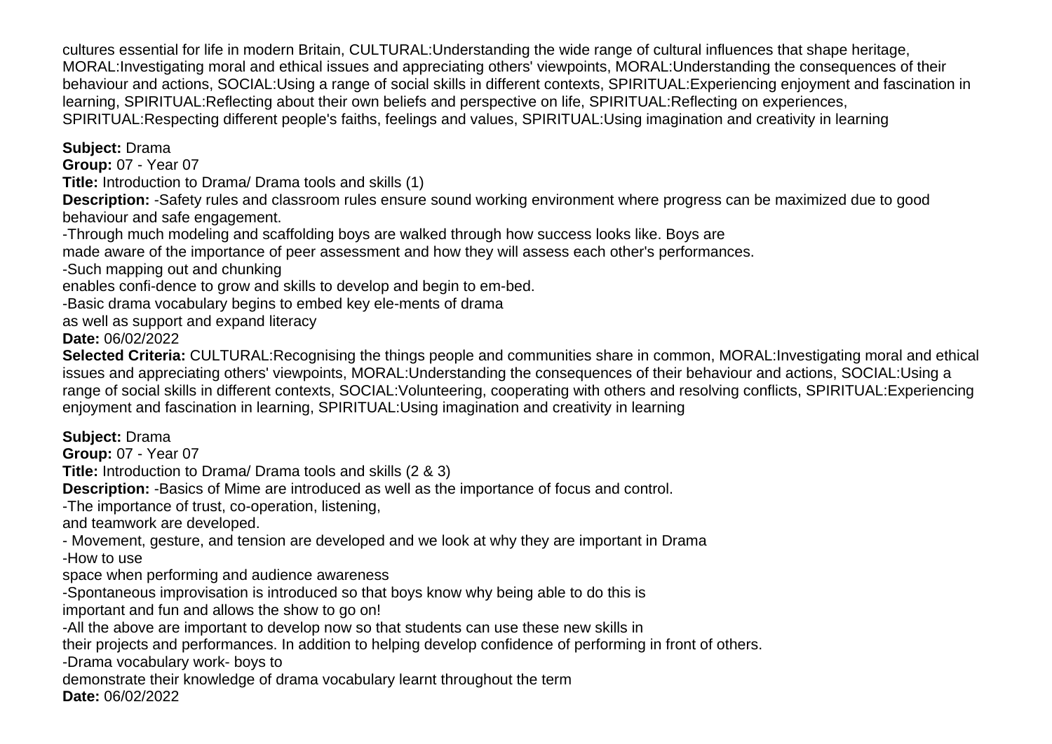cultures essential for life in modern Britain, CULTURAL:Understanding the wide range of cultural influences that shape heritage, MORAL:Investigating moral and ethical issues and appreciating others' viewpoints, MORAL:Understanding the consequences of their behaviour and actions, SOCIAL:Using a range of social skills in different contexts, SPIRITUAL:Experiencing enjoyment and fascination in learning, SPIRITUAL:Reflecting about their own beliefs and perspective on life, SPIRITUAL:Reflecting on experiences, SPIRITUAL:Respecting different people's faiths, feelings and values, SPIRITUAL:Using imagination and creativity in learning

**Subject:** Drama

**Group:** 07 - Year 07

**Title:** Introduction to Drama/ Drama tools and skills (1)

**Description:** -Safety rules and classroom rules ensure sound working environment where progress can be maximized due to good behaviour and safe engagement.

-Through much modeling and scaffolding boys are walked through how success looks like. Boys are

made aware of the importance of peer assessment and how they will assess each other's performances.

-Such mapping out and chunking

enables confi-dence to grow and skills to develop and begin to em-bed.

-Basic drama vocabulary begins to embed key ele-ments of drama

as well as support and expand literacy

**Date:** 06/02/2022

**Selected Criteria:** CULTURAL:Recognising the things people and communities share in common, MORAL:Investigating moral and ethical issues and appreciating others' viewpoints, MORAL:Understanding the consequences of their behaviour and actions, SOCIAL:Using a range of social skills in different contexts, SOCIAL:Volunteering, cooperating with others and resolving conflicts, SPIRITUAL:Experiencing enjoyment and fascination in learning, SPIRITUAL:Using imagination and creativity in learning

**Subject:** Drama

**Group:** 07 - Year 07

**Title:** Introduction to Drama/ Drama tools and skills (2 & 3)

**Description:** -Basics of Mime are introduced as well as the importance of focus and control.

-The importance of trust, co-operation, listening,

and teamwork are developed.

- Movement, gesture, and tension are developed and we look at why they are important in Drama

-How to use

space when performing and audience awareness

-Spontaneous improvisation is introduced so that boys know why being able to do this is

important and fun and allows the show to go on!

-All the above are important to develop now so that students can use these new skills in

their projects and performances. In addition to helping develop confidence of performing in front of others.

-Drama vocabulary work- boys to

demonstrate their knowledge of drama vocabulary learnt throughout the term **Date:** 06/02/2022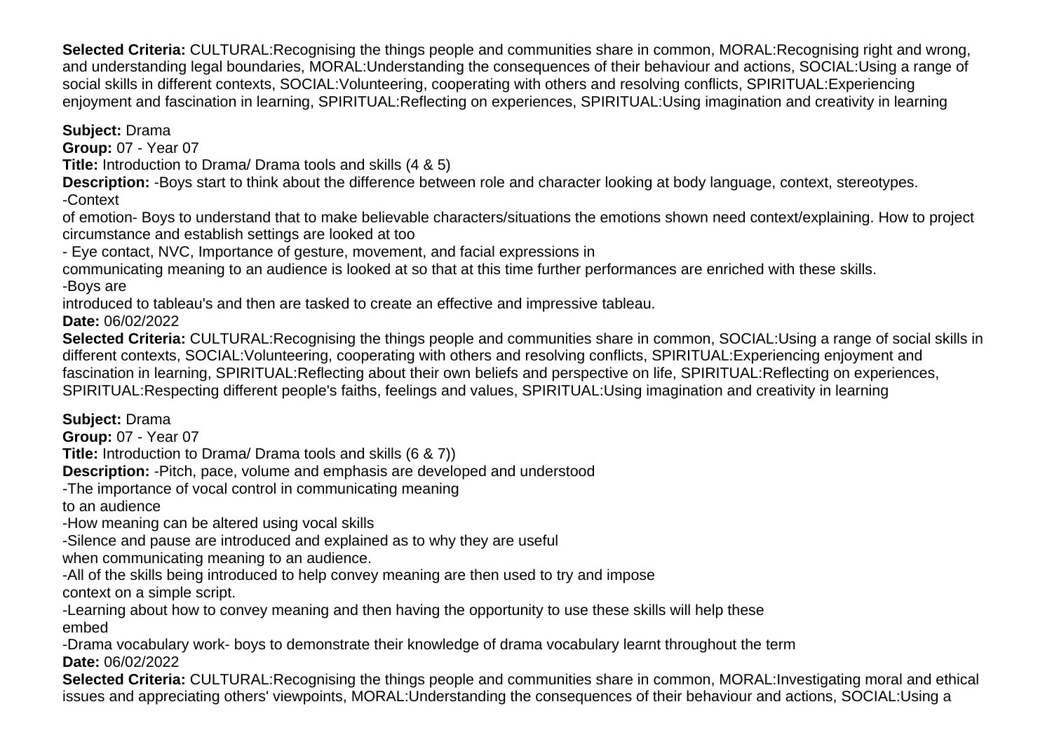**Selected Criteria:** CULTURAL:Recognising the things people and communities share in common, MORAL:Recognising right and wrong, and understanding legal boundaries, MORAL:Understanding the consequences of their behaviour and actions, SOCIAL:Using a range of social skills in different contexts, SOCIAL:Volunteering, cooperating with others and resolving conflicts, SPIRITUAL:Experiencing enjoyment and fascination in learning, SPIRITUAL:Reflecting on experiences, SPIRITUAL:Using imagination and creativity in learning

**Subject:** Drama

**Group:** 07 - Year 07

**Title:** Introduction to Drama/ Drama tools and skills (4 & 5)

**Description:** -Boys start to think about the difference between role and character looking at body language, context, stereotypes.

-Context

of emotion- Boys to understand that to make believable characters/situations the emotions shown need context/explaining. How to project circumstance and establish settings are looked at too

- Eye contact, NVC, Importance of gesture, movement, and facial expressions in

communicating meaning to an audience is looked at so that at this time further performances are enriched with these skills. -Boys are

introduced to tableau's and then are tasked to create an effective and impressive tableau.

**Date:** 06/02/2022

**Selected Criteria:** CULTURAL:Recognising the things people and communities share in common, SOCIAL:Using a range of social skills in different contexts, SOCIAL:Volunteering, cooperating with others and resolving conflicts, SPIRITUAL:Experiencing enjoyment and fascination in learning, SPIRITUAL:Reflecting about their own beliefs and perspective on life, SPIRITUAL:Reflecting on experiences, SPIRITUAL:Respecting different people's faiths, feelings and values, SPIRITUAL:Using imagination and creativity in learning

**Subject:** Drama

**Group:** 07 - Year 07

**Title:** Introduction to Drama/ Drama tools and skills (6 & 7))

**Description:** -Pitch, pace, volume and emphasis are developed and understood

-The importance of vocal control in communicating meaning

to an audience

-How meaning can be altered using vocal skills

-Silence and pause are introduced and explained as to why they are useful

when communicating meaning to an audience.

-All of the skills being introduced to help convey meaning are then used to try and impose context on a simple script.

-Learning about how to convey meaning and then having the opportunity to use these skills will help these embed

-Drama vocabulary work- boys to demonstrate their knowledge of drama vocabulary learnt throughout the term **Date:** 06/02/2022

**Selected Criteria:** CULTURAL:Recognising the things people and communities share in common, MORAL:Investigating moral and ethical issues and appreciating others' viewpoints, MORAL:Understanding the consequences of their behaviour and actions, SOCIAL:Using a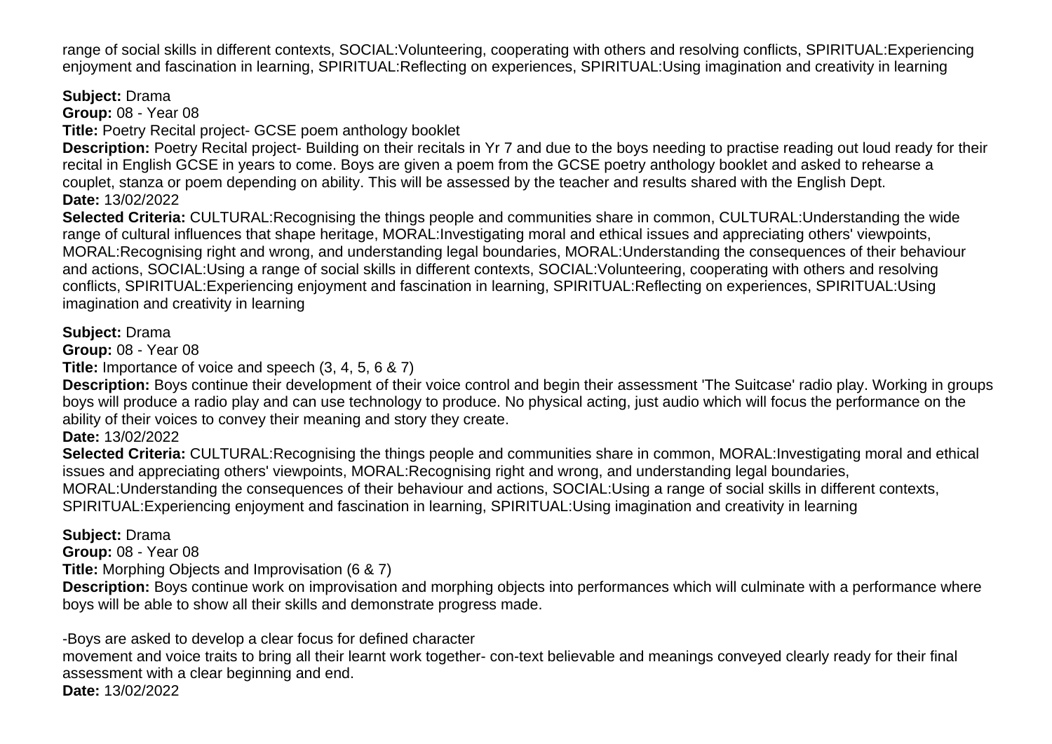range of social skills in different contexts, SOCIAL:Volunteering, cooperating with others and resolving conflicts, SPIRITUAL:Experiencing enjoyment and fascination in learning, SPIRITUAL:Reflecting on experiences, SPIRITUAL:Using imagination and creativity in learning

**Subject:** Drama

**Group:** 08 - Year 08

**Title:** Poetry Recital project- GCSE poem anthology booklet

**Description:** Poetry Recital project- Building on their recitals in Yr 7 and due to the boys needing to practise reading out loud ready for their recital in English GCSE in years to come. Boys are given a poem from the GCSE poetry anthology booklet and asked to rehearse a couplet, stanza or poem depending on ability. This will be assessed by the teacher and results shared with the English Dept. **Date:** 13/02/2022

**Selected Criteria:** CULTURAL:Recognising the things people and communities share in common, CULTURAL:Understanding the wide range of cultural influences that shape heritage, MORAL:Investigating moral and ethical issues and appreciating others' viewpoints, MORAL:Recognising right and wrong, and understanding legal boundaries, MORAL:Understanding the consequences of their behaviour and actions, SOCIAL:Using a range of social skills in different contexts, SOCIAL:Volunteering, cooperating with others and resolving conflicts, SPIRITUAL:Experiencing enjoyment and fascination in learning, SPIRITUAL:Reflecting on experiences, SPIRITUAL:Using imagination and creativity in learning

## **Subject:** Drama

**Group:** 08 - Year 08

**Title:** Importance of voice and speech (3, 4, 5, 6 & 7)

**Description:** Boys continue their development of their voice control and begin their assessment 'The Suitcase' radio play. Working in groups boys will produce a radio play and can use technology to produce. No physical acting, just audio which will focus the performance on the ability of their voices to convey their meaning and story they create.

## **Date:** 13/02/2022

**Selected Criteria:** CULTURAL:Recognising the things people and communities share in common, MORAL:Investigating moral and ethical issues and appreciating others' viewpoints, MORAL:Recognising right and wrong, and understanding legal boundaries, MORAL:Understanding the consequences of their behaviour and actions, SOCIAL:Using a range of social skills in different contexts, SPIRITUAL:Experiencing enjoyment and fascination in learning, SPIRITUAL:Using imagination and creativity in learning

**Subject:** Drama

**Group:** 08 - Year 08

**Title:** Morphing Objects and Improvisation (6 & 7)

**Description:** Boys continue work on improvisation and morphing objects into performances which will culminate with a performance where boys will be able to show all their skills and demonstrate progress made.

-Boys are asked to develop a clear focus for defined character

movement and voice traits to bring all their learnt work together- con-text believable and meanings conveyed clearly ready for their final assessment with a clear beginning and end. **Date:** 13/02/2022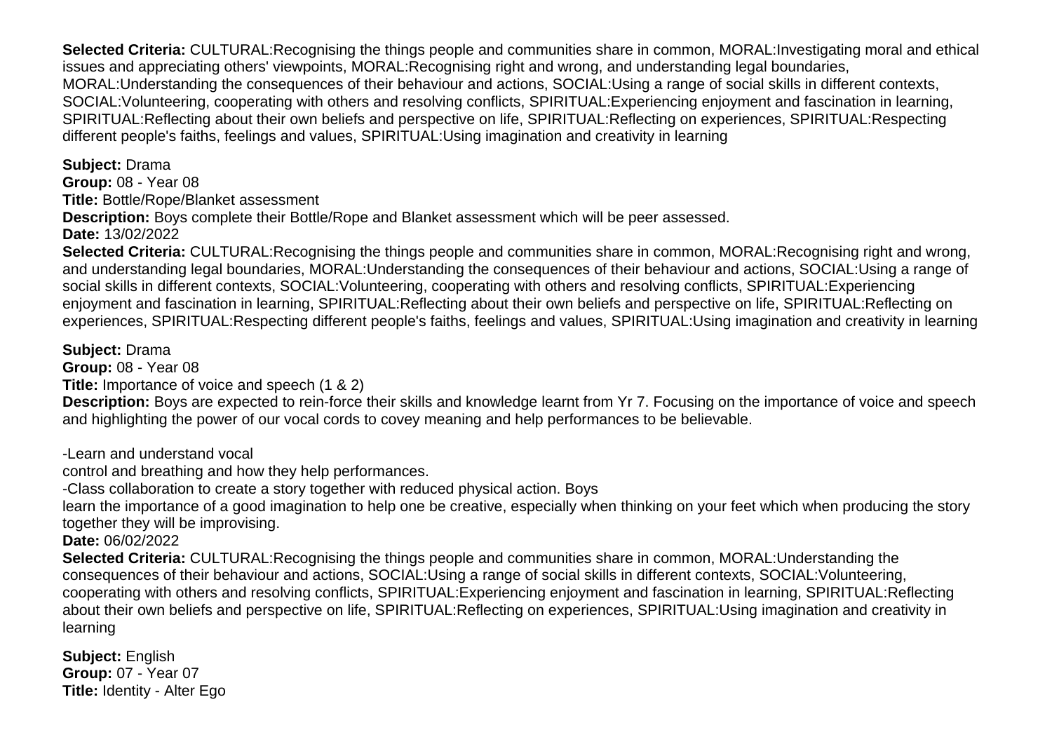**Selected Criteria:** CULTURAL:Recognising the things people and communities share in common, MORAL:Investigating moral and ethical issues and appreciating others' viewpoints, MORAL:Recognising right and wrong, and understanding legal boundaries, MORAL:Understanding the consequences of their behaviour and actions, SOCIAL:Using a range of social skills in different contexts, SOCIAL:Volunteering, cooperating with others and resolving conflicts, SPIRITUAL:Experiencing enjoyment and fascination in learning, SPIRITUAL:Reflecting about their own beliefs and perspective on life, SPIRITUAL:Reflecting on experiences, SPIRITUAL:Respecting different people's faiths, feelings and values, SPIRITUAL:Using imagination and creativity in learning

**Subject:** Drama **Group:** 08 - Year 08

**Title:** Bottle/Rope/Blanket assessment

**Description:** Boys complete their Bottle/Rope and Blanket assessment which will be peer assessed.

**Date:** 13/02/2022

**Selected Criteria:** CULTURAL:Recognising the things people and communities share in common, MORAL:Recognising right and wrong, and understanding legal boundaries, MORAL:Understanding the consequences of their behaviour and actions, SOCIAL:Using a range of social skills in different contexts, SOCIAL:Volunteering, cooperating with others and resolving conflicts, SPIRITUAL:Experiencing enjoyment and fascination in learning, SPIRITUAL:Reflecting about their own beliefs and perspective on life, SPIRITUAL:Reflecting on experiences, SPIRITUAL:Respecting different people's faiths, feelings and values, SPIRITUAL:Using imagination and creativity in learning

**Subject:** Drama

**Group:** 08 - Year 08

**Title:** Importance of voice and speech (1 & 2)

**Description:** Boys are expected to rein-force their skills and knowledge learnt from Yr 7. Focusing on the importance of voice and speech and highlighting the power of our vocal cords to covey meaning and help performances to be believable.

-Learn and understand vocal

control and breathing and how they help performances.

-Class collaboration to create a story together with reduced physical action. Boys

learn the importance of a good imagination to help one be creative, especially when thinking on your feet which when producing the story together they will be improvising.

**Date:** 06/02/2022

**Selected Criteria:** CULTURAL:Recognising the things people and communities share in common, MORAL:Understanding the consequences of their behaviour and actions, SOCIAL:Using a range of social skills in different contexts, SOCIAL:Volunteering, cooperating with others and resolving conflicts, SPIRITUAL:Experiencing enjoyment and fascination in learning, SPIRITUAL:Reflecting about their own beliefs and perspective on life, SPIRITUAL:Reflecting on experiences, SPIRITUAL:Using imagination and creativity in learning

**Subject:** English **Group:** 07 - Year 07 **Title:** Identity - Alter Ego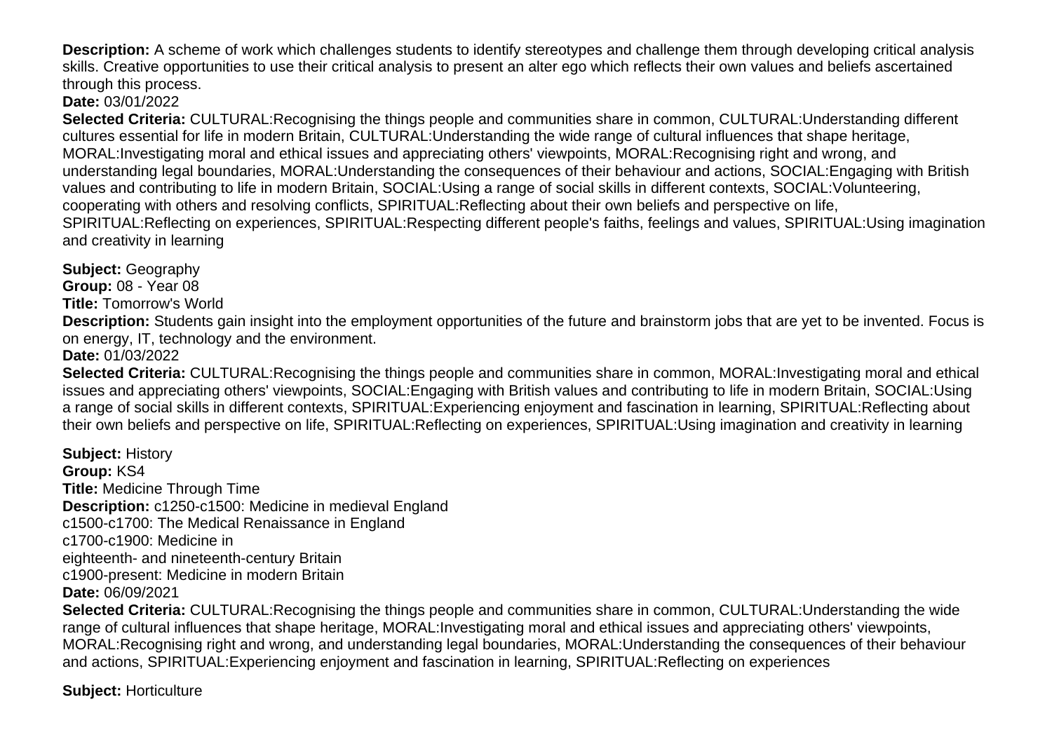**Description:** A scheme of work which challenges students to identify stereotypes and challenge them through developing critical analysis skills. Creative opportunities to use their critical analysis to present an alter ego which reflects their own values and beliefs ascertained through this process.

**Date:** 03/01/2022

**Selected Criteria:** CULTURAL:Recognising the things people and communities share in common, CULTURAL:Understanding different cultures essential for life in modern Britain, CULTURAL:Understanding the wide range of cultural influences that shape heritage, MORAL:Investigating moral and ethical issues and appreciating others' viewpoints, MORAL:Recognising right and wrong, and understanding legal boundaries, MORAL:Understanding the consequences of their behaviour and actions, SOCIAL:Engaging with British values and contributing to life in modern Britain, SOCIAL:Using a range of social skills in different contexts, SOCIAL:Volunteering, cooperating with others and resolving conflicts, SPIRITUAL:Reflecting about their own beliefs and perspective on life, SPIRITUAL:Reflecting on experiences, SPIRITUAL:Respecting different people's faiths, feelings and values, SPIRITUAL:Using imagination and creativity in learning

**Subject:** Geography **Group:** 08 - Year 08

**Title:** Tomorrow's World

**Description:** Students gain insight into the employment opportunities of the future and brainstorm jobs that are yet to be invented. Focus is on energy, IT, technology and the environment.

**Date:** 01/03/2022

**Selected Criteria:** CULTURAL:Recognising the things people and communities share in common, MORAL:Investigating moral and ethical issues and appreciating others' viewpoints, SOCIAL:Engaging with British values and contributing to life in modern Britain, SOCIAL:Using a range of social skills in different contexts, SPIRITUAL:Experiencing enjoyment and fascination in learning, SPIRITUAL:Reflecting about their own beliefs and perspective on life, SPIRITUAL:Reflecting on experiences, SPIRITUAL:Using imagination and creativity in learning

**Subject:** History **Group:** KS4 **Title:** Medicine Through Time **Description:** c1250-c1500: Medicine in medieval England c1500-c1700: The Medical Renaissance in England c1700-c1900: Medicine in eighteenth- and nineteenth-century Britain c1900-present: Medicine in modern Britain **Date:** 06/09/2021

**Selected Criteria:** CULTURAL:Recognising the things people and communities share in common, CULTURAL:Understanding the wide range of cultural influences that shape heritage, MORAL:Investigating moral and ethical issues and appreciating others' viewpoints, MORAL:Recognising right and wrong, and understanding legal boundaries, MORAL:Understanding the consequences of their behaviour and actions, SPIRITUAL:Experiencing enjoyment and fascination in learning, SPIRITUAL:Reflecting on experiences

**Subject:** Horticulture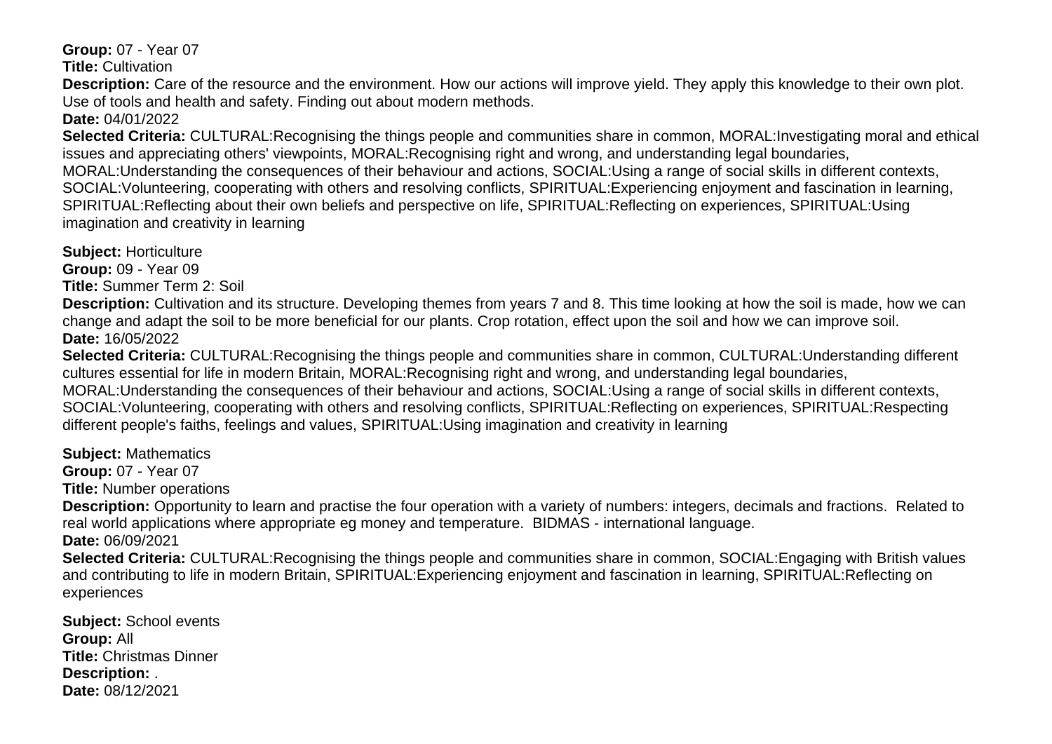**Group:** 07 - Year 07

**Title:** Cultivation

**Description:** Care of the resource and the environment. How our actions will improve yield. They apply this knowledge to their own plot. Use of tools and health and safety. Finding out about modern methods.

**Date:** 04/01/2022

**Selected Criteria:** CULTURAL:Recognising the things people and communities share in common, MORAL:Investigating moral and ethical issues and appreciating others' viewpoints, MORAL:Recognising right and wrong, and understanding legal boundaries, MORAL:Understanding the consequences of their behaviour and actions, SOCIAL:Using a range of social skills in different contexts, SOCIAL:Volunteering, cooperating with others and resolving conflicts, SPIRITUAL:Experiencing enjoyment and fascination in learning, SPIRITUAL:Reflecting about their own beliefs and perspective on life, SPIRITUAL:Reflecting on experiences, SPIRITUAL:Using imagination and creativity in learning

**Subject:** Horticulture

**Group:** 09 - Year 09

**Title:** Summer Term 2: Soil

**Description:** Cultivation and its structure. Developing themes from years 7 and 8. This time looking at how the soil is made, how we can change and adapt the soil to be more beneficial for our plants. Crop rotation, effect upon the soil and how we can improve soil. **Date:** 16/05/2022

**Selected Criteria:** CULTURAL:Recognising the things people and communities share in common, CULTURAL:Understanding different cultures essential for life in modern Britain, MORAL:Recognising right and wrong, and understanding legal boundaries, MORAL:Understanding the consequences of their behaviour and actions, SOCIAL:Using a range of social skills in different contexts, SOCIAL:Volunteering, cooperating with others and resolving conflicts, SPIRITUAL:Reflecting on experiences, SPIRITUAL:Respecting different people's faiths, feelings and values, SPIRITUAL:Using imagination and creativity in learning

#### **Subject:** Mathematics

**Group:** 07 - Year 07 **Title:** Number operations

**Description:** Opportunity to learn and practise the four operation with a variety of numbers: integers, decimals and fractions. Related to real world applications where appropriate eg money and temperature. BIDMAS - international language. **Date:** 06/09/2021

**Selected Criteria:** CULTURAL:Recognising the things people and communities share in common, SOCIAL:Engaging with British values and contributing to life in modern Britain, SPIRITUAL:Experiencing enjoyment and fascination in learning, SPIRITUAL:Reflecting on experiences

**Subject:** School events **Group:** All **Title:** Christmas Dinner **Description:** . **Date:** 08/12/2021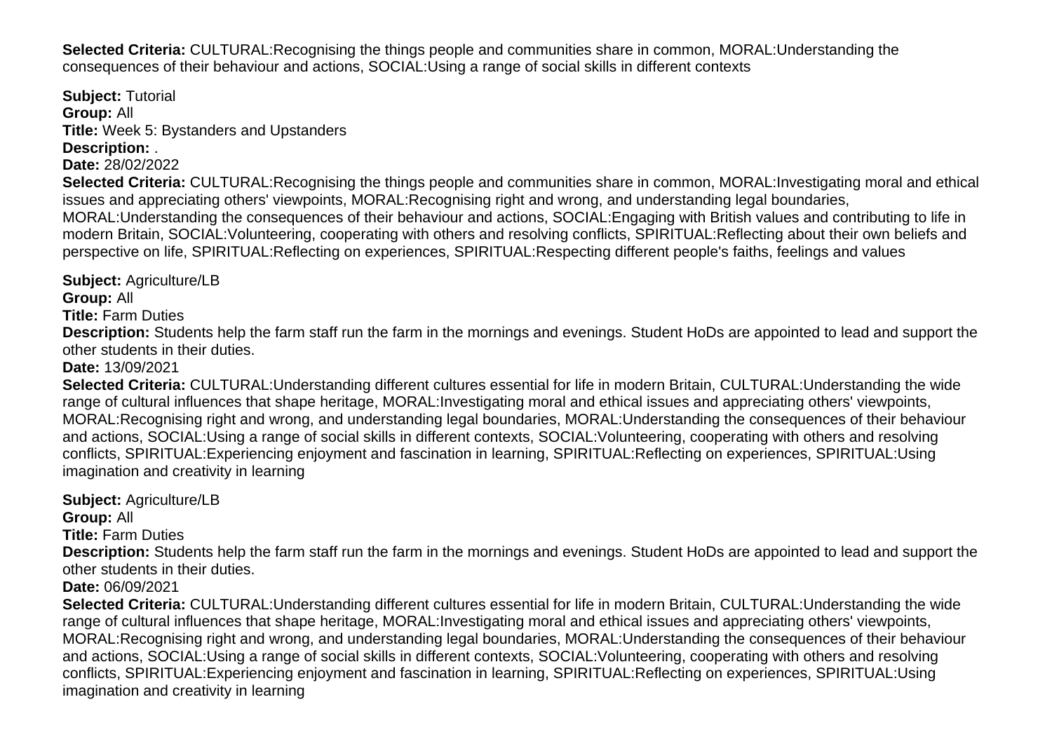**Selected Criteria:** CULTURAL:Recognising the things people and communities share in common, MORAL:Understanding the consequences of their behaviour and actions, SOCIAL:Using a range of social skills in different contexts

**Subject:** Tutorial **Group:** All **Title:** Week 5: Bystanders and Upstanders **Description:** .

**Date:** 28/02/2022

**Selected Criteria:** CULTURAL:Recognising the things people and communities share in common, MORAL:Investigating moral and ethical issues and appreciating others' viewpoints, MORAL:Recognising right and wrong, and understanding legal boundaries, MORAL:Understanding the consequences of their behaviour and actions, SOCIAL:Engaging with British values and contributing to life in modern Britain, SOCIAL:Volunteering, cooperating with others and resolving conflicts, SPIRITUAL:Reflecting about their own beliefs and perspective on life, SPIRITUAL:Reflecting on experiences, SPIRITUAL:Respecting different people's faiths, feelings and values

**Subject:** Agriculture/LB

**Group:** All

**Title:** Farm Duties

**Description:** Students help the farm staff run the farm in the mornings and evenings. Student HoDs are appointed to lead and support the other students in their duties.

**Date:** 13/09/2021

**Selected Criteria:** CULTURAL:Understanding different cultures essential for life in modern Britain, CULTURAL:Understanding the wide range of cultural influences that shape heritage, MORAL:Investigating moral and ethical issues and appreciating others' viewpoints, MORAL:Recognising right and wrong, and understanding legal boundaries, MORAL:Understanding the consequences of their behaviour and actions, SOCIAL:Using a range of social skills in different contexts, SOCIAL:Volunteering, cooperating with others and resolving conflicts, SPIRITUAL:Experiencing enjoyment and fascination in learning, SPIRITUAL:Reflecting on experiences, SPIRITUAL:Using imagination and creativity in learning

**Subject:** Agriculture/LB **Group:** All **Title:** Farm Duties **Description:** Students help the farm staff run the farm in the mornings and evenings. Student HoDs are appointed to lead and support the other students in their duties. **Date:** 06/09/2021 **Selected Criteria:** CULTURAL:Understanding different cultures essential for life in modern Britain, CULTURAL:Understanding the wide range of cultural influences that shape heritage, MORAL:Investigating moral and ethical issues and appreciating others' viewpoints, MORAL:Recognising right and wrong, and understanding legal boundaries, MORAL:Understanding the consequences of their behaviour and actions, SOCIAL:Using a range of social skills in different contexts, SOCIAL:Volunteering, cooperating with others and resolving conflicts, SPIRITUAL:Experiencing enjoyment and fascination in learning, SPIRITUAL:Reflecting on experiences, SPIRITUAL:Using imagination and creativity in learning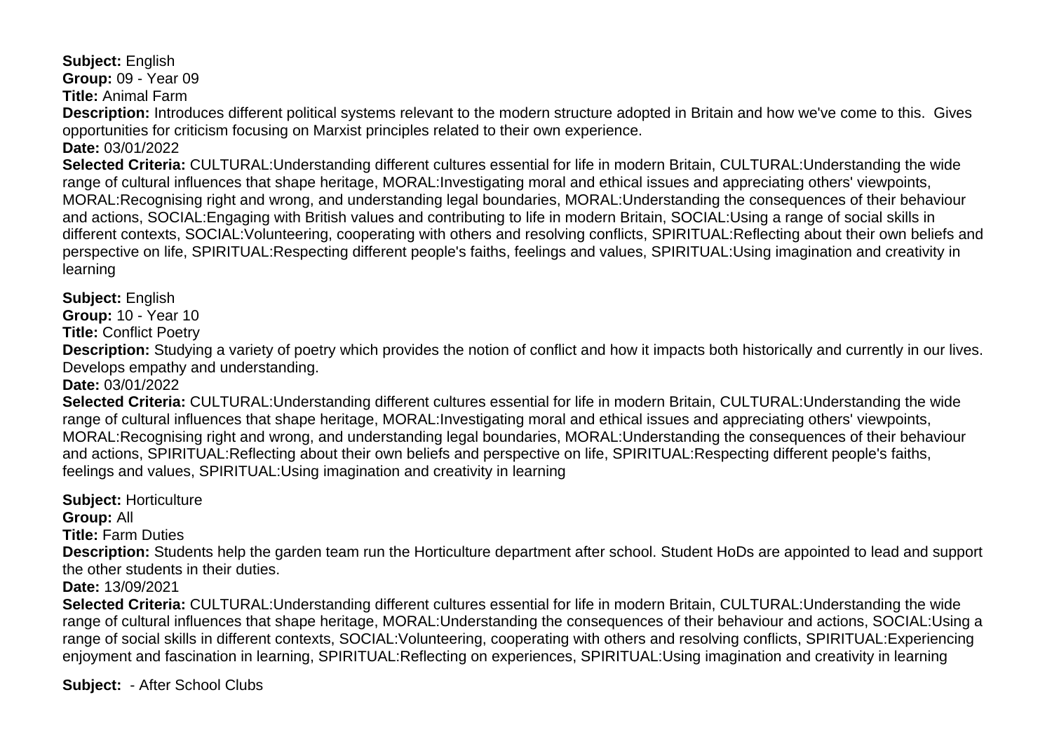**Subject:** English

**Group:** 09 - Year 09

**Title:** Animal Farm

**Description:** Introduces different political systems relevant to the modern structure adopted in Britain and how we've come to this. Gives opportunities for criticism focusing on Marxist principles related to their own experience.

**Date:** 03/01/2022

**Selected Criteria:** CULTURAL:Understanding different cultures essential for life in modern Britain, CULTURAL:Understanding the wide range of cultural influences that shape heritage, MORAL:Investigating moral and ethical issues and appreciating others' viewpoints, MORAL:Recognising right and wrong, and understanding legal boundaries, MORAL:Understanding the consequences of their behaviour and actions, SOCIAL:Engaging with British values and contributing to life in modern Britain, SOCIAL:Using a range of social skills in different contexts, SOCIAL:Volunteering, cooperating with others and resolving conflicts, SPIRITUAL:Reflecting about their own beliefs and perspective on life, SPIRITUAL:Respecting different people's faiths, feelings and values, SPIRITUAL:Using imagination and creativity in learning

**Subject:** English

**Group:** 10 - Year 10

**Title:** Conflict Poetry

**Description:** Studying a variety of poetry which provides the notion of conflict and how it impacts both historically and currently in our lives. Develops empathy and understanding.

**Date:** 03/01/2022

**Selected Criteria:** CULTURAL:Understanding different cultures essential for life in modern Britain, CULTURAL:Understanding the wide range of cultural influences that shape heritage, MORAL:Investigating moral and ethical issues and appreciating others' viewpoints, MORAL:Recognising right and wrong, and understanding legal boundaries, MORAL:Understanding the consequences of their behaviour and actions, SPIRITUAL:Reflecting about their own beliefs and perspective on life, SPIRITUAL:Respecting different people's faiths, feelings and values, SPIRITUAL:Using imagination and creativity in learning

**Subject:** Horticulture **Group:** All **Title:** Farm Duties **Description:** Students help the garden team run the Horticulture department after school. Student HoDs are appointed to lead and support the other students in their duties. **Date:** 13/09/2021 **Selected Criteria:** CULTURAL:Understanding different cultures essential for life in modern Britain, CULTURAL:Understanding the wide range of cultural influences that shape heritage, MORAL:Understanding the consequences of their behaviour and actions, SOCIAL:Using a range of social skills in different contexts, SOCIAL:Volunteering, cooperating with others and resolving conflicts, SPIRITUAL:Experiencing

enjoyment and fascination in learning, SPIRITUAL:Reflecting on experiences, SPIRITUAL:Using imagination and creativity in learning

**Subject:** - After School Clubs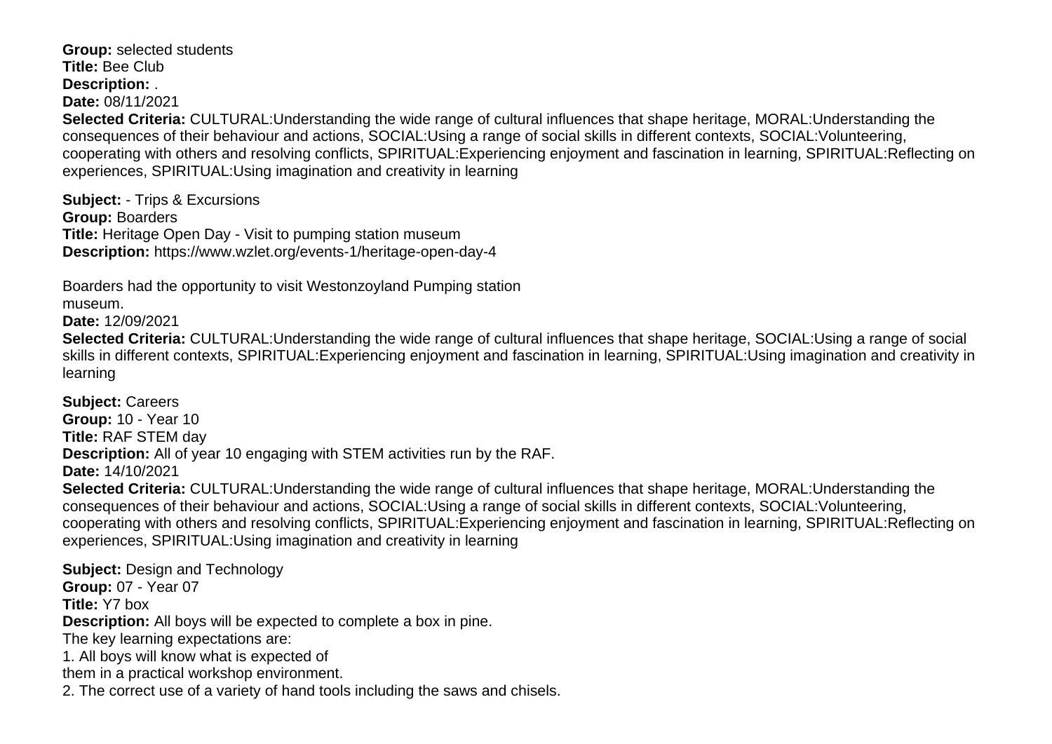**Group:** selected students **Title:** Bee Club **Description:** . **Date:** 08/11/2021 **Selected Criteria:** CULTURAL:Understanding the wide range of cultural influences that shape heritage, MORAL:Understanding the consequences of their behaviour and actions, SOCIAL:Using a range of social skills in different contexts, SOCIAL:Volunteering, cooperating with others and resolving conflicts, SPIRITUAL:Experiencing enjoyment and fascination in learning, SPIRITUAL:Reflecting on experiences, SPIRITUAL:Using imagination and creativity in learning

**Subject:** - Trips & Excursions **Group:** Boarders **Title:** Heritage Open Day - Visit to pumping station museum **Description:** https://www.wzlet.org/events-1/heritage-open-day-4

Boarders had the opportunity to visit Westonzoyland Pumping station

museum.

**Date:** 12/09/2021

**Selected Criteria:** CULTURAL:Understanding the wide range of cultural influences that shape heritage, SOCIAL:Using a range of social skills in different contexts, SPIRITUAL:Experiencing enjoyment and fascination in learning, SPIRITUAL:Using imagination and creativity in learning

**Subject:** Careers **Group:** 10 - Year 10 **Title:** RAF STEM day **Description:** All of year 10 engaging with STEM activities run by the RAF. **Date:** 14/10/2021 **Selected Criteria:** CULTURAL:Understanding the wide range of cultural influences that shape heritage, MORAL:Understanding the consequences of their behaviour and actions, SOCIAL:Using a range of social skills in different contexts, SOCIAL:Volunteering, cooperating with others and resolving conflicts, SPIRITUAL:Experiencing enjoyment and fascination in learning, SPIRITUAL:Reflecting on experiences, SPIRITUAL:Using imagination and creativity in learning

**Subject:** Design and Technology **Group:** 07 - Year 07 **Title:** Y7 box **Description:** All boys will be expected to complete a box in pine. The key learning expectations are: 1. All boys will know what is expected of them in a practical workshop environment. 2. The correct use of a variety of hand tools including the saws and chisels.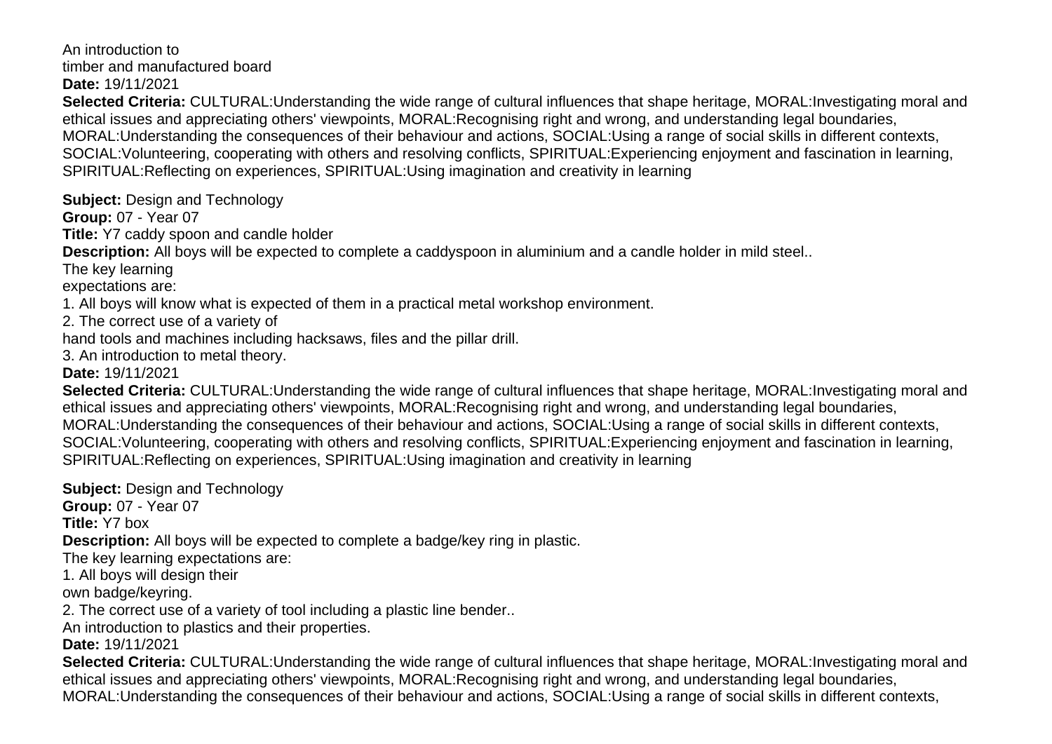An introduction to timber and manufactured board **Date:** 19/11/2021

**Selected Criteria:** CULTURAL:Understanding the wide range of cultural influences that shape heritage, MORAL:Investigating moral and ethical issues and appreciating others' viewpoints, MORAL:Recognising right and wrong, and understanding legal boundaries, MORAL:Understanding the consequences of their behaviour and actions, SOCIAL:Using a range of social skills in different contexts, SOCIAL:Volunteering, cooperating with others and resolving conflicts, SPIRITUAL:Experiencing enjoyment and fascination in learning, SPIRITUAL:Reflecting on experiences, SPIRITUAL:Using imagination and creativity in learning

**Subject:** Design and Technology

**Group:** 07 - Year 07

**Title:** Y7 caddy spoon and candle holder

**Description:** All boys will be expected to complete a caddyspoon in aluminium and a candle holder in mild steel..

The key learning

expectations are:

1. All boys will know what is expected of them in a practical metal workshop environment.

2. The correct use of a variety of

hand tools and machines including hacksaws, files and the pillar drill.

3. An introduction to metal theory.

**Date:** 19/11/2021

**Selected Criteria:** CULTURAL:Understanding the wide range of cultural influences that shape heritage, MORAL:Investigating moral and ethical issues and appreciating others' viewpoints, MORAL:Recognising right and wrong, and understanding legal boundaries, MORAL:Understanding the consequences of their behaviour and actions, SOCIAL:Using a range of social skills in different contexts, SOCIAL:Volunteering, cooperating with others and resolving conflicts, SPIRITUAL:Experiencing enjoyment and fascination in learning, SPIRITUAL:Reflecting on experiences, SPIRITUAL:Using imagination and creativity in learning

**Subject: Design and Technology Group:** 07 - Year 07 **Title:** Y7 box **Description:** All boys will be expected to complete a badge/key ring in plastic. The key learning expectations are: 1. All boys will design their own badge/keyring. 2. The correct use of a variety of tool including a plastic line bender.. An introduction to plastics and their properties. **Date:** 19/11/2021

**Selected Criteria:** CULTURAL:Understanding the wide range of cultural influences that shape heritage, MORAL:Investigating moral and ethical issues and appreciating others' viewpoints, MORAL:Recognising right and wrong, and understanding legal boundaries, MORAL:Understanding the consequences of their behaviour and actions, SOCIAL:Using a range of social skills in different contexts,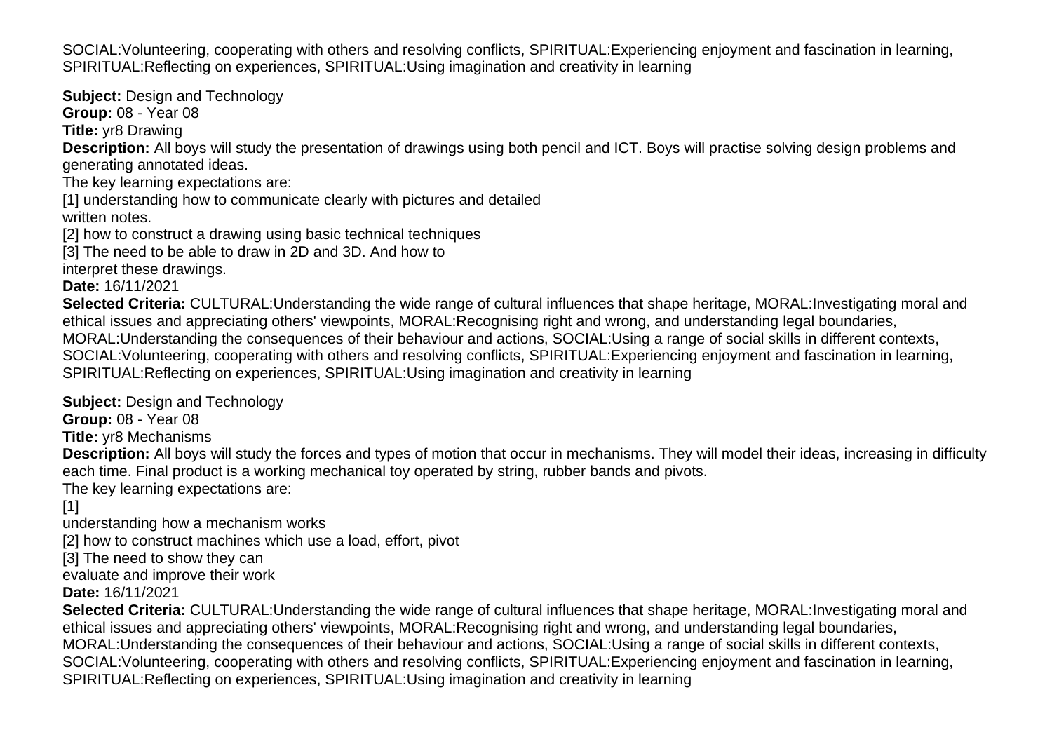SOCIAL:Volunteering, cooperating with others and resolving conflicts, SPIRITUAL:Experiencing enjoyment and fascination in learning, SPIRITUAL:Reflecting on experiences, SPIRITUAL:Using imagination and creativity in learning

**Subject:** Design and Technology

**Group:** 08 - Year 08

**Title:** yr8 Drawing

**Description:** All boys will study the presentation of drawings using both pencil and ICT. Boys will practise solving design problems and generating annotated ideas.

The key learning expectations are:

[1] understanding how to communicate clearly with pictures and detailed written notes.

[2] how to construct a drawing using basic technical techniques

[3] The need to be able to draw in 2D and 3D. And how to

interpret these drawings.

**Date:** 16/11/2021

**Selected Criteria:** CULTURAL:Understanding the wide range of cultural influences that shape heritage, MORAL:Investigating moral and ethical issues and appreciating others' viewpoints, MORAL:Recognising right and wrong, and understanding legal boundaries, MORAL:Understanding the consequences of their behaviour and actions, SOCIAL:Using a range of social skills in different contexts, SOCIAL:Volunteering, cooperating with others and resolving conflicts, SPIRITUAL:Experiencing enjoyment and fascination in learning, SPIRITUAL:Reflecting on experiences, SPIRITUAL:Using imagination and creativity in learning

**Subject:** Design and Technology

**Group:** 08 - Year 08

**Title:** yr8 Mechanisms

**Description:** All boys will study the forces and types of motion that occur in mechanisms. They will model their ideas, increasing in difficulty each time. Final product is a working mechanical toy operated by string, rubber bands and pivots.

The key learning expectations are:

# [1]

understanding how a mechanism works

[2] how to construct machines which use a load, effort, pivot

[3] The need to show they can

evaluate and improve their work

**Date:** 16/11/2021

**Selected Criteria:** CULTURAL:Understanding the wide range of cultural influences that shape heritage, MORAL:Investigating moral and ethical issues and appreciating others' viewpoints, MORAL:Recognising right and wrong, and understanding legal boundaries, MORAL:Understanding the consequences of their behaviour and actions, SOCIAL:Using a range of social skills in different contexts, SOCIAL:Volunteering, cooperating with others and resolving conflicts, SPIRITUAL:Experiencing enjoyment and fascination in learning, SPIRITUAL:Reflecting on experiences, SPIRITUAL:Using imagination and creativity in learning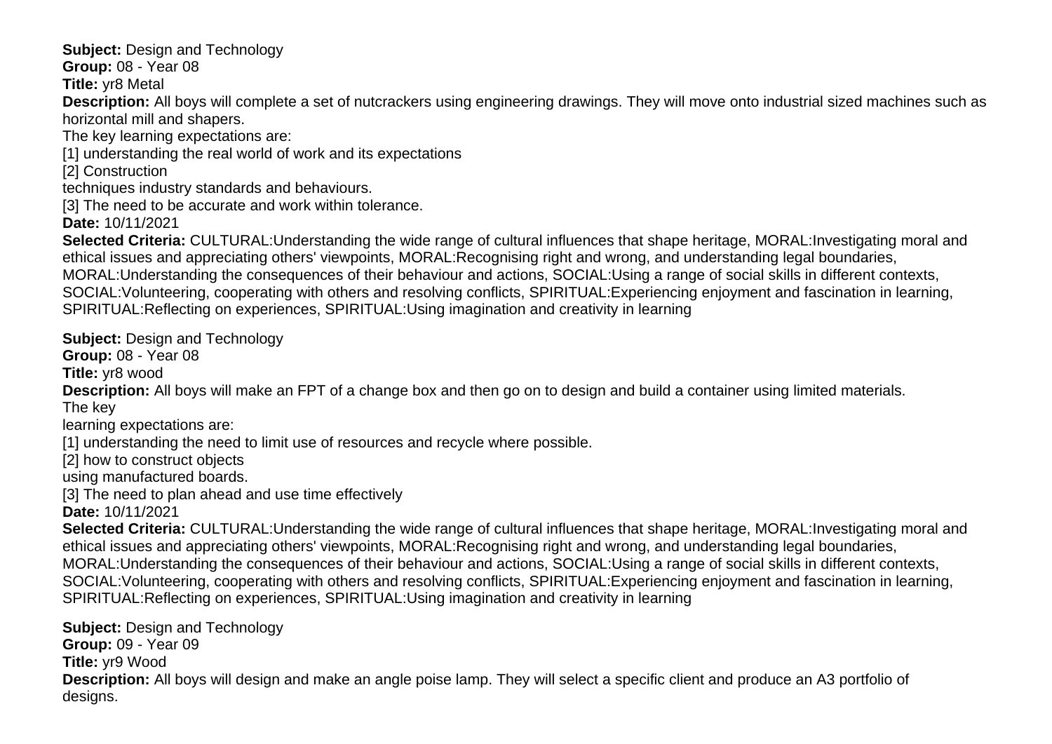**Subject:** Design and Technology

**Group:** 08 - Year 08

**Title:** yr8 Metal

**Description:** All boys will complete a set of nutcrackers using engineering drawings. They will move onto industrial sized machines such as horizontal mill and shapers.

The key learning expectations are:

[1] understanding the real world of work and its expectations

[2] Construction

techniques industry standards and behaviours.

[3] The need to be accurate and work within tolerance.

**Date:** 10/11/2021

**Selected Criteria:** CULTURAL:Understanding the wide range of cultural influences that shape heritage, MORAL:Investigating moral and ethical issues and appreciating others' viewpoints, MORAL:Recognising right and wrong, and understanding legal boundaries, MORAL:Understanding the consequences of their behaviour and actions, SOCIAL:Using a range of social skills in different contexts, SOCIAL:Volunteering, cooperating with others and resolving conflicts, SPIRITUAL:Experiencing enjoyment and fascination in learning, SPIRITUAL:Reflecting on experiences, SPIRITUAL:Using imagination and creativity in learning

**Subject:** Design and Technology

**Group:** 08 - Year 08

**Title:** yr8 wood

**Description:** All boys will make an FPT of a change box and then go on to design and build a container using limited materials.

The key

learning expectations are:

[1] understanding the need to limit use of resources and recycle where possible.

[2] how to construct objects

using manufactured boards.

[3] The need to plan ahead and use time effectively

**Date:** 10/11/2021

**Selected Criteria:** CULTURAL:Understanding the wide range of cultural influences that shape heritage, MORAL:Investigating moral and ethical issues and appreciating others' viewpoints, MORAL:Recognising right and wrong, and understanding legal boundaries, MORAL:Understanding the consequences of their behaviour and actions, SOCIAL:Using a range of social skills in different contexts, SOCIAL:Volunteering, cooperating with others and resolving conflicts, SPIRITUAL:Experiencing enjoyment and fascination in learning, SPIRITUAL:Reflecting on experiences, SPIRITUAL:Using imagination and creativity in learning

**Subject: Design and Technology Group:** 09 - Year 09 **Title:** yr9 Wood **Description:** All boys will design and make an angle poise lamp. They will select a specific client and produce an A3 portfolio of designs.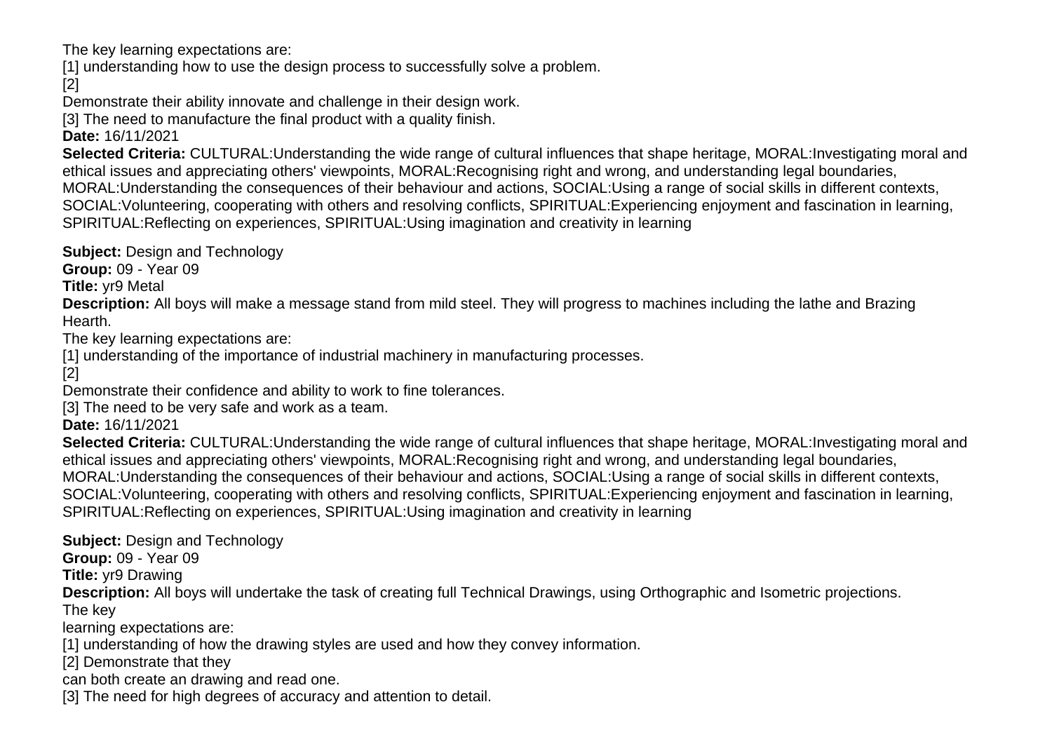The key learning expectations are:

[1] understanding how to use the design process to successfully solve a problem.

[2]

Demonstrate their ability innovate and challenge in their design work.

[3] The need to manufacture the final product with a quality finish.

**Date:** 16/11/2021

**Selected Criteria:** CULTURAL:Understanding the wide range of cultural influences that shape heritage, MORAL:Investigating moral and ethical issues and appreciating others' viewpoints, MORAL:Recognising right and wrong, and understanding legal boundaries, MORAL:Understanding the consequences of their behaviour and actions, SOCIAL:Using a range of social skills in different contexts, SOCIAL:Volunteering, cooperating with others and resolving conflicts, SPIRITUAL:Experiencing enjoyment and fascination in learning, SPIRITUAL:Reflecting on experiences, SPIRITUAL:Using imagination and creativity in learning

**Subject: Design and Technology** 

**Group:** 09 - Year 09

**Title:** yr9 Metal

**Description:** All boys will make a message stand from mild steel. They will progress to machines including the lathe and Brazing Hearth.

The key learning expectations are:

[1] understanding of the importance of industrial machinery in manufacturing processes.

[2]

Demonstrate their confidence and ability to work to fine tolerances.

[3] The need to be very safe and work as a team.

**Date:** 16/11/2021

**Selected Criteria:** CULTURAL:Understanding the wide range of cultural influences that shape heritage, MORAL:Investigating moral and ethical issues and appreciating others' viewpoints, MORAL:Recognising right and wrong, and understanding legal boundaries, MORAL:Understanding the consequences of their behaviour and actions, SOCIAL:Using a range of social skills in different contexts, SOCIAL:Volunteering, cooperating with others and resolving conflicts, SPIRITUAL:Experiencing enjoyment and fascination in learning, SPIRITUAL:Reflecting on experiences, SPIRITUAL:Using imagination and creativity in learning

**Subject:** Design and Technology

**Group:** 09 - Year 09

**Title:** yr9 Drawing

**Description:** All boys will undertake the task of creating full Technical Drawings, using Orthographic and Isometric projections.

The key

learning expectations are:

[1] understanding of how the drawing styles are used and how they convey information.

[2] Demonstrate that they

can both create an drawing and read one.

[3] The need for high degrees of accuracy and attention to detail.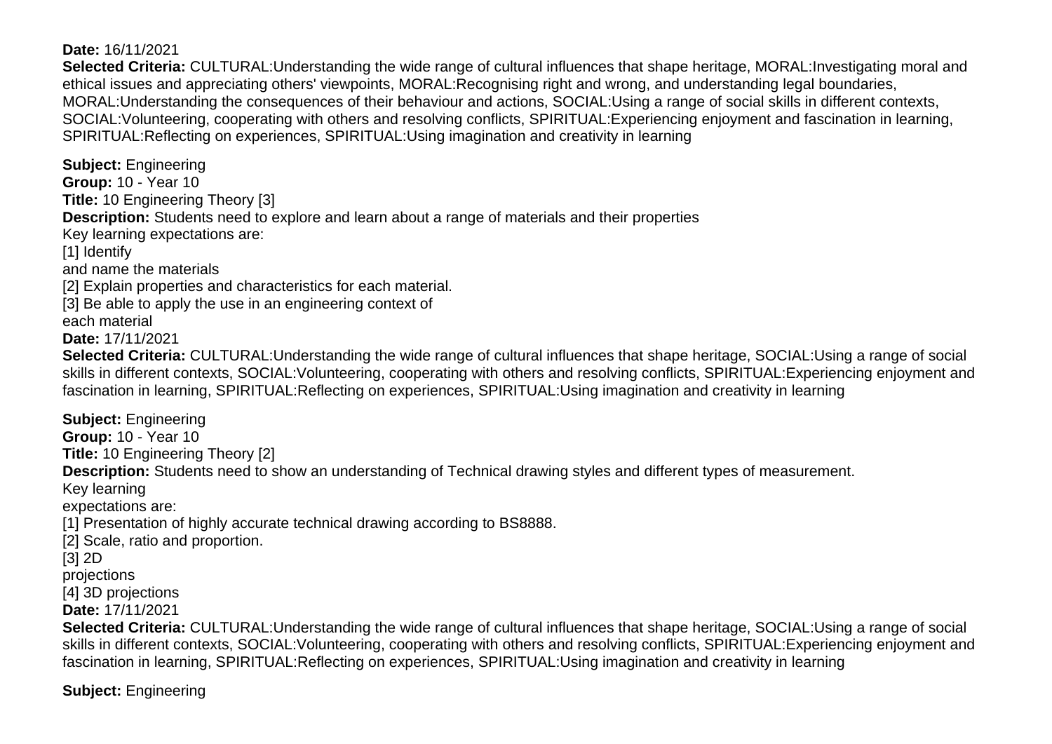#### **Date:** 16/11/2021

**Selected Criteria:** CULTURAL:Understanding the wide range of cultural influences that shape heritage, MORAL:Investigating moral and ethical issues and appreciating others' viewpoints, MORAL:Recognising right and wrong, and understanding legal boundaries, MORAL:Understanding the consequences of their behaviour and actions, SOCIAL:Using a range of social skills in different contexts, SOCIAL:Volunteering, cooperating with others and resolving conflicts, SPIRITUAL:Experiencing enjoyment and fascination in learning, SPIRITUAL:Reflecting on experiences, SPIRITUAL:Using imagination and creativity in learning

**Subject:** Engineering **Group:** 10 - Year 10 **Title:** 10 Engineering Theory [3] **Description:** Students need to explore and learn about a range of materials and their properties Key learning expectations are: [1] Identify and name the materials [2] Explain properties and characteristics for each material. [3] Be able to apply the use in an engineering context of each material **Date:** 17/11/2021 **Selected Criteria:** CULTURAL:Understanding the wide range of cultural influences that shape heritage, SOCIAL:Using a range of social skills in different contexts, SOCIAL:Volunteering, cooperating with others and resolving conflicts, SPIRITUAL:Experiencing enjoyment and fascination in learning, SPIRITUAL:Reflecting on experiences, SPIRITUAL:Using imagination and creativity in learning **Subject:** Engineering **Group:** 10 - Year 10 **Title:** 10 Engineering Theory [2] **Description:** Students need to show an understanding of Technical drawing styles and different types of measurement. Key learning expectations are: [1] Presentation of highly accurate technical drawing according to BS8888. [2] Scale, ratio and proportion.

[3] 2D

projections

[4] 3D projections

**Date:** 17/11/2021

**Selected Criteria:** CULTURAL:Understanding the wide range of cultural influences that shape heritage, SOCIAL:Using a range of social skills in different contexts, SOCIAL:Volunteering, cooperating with others and resolving conflicts, SPIRITUAL:Experiencing enjoyment and fascination in learning, SPIRITUAL:Reflecting on experiences, SPIRITUAL:Using imagination and creativity in learning

**Subject:** Engineering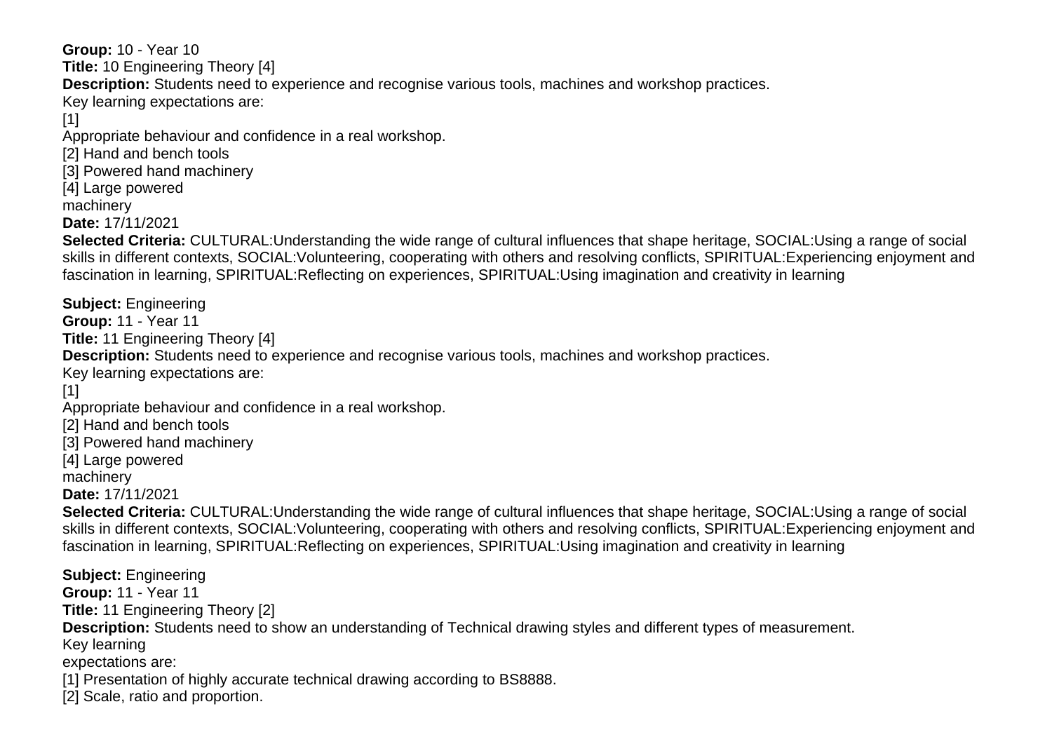**Group:** 10 - Year 10 **Title:** 10 Engineering Theory [4] **Description:** Students need to experience and recognise various tools, machines and workshop practices. Key learning expectations are: [1] Appropriate behaviour and confidence in a real workshop. [2] Hand and bench tools [3] Powered hand machinery [4] Large powered machinery **Date:** 17/11/2021 **Selected Criteria:** CULTURAL:Understanding the wide range of cultural influences that shape heritage, SOCIAL:Using a range of social skills in different contexts, SOCIAL:Volunteering, cooperating with others and resolving conflicts, SPIRITUAL:Experiencing enjoyment and fascination in learning, SPIRITUAL:Reflecting on experiences, SPIRITUAL:Using imagination and creativity in learning **Subject:** Engineering **Group:** 11 - Year 11 **Title:** 11 Engineering Theory [4] **Description:** Students need to experience and recognise various tools, machines and workshop practices. Key learning expectations are:  $[1]$ Appropriate behaviour and confidence in a real workshop. [2] Hand and bench tools [3] Powered hand machinery [4] Large powered machinery **Date:** 17/11/2021 **Selected Criteria:** CULTURAL:Understanding the wide range of cultural influences that shape heritage, SOCIAL:Using a range of social skills in different contexts, SOCIAL:Volunteering, cooperating with others and resolving conflicts, SPIRITUAL:Experiencing enjoyment and fascination in learning, SPIRITUAL:Reflecting on experiences, SPIRITUAL:Using imagination and creativity in learning **Subject:** Engineering **Group:** 11 - Year 11 **Title:** 11 Engineering Theory [2] **Description:** Students need to show an understanding of Technical drawing styles and different types of measurement. Key learning expectations are: [1] Presentation of highly accurate technical drawing according to BS8888. [2] Scale, ratio and proportion.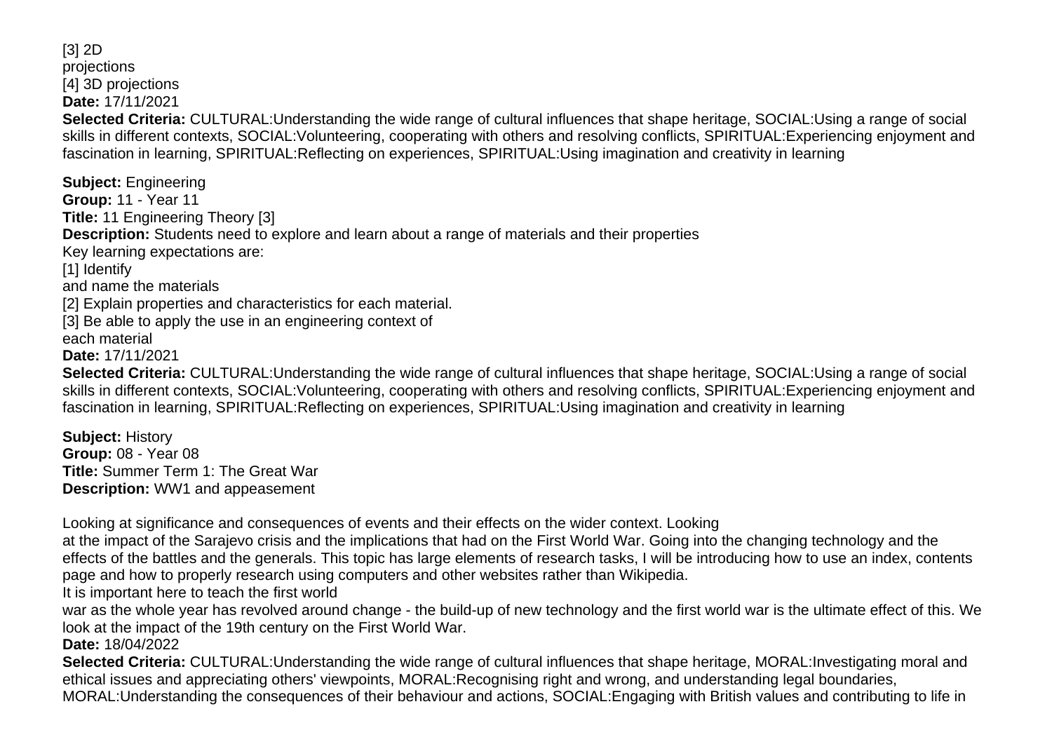[3] 2D projections [4] 3D projections **Date:** 17/11/2021 **Selected Criteria:** CULTURAL:Understanding the wide range of cultural influences that shape heritage, SOCIAL:Using a range of social skills in different contexts, SOCIAL:Volunteering, cooperating with others and resolving conflicts, SPIRITUAL:Experiencing enjoyment and fascination in learning, SPIRITUAL:Reflecting on experiences, SPIRITUAL:Using imagination and creativity in learning

**Subject:** Engineering **Group:** 11 - Year 11 **Title:** 11 Engineering Theory [3] **Description:** Students need to explore and learn about a range of materials and their properties Key learning expectations are: [1] Identify and name the materials [2] Explain properties and characteristics for each material. [3] Be able to apply the use in an engineering context of each material **Date:** 17/11/2021 **Selected Criteria:** CULTURAL:Understanding the wide range of cultural influences that shape heritage, SOCIAL:Using a range of social skills in different contexts, SOCIAL:Volunteering, cooperating with others and resolving conflicts, SPIRITUAL:Experiencing enjoyment and fascination in learning, SPIRITUAL:Reflecting on experiences, SPIRITUAL:Using imagination and creativity in learning

**Subject:** History **Group:** 08 - Year 08 **Title:** Summer Term 1: The Great War **Description:** WW1 and appeasement

Looking at significance and consequences of events and their effects on the wider context. Looking

at the impact of the Sarajevo crisis and the implications that had on the First World War. Going into the changing technology and the effects of the battles and the generals. This topic has large elements of research tasks, I will be introducing how to use an index, contents page and how to properly research using computers and other websites rather than Wikipedia.

It is important here to teach the first world

war as the whole year has revolved around change - the build-up of new technology and the first world war is the ultimate effect of this. We look at the impact of the 19th century on the First World War.

**Date:** 18/04/2022

**Selected Criteria:** CULTURAL:Understanding the wide range of cultural influences that shape heritage, MORAL:Investigating moral and ethical issues and appreciating others' viewpoints, MORAL:Recognising right and wrong, and understanding legal boundaries, MORAL:Understanding the consequences of their behaviour and actions, SOCIAL:Engaging with British values and contributing to life in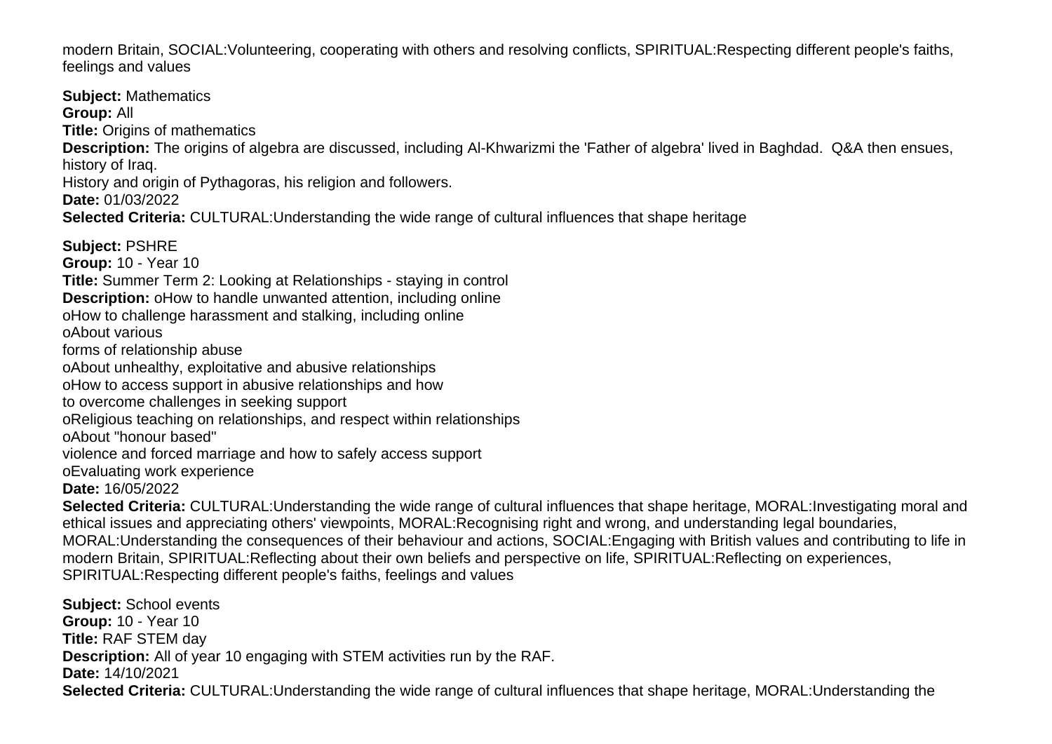modern Britain, SOCIAL:Volunteering, cooperating with others and resolving conflicts, SPIRITUAL:Respecting different people's faiths, feelings and values

**Subject:** Mathematics **Group:** All **Title:** Origins of mathematics **Description:** The origins of algebra are discussed, including Al-Khwarizmi the 'Father of algebra' lived in Baghdad. Q&A then ensues, history of Iraq. History and origin of Pythagoras, his religion and followers. **Date:** 01/03/2022 **Selected Criteria:** CULTURAL:Understanding the wide range of cultural influences that shape heritage **Subject:** PSHRE **Group:** 10 - Year 10 **Title:** Summer Term 2: Looking at Relationships - staying in control **Description:** o How to handle unwanted attention, including online o How to challenge harassment and stalking, including online o About various forms of relationship abuse o About unhealthy, exploitative and abusive relationships o How to access support in abusive relationships and how to overcome challenges in seeking support o Religious teaching on relationships, and respect within relationships o About "honour based" violence and forced marriage and how to safely access support o Evaluating work experience **Date:** 16/05/2022 **Selected Criteria:** CULTURAL:Understanding the wide range of cultural influences that shape heritage, MORAL:Investigating moral and ethical issues and appreciating others' viewpoints, MORAL:Recognising right and wrong, and understanding legal boundaries, MORAL:Understanding the consequences of their behaviour and actions, SOCIAL:Engaging with British values and contributing to life in modern Britain, SPIRITUAL:Reflecting about their own beliefs and perspective on life, SPIRITUAL:Reflecting on experiences,

**Subject:** School events **Group:** 10 - Year 10 **Title:** RAF STEM day **Description:** All of year 10 engaging with STEM activities run by the RAF. **Date:** 14/10/2021 **Selected Criteria:** CULTURAL:Understanding the wide range of cultural influences that shape heritage, MORAL:Understanding the

SPIRITUAL:Respecting different people's faiths, feelings and values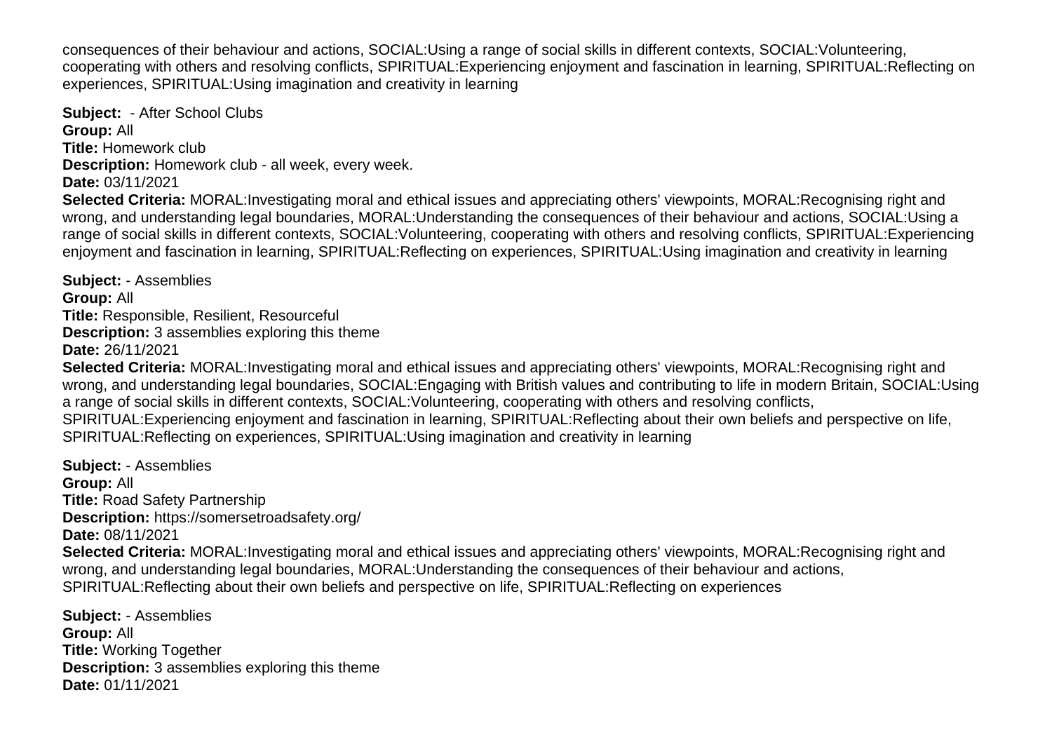consequences of their behaviour and actions, SOCIAL:Using a range of social skills in different contexts, SOCIAL:Volunteering, cooperating with others and resolving conflicts, SPIRITUAL:Experiencing enjoyment and fascination in learning, SPIRITUAL:Reflecting on experiences, SPIRITUAL:Using imagination and creativity in learning

**Subject:** - After School Clubs **Group:** All **Title:** Homework club **Description:** Homework club - all week, every week. **Date:** 03/11/2021

**Selected Criteria:** MORAL:Investigating moral and ethical issues and appreciating others' viewpoints, MORAL:Recognising right and wrong, and understanding legal boundaries, MORAL:Understanding the consequences of their behaviour and actions, SOCIAL:Using a range of social skills in different contexts, SOCIAL:Volunteering, cooperating with others and resolving conflicts, SPIRITUAL:Experiencing enjoyment and fascination in learning, SPIRITUAL:Reflecting on experiences, SPIRITUAL:Using imagination and creativity in learning

**Subject:** - Assemblies **Group:** All **Title:** Responsible, Resilient, Resourceful **Description:** 3 assemblies exploring this theme **Date:** 26/11/2021 **Selected Criteria:** MORAL:Investigating moral and ethical issues and appreciating others' viewpoints, MORAL:Recognising right and wrong, and understanding legal boundaries, SOCIAL:Engaging with British values and contributing to life in modern Britain, SOCIAL:Using a range of social skills in different contexts, SOCIAL:Volunteering, cooperating with others and resolving conflicts, SPIRITUAL:Experiencing enjoyment and fascination in learning, SPIRITUAL:Reflecting about their own beliefs and perspective on life, SPIRITUAL:Reflecting on experiences, SPIRITUAL:Using imagination and creativity in learning

**Subject:** - Assemblies **Group:** All **Title:** Road Safety Partnership **Description:** https://somersetroadsafety.org/ **Date:** 08/11/2021 **Selected Criteria:** MORAL:Investigating moral and ethical issues and appreciating others' viewpoints, MORAL:Recognising right and wrong, and understanding legal boundaries, MORAL:Understanding the consequences of their behaviour and actions, SPIRITUAL:Reflecting about their own beliefs and perspective on life, SPIRITUAL:Reflecting on experiences

**Subject:** - Assemblies **Group:** All **Title:** Working Together **Description:** 3 assemblies exploring this theme **Date:** 01/11/2021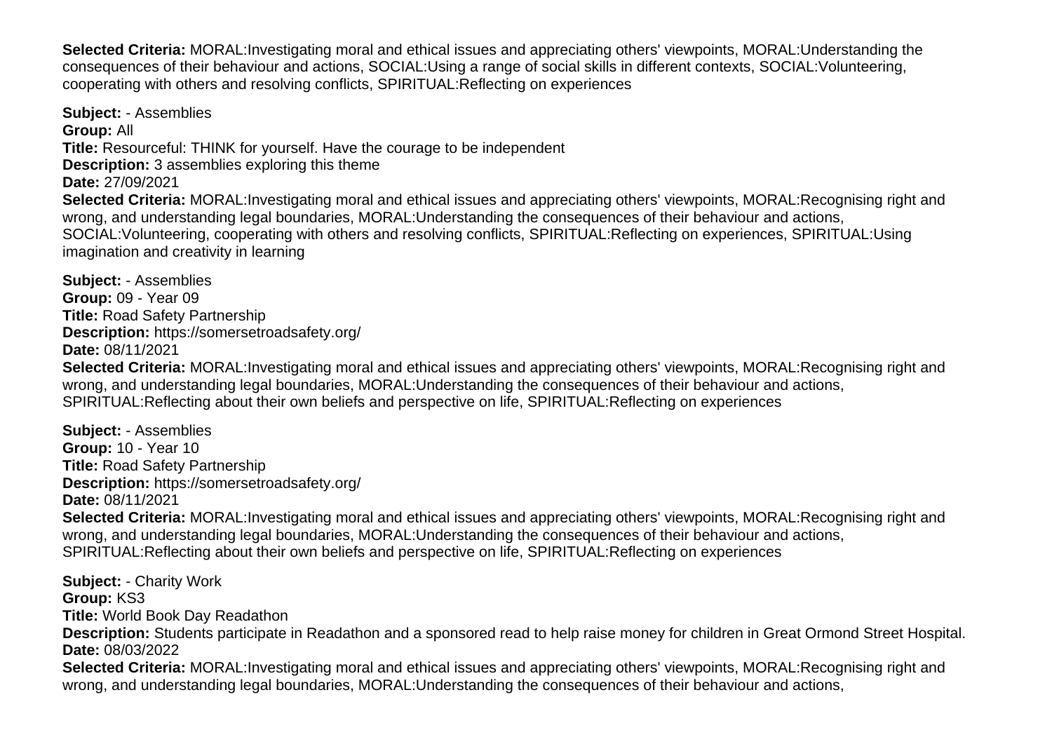**Selected Criteria:** MORAL:Investigating moral and ethical issues and appreciating others' viewpoints, MORAL:Understanding the consequences of their behaviour and actions, SOCIAL:Using a range of social skills in different contexts, SOCIAL:Volunteering, cooperating with others and resolving conflicts, SPIRITUAL:Reflecting on experiences

**Subject:** - Assemblies **Group:** All **Title:** Resourceful: THINK for yourself. Have the courage to be independent **Description:** 3 assemblies exploring this theme **Date:** 27/09/2021 **Selected Criteria:** MORAL:Investigating moral and ethical issues and appreciating others' viewpoints, MORAL:Recognising right and wrong, and understanding legal boundaries, MORAL:Understanding the consequences of their behaviour and actions, SOCIAL:Volunteering, cooperating with others and resolving conflicts, SPIRITUAL:Reflecting on experiences, SPIRITUAL:Using imagination and creativity in learning

**Subject:** - Assemblies **Group:** 09 - Year 09 **Title:** Road Safety Partnership **Description:** https://somersetroadsafety.org/ **Date:** 08/11/2021 **Selected Criteria:** MORAL:Investigating moral and ethical issues and appreciating others' viewpoints, MORAL:Recognising right and wrong, and understanding legal boundaries, MORAL:Understanding the consequences of their behaviour and actions, SPIRITUAL:Reflecting about their own beliefs and perspective on life, SPIRITUAL:Reflecting on experiences

**Subject:** - Assemblies **Group:** 10 - Year 10 **Title:** Road Safety Partnership **Description:** https://somersetroadsafety.org/ **Date:** 08/11/2021

**Selected Criteria:** MORAL:Investigating moral and ethical issues and appreciating others' viewpoints, MORAL:Recognising right and wrong, and understanding legal boundaries, MORAL:Understanding the consequences of their behaviour and actions, SPIRITUAL:Reflecting about their own beliefs and perspective on life, SPIRITUAL:Reflecting on experiences

**Subject:** - Charity Work **Group:** KS3 **Title:** World Book Day Readathon **Description:** Students participate in Readathon and a sponsored read to help raise money for children in Great Ormond Street Hospital. **Date:** 08/03/2022

**Selected Criteria:** MORAL:Investigating moral and ethical issues and appreciating others' viewpoints, MORAL:Recognising right and wrong, and understanding legal boundaries, MORAL:Understanding the consequences of their behaviour and actions,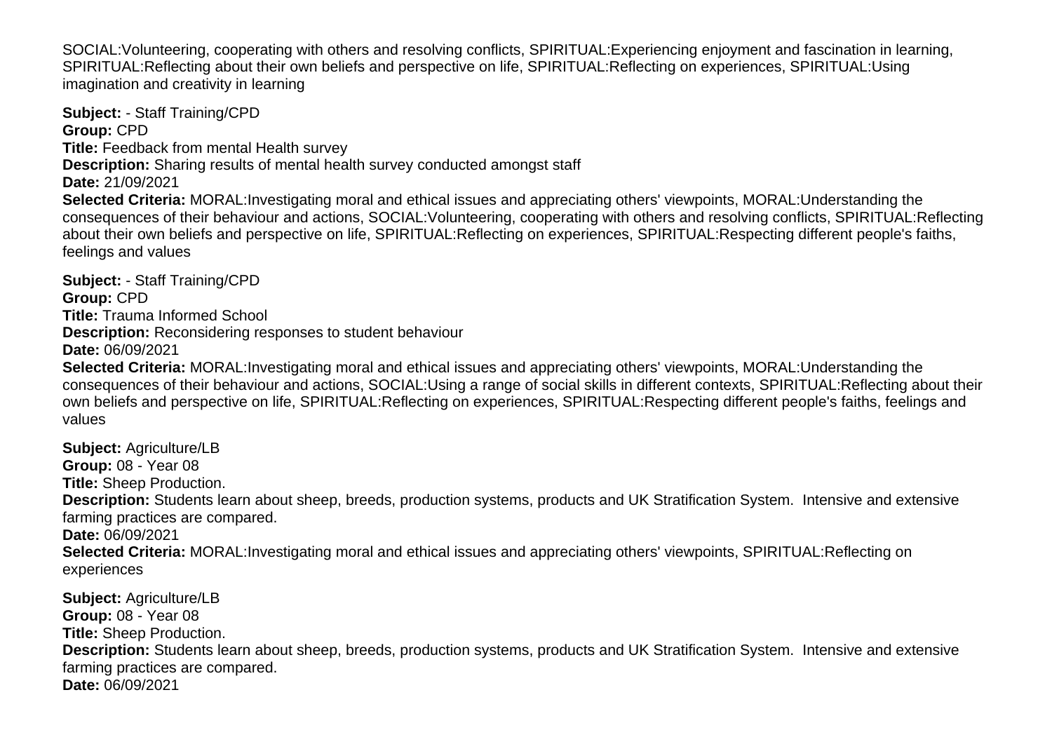SOCIAL:Volunteering, cooperating with others and resolving conflicts, SPIRITUAL:Experiencing enjoyment and fascination in learning, SPIRITUAL:Reflecting about their own beliefs and perspective on life, SPIRITUAL:Reflecting on experiences, SPIRITUAL:Using imagination and creativity in learning

**Subject:** - Staff Training/CPD **Group:** CPD **Title:** Feedback from mental Health survey **Description:** Sharing results of mental health survey conducted amongst staff **Date:** 21/09/2021 **Selected Criteria:** MORAL:Investigating moral and ethical issues and appreciating others' viewpoints, MORAL:Understanding the consequences of their behaviour and actions, SOCIAL:Volunteering, cooperating with others and resolving conflicts, SPIRITUAL:Reflecting about their own beliefs and perspective on life, SPIRITUAL:Reflecting on experiences, SPIRITUAL:Respecting different people's faiths, feelings and values

**Subject:** - Staff Training/CPD **Group:** CPD **Title:** Trauma Informed School **Description:** Reconsidering responses to student behaviour **Date:** 06/09/2021

**Selected Criteria:** MORAL:Investigating moral and ethical issues and appreciating others' viewpoints, MORAL:Understanding the consequences of their behaviour and actions, SOCIAL:Using a range of social skills in different contexts, SPIRITUAL:Reflecting about their own beliefs and perspective on life, SPIRITUAL:Reflecting on experiences, SPIRITUAL:Respecting different people's faiths, feelings and values

**Subject:** Agriculture/LB **Group:** 08 - Year 08 **Title:** Sheep Production. **Description:** Students learn about sheep, breeds, production systems, products and UK Stratification System. Intensive and extensive farming practices are compared. **Date:** 06/09/2021 **Selected Criteria:** MORAL:Investigating moral and ethical issues and appreciating others' viewpoints, SPIRITUAL:Reflecting on experiences **Subject:** Agriculture/LB **Group:** 08 - Year 08 **Title:** Sheep Production.

**Description:** Students learn about sheep, breeds, production systems, products and UK Stratification System. Intensive and extensive farming practices are compared.

**Date:** 06/09/2021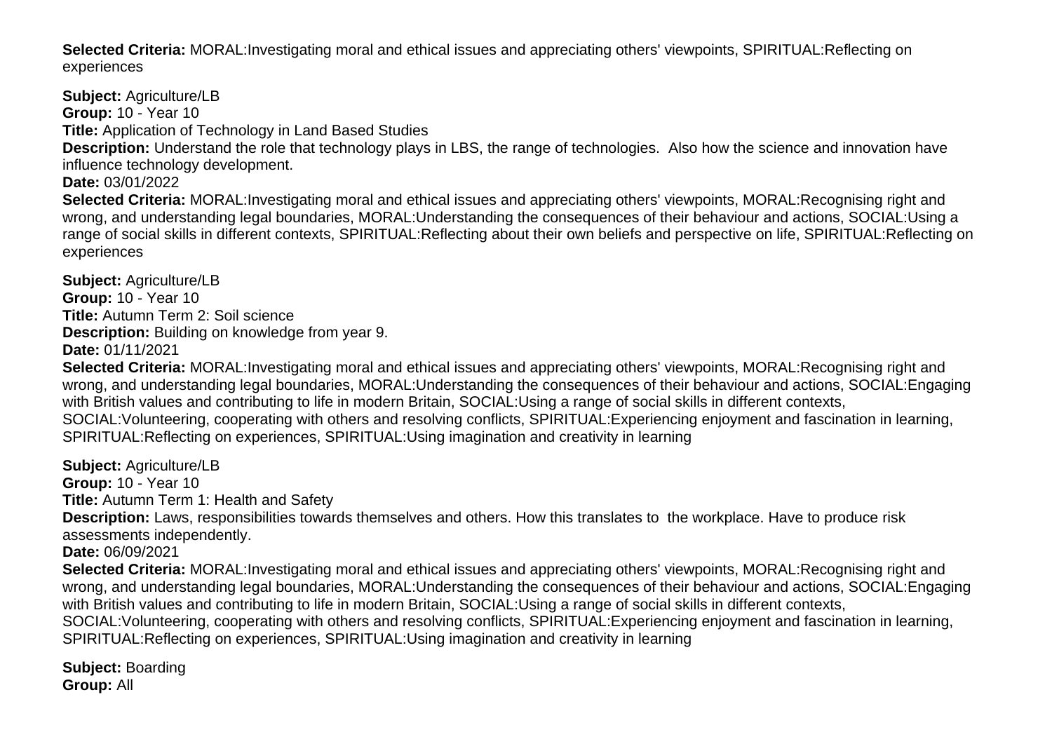**Selected Criteria:** MORAL:Investigating moral and ethical issues and appreciating others' viewpoints, SPIRITUAL:Reflecting on experiences

**Subject:** Agriculture/LB **Group:** 10 - Year 10 **Title:** Application of Technology in Land Based Studies **Description:** Understand the role that technology plays in LBS, the range of technologies. Also how the science and innovation have influence technology development. **Date:** 03/01/2022 **Selected Criteria:** MORAL:Investigating moral and ethical issues and appreciating others' viewpoints, MORAL:Recognising right and wrong, and understanding legal boundaries, MORAL:Understanding the consequences of their behaviour and actions, SOCIAL:Using a range of social skills in different contexts, SPIRITUAL:Reflecting about their own beliefs and perspective on life, SPIRITUAL:Reflecting on experiences

**Subject:** Agriculture/LB **Group:** 10 - Year 10 **Title:** Autumn Term 2: Soil science **Description:** Building on knowledge from year 9. **Date:** 01/11/2021

**Selected Criteria:** MORAL:Investigating moral and ethical issues and appreciating others' viewpoints, MORAL:Recognising right and wrong, and understanding legal boundaries, MORAL:Understanding the consequences of their behaviour and actions, SOCIAL:Engaging with British values and contributing to life in modern Britain, SOCIAL:Using a range of social skills in different contexts, SOCIAL:Volunteering, cooperating with others and resolving conflicts, SPIRITUAL:Experiencing enjoyment and fascination in learning, SPIRITUAL:Reflecting on experiences, SPIRITUAL:Using imagination and creativity in learning

**Subject:** Agriculture/LB **Group:** 10 - Year 10

**Title:** Autumn Term 1: Health and Safety

**Description:** Laws, responsibilities towards themselves and others. How this translates to the workplace. Have to produce risk assessments independently.

**Date:** 06/09/2021

**Selected Criteria:** MORAL:Investigating moral and ethical issues and appreciating others' viewpoints, MORAL:Recognising right and wrong, and understanding legal boundaries, MORAL:Understanding the consequences of their behaviour and actions, SOCIAL:Engaging with British values and contributing to life in modern Britain, SOCIAL:Using a range of social skills in different contexts, SOCIAL:Volunteering, cooperating with others and resolving conflicts, SPIRITUAL:Experiencing enjoyment and fascination in learning, SPIRITUAL:Reflecting on experiences, SPIRITUAL:Using imagination and creativity in learning

**Subject:** Boarding **Group:** All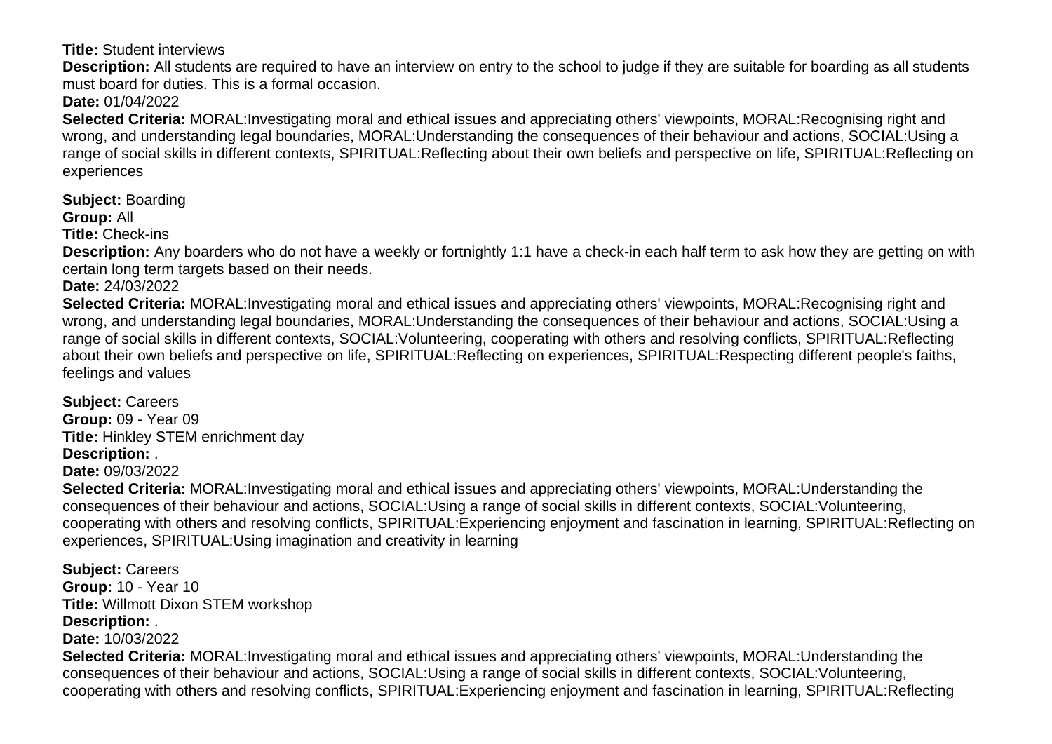**Title:** Student interviews

**Description:** All students are required to have an interview on entry to the school to judge if they are suitable for boarding as all students must board for duties. This is a formal occasion.

**Date:** 01/04/2022

**Selected Criteria:** MORAL:Investigating moral and ethical issues and appreciating others' viewpoints, MORAL:Recognising right and wrong, and understanding legal boundaries, MORAL:Understanding the consequences of their behaviour and actions, SOCIAL:Using a range of social skills in different contexts, SPIRITUAL:Reflecting about their own beliefs and perspective on life, SPIRITUAL:Reflecting on experiences

**Subject:** Boarding

**Group:** All

**Title:** Check-ins

**Description:** Any boarders who do not have a weekly or fortnightly 1:1 have a check-in each half term to ask how they are getting on with certain long term targets based on their needs.

**Date:** 24/03/2022

**Selected Criteria:** MORAL:Investigating moral and ethical issues and appreciating others' viewpoints, MORAL:Recognising right and wrong, and understanding legal boundaries, MORAL:Understanding the consequences of their behaviour and actions, SOCIAL:Using a range of social skills in different contexts, SOCIAL:Volunteering, cooperating with others and resolving conflicts, SPIRITUAL:Reflecting about their own beliefs and perspective on life, SPIRITUAL:Reflecting on experiences, SPIRITUAL:Respecting different people's faiths, feelings and values

**Subject:** Careers **Group:** 09 - Year 09 **Title:** Hinkley STEM enrichment day **Description:** .

**Date:** 09/03/2022

**Selected Criteria:** MORAL:Investigating moral and ethical issues and appreciating others' viewpoints, MORAL:Understanding the consequences of their behaviour and actions, SOCIAL:Using a range of social skills in different contexts, SOCIAL:Volunteering, cooperating with others and resolving conflicts, SPIRITUAL:Experiencing enjoyment and fascination in learning, SPIRITUAL:Reflecting on experiences, SPIRITUAL:Using imagination and creativity in learning

**Subject:** Careers **Group:** 10 - Year 10 **Title:** Willmott Dixon STEM workshop **Description:** .

**Date:** 10/03/2022

**Selected Criteria:** MORAL:Investigating moral and ethical issues and appreciating others' viewpoints, MORAL:Understanding the consequences of their behaviour and actions, SOCIAL:Using a range of social skills in different contexts, SOCIAL:Volunteering, cooperating with others and resolving conflicts, SPIRITUAL:Experiencing enjoyment and fascination in learning, SPIRITUAL:Reflecting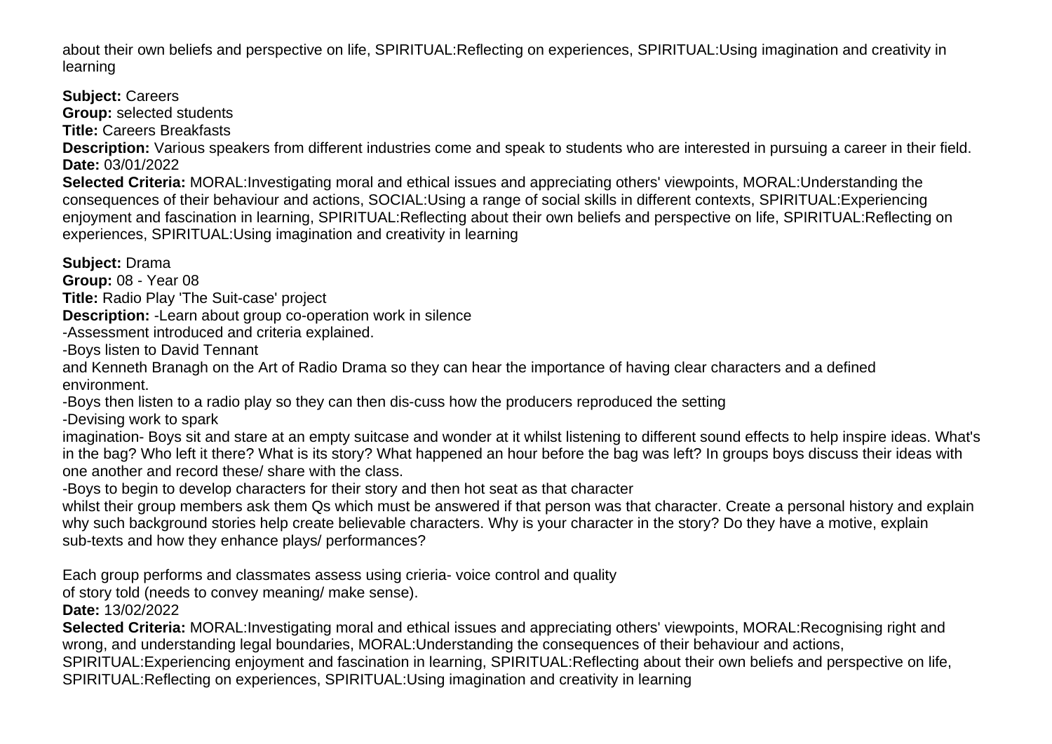about their own beliefs and perspective on life, SPIRITUAL:Reflecting on experiences, SPIRITUAL:Using imagination and creativity in learning

**Subject:** Careers **Group:** selected students

**Title:** Careers Breakfasts

**Description:** Various speakers from different industries come and speak to students who are interested in pursuing a career in their field. **Date:** 03/01/2022

**Selected Criteria:** MORAL:Investigating moral and ethical issues and appreciating others' viewpoints, MORAL:Understanding the consequences of their behaviour and actions, SOCIAL:Using a range of social skills in different contexts, SPIRITUAL:Experiencing enjoyment and fascination in learning, SPIRITUAL:Reflecting about their own beliefs and perspective on life, SPIRITUAL:Reflecting on experiences, SPIRITUAL:Using imagination and creativity in learning

**Subject:** Drama

**Group:** 08 - Year 08

**Title:** Radio Play 'The Suit-case' project

**Description:** -Learn about group co-operation work in silence

-Assessment introduced and criteria explained.

-Boys listen to David Tennant

and Kenneth Branagh on the Art of Radio Drama so they can hear the importance of having clear characters and a defined environment.

-Boys then listen to a radio play so they can then dis-cuss how the producers reproduced the setting

-Devising work to spark

imagination- Boys sit and stare at an empty suitcase and wonder at it whilst listening to different sound effects to help inspire ideas. What's in the bag? Who left it there? What is its story? What happened an hour before the bag was left? In groups boys discuss their ideas with one another and record these/ share with the class.

-Boys to begin to develop characters for their story and then hot seat as that character

whilst their group members ask them Qs which must be answered if that person was that character. Create a personal history and explain why such background stories help create believable characters. Why is your character in the story? Do they have a motive, explain sub-texts and how they enhance plays/ performances?

Each group performs and classmates assess using crieria- voice control and quality

of story told (needs to convey meaning/ make sense).

**Date:** 13/02/2022

**Selected Criteria:** MORAL:Investigating moral and ethical issues and appreciating others' viewpoints, MORAL:Recognising right and wrong, and understanding legal boundaries, MORAL:Understanding the consequences of their behaviour and actions,

SPIRITUAL:Experiencing enjoyment and fascination in learning, SPIRITUAL:Reflecting about their own beliefs and perspective on life,

SPIRITUAL:Reflecting on experiences, SPIRITUAL:Using imagination and creativity in learning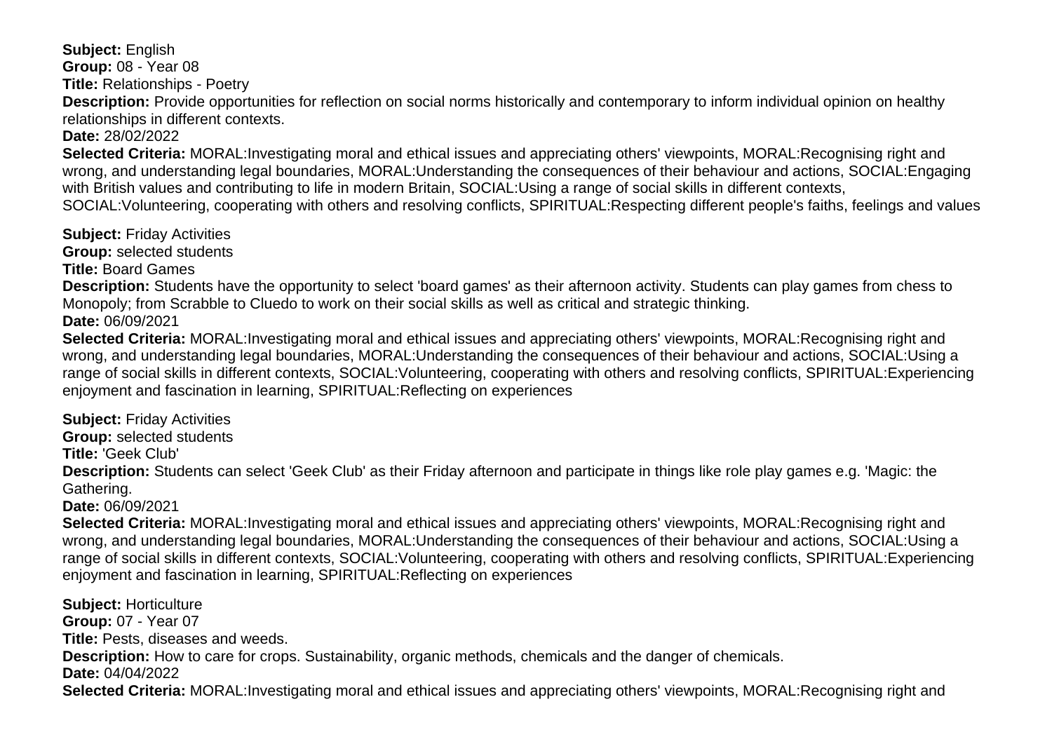**Subject:** English **Group:** 08 - Year 08 **Title:** Relationships - Poetry **Description:** Provide opportunities for reflection on social norms historically and contemporary to inform individual opinion on healthy

relationships in different contexts.

**Date:** 28/02/2022

**Selected Criteria:** MORAL:Investigating moral and ethical issues and appreciating others' viewpoints, MORAL:Recognising right and wrong, and understanding legal boundaries, MORAL:Understanding the consequences of their behaviour and actions, SOCIAL:Engaging with British values and contributing to life in modern Britain, SOCIAL:Using a range of social skills in different contexts, SOCIAL:Volunteering, cooperating with others and resolving conflicts, SPIRITUAL:Respecting different people's faiths, feelings and values

**Subject:** Friday Activities

**Group:** selected students

**Title:** Board Games

**Description:** Students have the opportunity to select 'board games' as their afternoon activity. Students can play games from chess to Monopoly; from Scrabble to Cluedo to work on their social skills as well as critical and strategic thinking.

**Date:** 06/09/2021

**Selected Criteria:** MORAL:Investigating moral and ethical issues and appreciating others' viewpoints, MORAL:Recognising right and wrong, and understanding legal boundaries, MORAL:Understanding the consequences of their behaviour and actions, SOCIAL:Using a range of social skills in different contexts, SOCIAL:Volunteering, cooperating with others and resolving conflicts, SPIRITUAL:Experiencing enjoyment and fascination in learning, SPIRITUAL:Reflecting on experiences

**Subject:** Friday Activities

**Group:** selected students

**Title:** 'Geek Club'

**Description:** Students can select 'Geek Club' as their Friday afternoon and participate in things like role play games e.g. 'Magic: the Gathering.

**Date:** 06/09/2021

**Selected Criteria:** MORAL:Investigating moral and ethical issues and appreciating others' viewpoints, MORAL:Recognising right and wrong, and understanding legal boundaries, MORAL:Understanding the consequences of their behaviour and actions, SOCIAL:Using a range of social skills in different contexts, SOCIAL:Volunteering, cooperating with others and resolving conflicts, SPIRITUAL:Experiencing enjoyment and fascination in learning, SPIRITUAL:Reflecting on experiences

**Subject:** Horticulture **Group:** 07 - Year 07 **Title:** Pests, diseases and weeds. **Description:** How to care for crops. Sustainability, organic methods, chemicals and the danger of chemicals. **Date:** 04/04/2022 **Selected Criteria:** MORAL:Investigating moral and ethical issues and appreciating others' viewpoints, MORAL:Recognising right and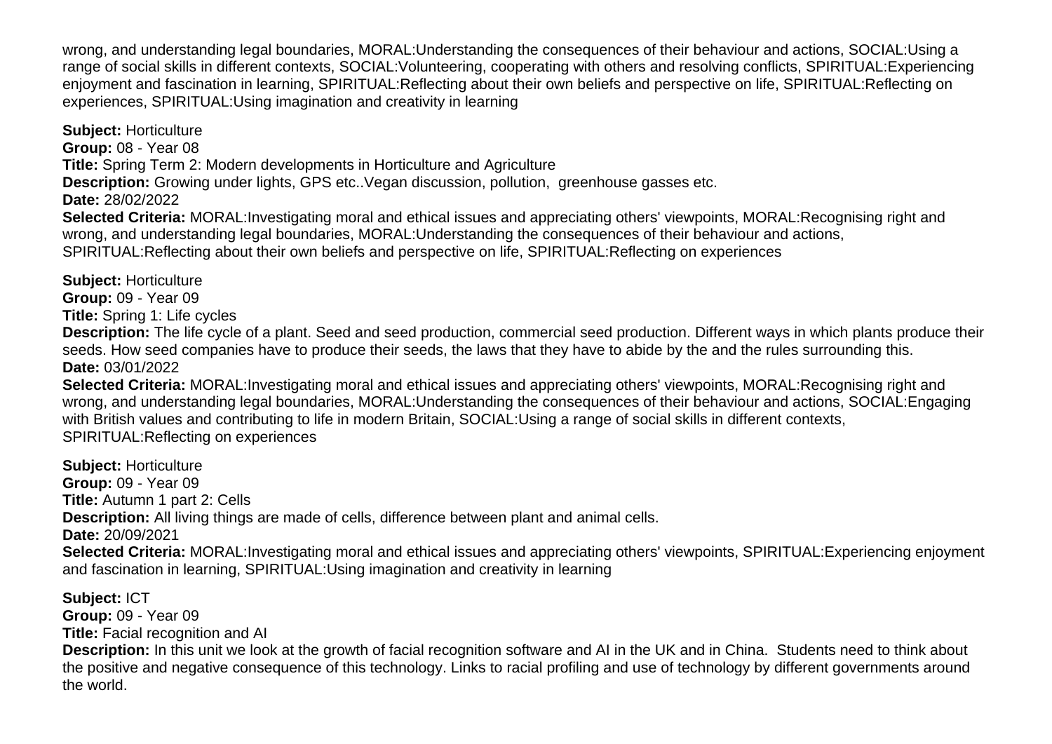wrong, and understanding legal boundaries, MORAL:Understanding the consequences of their behaviour and actions, SOCIAL:Using a range of social skills in different contexts, SOCIAL:Volunteering, cooperating with others and resolving conflicts, SPIRITUAL:Experiencing enjoyment and fascination in learning, SPIRITUAL:Reflecting about their own beliefs and perspective on life, SPIRITUAL:Reflecting on experiences, SPIRITUAL:Using imagination and creativity in learning

**Subject:** Horticulture **Group:** 08 - Year 08 **Title:** Spring Term 2: Modern developments in Horticulture and Agriculture **Description:** Growing under lights, GPS etc..Vegan discussion, pollution, greenhouse gasses etc. **Date:** 28/02/2022 **Selected Criteria:** MORAL:Investigating moral and ethical issues and appreciating others' viewpoints, MORAL:Recognising right and wrong, and understanding legal boundaries, MORAL:Understanding the consequences of their behaviour and actions, SPIRITUAL:Reflecting about their own beliefs and perspective on life, SPIRITUAL:Reflecting on experiences

**Subject:** Horticulture **Group:** 09 - Year 09 **Title:** Spring 1: Life cycles

**Description:** The life cycle of a plant. Seed and seed production, commercial seed production. Different ways in which plants produce their seeds. How seed companies have to produce their seeds, the laws that they have to abide by the and the rules surrounding this. **Date:** 03/01/2022

**Selected Criteria:** MORAL:Investigating moral and ethical issues and appreciating others' viewpoints, MORAL:Recognising right and wrong, and understanding legal boundaries, MORAL:Understanding the consequences of their behaviour and actions, SOCIAL:Engaging with British values and contributing to life in modern Britain, SOCIAL:Using a range of social skills in different contexts, SPIRITUAL:Reflecting on experiences

**Subject:** Horticulture **Group:** 09 - Year 09 **Title:** Autumn 1 part 2: Cells **Description:** All living things are made of cells, difference between plant and animal cells. **Date:** 20/09/2021 **Selected Criteria:** MORAL:Investigating moral and ethical issues and appreciating others' viewpoints, SPIRITUAL:Experiencing enjoyment and fascination in learning, SPIRITUAL:Using imagination and creativity in learning

**Subject:** ICT **Group:** 09 - Year 09 **Title:** Facial recognition and AI **Description:** In this unit we look at the growth of facial recognition software and AI in the UK and in China. Students need to think about the positive and negative consequence of this technology. Links to racial profiling and use of technology by different governments around the world.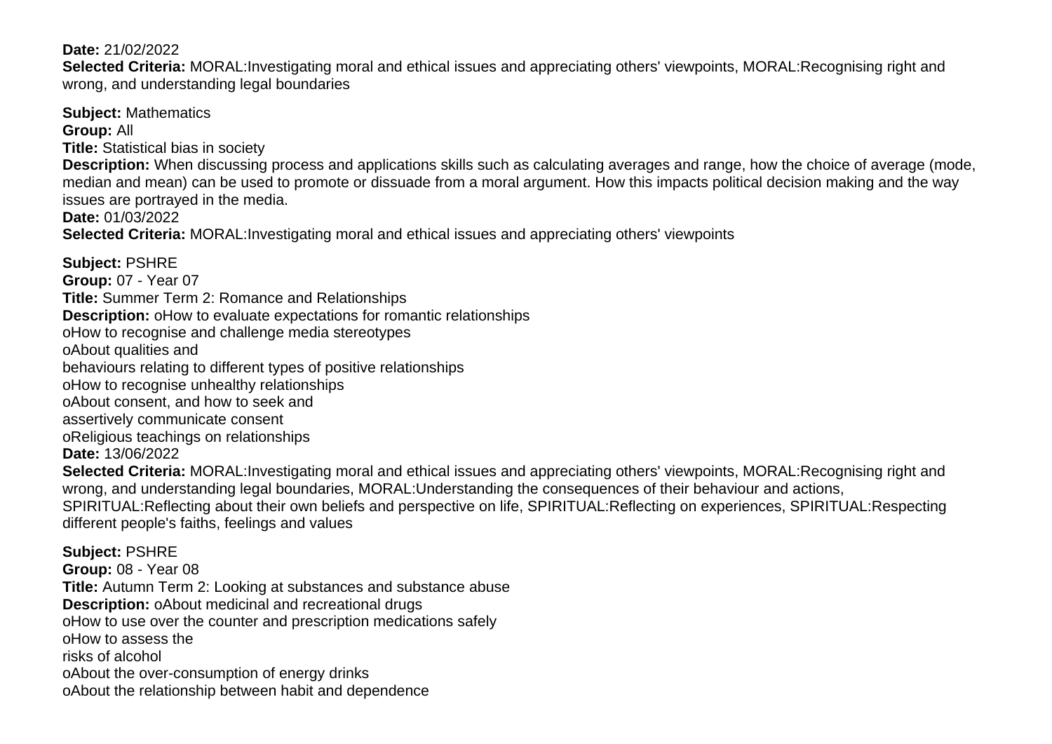## **Date:** 21/02/2022

**Selected Criteria:** MORAL:Investigating moral and ethical issues and appreciating others' viewpoints, MORAL:Recognising right and wrong, and understanding legal boundaries

**Subject:** Mathematics **Group:** All

**Title:** Statistical bias in society

**Description:** When discussing process and applications skills such as calculating averages and range, how the choice of average (mode, median and mean) can be used to promote or dissuade from a moral argument. How this impacts political decision making and the way issues are portrayed in the media.

**Date:** 01/03/2022

**Selected Criteria:** MORAL:Investigating moral and ethical issues and appreciating others' viewpoints

**Subject:** PSHRE **Group:** 07 - Year 07 **Title:** Summer Term 2: Romance and Relationships **Description:** o How to evaluate expectations for romantic relationships o How to recognise and challenge media stereotypes o About qualities and behaviours relating to different types of positive relationships o How to recognise unhealthy relationships o About consent, and how to seek and assertively communicate consent o Religious teachings on relationships **Date:** 13/06/2022 **Selected Criteria:** MORAL:Investigating moral and ethical issues and appreciating others' viewpoints, MORAL:Recognising right and wrong, and understanding legal boundaries, MORAL:Understanding the consequences of their behaviour and actions, SPIRITUAL:Reflecting about their own beliefs and perspective on life, SPIRITUAL:Reflecting on experiences, SPIRITUAL:Respecting different people's faiths, feelings and values **Subject:** PSHRE **Group:** 08 - Year 08 **Title:** Autumn Term 2: Looking at substances and substance abuse **Description:** o About medicinal and recreational drugs o How to use over the counter and prescription medications safely o How to assess the

risks of alcohol

o About the over-consumption of energy drinks

o About the relationship between habit and dependence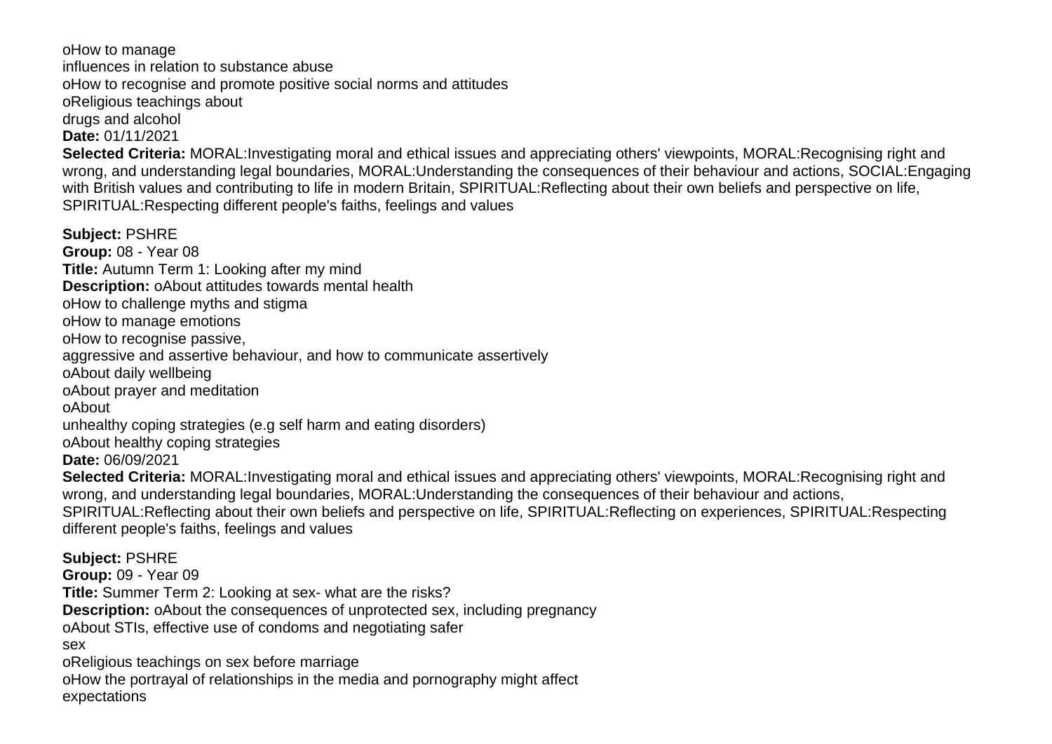o How to manage influences in relation to substance abuse o How to recognise and promote positive social norms and attitudes o Religious teachings about drugs and alcohol **Date:** 01/11/2021 **Selected Criteria:** MORAL:Investigating moral and ethical issues and appreciating others' viewpoints, MORAL:Recognising right and wrong, and understanding legal boundaries, MORAL:Understanding the consequences of their behaviour and actions, SOCIAL:Engaging with British values and contributing to life in modern Britain, SPIRITUAL:Reflecting about their own beliefs and perspective on life, SPIRITUAL:Respecting different people's faiths, feelings and values

**Subject:** PSHRE **Group:** 08 - Year 08 **Title:** Autumn Term 1: Looking after my mind **Description:** o About attitudes towards mental health o How to challenge myths and stigma o How to manage emotions o How to recognise passive, aggressive and assertive behaviour, and how to communicate assertively o About daily wellbeing o About prayer and meditation o About unhealthy coping strategies (e.g self harm and eating disorders) o About healthy coping strategies **Date:** 06/09/2021 **Selected Criteria:** MORAL:Investigating moral and ethical issues and appreciating others' viewpoints, MORAL:Recognising right and wrong, and understanding legal boundaries, MORAL:Understanding the consequences of their behaviour and actions, SPIRITUAL:Reflecting about their own beliefs and perspective on life, SPIRITUAL:Reflecting on experiences, SPIRITUAL:Respecting different people's faiths, feelings and values

**Subject:** PSHRE

**Group:** 09 - Year 09

**Title:** Summer Term 2: Looking at sex- what are the risks?

**Description:** o About the consequences of unprotected sex, including pregnancy

o About STIs, effective use of condoms and negotiating safer

sex

o Religious teachings on sex before marriage

o How the portrayal of relationships in the media and pornography might affect

expectations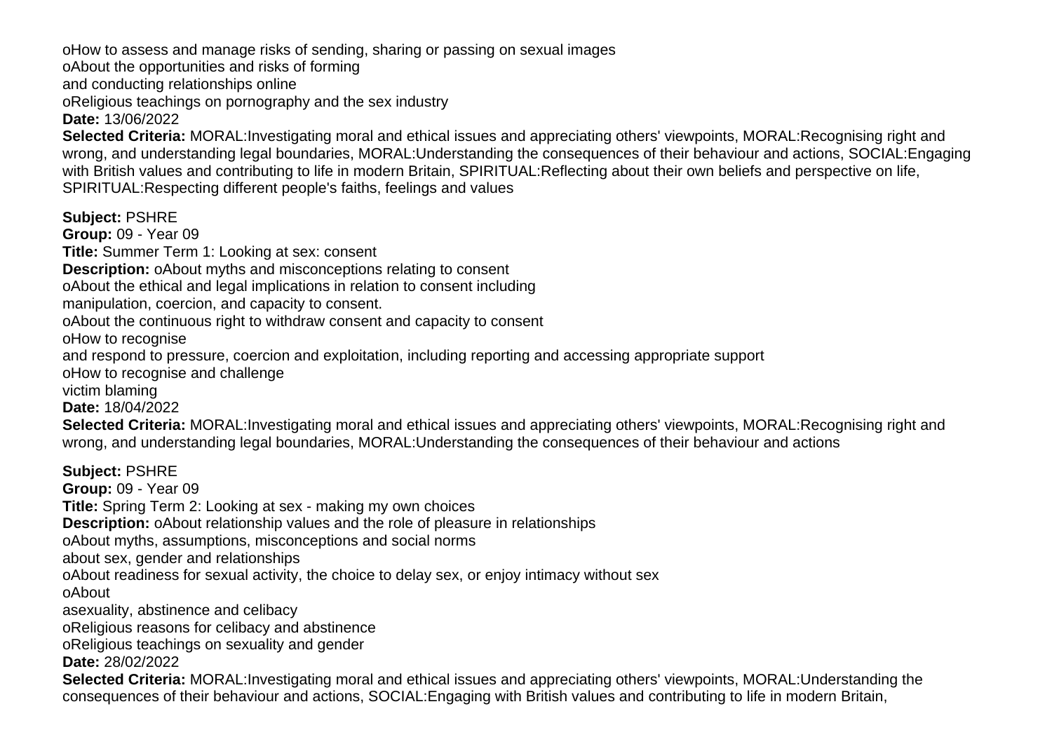o How to assess and manage risks of sending, sharing or passing on sexual images

o About the opportunities and risks of forming

and conducting relationships online

o Religious teachings on pornography and the sex industry

**Date:** 13/06/2022

**Selected Criteria:** MORAL:Investigating moral and ethical issues and appreciating others' viewpoints, MORAL:Recognising right and wrong, and understanding legal boundaries, MORAL:Understanding the consequences of their behaviour and actions, SOCIAL:Engaging with British values and contributing to life in modern Britain, SPIRITUAL:Reflecting about their own beliefs and perspective on life, SPIRITUAL:Respecting different people's faiths, feelings and values

**Subject:** PSHRE

**Group:** 09 - Year 09

**Title:** Summer Term 1: Looking at sex: consent

**Description:** o About myths and misconceptions relating to consent

o About the ethical and legal implications in relation to consent including

manipulation, coercion, and capacity to consent.

o About the continuous right to withdraw consent and capacity to consent

o How to recognise

and respond to pressure, coercion and exploitation, including reporting and accessing appropriate support

o How to recognise and challenge

victim blaming

**Date:** 18/04/2022

**Selected Criteria:** MORAL:Investigating moral and ethical issues and appreciating others' viewpoints, MORAL:Recognising right and wrong, and understanding legal boundaries, MORAL:Understanding the consequences of their behaviour and actions

**Subject:** PSHRE **Group:** 09 - Year 09 **Title:** Spring Term 2: Looking at sex - making my own choices **Description:** o About relationship values and the role of pleasure in relationships o About myths, assumptions, misconceptions and social norms about sex, gender and relationships o About readiness for sexual activity, the choice to delay sex, or enjoy intimacy without sex o About asexuality, abstinence and celibacy o Religious reasons for celibacy and abstinence o Religious teachings on sexuality and gender **Date:** 28/02/2022 **Selected Criteria:** MORAL:Investigating moral and ethical issues and appreciating others' viewpoints, MORAL:Understanding the

consequences of their behaviour and actions, SOCIAL:Engaging with British values and contributing to life in modern Britain,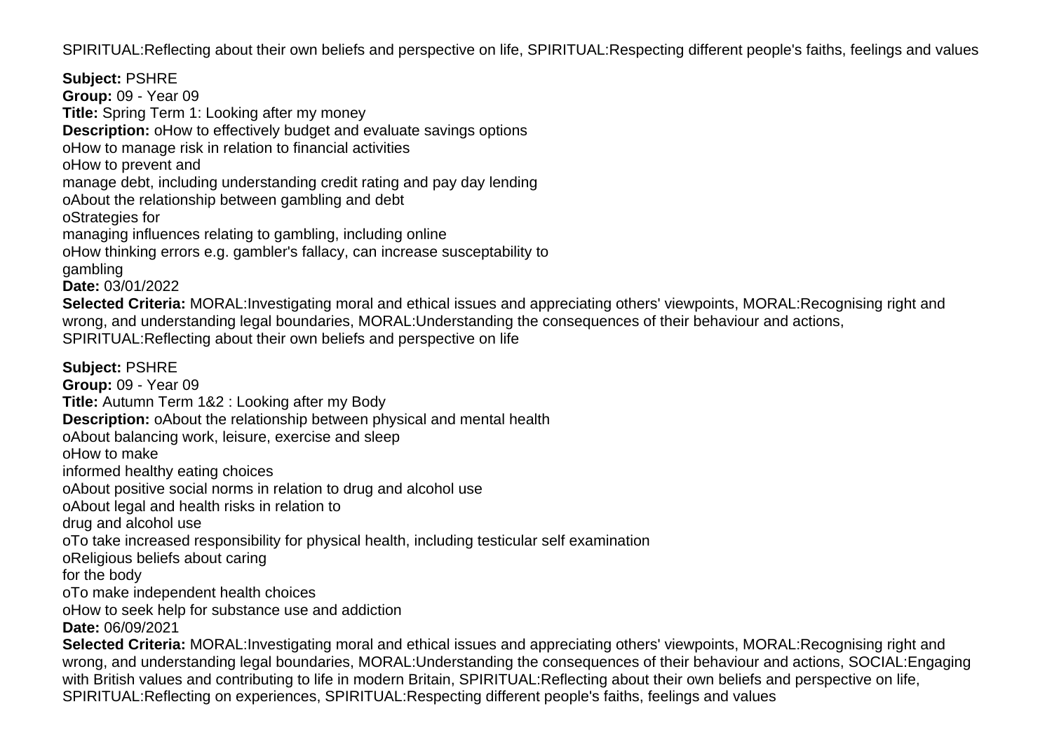SPIRITUAL:Reflecting about their own beliefs and perspective on life, SPIRITUAL:Respecting different people's faiths, feelings and values

**Subject:** PSHRE **Group:** 09 - Year 09 **Title:** Spring Term 1: Looking after my money **Description:** o How to effectively budget and evaluate savings options o How to manage risk in relation to financial activities o How to prevent and manage debt, including understanding credit rating and pay day lending o About the relationship between gambling and debt o Strategies for managing influences relating to gambling, including online o How thinking errors e.g. gambler's fallacy, can increase susceptability to gambling **Date:** 03/01/2022 **Selected Criteria:** MORAL:Investigating moral and ethical issues and appreciating others' viewpoints, MORAL:Recognising right and wrong, and understanding legal boundaries, MORAL:Understanding the consequences of their behaviour and actions, SPIRITUAL:Reflecting about their own beliefs and perspective on life **Subject:** PSHRE **Group:** 09 - Year 09 **Title:** Autumn Term 1&2 : Looking after my Body **Description:** o About the relationship between physical and mental health o About balancing work, leisure, exercise and sleep o How to make informed healthy eating choices o About positive social norms in relation to drug and alcohol use o About legal and health risks in relation to drug and alcohol use o To take increased responsibility for physical health, including testicular self examination o Religious beliefs about caring for the body o To make independent health choices o How to seek help for substance use and addiction **Date:** 06/09/2021 **Selected Criteria:** MORAL:Investigating moral and ethical issues and appreciating others' viewpoints, MORAL:Recognising right and wrong, and understanding legal boundaries, MORAL:Understanding the consequences of their behaviour and actions, SOCIAL:Engaging with British values and contributing to life in modern Britain, SPIRITUAL:Reflecting about their own beliefs and perspective on life,

SPIRITUAL:Reflecting on experiences, SPIRITUAL:Respecting different people's faiths, feelings and values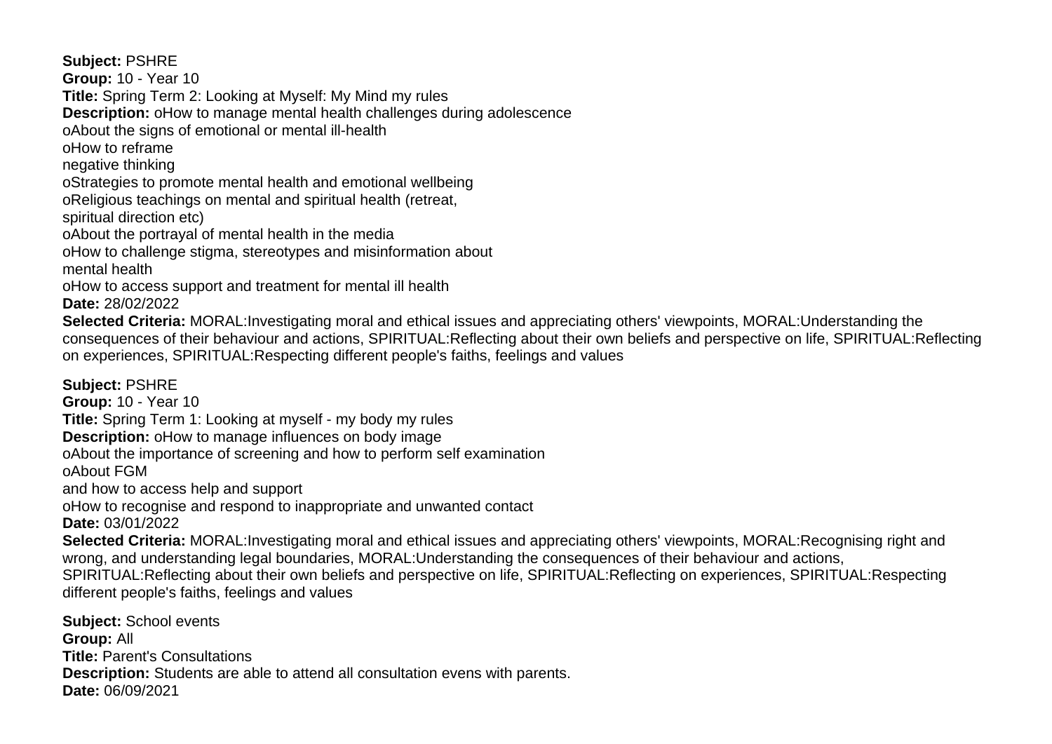**Subject:** PSHRE

**Group:** 10 - Year 10

**Title:** Spring Term 2: Looking at Myself: My Mind my rules

**Description:** o How to manage mental health challenges during adolescence

o About the signs of emotional or mental ill-health

o How to reframe

negative thinking

o Strategies to promote mental health and emotional wellbeing

o Religious teachings on mental and spiritual health (retreat,

spiritual direction etc)

o About the portrayal of mental health in the media

o How to challenge stigma, stereotypes and misinformation about mental health

o How to access support and treatment for mental ill health

**Date:** 28/02/2022

**Selected Criteria:** MORAL:Investigating moral and ethical issues and appreciating others' viewpoints, MORAL:Understanding the consequences of their behaviour and actions, SPIRITUAL:Reflecting about their own beliefs and perspective on life, SPIRITUAL:Reflecting on experiences, SPIRITUAL:Respecting different people's faiths, feelings and values

**Subject:** PSHRE

**Group:** 10 - Year 10

**Title:** Spring Term 1: Looking at myself - my body my rules

**Description:** o How to manage influences on body image

o About the importance of screening and how to perform self examination

o About FGM

and how to access help and support

o How to recognise and respond to inappropriate and unwanted contact

**Date:** 03/01/2022

**Selected Criteria:** MORAL:Investigating moral and ethical issues and appreciating others' viewpoints, MORAL:Recognising right and wrong, and understanding legal boundaries, MORAL:Understanding the consequences of their behaviour and actions,

SPIRITUAL:Reflecting about their own beliefs and perspective on life, SPIRITUAL:Reflecting on experiences, SPIRITUAL:Respecting different people's faiths, feelings and values

**Subject:** School events **Group:** All **Title:** Parent's Consultations **Description:** Students are able to attend all consultation evens with parents. **Date:** 06/09/2021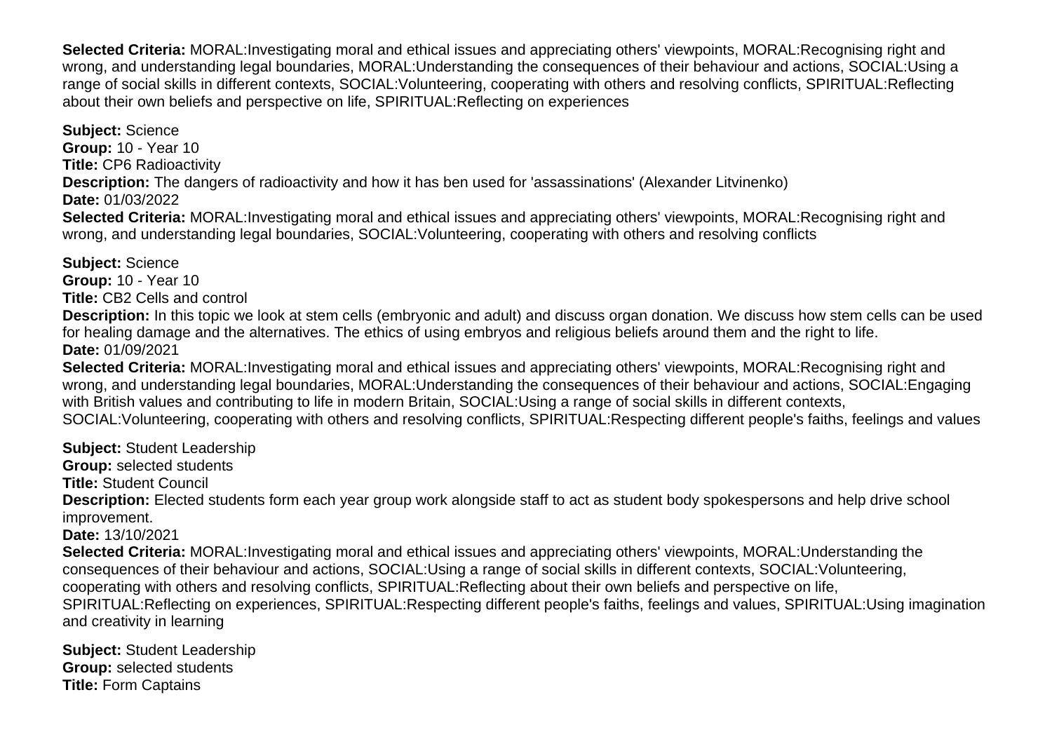**Selected Criteria:** MORAL:Investigating moral and ethical issues and appreciating others' viewpoints, MORAL:Recognising right and wrong, and understanding legal boundaries, MORAL:Understanding the consequences of their behaviour and actions, SOCIAL:Using a range of social skills in different contexts, SOCIAL:Volunteering, cooperating with others and resolving conflicts, SPIRITUAL:Reflecting about their own beliefs and perspective on life, SPIRITUAL:Reflecting on experiences

**Subject:** Science **Group:** 10 - Year 10 **Title:** CP6 Radioactivity **Description:** The dangers of radioactivity and how it has ben used for 'assassinations' (Alexander Litvinenko) **Date:** 01/03/2022 **Selected Criteria:** MORAL:Investigating moral and ethical issues and appreciating others' viewpoints, MORAL:Recognising right and

wrong, and understanding legal boundaries, SOCIAL:Volunteering, cooperating with others and resolving conflicts

**Subject:** Science **Group:** 10 - Year 10 **Title:** CB2 Cells and control

**Description:** In this topic we look at stem cells (embryonic and adult) and discuss organ donation. We discuss how stem cells can be used for healing damage and the alternatives. The ethics of using embryos and religious beliefs around them and the right to life. **Date:** 01/09/2021

**Selected Criteria:** MORAL:Investigating moral and ethical issues and appreciating others' viewpoints, MORAL:Recognising right and wrong, and understanding legal boundaries, MORAL:Understanding the consequences of their behaviour and actions, SOCIAL:Engaging with British values and contributing to life in modern Britain, SOCIAL:Using a range of social skills in different contexts, SOCIAL:Volunteering, cooperating with others and resolving conflicts, SPIRITUAL:Respecting different people's faiths, feelings and values

**Subject:** Student Leadership

**Group:** selected students

**Title:** Student Council

**Description:** Elected students form each year group work alongside staff to act as student body spokespersons and help drive school improvement.

**Date:** 13/10/2021

**Selected Criteria:** MORAL:Investigating moral and ethical issues and appreciating others' viewpoints, MORAL:Understanding the consequences of their behaviour and actions, SOCIAL:Using a range of social skills in different contexts, SOCIAL:Volunteering, cooperating with others and resolving conflicts, SPIRITUAL:Reflecting about their own beliefs and perspective on life, SPIRITUAL:Reflecting on experiences, SPIRITUAL:Respecting different people's faiths, feelings and values, SPIRITUAL:Using imagination and creativity in learning

**Subject:** Student Leadership **Group:** selected students **Title:** Form Captains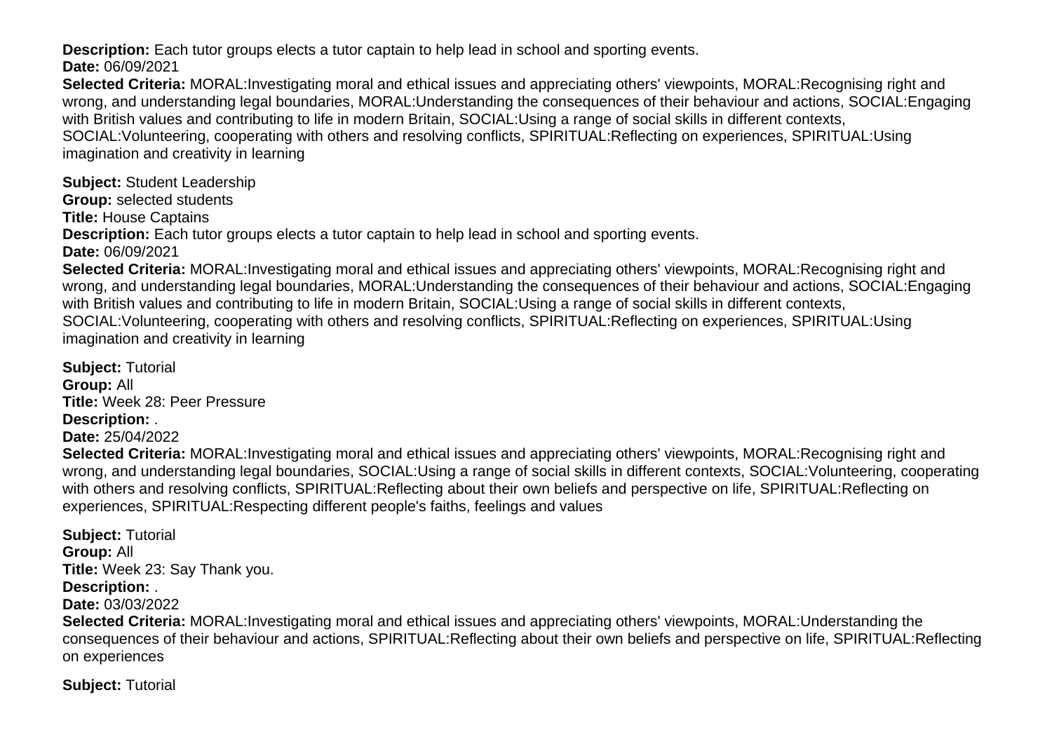**Description:** Each tutor groups elects a tutor captain to help lead in school and sporting events.

**Date:** 06/09/2021

**Selected Criteria:** MORAL:Investigating moral and ethical issues and appreciating others' viewpoints, MORAL:Recognising right and wrong, and understanding legal boundaries, MORAL:Understanding the consequences of their behaviour and actions, SOCIAL:Engaging with British values and contributing to life in modern Britain, SOCIAL:Using a range of social skills in different contexts, SOCIAL:Volunteering, cooperating with others and resolving conflicts, SPIRITUAL:Reflecting on experiences, SPIRITUAL:Using imagination and creativity in learning

**Subject:** Student Leadership

**Group:** selected students

**Title:** House Captains

**Description:** Each tutor groups elects a tutor captain to help lead in school and sporting events.

**Date:** 06/09/2021

**Selected Criteria:** MORAL:Investigating moral and ethical issues and appreciating others' viewpoints, MORAL:Recognising right and wrong, and understanding legal boundaries, MORAL:Understanding the consequences of their behaviour and actions, SOCIAL:Engaging with British values and contributing to life in modern Britain, SOCIAL:Using a range of social skills in different contexts, SOCIAL:Volunteering, cooperating with others and resolving conflicts, SPIRITUAL:Reflecting on experiences, SPIRITUAL:Using imagination and creativity in learning

**Subject:** Tutorial **Group:** All **Title:** Week 28: Peer Pressure **Description:** .

**Date:** 25/04/2022

**Selected Criteria:** MORAL:Investigating moral and ethical issues and appreciating others' viewpoints, MORAL:Recognising right and wrong, and understanding legal boundaries, SOCIAL:Using a range of social skills in different contexts, SOCIAL:Volunteering, cooperating with others and resolving conflicts, SPIRITUAL:Reflecting about their own beliefs and perspective on life, SPIRITUAL:Reflecting on experiences, SPIRITUAL:Respecting different people's faiths, feelings and values

**Subject:** Tutorial **Group:** All **Title:** Week 23: Say Thank you. **Description:** .

**Date:** 03/03/2022

**Selected Criteria:** MORAL:Investigating moral and ethical issues and appreciating others' viewpoints, MORAL:Understanding the consequences of their behaviour and actions, SPIRITUAL:Reflecting about their own beliefs and perspective on life, SPIRITUAL:Reflecting on experiences

**Subject:** Tutorial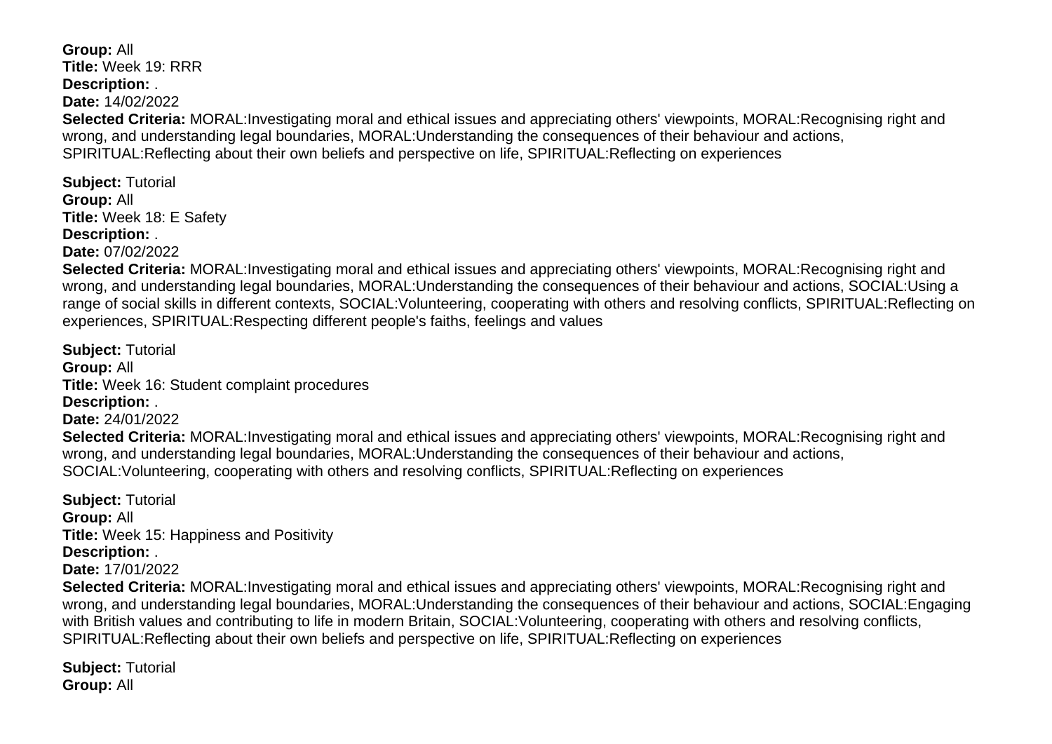**Group:** All **Title:** Week 19: RRR **Description:** . **Date:** 14/02/2022 **Selected Criteria:** MORAL:Investigating moral and ethical issues and appreciating others' viewpoints, MORAL:Recognising right and wrong, and understanding legal boundaries, MORAL:Understanding the consequences of their behaviour and actions, SPIRITUAL:Reflecting about their own beliefs and perspective on life, SPIRITUAL:Reflecting on experiences **Subject:** Tutorial **Group:** All

**Title:** Week 18: E Safety

**Description:** .

**Date:** 07/02/2022

**Selected Criteria:** MORAL:Investigating moral and ethical issues and appreciating others' viewpoints, MORAL:Recognising right and wrong, and understanding legal boundaries, MORAL:Understanding the consequences of their behaviour and actions, SOCIAL:Using a range of social skills in different contexts, SOCIAL:Volunteering, cooperating with others and resolving conflicts, SPIRITUAL:Reflecting on experiences, SPIRITUAL:Respecting different people's faiths, feelings and values

**Subject:** Tutorial **Group:** All **Title:** Week 16: Student complaint procedures **Description:** . **Date:** 24/01/2022 **Selected Criteria:** MORAL:Investigating moral and ethical issues and appreciating others' viewpoints, MORAL:Recognising right and wrong, and understanding legal boundaries, MORAL:Understanding the consequences of their behaviour and actions, SOCIAL:Volunteering, cooperating with others and resolving conflicts, SPIRITUAL:Reflecting on experiences

**Subject:** Tutorial **Group:** All **Title:** Week 15: Happiness and Positivity **Description:** . **Date:** 17/01/2022

**Selected Criteria:** MORAL:Investigating moral and ethical issues and appreciating others' viewpoints, MORAL:Recognising right and wrong, and understanding legal boundaries, MORAL:Understanding the consequences of their behaviour and actions, SOCIAL:Engaging with British values and contributing to life in modern Britain, SOCIAL:Volunteering, cooperating with others and resolving conflicts, SPIRITUAL:Reflecting about their own beliefs and perspective on life, SPIRITUAL:Reflecting on experiences

**Subject:** Tutorial **Group:** All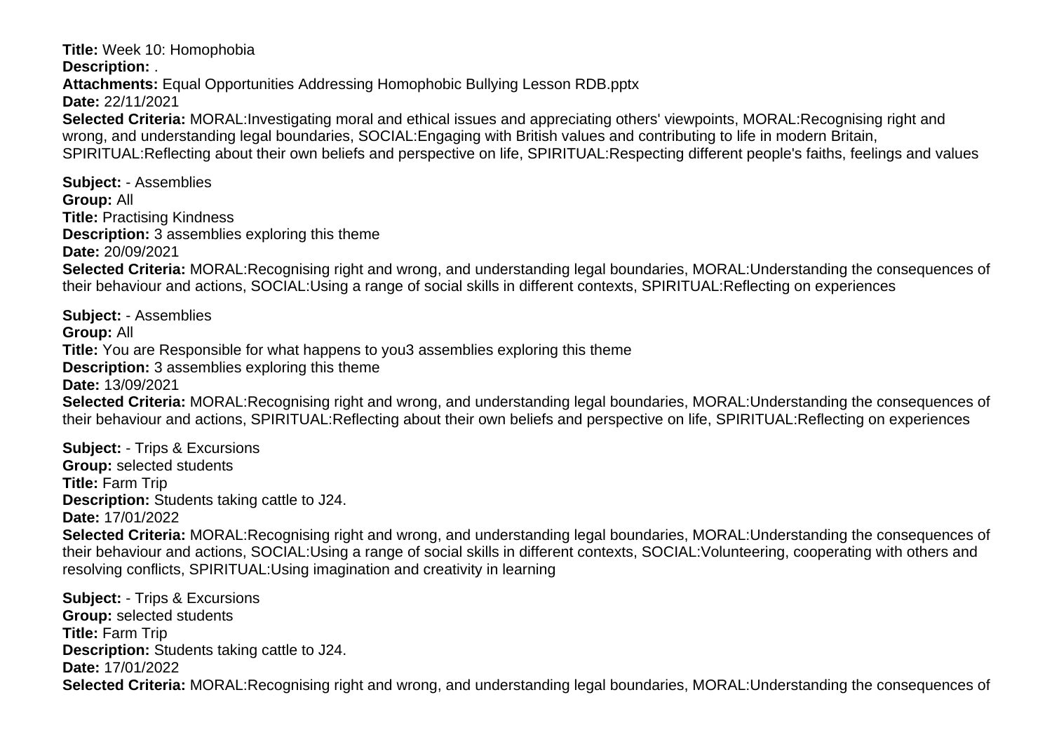**Title:** Week 10: Homophobia

**Description:** .

**Attachments:** Equal Opportunities Addressing Homophobic Bullying Lesson RDB.pptx

**Date:** 22/11/2021

**Selected Criteria:** MORAL:Investigating moral and ethical issues and appreciating others' viewpoints, MORAL:Recognising right and wrong, and understanding legal boundaries, SOCIAL:Engaging with British values and contributing to life in modern Britain, SPIRITUAL:Reflecting about their own beliefs and perspective on life, SPIRITUAL:Respecting different people's faiths, feelings and values

**Subject:** - Assemblies **Group:** All **Title:** Practising Kindness **Description:** 3 assemblies exploring this theme **Date:** 20/09/2021 **Selected Criteria:** MORAL:Recognising right and wrong, and understanding legal boundaries, MORAL:Understanding the consequences of their behaviour and actions, SOCIAL:Using a range of social skills in different contexts, SPIRITUAL:Reflecting on experiences

**Subject:** - Assemblies **Group:** All **Title:** You are Responsible for what happens to you3 assemblies exploring this theme **Description:** 3 assemblies exploring this theme **Date:** 13/09/2021 **Selected Criteria:** MORAL:Recognising right and wrong, and understanding legal boundaries, MORAL:Understanding the consequences of their behaviour and actions, SPIRITUAL:Reflecting about their own beliefs and perspective on life, SPIRITUAL:Reflecting on experiences

**Subject:** - Trips & Excursions **Group:** selected students **Title:** Farm Trip **Description:** Students taking cattle to J24. **Date:** 17/01/2022

**Selected Criteria:** MORAL:Recognising right and wrong, and understanding legal boundaries, MORAL:Understanding the consequences of their behaviour and actions, SOCIAL:Using a range of social skills in different contexts, SOCIAL:Volunteering, cooperating with others and resolving conflicts, SPIRITUAL:Using imagination and creativity in learning

**Subject:** - Trips & Excursions **Group:** selected students **Title:** Farm Trip **Description:** Students taking cattle to J24. **Date:** 17/01/2022 **Selected Criteria:** MORAL:Recognising right and wrong, and understanding legal boundaries, MORAL:Understanding the consequences of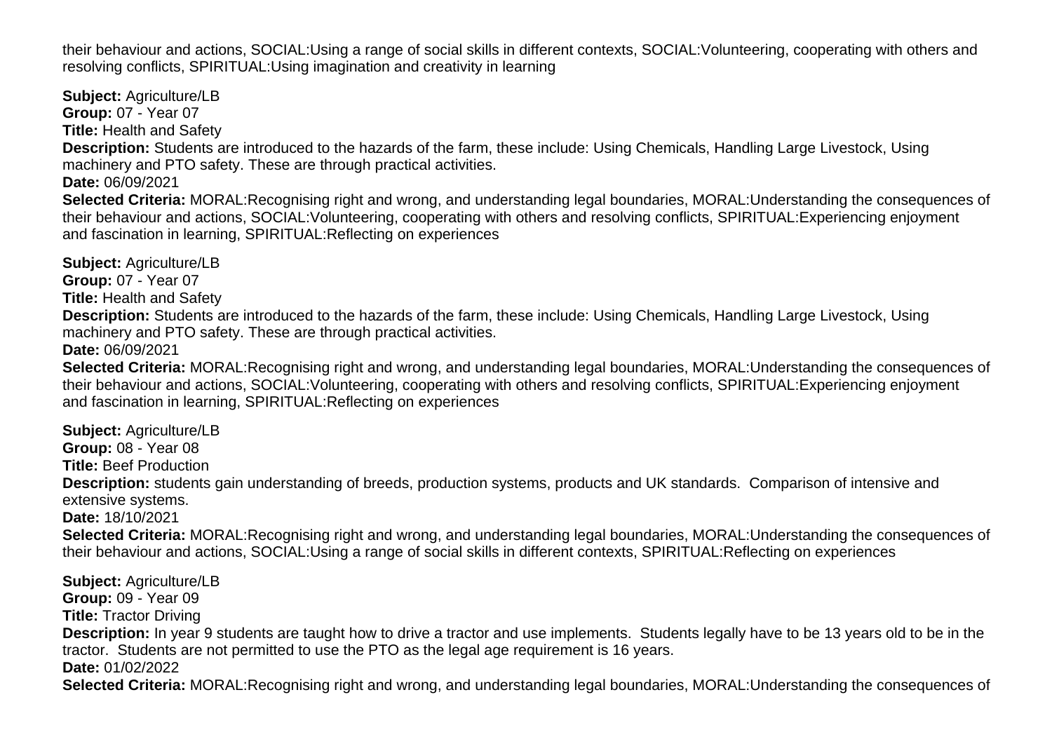their behaviour and actions, SOCIAL:Using a range of social skills in different contexts, SOCIAL:Volunteering, cooperating with others and resolving conflicts, SPIRITUAL:Using imagination and creativity in learning

**Subject:** Agriculture/LB **Group:** 07 - Year 07 **Title:** Health and Safety **Description:** Students are introduced to the hazards of the farm, these include: Using Chemicals, Handling Large Livestock, Using machinery and PTO safety. These are through practical activities. **Date:** 06/09/2021 **Selected Criteria:** MORAL:Recognising right and wrong, and understanding legal boundaries, MORAL:Understanding the consequences of their behaviour and actions, SOCIAL:Volunteering, cooperating with others and resolving conflicts, SPIRITUAL:Experiencing enjoyment and fascination in learning, SPIRITUAL:Reflecting on experiences **Subject:** Agriculture/LB **Group:** 07 - Year 07

**Title:** Health and Safety **Description:** Students are introduced to the hazards of the farm, these include: Using Chemicals, Handling Large Livestock, Using machinery and PTO safety. These are through practical activities. **Date:** 06/09/2021

**Selected Criteria:** MORAL:Recognising right and wrong, and understanding legal boundaries, MORAL:Understanding the consequences of their behaviour and actions, SOCIAL:Volunteering, cooperating with others and resolving conflicts, SPIRITUAL:Experiencing enjoyment and fascination in learning, SPIRITUAL:Reflecting on experiences

**Subject:** Agriculture/LB **Group:** 08 - Year 08 **Title:** Beef Production **Description:** students gain understanding of breeds, production systems, products and UK standards. Comparison of intensive and extensive systems. **Date:** 18/10/2021 **Selected Criteria:** MORAL:Recognising right and wrong, and understanding legal boundaries, MORAL:Understanding the consequences of their behaviour and actions, SOCIAL:Using a range of social skills in different contexts, SPIRITUAL:Reflecting on experiences

**Subject:** Agriculture/LB **Group:** 09 - Year 09 **Title:** Tractor Driving **Description:** In year 9 students are taught how to drive a tractor and use implements. Students legally have to be 13 years old to be in the tractor. Students are not permitted to use the PTO as the legal age requirement is 16 years. **Date:** 01/02/2022 **Selected Criteria:** MORAL:Recognising right and wrong, and understanding legal boundaries, MORAL:Understanding the consequences of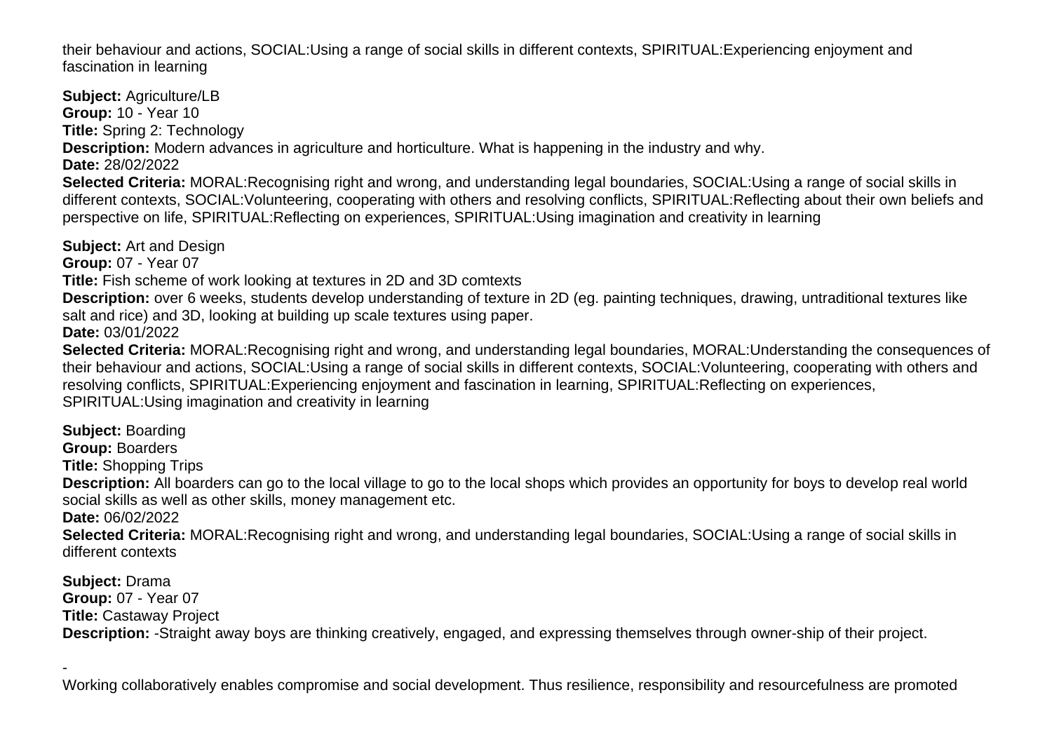their behaviour and actions, SOCIAL:Using a range of social skills in different contexts, SPIRITUAL:Experiencing enjoyment and fascination in learning

**Subject:** Agriculture/LB **Group:** 10 - Year 10 **Title:** Spring 2: Technology **Description:** Modern advances in agriculture and horticulture. What is happening in the industry and why. **Date:** 28/02/2022 **Selected Criteria:** MORAL:Recognising right and wrong, and understanding legal boundaries, SOCIAL:Using a range of social skills in different contexts, SOCIAL:Volunteering, cooperating with others and resolving conflicts, SPIRITUAL:Reflecting about their own beliefs and perspective on life, SPIRITUAL:Reflecting on experiences, SPIRITUAL:Using imagination and creativity in learning

**Subject:** Art and Design

**Group:** 07 - Year 07

**Title:** Fish scheme of work looking at textures in 2D and 3D comtexts

**Description:** over 6 weeks, students develop understanding of texture in 2D (eg. painting techniques, drawing, untraditional textures like salt and rice) and 3D, looking at building up scale textures using paper.

**Date:** 03/01/2022

**Selected Criteria:** MORAL:Recognising right and wrong, and understanding legal boundaries, MORAL:Understanding the consequences of their behaviour and actions, SOCIAL:Using a range of social skills in different contexts, SOCIAL:Volunteering, cooperating with others and resolving conflicts, SPIRITUAL:Experiencing enjoyment and fascination in learning, SPIRITUAL:Reflecting on experiences, SPIRITUAL:Using imagination and creativity in learning

**Subject:** Boarding

**Group:** Boarders

**Title:** Shopping Trips

**Description:** All boarders can go to the local village to go to the local shops which provides an opportunity for boys to develop real world social skills as well as other skills, money management etc.

**Date:** 06/02/2022

**Selected Criteria:** MORAL:Recognising right and wrong, and understanding legal boundaries, SOCIAL:Using a range of social skills in different contexts

**Subject:** Drama **Group:** 07 - Year 07 **Title:** Castaway Project **Description:** -Straight away boys are thinking creatively, engaged, and expressing themselves through owner-ship of their project.

- Working collaboratively enables compromise and social development. Thus resilience, responsibility and resourcefulness are promoted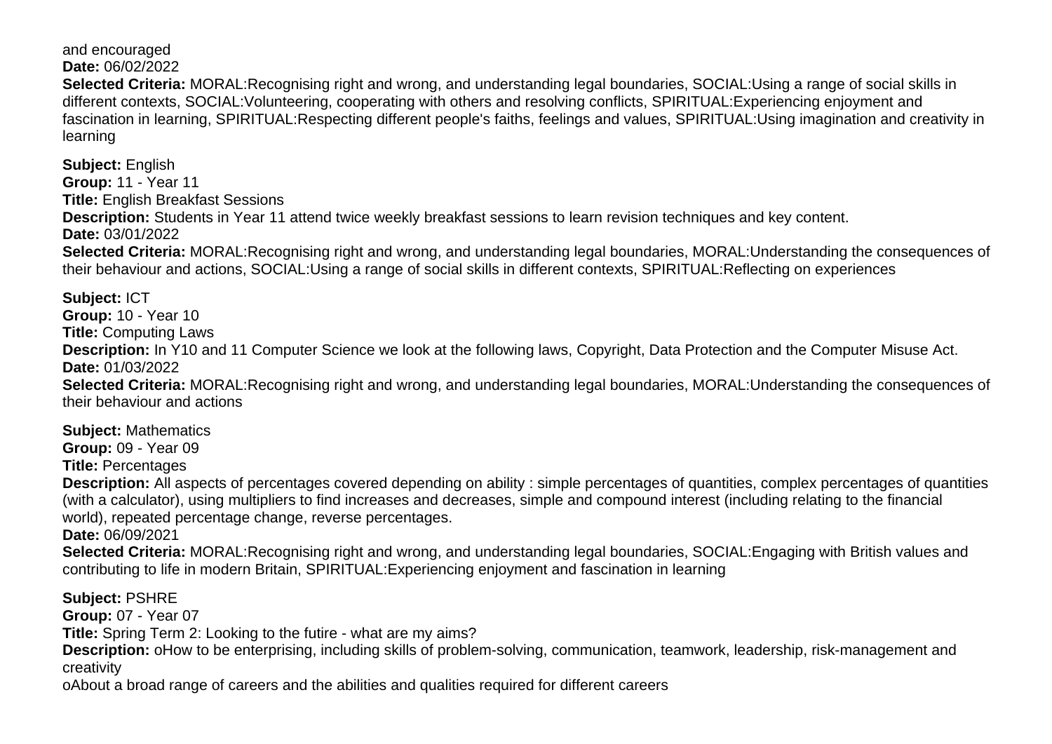and encouraged **Date:** 06/02/2022

**Selected Criteria:** MORAL:Recognising right and wrong, and understanding legal boundaries, SOCIAL:Using a range of social skills in different contexts, SOCIAL:Volunteering, cooperating with others and resolving conflicts, SPIRITUAL:Experiencing enjoyment and fascination in learning, SPIRITUAL:Respecting different people's faiths, feelings and values, SPIRITUAL:Using imagination and creativity in learning

**Subject:** English **Group:** 11 - Year 11 **Title:** English Breakfast Sessions **Description:** Students in Year 11 attend twice weekly breakfast sessions to learn revision techniques and key content. **Date:** 03/01/2022 **Selected Criteria:** MORAL:Recognising right and wrong, and understanding legal boundaries, MORAL:Understanding the consequences of their behaviour and actions, SOCIAL:Using a range of social skills in different contexts, SPIRITUAL:Reflecting on experiences

**Subject:** ICT **Group:** 10 - Year 10 **Title:** Computing Laws **Description:** In Y10 and 11 Computer Science we look at the following laws, Copyright, Data Protection and the Computer Misuse Act. **Date:** 01/03/2022 **Selected Criteria:** MORAL:Recognising right and wrong, and understanding legal boundaries, MORAL:Understanding the consequences of their behaviour and actions

**Subject:** Mathematics

**Group:** 09 - Year 09

**Title:** Percentages

**Description:** All aspects of percentages covered depending on ability : simple percentages of quantities, complex percentages of quantities (with a calculator), using multipliers to find increases and decreases, simple and compound interest (including relating to the financial world), repeated percentage change, reverse percentages.

**Date:** 06/09/2021

**Selected Criteria:** MORAL:Recognising right and wrong, and understanding legal boundaries, SOCIAL:Engaging with British values and contributing to life in modern Britain, SPIRITUAL:Experiencing enjoyment and fascination in learning

**Subject:** PSHRE

**Group:** 07 - Year 07

**Title:** Spring Term 2: Looking to the futire - what are my aims?

Description: o How to be enterprising, including skills of problem-solving, communication, teamwork, leadership, risk-management and creativity

o About a broad range of careers and the abilities and qualities required for different careers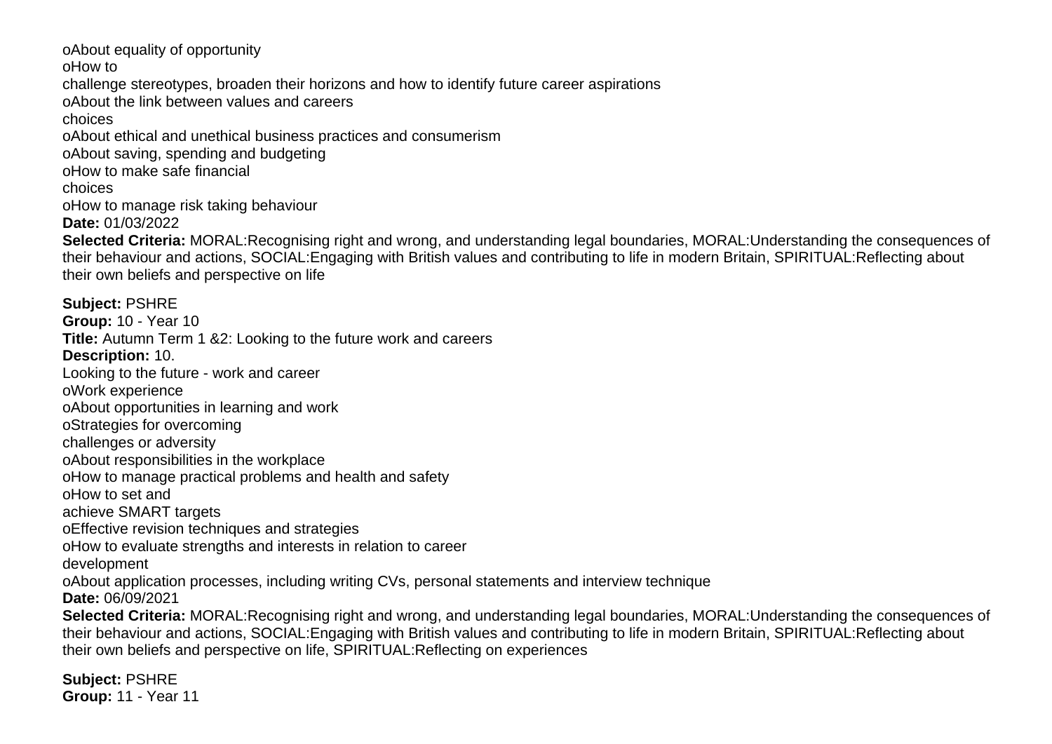o About equality of opportunity o How to challenge stereotypes, broaden their horizons and how to identify future career aspirations o About the link between values and careers choices o About ethical and unethical business practices and consumerism o About saving, spending and budgeting o How to make safe financial choices o How to manage risk taking behaviour **Date:** 01/03/2022 **Selected Criteria:** MORAL:Recognising right and wrong, and understanding legal boundaries, MORAL:Understanding the consequences of their behaviour and actions, SOCIAL:Engaging with British values and contributing to life in modern Britain, SPIRITUAL:Reflecting about their own beliefs and perspective on life **Subject:** PSHRE **Group:** 10 - Year 10 **Title:** Autumn Term 1 &2: Looking to the future work and careers **Description:** 10. Looking to the future - work and career o Work experience o About opportunities in learning and work o Strategies for overcoming challenges or adversity o About responsibilities in the workplace o How to manage practical problems and health and safety o How to set and achieve SMART targets o Effective revision techniques and strategies o How to evaluate strengths and interests in relation to career development o About application processes, including writing CVs, personal statements and interview technique **Date:** 06/09/2021 **Selected Criteria:** MORAL:Recognising right and wrong, and understanding legal boundaries, MORAL:Understanding the consequences of their behaviour and actions, SOCIAL:Engaging with British values and contributing to life in modern Britain, SPIRITUAL:Reflecting about their own beliefs and perspective on life, SPIRITUAL:Reflecting on experiences

**Subject:** PSHRE **Group:** 11 - Year 11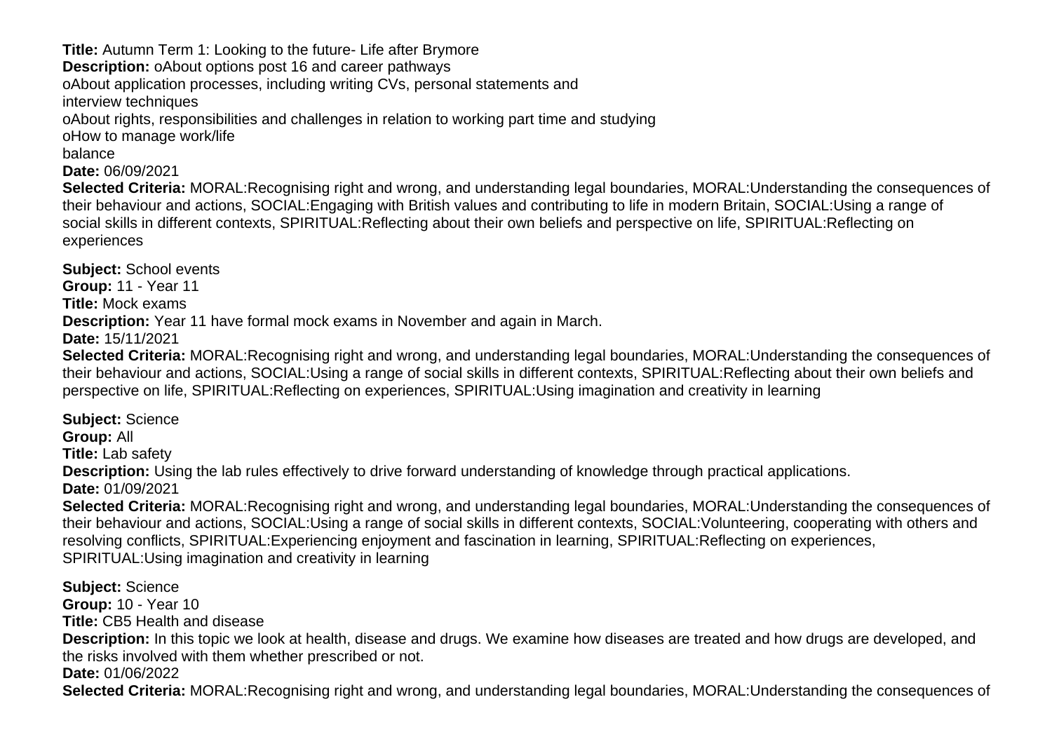**Title:** Autumn Term 1: Looking to the future- Life after Brymore **Description:** o About options post 16 and career pathways o About application processes, including writing CVs, personal statements and interview techniques o About rights, responsibilities and challenges in relation to working part time and studying o How to manage work/life balance **Date:** 06/09/2021 **Selected Criteria:** MORAL:Recognising right and wrong, and understanding legal boundaries, MORAL:Understanding the consequences of

their behaviour and actions, SOCIAL:Engaging with British values and contributing to life in modern Britain, SOCIAL:Using a range of social skills in different contexts, SPIRITUAL:Reflecting about their own beliefs and perspective on life, SPIRITUAL:Reflecting on experiences

**Subject:** School events

**Group:** 11 - Year 11

**Title:** Mock exams

**Description:** Year 11 have formal mock exams in November and again in March.

**Date:** 15/11/2021

**Selected Criteria:** MORAL:Recognising right and wrong, and understanding legal boundaries, MORAL:Understanding the consequences of their behaviour and actions, SOCIAL:Using a range of social skills in different contexts, SPIRITUAL:Reflecting about their own beliefs and perspective on life, SPIRITUAL:Reflecting on experiences, SPIRITUAL:Using imagination and creativity in learning

**Subject:** Science

**Group:** All

**Title:** Lab safety

**Description:** Using the lab rules effectively to drive forward understanding of knowledge through practical applications.

**Date:** 01/09/2021

**Selected Criteria:** MORAL:Recognising right and wrong, and understanding legal boundaries, MORAL:Understanding the consequences of their behaviour and actions, SOCIAL:Using a range of social skills in different contexts, SOCIAL:Volunteering, cooperating with others and resolving conflicts, SPIRITUAL:Experiencing enjoyment and fascination in learning, SPIRITUAL:Reflecting on experiences, SPIRITUAL:Using imagination and creativity in learning

**Subject:** Science **Group:** 10 - Year 10 **Title:** CB5 Health and disease **Description:** In this topic we look at health, disease and drugs. We examine how diseases are treated and how drugs are developed, and the risks involved with them whether prescribed or not. **Date:** 01/06/2022 **Selected Criteria:** MORAL:Recognising right and wrong, and understanding legal boundaries, MORAL:Understanding the consequences of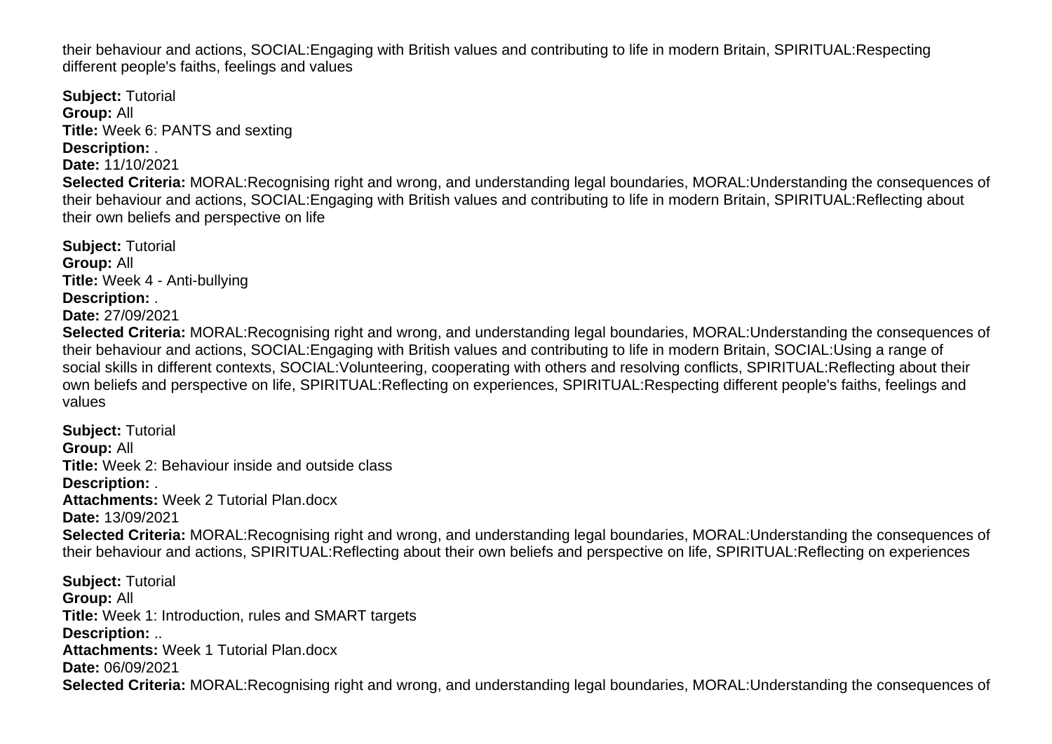their behaviour and actions, SOCIAL:Engaging with British values and contributing to life in modern Britain, SPIRITUAL:Respecting different people's faiths, feelings and values

**Subject:** Tutorial **Group:** All **Title:** Week 6: PANTS and sexting **Description:** . **Date:** 11/10/2021 **Selected Criteria:** MORAL:Recognising right and wrong, and understanding legal boundaries, MORAL:Understanding the consequences of their behaviour and actions, SOCIAL:Engaging with British values and contributing to life in modern Britain, SPIRITUAL:Reflecting about their own beliefs and perspective on life

**Subject:** Tutorial **Group:** All **Title:** Week 4 - Anti-bullying **Description:** . **Date:** 27/09/2021

**Selected Criteria:** MORAL:Recognising right and wrong, and understanding legal boundaries, MORAL:Understanding the consequences of their behaviour and actions, SOCIAL:Engaging with British values and contributing to life in modern Britain, SOCIAL:Using a range of social skills in different contexts, SOCIAL:Volunteering, cooperating with others and resolving conflicts, SPIRITUAL:Reflecting about their own beliefs and perspective on life, SPIRITUAL:Reflecting on experiences, SPIRITUAL:Respecting different people's faiths, feelings and values

**Subject:** Tutorial **Group:** All **Title:** Week 2: Behaviour inside and outside class **Description:** . **Attachments:** Week 2 Tutorial Plan.docx **Date:** 13/09/2021 **Selected Criteria:** MORAL:Recognising right and wrong, and understanding legal boundaries, MORAL:Understanding the consequences of their behaviour and actions, SPIRITUAL:Reflecting about their own beliefs and perspective on life, SPIRITUAL:Reflecting on experiences **Subject:** Tutorial **Group:** All **Title:** Week 1: Introduction, rules and SMART targets **Description:** .. **Attachments:** Week 1 Tutorial Plan.docx **Date:** 06/09/2021 **Selected Criteria:** MORAL:Recognising right and wrong, and understanding legal boundaries, MORAL:Understanding the consequences of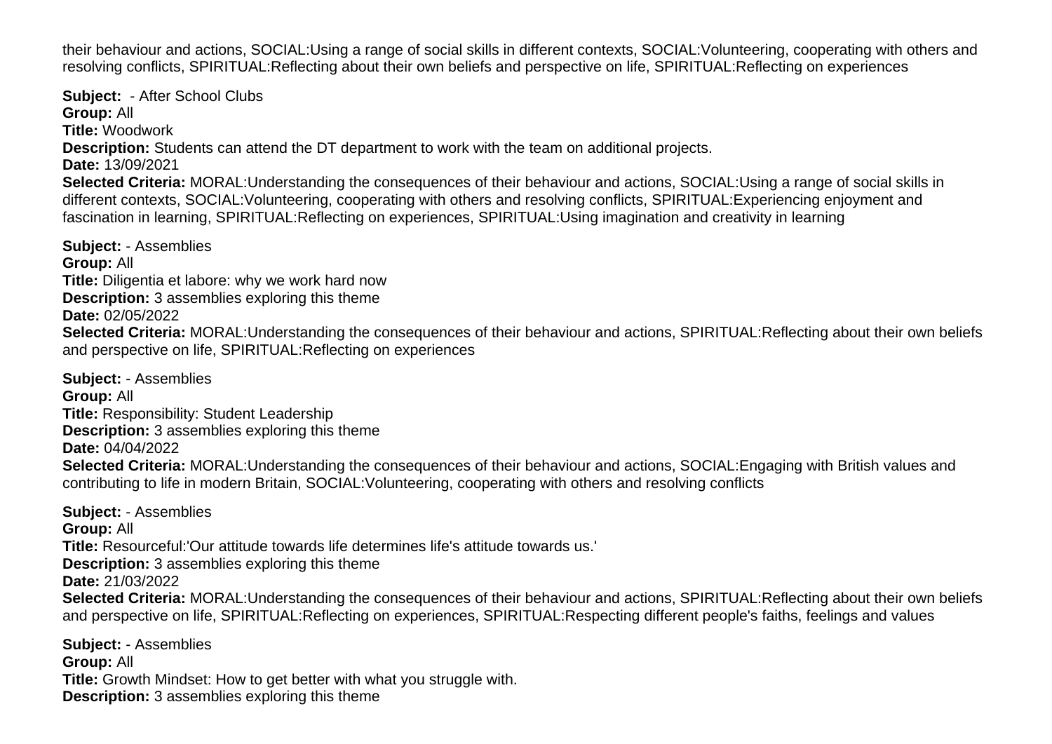their behaviour and actions, SOCIAL:Using a range of social skills in different contexts, SOCIAL:Volunteering, cooperating with others and resolving conflicts, SPIRITUAL:Reflecting about their own beliefs and perspective on life, SPIRITUAL:Reflecting on experiences

**Subject:** - After School Clubs **Group:** All **Title:** Woodwork **Description:** Students can attend the DT department to work with the team on additional projects. **Date:** 13/09/2021 **Selected Criteria:** MORAL:Understanding the consequences of their behaviour and actions, SOCIAL:Using a range of social skills in different contexts, SOCIAL:Volunteering, cooperating with others and resolving conflicts, SPIRITUAL:Experiencing enjoyment and fascination in learning, SPIRITUAL:Reflecting on experiences, SPIRITUAL:Using imagination and creativity in learning

**Subject:** - Assemblies **Group:** All **Title:** Diligentia et labore: why we work hard now **Description:** 3 assemblies exploring this theme **Date:** 02/05/2022 **Selected Criteria:** MORAL:Understanding the consequences of their behaviour and actions, SPIRITUAL:Reflecting about their own beliefs and perspective on life, SPIRITUAL:Reflecting on experiences

**Subject:** - Assemblies **Group:** All **Title:** Responsibility: Student Leadership **Description:** 3 assemblies exploring this theme **Date:** 04/04/2022 **Selected Criteria:** MORAL:Understanding the consequences of their behaviour and actions, SOCIAL:Engaging with British values and contributing to life in modern Britain, SOCIAL:Volunteering, cooperating with others and resolving conflicts

**Subject:** - Assemblies **Group:** All **Title:** Resourceful:'Our attitude towards life determines life's attitude towards us.' **Description:** 3 assemblies exploring this theme **Date:** 21/03/2022 **Selected Criteria:** MORAL:Understanding the consequences of their behaviour and actions, SPIRITUAL:Reflecting about their own beliefs and perspective on life, SPIRITUAL:Reflecting on experiences, SPIRITUAL:Respecting different people's faiths, feelings and values **Subject:** - Assemblies

**Group:** All **Title:** Growth Mindset: How to get better with what you struggle with. **Description:** 3 assemblies exploring this theme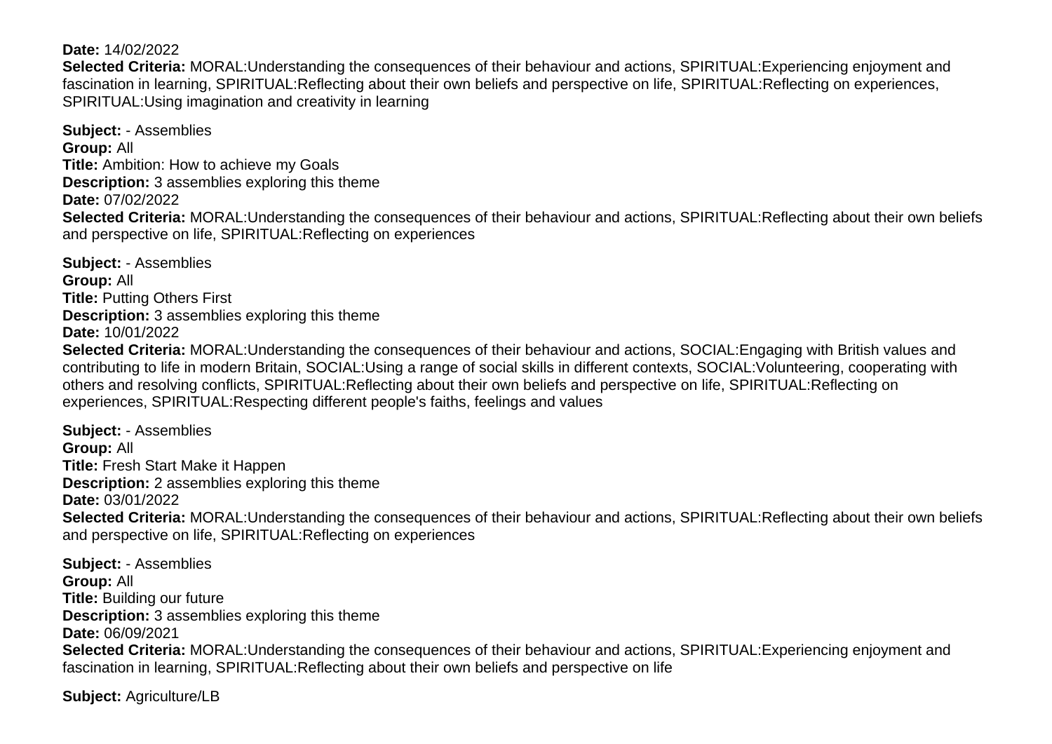**Date:** 14/02/2022

**Selected Criteria:** MORAL:Understanding the consequences of their behaviour and actions, SPIRITUAL:Experiencing enjoyment and fascination in learning, SPIRITUAL:Reflecting about their own beliefs and perspective on life, SPIRITUAL:Reflecting on experiences, SPIRITUAL:Using imagination and creativity in learning

**Subject:** - Assemblies **Group:** All **Title:** Ambition: How to achieve my Goals **Description:** 3 assemblies exploring this theme **Date:** 07/02/2022 **Selected Criteria:** MORAL:Understanding the consequences of their behaviour and actions, SPIRITUAL:Reflecting about their own beliefs and perspective on life, SPIRITUAL:Reflecting on experiences

**Subject:** - Assemblies **Group:** All **Title:** Putting Others First **Description:** 3 assemblies exploring this theme **Date:** 10/01/2022 **Selected Criteria:** MORAL:Understanding the consequences of their behaviour and actions, SOCIAL:Engaging with British values and contributing to life in modern Britain, SOCIAL:Using a range of social skills in different contexts, SOCIAL:Volunteering, cooperating with others and resolving conflicts, SPIRITUAL:Reflecting about their own beliefs and perspective on life, SPIRITUAL:Reflecting on experiences, SPIRITUAL:Respecting different people's faiths, feelings and values

**Subject:** - Assemblies **Group:** All **Title:** Fresh Start Make it Happen **Description:** 2 assemblies exploring this theme **Date:** 03/01/2022 **Selected Criteria:** MORAL:Understanding the consequences of their behaviour and actions, SPIRITUAL:Reflecting about their own beliefs and perspective on life, SPIRITUAL:Reflecting on experiences

**Subject:** - Assemblies **Group:** All **Title:** Building our future **Description:** 3 assemblies exploring this theme **Date:** 06/09/2021 **Selected Criteria:** MORAL:Understanding the consequences of their behaviour and actions, SPIRITUAL:Experiencing enjoyment and fascination in learning, SPIRITUAL:Reflecting about their own beliefs and perspective on life

**Subject:** Agriculture/LB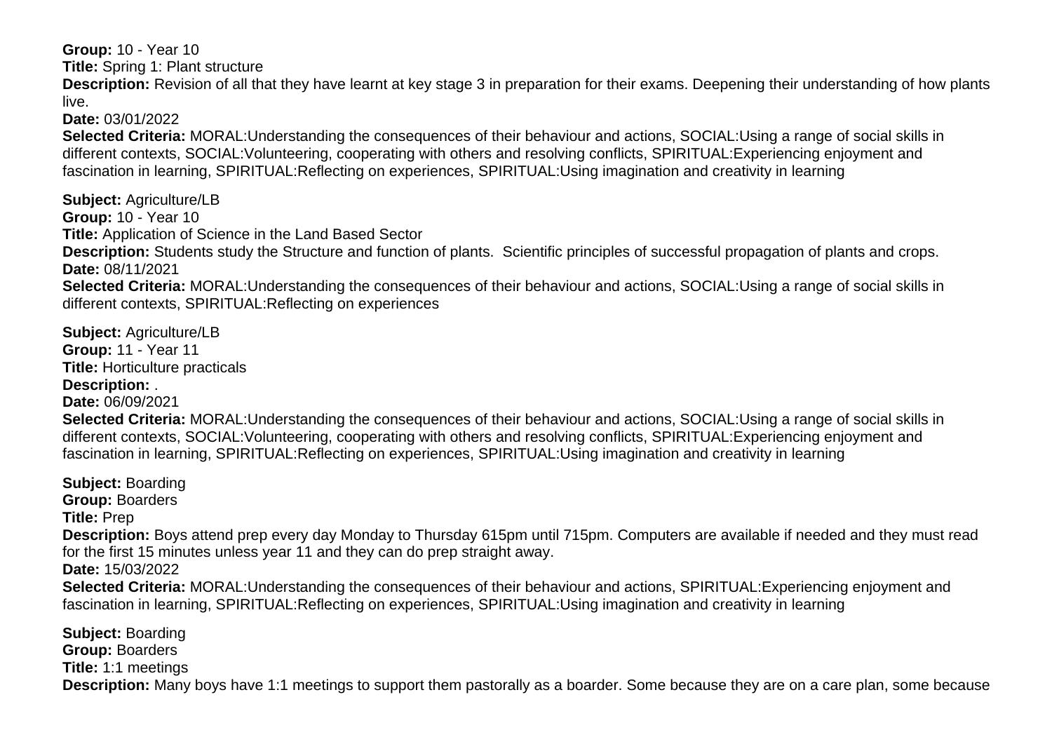**Group:** 10 - Year 10

**Title:** Spring 1: Plant structure

**Description:** Revision of all that they have learnt at key stage 3 in preparation for their exams. Deepening their understanding of how plants live.

**Date:** 03/01/2022

**Selected Criteria:** MORAL:Understanding the consequences of their behaviour and actions, SOCIAL:Using a range of social skills in different contexts, SOCIAL:Volunteering, cooperating with others and resolving conflicts, SPIRITUAL:Experiencing enjoyment and fascination in learning, SPIRITUAL:Reflecting on experiences, SPIRITUAL:Using imagination and creativity in learning

**Subject:** Agriculture/LB **Group:** 10 - Year 10 **Title:** Application of Science in the Land Based Sector **Description:** Students study the Structure and function of plants. Scientific principles of successful propagation of plants and crops. **Date:** 08/11/2021 **Selected Criteria:** MORAL:Understanding the consequences of their behaviour and actions, SOCIAL:Using a range of social skills in different contexts, SPIRITUAL:Reflecting on experiences

**Subject:** Agriculture/LB **Group:** 11 - Year 11 **Title:** Horticulture practicals **Description:** .

**Date:** 06/09/2021

**Selected Criteria:** MORAL:Understanding the consequences of their behaviour and actions, SOCIAL:Using a range of social skills in different contexts, SOCIAL:Volunteering, cooperating with others and resolving conflicts, SPIRITUAL:Experiencing enjoyment and fascination in learning, SPIRITUAL:Reflecting on experiences, SPIRITUAL:Using imagination and creativity in learning

**Subject:** Boarding **Group:** Boarders **Title:** Prep **Description:** Boys attend prep every day Monday to Thursday 615pm until 715pm. Computers are available if needed and they must read for the first 15 minutes unless year 11 and they can do prep straight away. **Date:** 15/03/2022 **Selected Criteria:** MORAL:Understanding the consequences of their behaviour and actions, SPIRITUAL:Experiencing enjoyment and fascination in learning, SPIRITUAL:Reflecting on experiences, SPIRITUAL:Using imagination and creativity in learning **Subject:** Boarding

**Group:** Boarders **Title:** 1:1 meetings **Description:** Many boys have 1:1 meetings to support them pastorally as a boarder. Some because they are on a care plan, some because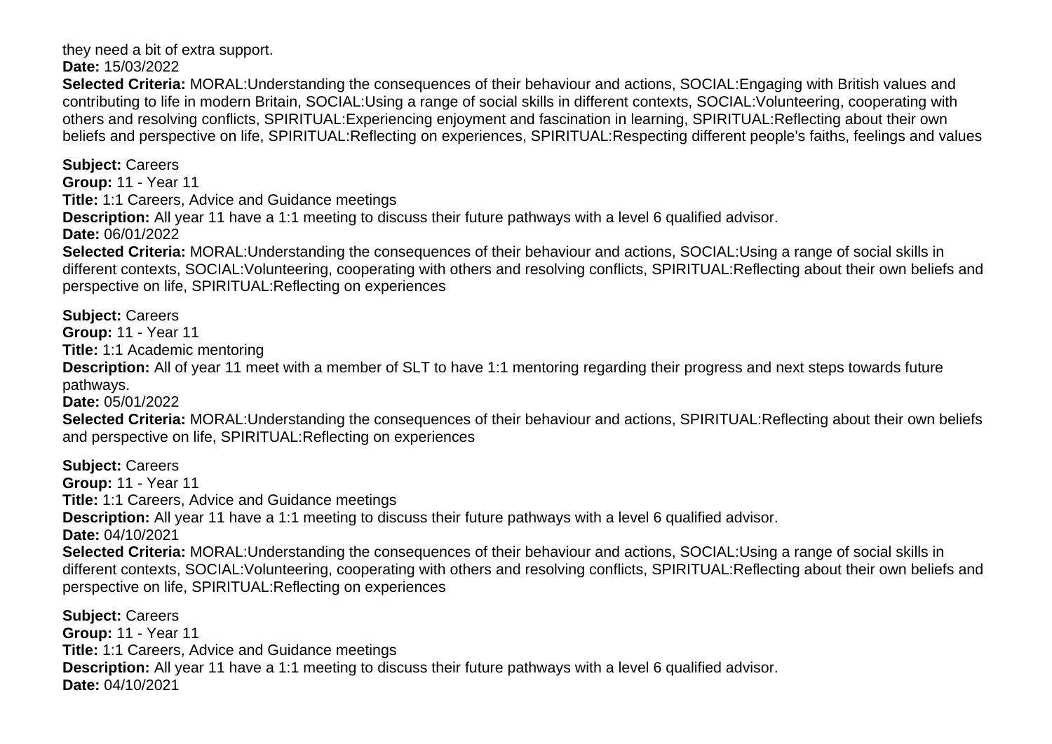they need a bit of extra support.

**Date:** 15/03/2022

**Selected Criteria:** MORAL:Understanding the consequences of their behaviour and actions, SOCIAL:Engaging with British values and contributing to life in modern Britain, SOCIAL:Using a range of social skills in different contexts, SOCIAL:Volunteering, cooperating with others and resolving conflicts, SPIRITUAL:Experiencing enjoyment and fascination in learning, SPIRITUAL:Reflecting about their own beliefs and perspective on life, SPIRITUAL:Reflecting on experiences, SPIRITUAL:Respecting different people's faiths, feelings and values

**Subject:** Careers **Group:** 11 - Year 11 **Title:** 1:1 Careers, Advice and Guidance meetings **Description:** All year 11 have a 1:1 meeting to discuss their future pathways with a level 6 qualified advisor. **Date:** 06/01/2022 **Selected Criteria:** MORAL:Understanding the consequences of their behaviour and actions, SOCIAL:Using a range of social skills in

different contexts, SOCIAL:Volunteering, cooperating with others and resolving conflicts, SPIRITUAL:Reflecting about their own beliefs and perspective on life, SPIRITUAL:Reflecting on experiences

**Subject:** Careers

**Group:** 11 - Year 11

**Title:** 1:1 Academic mentoring

**Description:** All of year 11 meet with a member of SLT to have 1:1 mentoring regarding their progress and next steps towards future pathways.

**Date:** 05/01/2022

**Selected Criteria:** MORAL:Understanding the consequences of their behaviour and actions, SPIRITUAL:Reflecting about their own beliefs and perspective on life, SPIRITUAL:Reflecting on experiences

**Subject:** Careers **Group:** 11 - Year 11 **Title:** 1:1 Careers, Advice and Guidance meetings **Description:** All year 11 have a 1:1 meeting to discuss their future pathways with a level 6 qualified advisor. **Date:** 04/10/2021 **Selected Criteria:** MORAL:Understanding the consequences of their behaviour and actions, SOCIAL:Using a range of social skills in different contexts, SOCIAL:Volunteering, cooperating with others and resolving conflicts, SPIRITUAL:Reflecting about their own beliefs and perspective on life, SPIRITUAL:Reflecting on experiences

**Subject:** Careers **Group:** 11 - Year 11 **Title:** 1:1 Careers, Advice and Guidance meetings **Description:** All year 11 have a 1:1 meeting to discuss their future pathways with a level 6 qualified advisor. **Date:** 04/10/2021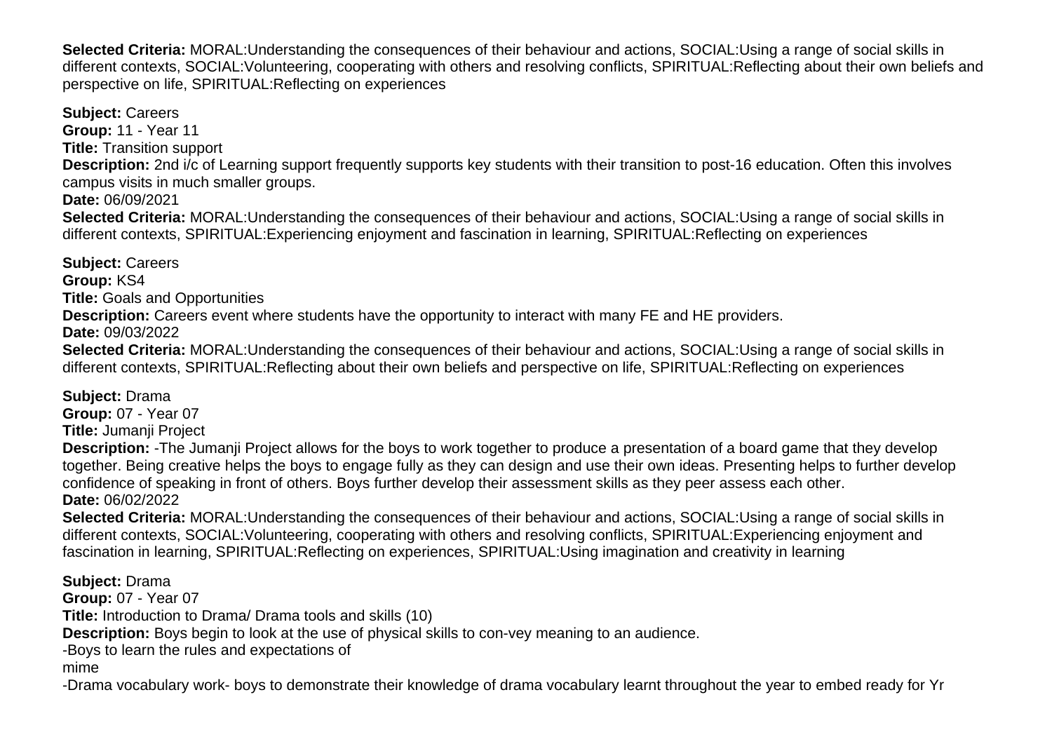**Selected Criteria:** MORAL:Understanding the consequences of their behaviour and actions, SOCIAL:Using a range of social skills in different contexts, SOCIAL:Volunteering, cooperating with others and resolving conflicts, SPIRITUAL:Reflecting about their own beliefs and perspective on life, SPIRITUAL:Reflecting on experiences

**Subject:** Careers **Group:** 11 - Year 11 **Title:** Transition support **Description:** 2nd i/c of Learning support frequently supports key students with their transition to post-16 education. Often this involves campus visits in much smaller groups. **Date:** 06/09/2021 **Selected Criteria:** MORAL:Understanding the consequences of their behaviour and actions, SOCIAL:Using a range of social skills in different contexts, SPIRITUAL:Experiencing enjoyment and fascination in learning, SPIRITUAL:Reflecting on experiences

**Subject:** Careers **Group:** KS4 **Title:** Goals and Opportunities **Description:** Careers event where students have the opportunity to interact with many FE and HE providers. **Date:** 09/03/2022 **Selected Criteria:** MORAL:Understanding the consequences of their behaviour and actions, SOCIAL:Using a range of social skills in different contexts, SPIRITUAL:Reflecting about their own beliefs and perspective on life, SPIRITUAL:Reflecting on experiences

**Subject:** Drama **Group:** 07 - Year 07 **Title:** Jumanji Project

**Description:** -The Jumanji Project allows for the boys to work together to produce a presentation of a board game that they develop together. Being creative helps the boys to engage fully as they can design and use their own ideas. Presenting helps to further develop confidence of speaking in front of others. Boys further develop their assessment skills as they peer assess each other. **Date:** 06/02/2022

**Selected Criteria:** MORAL:Understanding the consequences of their behaviour and actions, SOCIAL:Using a range of social skills in different contexts, SOCIAL:Volunteering, cooperating with others and resolving conflicts, SPIRITUAL:Experiencing enjoyment and fascination in learning, SPIRITUAL:Reflecting on experiences, SPIRITUAL:Using imagination and creativity in learning

**Subject:** Drama

**Group:** 07 - Year 07

**Title:** Introduction to Drama/ Drama tools and skills (10)

**Description:** Boys begin to look at the use of physical skills to con-vey meaning to an audience.

-Boys to learn the rules and expectations of

mime

-Drama vocabulary work- boys to demonstrate their knowledge of drama vocabulary learnt throughout the year to embed ready for Yr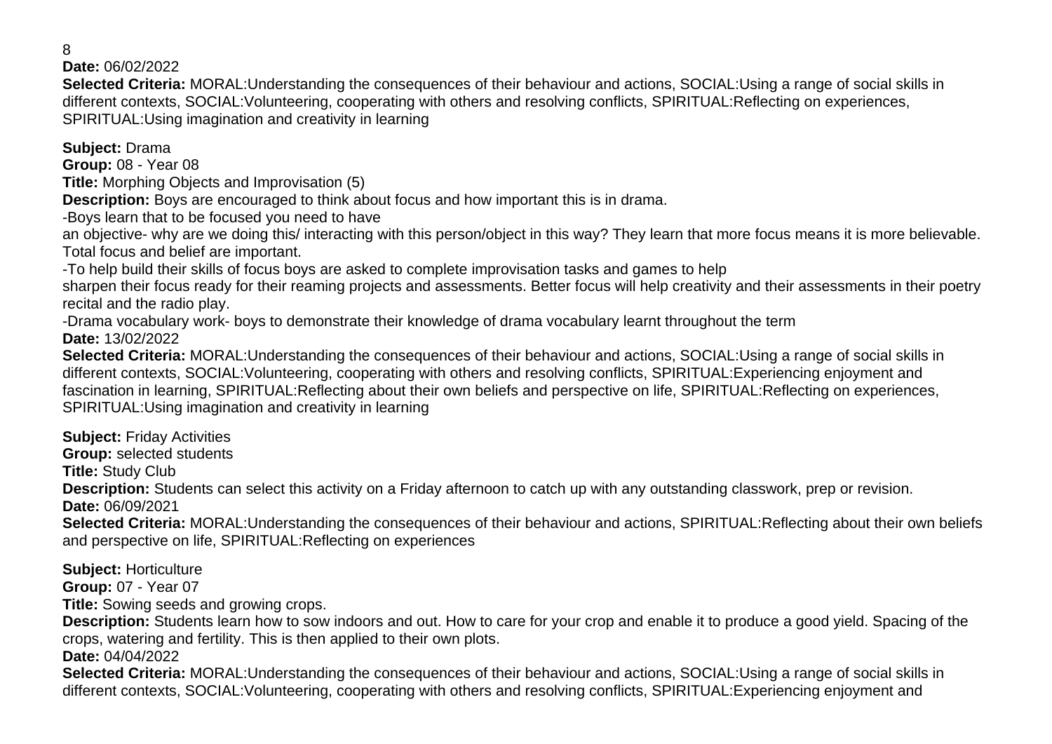8

**Date:** 06/02/2022

**Selected Criteria:** MORAL:Understanding the consequences of their behaviour and actions, SOCIAL:Using a range of social skills in different contexts, SOCIAL:Volunteering, cooperating with others and resolving conflicts, SPIRITUAL:Reflecting on experiences, SPIRITUAL:Using imagination and creativity in learning

**Subject:** Drama

**Group:** 08 - Year 08

**Title:** Morphing Objects and Improvisation (5)

**Description:** Boys are encouraged to think about focus and how important this is in drama.

-Boys learn that to be focused you need to have

an objective- why are we doing this/ interacting with this person/object in this way? They learn that more focus means it is more believable. Total focus and belief are important.

-To help build their skills of focus boys are asked to complete improvisation tasks and games to help

sharpen their focus ready for their reaming projects and assessments. Better focus will help creativity and their assessments in their poetry recital and the radio play.

-Drama vocabulary work- boys to demonstrate their knowledge of drama vocabulary learnt throughout the term **Date:** 13/02/2022

**Selected Criteria:** MORAL:Understanding the consequences of their behaviour and actions, SOCIAL:Using a range of social skills in different contexts, SOCIAL:Volunteering, cooperating with others and resolving conflicts, SPIRITUAL:Experiencing enjoyment and fascination in learning, SPIRITUAL:Reflecting about their own beliefs and perspective on life, SPIRITUAL:Reflecting on experiences, SPIRITUAL:Using imagination and creativity in learning

**Subject:** Friday Activities **Group:** selected students

**Title:** Study Club

**Description:** Students can select this activity on a Friday afternoon to catch up with any outstanding classwork, prep or revision. **Date:** 06/09/2021

**Selected Criteria:** MORAL:Understanding the consequences of their behaviour and actions, SPIRITUAL:Reflecting about their own beliefs and perspective on life, SPIRITUAL:Reflecting on experiences

**Subject:** Horticulture

**Group:** 07 - Year 07

**Title:** Sowing seeds and growing crops.

**Description:** Students learn how to sow indoors and out. How to care for your crop and enable it to produce a good yield. Spacing of the crops, watering and fertility. This is then applied to their own plots.

**Date:** 04/04/2022

**Selected Criteria:** MORAL:Understanding the consequences of their behaviour and actions, SOCIAL:Using a range of social skills in different contexts, SOCIAL:Volunteering, cooperating with others and resolving conflicts, SPIRITUAL:Experiencing enjoyment and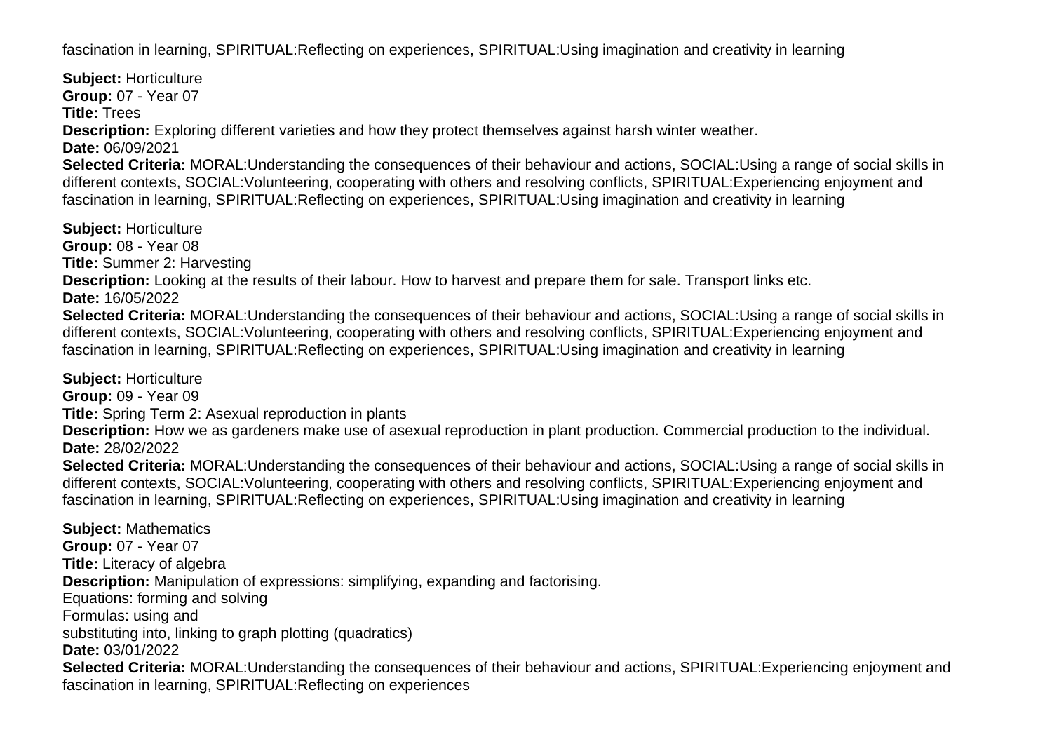fascination in learning, SPIRITUAL:Reflecting on experiences, SPIRITUAL:Using imagination and creativity in learning

**Subject:** Horticulture **Group:** 07 - Year 07 **Title:** Trees **Description:** Exploring different varieties and how they protect themselves against harsh winter weather. **Date:** 06/09/2021 **Selected Criteria:** MORAL:Understanding the consequences of their behaviour and actions, SOCIAL:Using a range of social skills in different contexts, SOCIAL:Volunteering, cooperating with others and resolving conflicts, SPIRITUAL:Experiencing enjoyment and fascination in learning, SPIRITUAL:Reflecting on experiences, SPIRITUAL:Using imagination and creativity in learning **Subject:** Horticulture **Group:** 08 - Year 08 **Title:** Summer 2: Harvesting **Description:** Looking at the results of their labour. How to harvest and prepare them for sale. Transport links etc. **Date:** 16/05/2022 **Selected Criteria:** MORAL:Understanding the consequences of their behaviour and actions, SOCIAL:Using a range of social skills in different contexts, SOCIAL:Volunteering, cooperating with others and resolving conflicts, SPIRITUAL:Experiencing enjoyment and fascination in learning, SPIRITUAL:Reflecting on experiences, SPIRITUAL:Using imagination and creativity in learning

**Subject:** Horticulture

**Group:** 09 - Year 09

**Title:** Spring Term 2: Asexual reproduction in plants

**Description:** How we as gardeners make use of asexual reproduction in plant production. Commercial production to the individual. **Date:** 28/02/2022

**Selected Criteria:** MORAL:Understanding the consequences of their behaviour and actions, SOCIAL:Using a range of social skills in different contexts, SOCIAL:Volunteering, cooperating with others and resolving conflicts, SPIRITUAL:Experiencing enjoyment and fascination in learning, SPIRITUAL:Reflecting on experiences, SPIRITUAL:Using imagination and creativity in learning

**Subject:** Mathematics **Group:** 07 - Year 07 **Title:** Literacy of algebra **Description:** Manipulation of expressions: simplifying, expanding and factorising. Equations: forming and solving Formulas: using and substituting into, linking to graph plotting (quadratics) **Date:** 03/01/2022 **Selected Criteria:** MORAL:Understanding the consequences of their behaviour and actions, SPIRITUAL:Experiencing enjoyment and fascination in learning, SPIRITUAL:Reflecting on experiences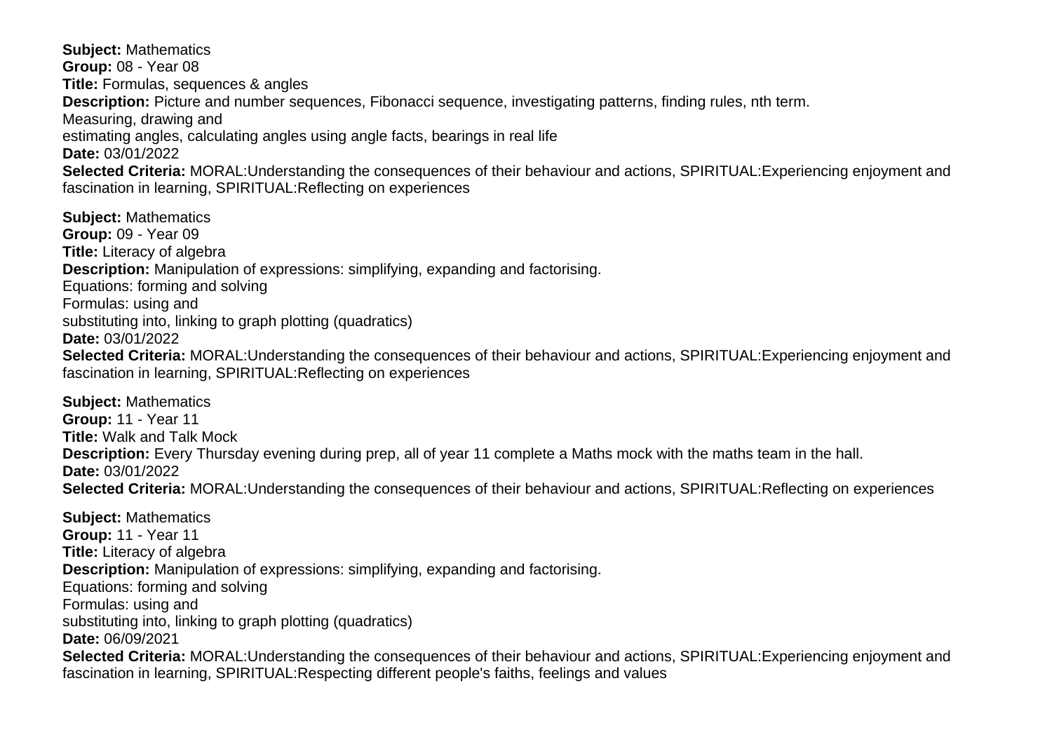**Subject:** Mathematics **Group:** 08 - Year 08 **Title:** Formulas, sequences & angles **Description:** Picture and number sequences, Fibonacci sequence, investigating patterns, finding rules, nth term. Measuring, drawing and estimating angles, calculating angles using angle facts, bearings in real life **Date:** 03/01/2022 **Selected Criteria:** MORAL:Understanding the consequences of their behaviour and actions, SPIRITUAL:Experiencing enjoyment and fascination in learning, SPIRITUAL:Reflecting on experiences

**Subject:** Mathematics **Group:** 09 - Year 09 **Title:** Literacy of algebra **Description:** Manipulation of expressions: simplifying, expanding and factorising. Equations: forming and solving Formulas: using and substituting into, linking to graph plotting (quadratics) **Date:** 03/01/2022 **Selected Criteria:** MORAL:Understanding the consequences of their behaviour and actions, SPIRITUAL:Experiencing enjoyment and fascination in learning, SPIRITUAL:Reflecting on experiences

**Subject:** Mathematics **Group:** 11 - Year 11 **Title:** Walk and Talk Mock **Description:** Every Thursday evening during prep, all of year 11 complete a Maths mock with the maths team in the hall. **Date:** 03/01/2022 **Selected Criteria:** MORAL:Understanding the consequences of their behaviour and actions, SPIRITUAL:Reflecting on experiences

**Subject:** Mathematics **Group:** 11 - Year 11 **Title:** Literacy of algebra **Description:** Manipulation of expressions: simplifying, expanding and factorising. Equations: forming and solving Formulas: using and substituting into, linking to graph plotting (quadratics) **Date:** 06/09/2021 **Selected Criteria:** MORAL:Understanding the consequences of their behaviour and actions, SPIRITUAL:Experiencing enjoyment and fascination in learning, SPIRITUAL:Respecting different people's faiths, feelings and values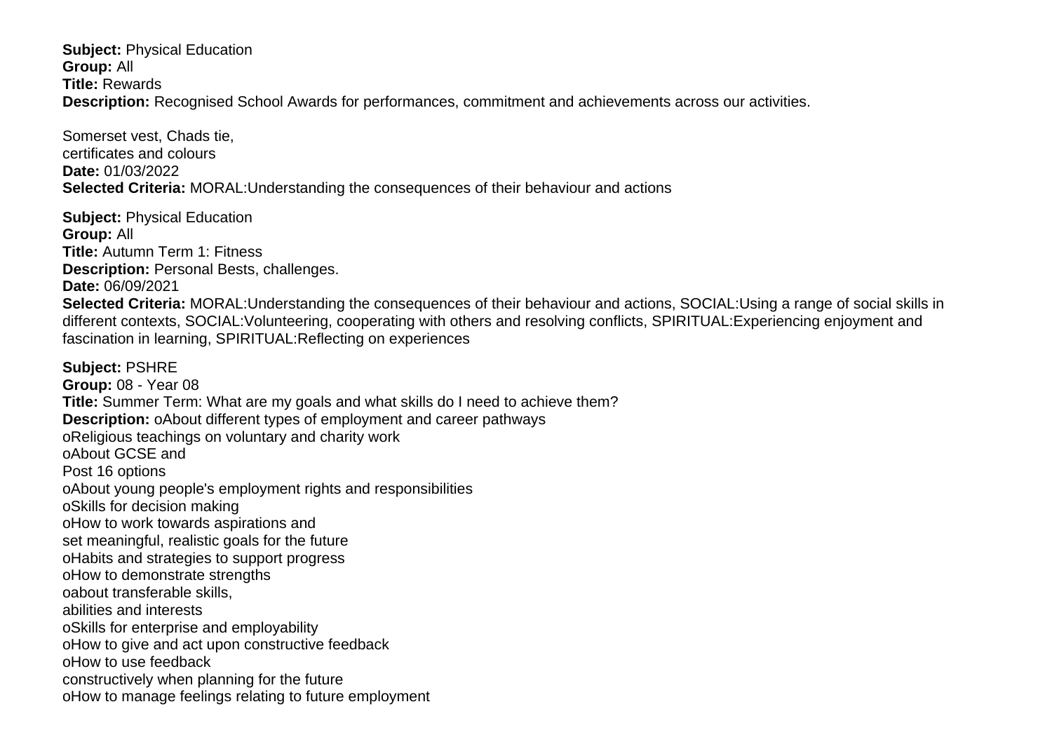**Subject:** Physical Education **Group:** All **Title:** Rewards **Description:** Recognised School Awards for performances, commitment and achievements across our activities.

Somerset vest, Chads tie, certificates and colours **Date:** 01/03/2022 **Selected Criteria:** MORAL:Understanding the consequences of their behaviour and actions

**Subject:** Physical Education **Group:** All **Title:** Autumn Term 1: Fitness **Description:** Personal Bests, challenges. **Date:** 06/09/2021 **Selected Criteria:** MORAL:Understanding the consequences of their behaviour and actions, SOCIAL:Using a range of social skills in different contexts, SOCIAL:Volunteering, cooperating with others and resolving conflicts, SPIRITUAL:Experiencing enjoyment and fascination in learning, SPIRITUAL:Reflecting on experiences **Subject:** PSHRE **Group:** 08 - Year 08 **Title:** Summer Term: What are my goals and what skills do I need to achieve them? **Description:** o About different types of employment and career pathways o Religious teachings on voluntary and charity work o About GCSE and Post 16 options o About young people's employment rights and responsibilities o Skills for decision making o How to work towards aspirations and set meaningful, realistic goals for the future o Habits and strategies to support progress o How to demonstrate strengths o about transferable skills, abilities and interests o Skills for enterprise and employability o How to give and act upon constructive feedback o How to use feedback constructively when planning for the future o How to manage feelings relating to future employment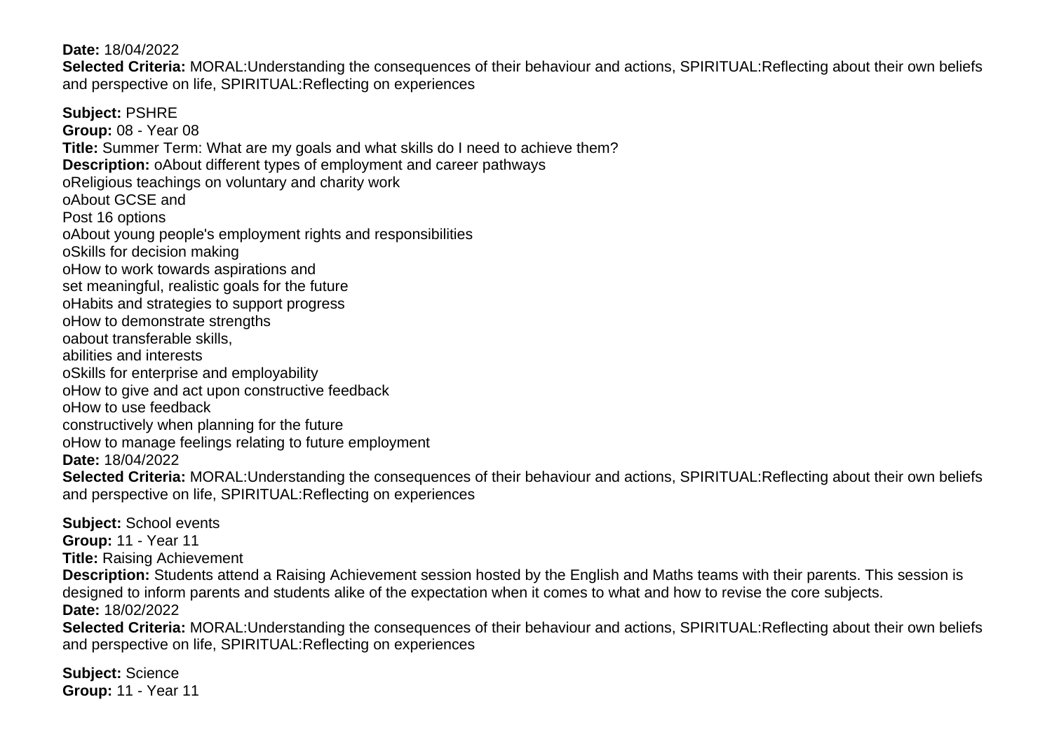**Date:** 18/04/2022

**Selected Criteria:** MORAL:Understanding the consequences of their behaviour and actions, SPIRITUAL:Reflecting about their own beliefs and perspective on life, SPIRITUAL:Reflecting on experiences

**Subject:** PSHRE **Group:** 08 - Year 08 **Title:** Summer Term: What are my goals and what skills do I need to achieve them? **Description:** o About different types of employment and career pathways o Religious teachings on voluntary and charity work o About GCSE and Post 16 options o About young people's employment rights and responsibilities o Skills for decision making o How to work towards aspirations and set meaningful, realistic goals for the future o Habits and strategies to support progress o How to demonstrate strengths o about transferable skills, abilities and interests o Skills for enterprise and employability o How to give and act upon constructive feedback o How to use feedback constructively when planning for the future o How to manage feelings relating to future employment **Date:** 18/04/2022 **Selected Criteria:** MORAL:Understanding the consequences of their behaviour and actions, SPIRITUAL:Reflecting about their own beliefs and perspective on life, SPIRITUAL:Reflecting on experiences

**Subject:** School events **Group:** 11 - Year 11 **Title:** Raising Achievement **Description:** Students attend a Raising Achievement session hosted by the English and Maths teams with their parents. This session is designed to inform parents and students alike of the expectation when it comes to what and how to revise the core subjects. **Date:** 18/02/2022 **Selected Criteria:** MORAL:Understanding the consequences of their behaviour and actions, SPIRITUAL:Reflecting about their own beliefs

and perspective on life, SPIRITUAL:Reflecting on experiences

**Subject:** Science **Group:** 11 - Year 11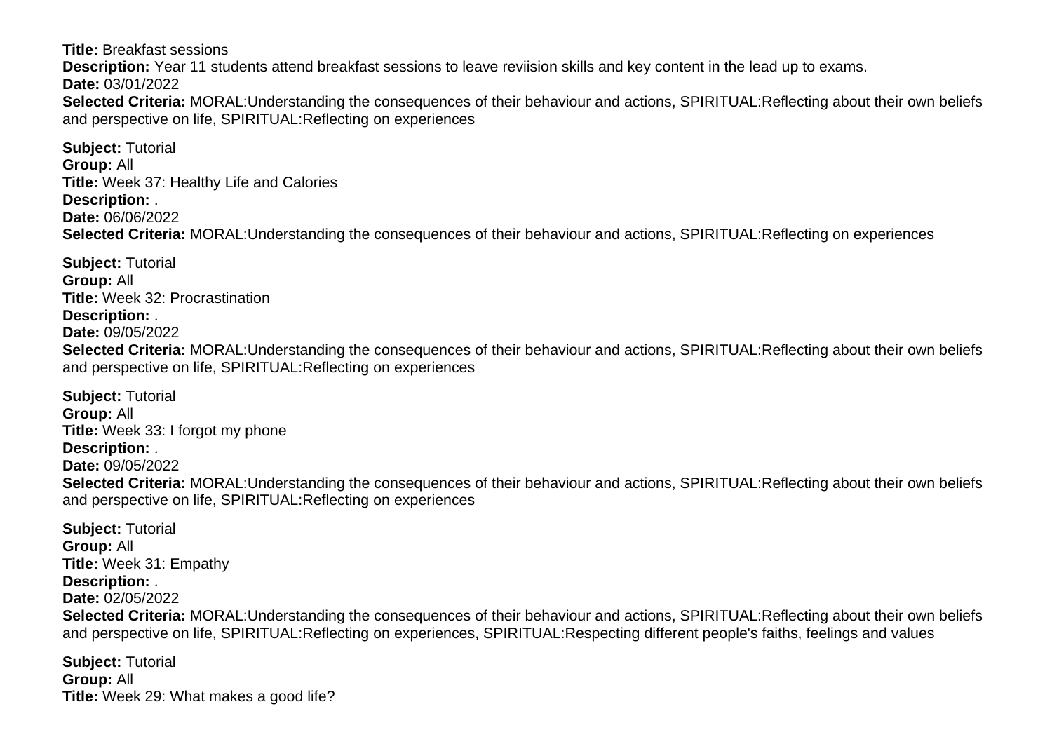**Title:** Breakfast sessions **Description:** Year 11 students attend breakfast sessions to leave reviision skills and key content in the lead up to exams. **Date:** 03/01/2022 **Selected Criteria:** MORAL:Understanding the consequences of their behaviour and actions, SPIRITUAL:Reflecting about their own beliefs and perspective on life, SPIRITUAL:Reflecting on experiences

**Subject:** Tutorial **Group:** All **Title:** Week 37: Healthy Life and Calories **Description:** . **Date:** 06/06/2022 **Selected Criteria:** MORAL:Understanding the consequences of their behaviour and actions, SPIRITUAL:Reflecting on experiences

**Subject:** Tutorial **Group:** All **Title:** Week 32: Procrastination **Description:** . **Date:** 09/05/2022 **Selected Criteria:** MORAL:Understanding the consequences of their behaviour and actions, SPIRITUAL:Reflecting about their own beliefs and perspective on life, SPIRITUAL:Reflecting on experiences

**Subject:** Tutorial **Group:** All **Title:** Week 33: I forgot my phone **Description:** . **Date:** 09/05/2022 **Selected Criteria:** MORAL:Understanding the consequences of their behaviour and actions, SPIRITUAL:Reflecting about their own beliefs and perspective on life, SPIRITUAL:Reflecting on experiences

**Subject:** Tutorial **Group:** All **Title:** Week 31: Empathy **Description:** . **Date:** 02/05/2022 **Selected Criteria:** MORAL:Understanding the consequences of their behaviour and actions, SPIRITUAL:Reflecting about their own beliefs and perspective on life, SPIRITUAL:Reflecting on experiences, SPIRITUAL:Respecting different people's faiths, feelings and values

**Subject:** Tutorial **Group:** All **Title:** Week 29: What makes a good life?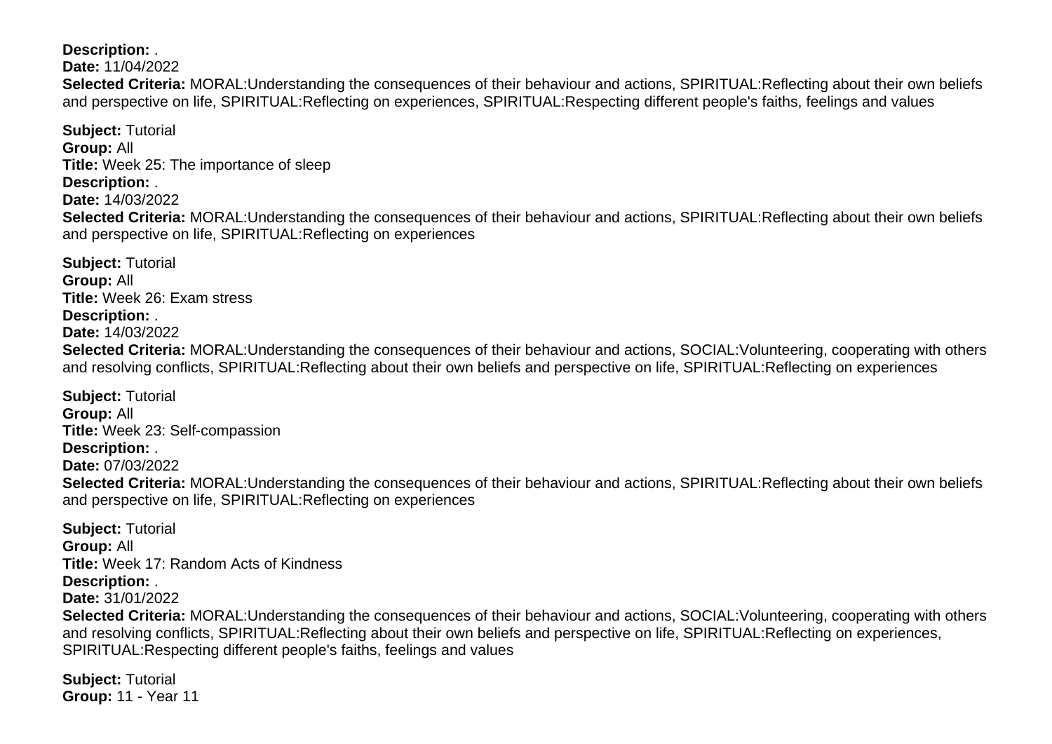**Description:** .

**Date:** 11/04/2022

**Selected Criteria:** MORAL:Understanding the consequences of their behaviour and actions, SPIRITUAL:Reflecting about their own beliefs and perspective on life, SPIRITUAL:Reflecting on experiences, SPIRITUAL:Respecting different people's faiths, feelings and values

**Subject:** Tutorial **Group:** All **Title:** Week 25: The importance of sleep **Description:** . **Date:** 14/03/2022 **Selected Criteria:** MORAL:Understanding the consequences of their behaviour and actions, SPIRITUAL:Reflecting about their own beliefs and perspective on life, SPIRITUAL:Reflecting on experiences

**Subject:** Tutorial **Group:** All **Title:** Week 26: Exam stress **Description:** . **Date:** 14/03/2022 **Selected Criteria:** MORAL:Understanding the consequences of their behaviour and actions, SOCIAL:Volunteering, cooperating with others and resolving conflicts, SPIRITUAL:Reflecting about their own beliefs and perspective on life, SPIRITUAL:Reflecting on experiences

**Subject:** Tutorial **Group:** All **Title:** Week 23: Self-compassion **Description:** . **Date:** 07/03/2022 **Selected Criteria:** MORAL:Understanding the consequences of their behaviour and actions, SPIRITUAL:Reflecting about their own beliefs and perspective on life, SPIRITUAL:Reflecting on experiences

**Subject:** Tutorial **Group:** All **Title:** Week 17: Random Acts of Kindness **Description:** . **Date:** 31/01/2022 **Selected Criteria:** MORAL:Understanding the consequences of their behaviour and actions, SOCIAL:Volunteering, cooperating with others and resolving conflicts, SPIRITUAL:Reflecting about their own beliefs and perspective on life, SPIRITUAL:Reflecting on experiences,

SPIRITUAL:Respecting different people's faiths, feelings and values

**Subject:** Tutorial **Group:** 11 - Year 11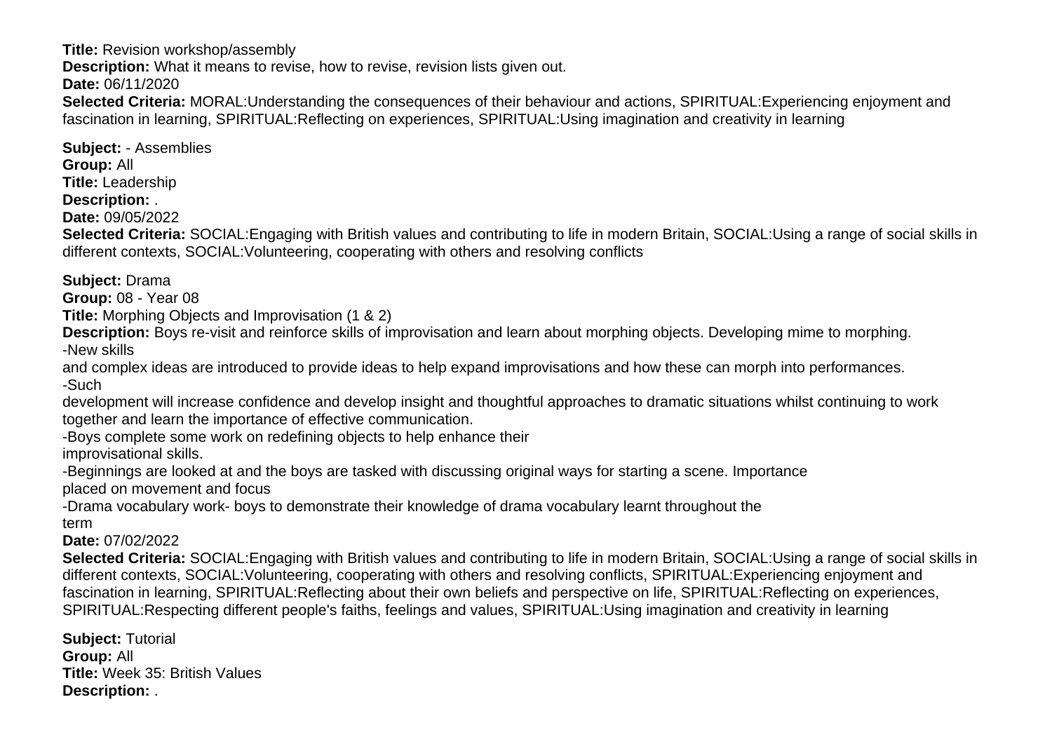**Title:** Revision workshop/assembly

**Description:** What it means to revise, how to revise, revision lists given out.

**Date:** 06/11/2020

**Selected Criteria:** MORAL:Understanding the consequences of their behaviour and actions, SPIRITUAL:Experiencing enjoyment and fascination in learning, SPIRITUAL:Reflecting on experiences, SPIRITUAL:Using imagination and creativity in learning

**Subject:** - Assemblies **Group:** All **Title:** Leadership **Description:** . **Date:** 09/05/2022 **Selected Criteria:** SOCIAL:Engaging with British values and contributing to life in modern Britain, SOCIAL:Using a range of social skills in

different contexts, SOCIAL:Volunteering, cooperating with others and resolving conflicts

**Subject:** Drama

**Group:** 08 - Year 08

**Title:** Morphing Objects and Improvisation (1 & 2)

**Description:** Boys re-visit and reinforce skills of improvisation and learn about morphing objects. Developing mime to morphing. -New skills

and complex ideas are introduced to provide ideas to help expand improvisations and how these can morph into performances. -Such

development will increase confidence and develop insight and thoughtful approaches to dramatic situations whilst continuing to work together and learn the importance of effective communication.

-Boys complete some work on redefining objects to help enhance their improvisational skills.

-Beginnings are looked at and the boys are tasked with discussing original ways for starting a scene. Importance placed on movement and focus

-Drama vocabulary work- boys to demonstrate their knowledge of drama vocabulary learnt throughout the term

# **Date:** 07/02/2022

**Selected Criteria:** SOCIAL:Engaging with British values and contributing to life in modern Britain, SOCIAL:Using a range of social skills in different contexts, SOCIAL:Volunteering, cooperating with others and resolving conflicts, SPIRITUAL:Experiencing enjoyment and fascination in learning, SPIRITUAL:Reflecting about their own beliefs and perspective on life, SPIRITUAL:Reflecting on experiences, SPIRITUAL:Respecting different people's faiths, feelings and values, SPIRITUAL:Using imagination and creativity in learning

**Subject:** Tutorial **Group:** All **Title:** Week 35: British Values **Description:** .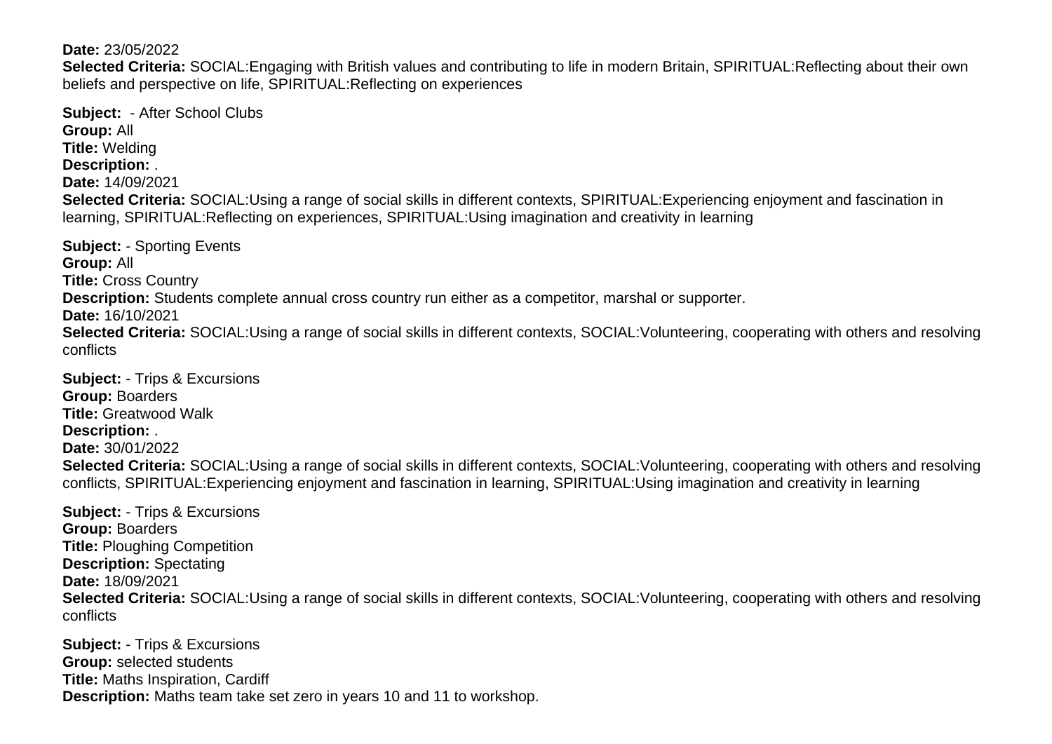### **Date:** 23/05/2022

**Selected Criteria:** SOCIAL:Engaging with British values and contributing to life in modern Britain, SPIRITUAL:Reflecting about their own beliefs and perspective on life, SPIRITUAL:Reflecting on experiences

**Subject:** - After School Clubs **Group:** All **Title:** Welding **Description:** . **Date:** 14/09/2021 **Selected Criteria:** SOCIAL:Using a range of social skills in different contexts, SPIRITUAL:Experiencing enjoyment and fascination in learning, SPIRITUAL:Reflecting on experiences, SPIRITUAL:Using imagination and creativity in learning

**Subject:** - Sporting Events **Group:** All **Title:** Cross Country **Description:** Students complete annual cross country run either as a competitor, marshal or supporter. **Date:** 16/10/2021 **Selected Criteria:** SOCIAL:Using a range of social skills in different contexts, SOCIAL:Volunteering, cooperating with others and resolving conflicts

**Subject:** - Trips & Excursions **Group:** Boarders **Title:** Greatwood Walk **Description:** . **Date:** 30/01/2022 **Selected Criteria:** SOCIAL:Using a range of social skills in different contexts, SOCIAL:Volunteering, cooperating with others and resolving conflicts, SPIRITUAL:Experiencing enjoyment and fascination in learning, SPIRITUAL:Using imagination and creativity in learning

**Subject:** - Trips & Excursions **Group:** Boarders **Title:** Ploughing Competition **Description:** Spectating **Date:** 18/09/2021 **Selected Criteria:** SOCIAL:Using a range of social skills in different contexts, SOCIAL:Volunteering, cooperating with others and resolving conflicts

**Subject:** - Trips & Excursions **Group:** selected students **Title:** Maths Inspiration, Cardiff **Description:** Maths team take set zero in years 10 and 11 to workshop.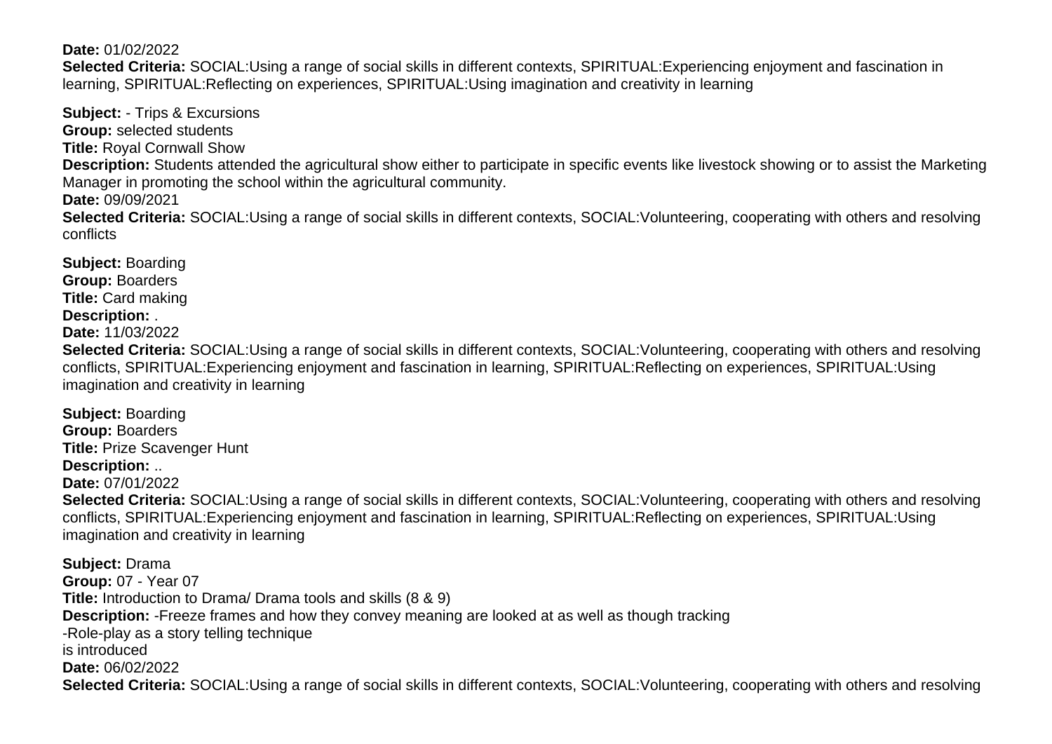### **Date:** 01/02/2022

**Selected Criteria:** SOCIAL:Using a range of social skills in different contexts, SPIRITUAL:Experiencing enjoyment and fascination in learning, SPIRITUAL:Reflecting on experiences, SPIRITUAL:Using imagination and creativity in learning

**Subject:** - Trips & Excursions **Group:** selected students **Title:** Royal Cornwall Show **Description:** Students attended the agricultural show either to participate in specific events like livestock showing or to assist the Marketing Manager in promoting the school within the agricultural community. **Date:** 09/09/2021 **Selected Criteria:** SOCIAL:Using a range of social skills in different contexts, SOCIAL:Volunteering, cooperating with others and resolving

conflicts

**Subject:** Boarding **Group:** Boarders **Title:** Card making **Description:** . **Date:** 11/03/2022

**Selected Criteria:** SOCIAL:Using a range of social skills in different contexts, SOCIAL:Volunteering, cooperating with others and resolving conflicts, SPIRITUAL:Experiencing enjoyment and fascination in learning, SPIRITUAL:Reflecting on experiences, SPIRITUAL:Using imagination and creativity in learning

**Subject:** Boarding **Group:** Boarders **Title:** Prize Scavenger Hunt **Description:** .. **Date:** 07/01/2022 **Selected Criteria:** SOCIAL:Using a range of social skills in different contexts, SOCIAL:Volunteering, cooperating with others and resolving conflicts, SPIRITUAL:Experiencing enjoyment and fascination in learning, SPIRITUAL:Reflecting on experiences, SPIRITUAL:Using imagination and creativity in learning

**Subject:** Drama **Group:** 07 - Year 07 **Title:** Introduction to Drama/ Drama tools and skills (8 & 9) **Description:** -Freeze frames and how they convey meaning are looked at as well as though tracking -Role-play as a story telling technique is introduced **Date:** 06/02/2022 **Selected Criteria:** SOCIAL:Using a range of social skills in different contexts, SOCIAL:Volunteering, cooperating with others and resolving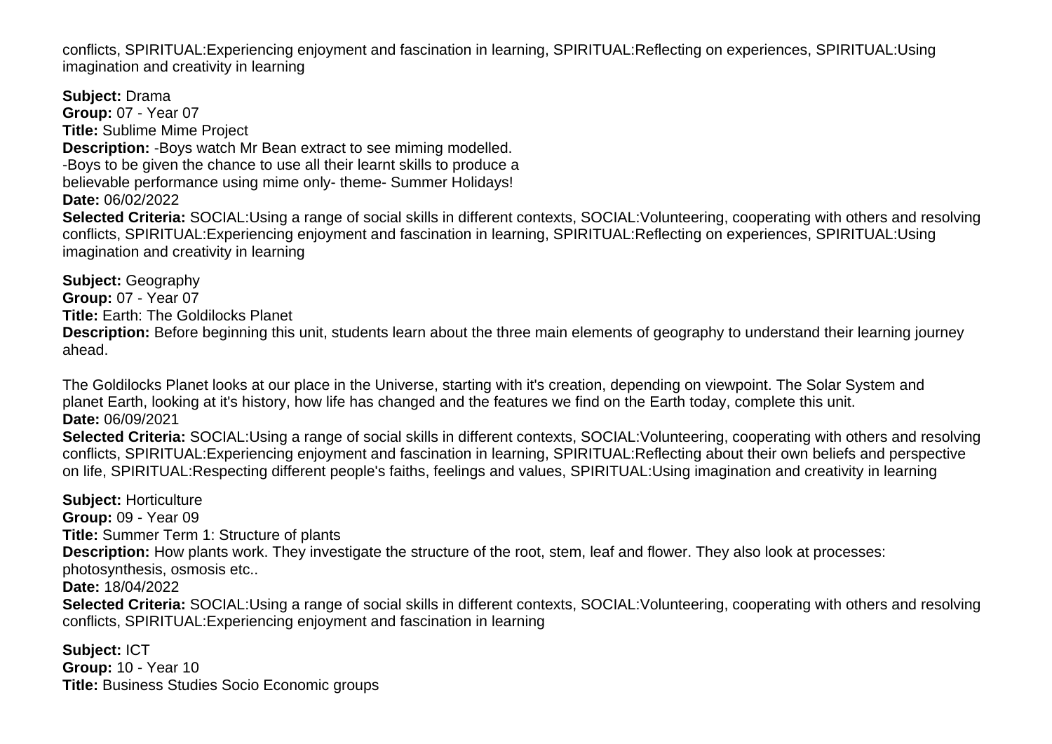conflicts, SPIRITUAL:Experiencing enjoyment and fascination in learning, SPIRITUAL:Reflecting on experiences, SPIRITUAL:Using imagination and creativity in learning

**Subject:** Drama **Group:** 07 - Year 07 **Title:** Sublime Mime Project **Description:** -Boys watch Mr Bean extract to see miming modelled. -Boys to be given the chance to use all their learnt skills to produce a believable performance using mime only- theme- Summer Holidays! **Date:** 06/02/2022 **Selected Criteria:** SOCIAL:Using a range of social skills in different contexts, SOCIAL:Volunteering, cooperating with others and resolving conflicts, SPIRITUAL:Experiencing enjoyment and fascination in learning, SPIRITUAL:Reflecting on experiences, SPIRITUAL:Using imagination and creativity in learning

**Subject:** Geography **Group:** 07 - Year 07 **Title:** Earth: The Goldilocks Planet **Description:** Before beginning this unit, students learn about the three main elements of geography to understand their learning journey ahead.

The Goldilocks Planet looks at our place in the Universe, starting with it's creation, depending on viewpoint. The Solar System and planet Earth, looking at it's history, how life has changed and the features we find on the Earth today, complete this unit. **Date:** 06/09/2021

**Selected Criteria:** SOCIAL:Using a range of social skills in different contexts, SOCIAL:Volunteering, cooperating with others and resolving conflicts, SPIRITUAL:Experiencing enjoyment and fascination in learning, SPIRITUAL:Reflecting about their own beliefs and perspective on life, SPIRITUAL:Respecting different people's faiths, feelings and values, SPIRITUAL:Using imagination and creativity in learning

**Subject:** Horticulture **Group:** 09 - Year 09 **Title:** Summer Term 1: Structure of plants **Description:** How plants work. They investigate the structure of the root, stem, leaf and flower. They also look at processes: photosynthesis, osmosis etc.. **Date:** 18/04/2022 **Selected Criteria:** SOCIAL:Using a range of social skills in different contexts, SOCIAL:Volunteering, cooperating with others and resolving conflicts, SPIRITUAL:Experiencing enjoyment and fascination in learning

**Subject:** ICT **Group:** 10 - Year 10 **Title:** Business Studies Socio Economic groups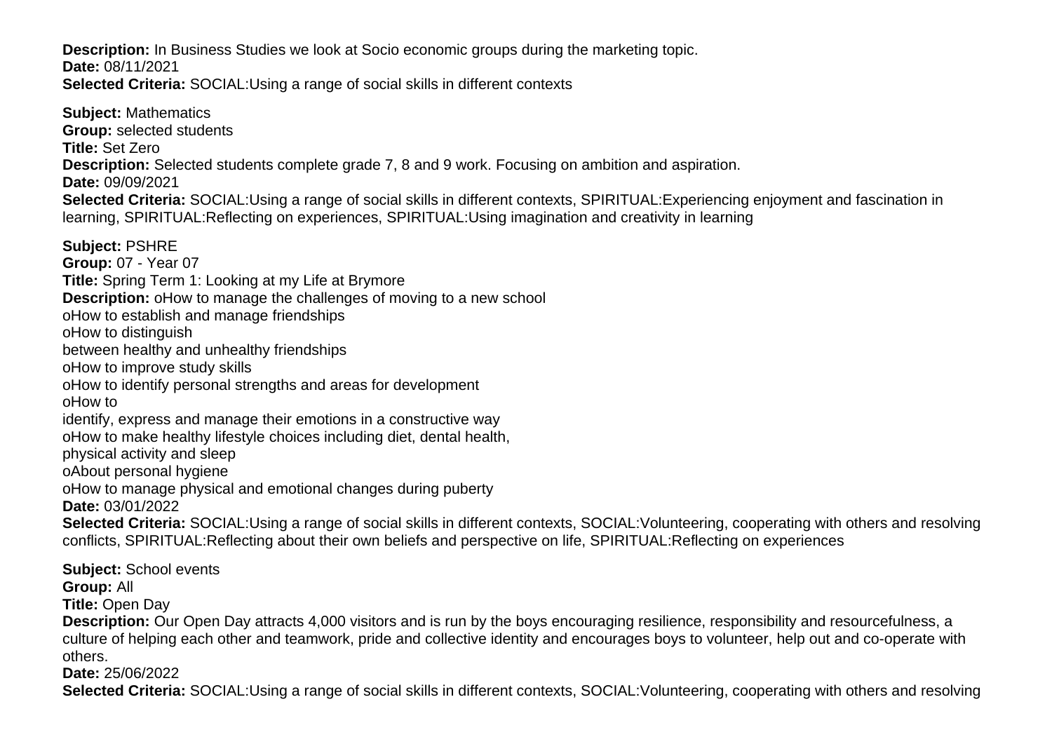**Description:** In Business Studies we look at Socio economic groups during the marketing topic. **Date:** 08/11/2021 **Selected Criteria:** SOCIAL:Using a range of social skills in different contexts

**Subject:** Mathematics **Group:** selected students **Title:** Set Zero **Description:** Selected students complete grade 7, 8 and 9 work. Focusing on ambition and aspiration. **Date:** 09/09/2021 **Selected Criteria:** SOCIAL:Using a range of social skills in different contexts, SPIRITUAL:Experiencing enjoyment and fascination in learning, SPIRITUAL:Reflecting on experiences, SPIRITUAL:Using imagination and creativity in learning **Subject:** PSHRE **Group:** 07 - Year 07

**Title:** Spring Term 1: Looking at my Life at Brymore

**Description:** o How to manage the challenges of moving to a new school

o How to establish and manage friendships

o How to distinguish

between healthy and unhealthy friendships

o How to improve study skills

o How to identify personal strengths and areas for development

o How to

identify, express and manage their emotions in a constructive way

o How to make healthy lifestyle choices including diet, dental health,

physical activity and sleep

o About personal hygiene

o How to manage physical and emotional changes during puberty

**Date:** 03/01/2022

**Selected Criteria:** SOCIAL:Using a range of social skills in different contexts, SOCIAL:Volunteering, cooperating with others and resolving conflicts, SPIRITUAL:Reflecting about their own beliefs and perspective on life, SPIRITUAL:Reflecting on experiences

**Subject:** School events **Group:** All **Title:** Open Day **Description:** Our Open Day attracts 4,000 visitors and is run by the boys encouraging resilience, responsibility and resourcefulness, a culture of helping each other and teamwork, pride and collective identity and encourages boys to volunteer, help out and co-operate with others.

**Date:** 25/06/2022

**Selected Criteria:** SOCIAL:Using a range of social skills in different contexts, SOCIAL:Volunteering, cooperating with others and resolving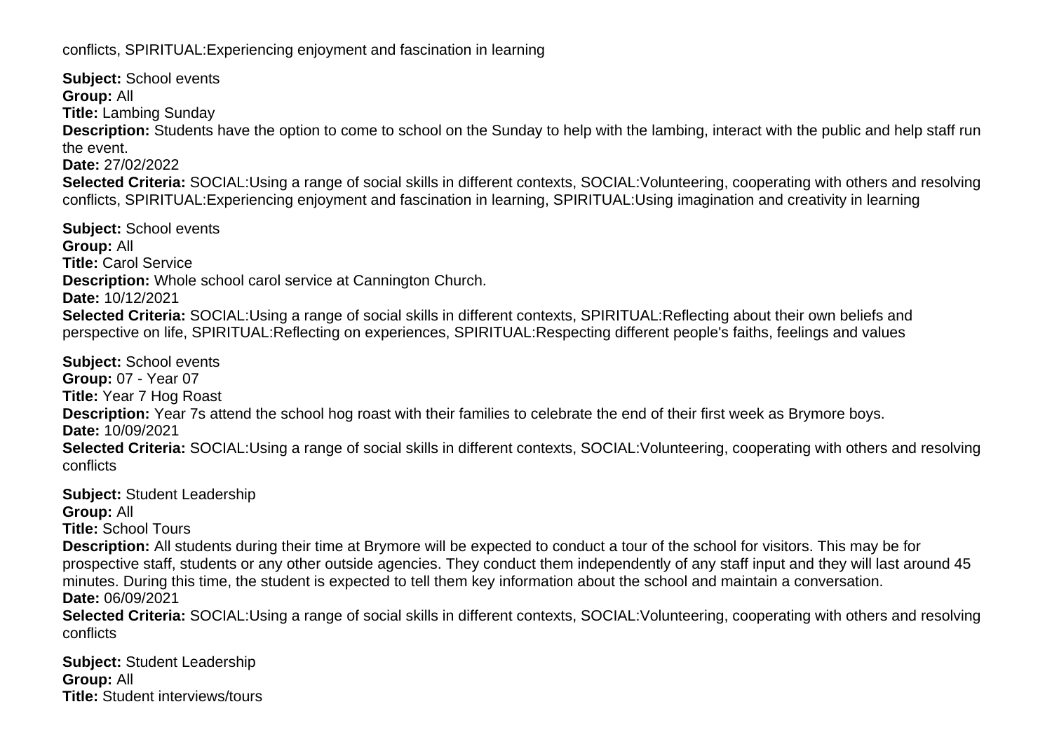conflicts, SPIRITUAL:Experiencing enjoyment and fascination in learning

**Subject:** School events **Group:** All **Title:** Lambing Sunday **Description:** Students have the option to come to school on the Sunday to help with the lambing, interact with the public and help staff run the event. **Date:** 27/02/2022 **Selected Criteria:** SOCIAL:Using a range of social skills in different contexts, SOCIAL:Volunteering, cooperating with others and resolving conflicts, SPIRITUAL:Experiencing enjoyment and fascination in learning, SPIRITUAL:Using imagination and creativity in learning **Subject:** School events **Group:** All **Title:** Carol Service **Description:** Whole school carol service at Cannington Church.

**Date:** 10/12/2021

**Selected Criteria:** SOCIAL:Using a range of social skills in different contexts, SPIRITUAL:Reflecting about their own beliefs and perspective on life, SPIRITUAL:Reflecting on experiences, SPIRITUAL:Respecting different people's faiths, feelings and values

**Subject:** School events **Group:** 07 - Year 07 **Title:** Year 7 Hog Roast **Description:** Year 7s attend the school hog roast with their families to celebrate the end of their first week as Brymore boys. **Date:** 10/09/2021 **Selected Criteria:** SOCIAL:Using a range of social skills in different contexts, SOCIAL:Volunteering, cooperating with others and resolving conflicts

**Subject:** Student Leadership

**Group:** All

**Title:** School Tours

**Description:** All students during their time at Brymore will be expected to conduct a tour of the school for visitors. This may be for prospective staff, students or any other outside agencies. They conduct them independently of any staff input and they will last around 45 minutes. During this time, the student is expected to tell them key information about the school and maintain a conversation. **Date:** 06/09/2021

**Selected Criteria:** SOCIAL:Using a range of social skills in different contexts, SOCIAL:Volunteering, cooperating with others and resolving conflicts

**Subject:** Student Leadership **Group:** All **Title:** Student interviews/tours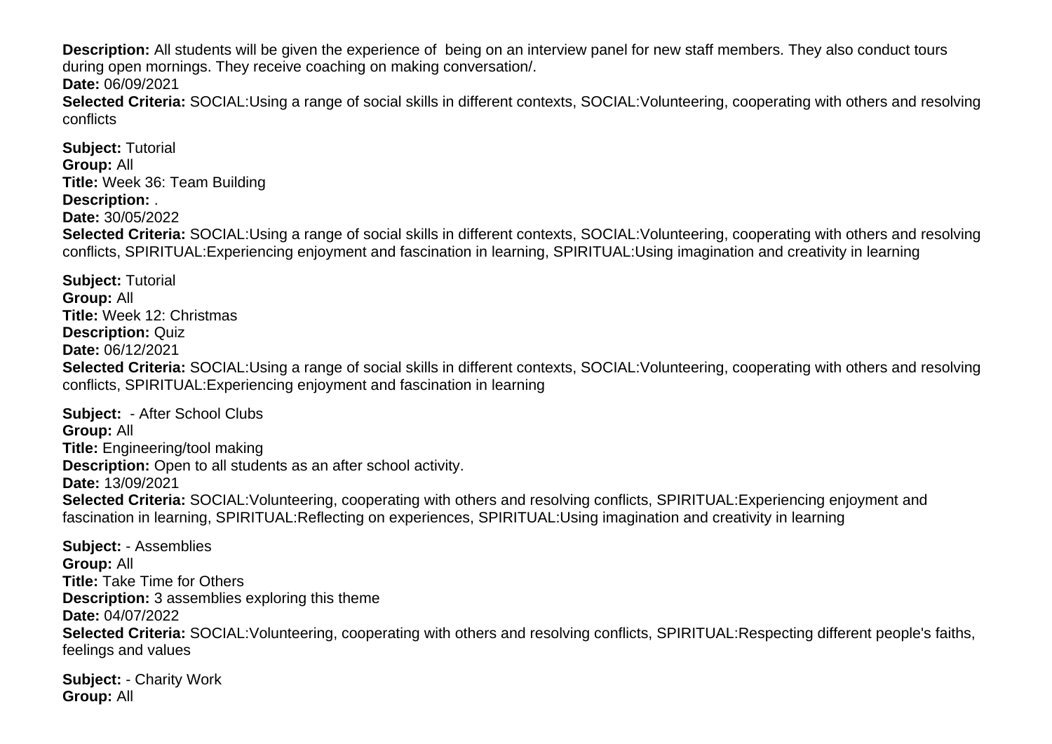**Description:** All students will be given the experience of being on an interview panel for new staff members. They also conduct tours during open mornings. They receive coaching on making conversation/.

**Date:** 06/09/2021

**Selected Criteria:** SOCIAL:Using a range of social skills in different contexts, SOCIAL:Volunteering, cooperating with others and resolving conflicts

**Subject:** Tutorial **Group:** All **Title:** Week 36: Team Building **Description:** . **Date:** 30/05/2022 **Selected Criteria:** SOCIAL:Using a range of social skills in different contexts, SOCIAL:Volunteering, cooperating with others and resolving conflicts, SPIRITUAL:Experiencing enjoyment and fascination in learning, SPIRITUAL:Using imagination and creativity in learning

**Subject:** Tutorial **Group:** All **Title:** Week 12: Christmas **Description:** Quiz **Date:** 06/12/2021 **Selected Criteria:** SOCIAL:Using a range of social skills in different contexts, SOCIAL:Volunteering, cooperating with others and resolving conflicts, SPIRITUAL:Experiencing enjoyment and fascination in learning

**Subject:** - After School Clubs **Group:** All **Title:** Engineering/tool making **Description:** Open to all students as an after school activity. **Date:** 13/09/2021 **Selected Criteria:** SOCIAL:Volunteering, cooperating with others and resolving conflicts, SPIRITUAL:Experiencing enjoyment and fascination in learning, SPIRITUAL:Reflecting on experiences, SPIRITUAL:Using imagination and creativity in learning

**Subject:** - Assemblies **Group:** All **Title:** Take Time for Others **Description:** 3 assemblies exploring this theme **Date:** 04/07/2022 **Selected Criteria:** SOCIAL:Volunteering, cooperating with others and resolving conflicts, SPIRITUAL:Respecting different people's faiths, feelings and values

**Subject:** - Charity Work **Group:** All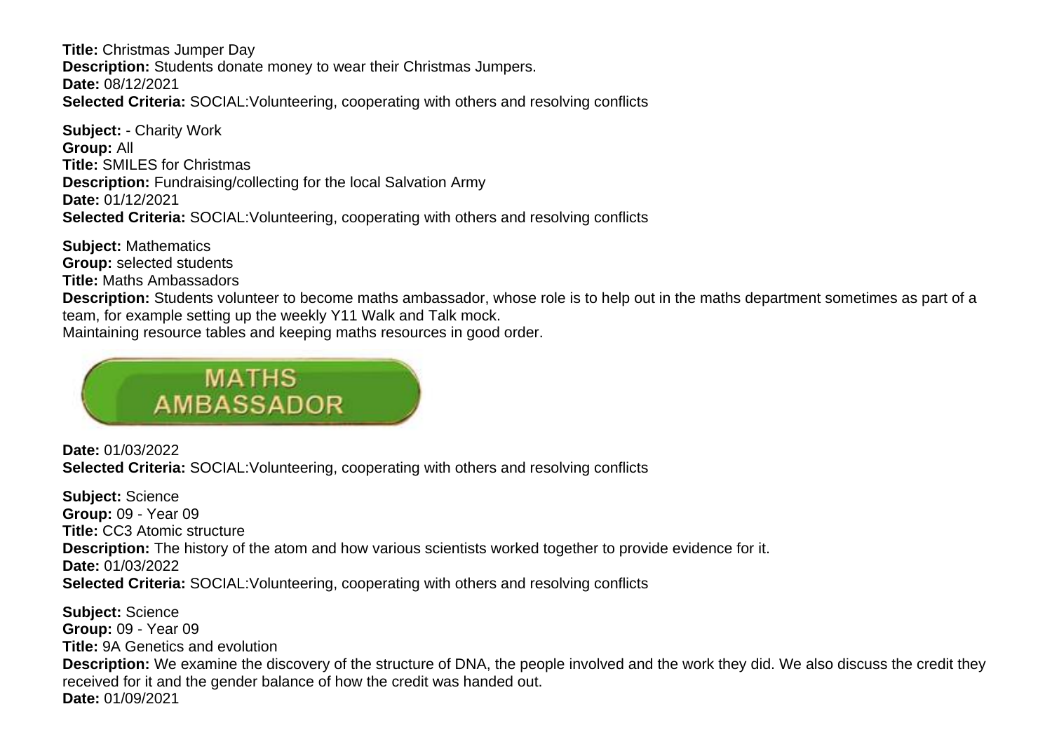**Title:** Christmas Jumper Day **Description:** Students donate money to wear their Christmas Jumpers. **Date:** 08/12/2021 **Selected Criteria:** SOCIAL:Volunteering, cooperating with others and resolving conflicts

**Subject:** - Charity Work **Group:** All **Title:** SMILES for Christmas **Description:** Fundraising/collecting for the local Salvation Army **Date:** 01/12/2021 **Selected Criteria:** SOCIAL:Volunteering, cooperating with others and resolving conflicts

**Subject:** Mathematics **Group:** selected students **Title:** Maths Ambassadors **Description:** Students volunteer to become maths ambassador, whose role is to help out in the maths department sometimes as part of a team, for example setting up the weekly Y11 Walk and Talk mock. Maintaining resource tables and keeping maths resources in good order.



**Date:** 01/03/2022 **Selected Criteria:** SOCIAL:Volunteering, cooperating with others and resolving conflicts

**Subject:** Science **Group:** 09 - Year 09 **Title:** CC3 Atomic structure **Description:** The history of the atom and how various scientists worked together to provide evidence for it. **Date:** 01/03/2022 **Selected Criteria:** SOCIAL:Volunteering, cooperating with others and resolving conflicts

**Subject:** Science **Group:** 09 - Year 09 **Title:** 9A Genetics and evolution **Description:** We examine the discovery of the structure of DNA, the people involved and the work they did. We also discuss the credit they received for it and the gender balance of how the credit was handed out. **Date:** 01/09/2021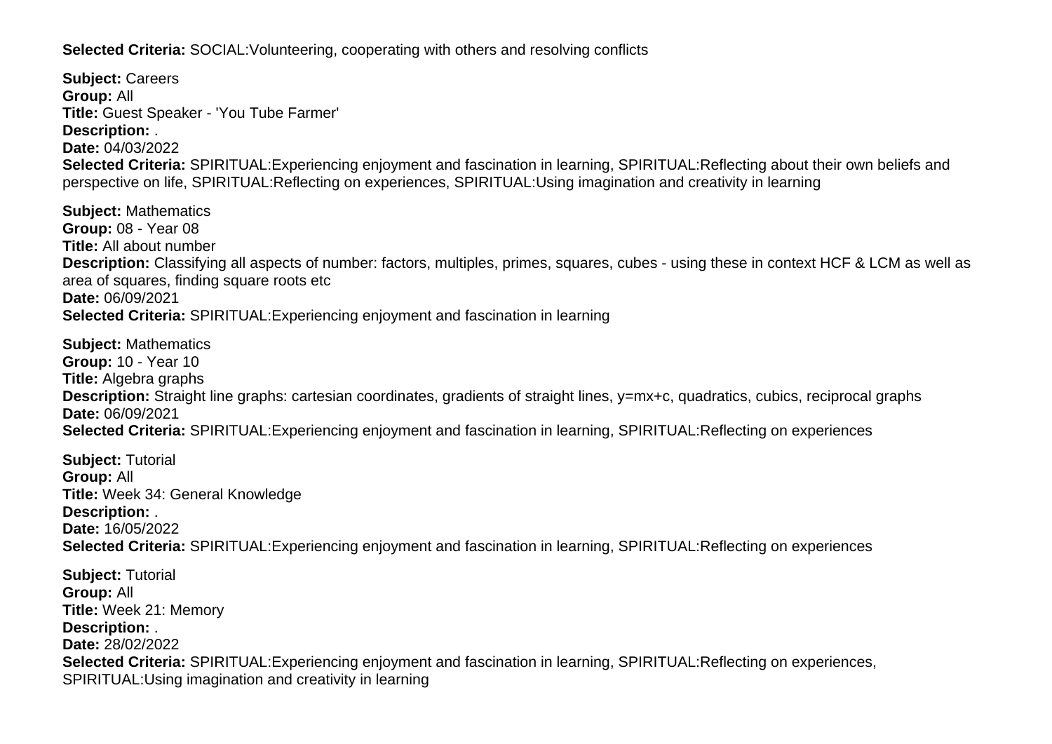**Selected Criteria:** SOCIAL:Volunteering, cooperating with others and resolving conflicts

**Subject:** Careers **Group:** All **Title:** Guest Speaker - 'You Tube Farmer' **Description:** . **Date:** 04/03/2022 **Selected Criteria:** SPIRITUAL:Experiencing enjoyment and fascination in learning, SPIRITUAL:Reflecting about their own beliefs and perspective on life, SPIRITUAL:Reflecting on experiences, SPIRITUAL:Using imagination and creativity in learning

**Subject:** Mathematics **Group:** 08 - Year 08 **Title:** All about number **Description:** Classifying all aspects of number: factors, multiples, primes, squares, cubes - using these in context HCF & LCM as well as area of squares, finding square roots etc **Date:** 06/09/2021 **Selected Criteria:** SPIRITUAL:Experiencing enjoyment and fascination in learning

**Subject:** Mathematics **Group:** 10 - Year 10 **Title:** Algebra graphs **Description:** Straight line graphs: cartesian coordinates, gradients of straight lines, y=mx+c, quadratics, cubics, reciprocal graphs **Date:** 06/09/2021 **Selected Criteria:** SPIRITUAL:Experiencing enjoyment and fascination in learning, SPIRITUAL:Reflecting on experiences

**Subject:** Tutorial **Group:** All **Title:** Week 34: General Knowledge **Description:** . **Date:** 16/05/2022 **Selected Criteria:** SPIRITUAL:Experiencing enjoyment and fascination in learning, SPIRITUAL:Reflecting on experiences

**Subject:** Tutorial **Group:** All **Title:** Week 21: Memory **Description:** . **Date:** 28/02/2022 **Selected Criteria:** SPIRITUAL:Experiencing enjoyment and fascination in learning, SPIRITUAL:Reflecting on experiences, SPIRITUAL:Using imagination and creativity in learning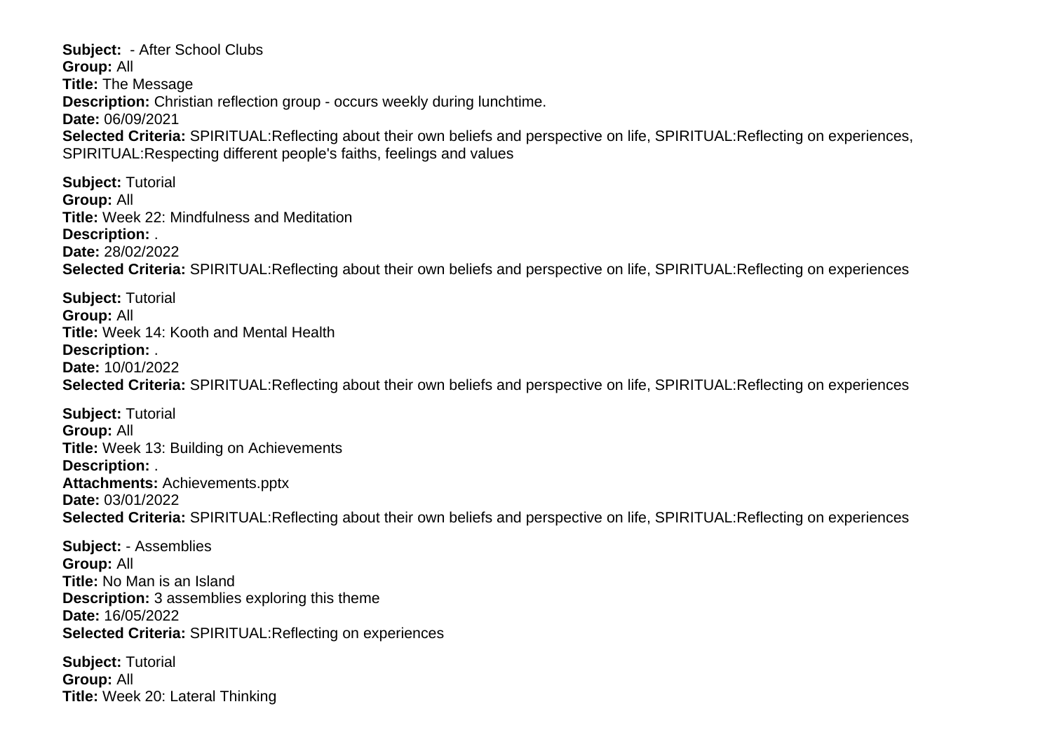**Subject:** - After School Clubs **Group:** All **Title:** The Message **Description:** Christian reflection group - occurs weekly during lunchtime. **Date:** 06/09/2021 **Selected Criteria:** SPIRITUAL:Reflecting about their own beliefs and perspective on life, SPIRITUAL:Reflecting on experiences, SPIRITUAL:Respecting different people's faiths, feelings and values

**Subject:** Tutorial **Group:** All **Title:** Week 22: Mindfulness and Meditation **Description:** . **Date:** 28/02/2022 **Selected Criteria:** SPIRITUAL:Reflecting about their own beliefs and perspective on life, SPIRITUAL:Reflecting on experiences

**Subject:** Tutorial **Group:** All **Title:** Week 14: Kooth and Mental Health **Description:** . **Date:** 10/01/2022 **Selected Criteria:** SPIRITUAL:Reflecting about their own beliefs and perspective on life, SPIRITUAL:Reflecting on experiences

**Subject:** Tutorial **Group:** All **Title:** Week 13: Building on Achievements **Description:** . **Attachments:** Achievements.pptx **Date:** 03/01/2022 **Selected Criteria:** SPIRITUAL:Reflecting about their own beliefs and perspective on life, SPIRITUAL:Reflecting on experiences

**Subject:** - Assemblies **Group:** All **Title:** No Man is an Island **Description:** 3 assemblies exploring this theme **Date:** 16/05/2022 **Selected Criteria:** SPIRITUAL:Reflecting on experiences

**Subject:** Tutorial **Group:** All **Title:** Week 20: Lateral Thinking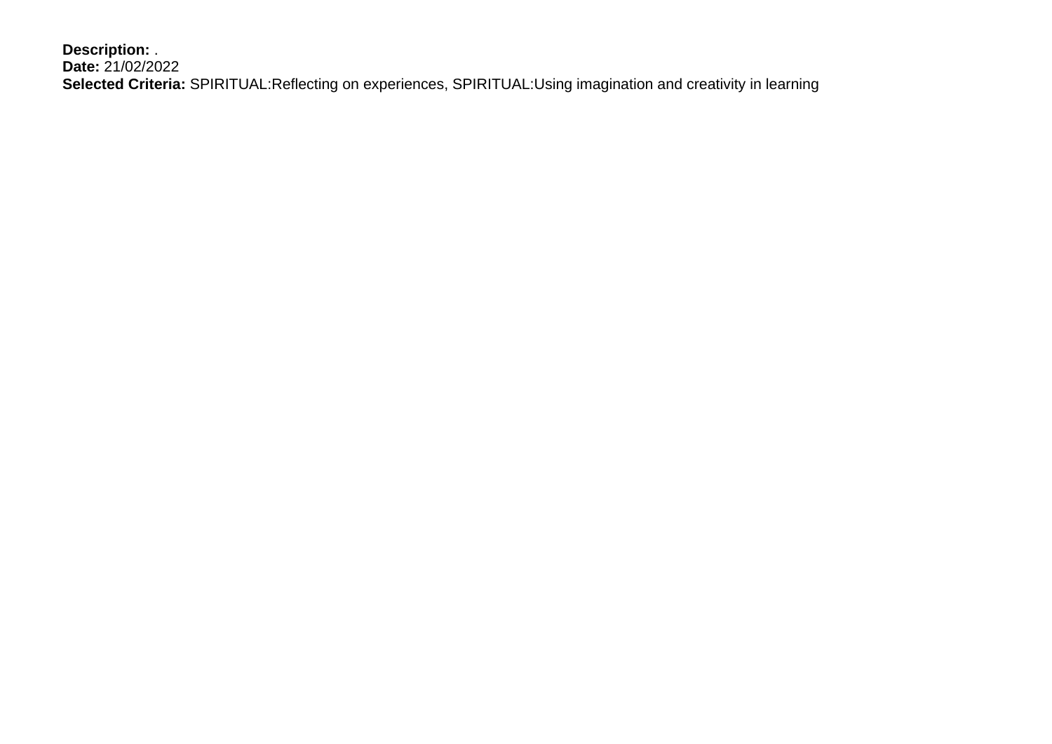**Description:** . **Date:** 21/02/2022 **Selected Criteria:** SPIRITUAL:Reflecting on experiences, SPIRITUAL:Using imagination and creativity in learning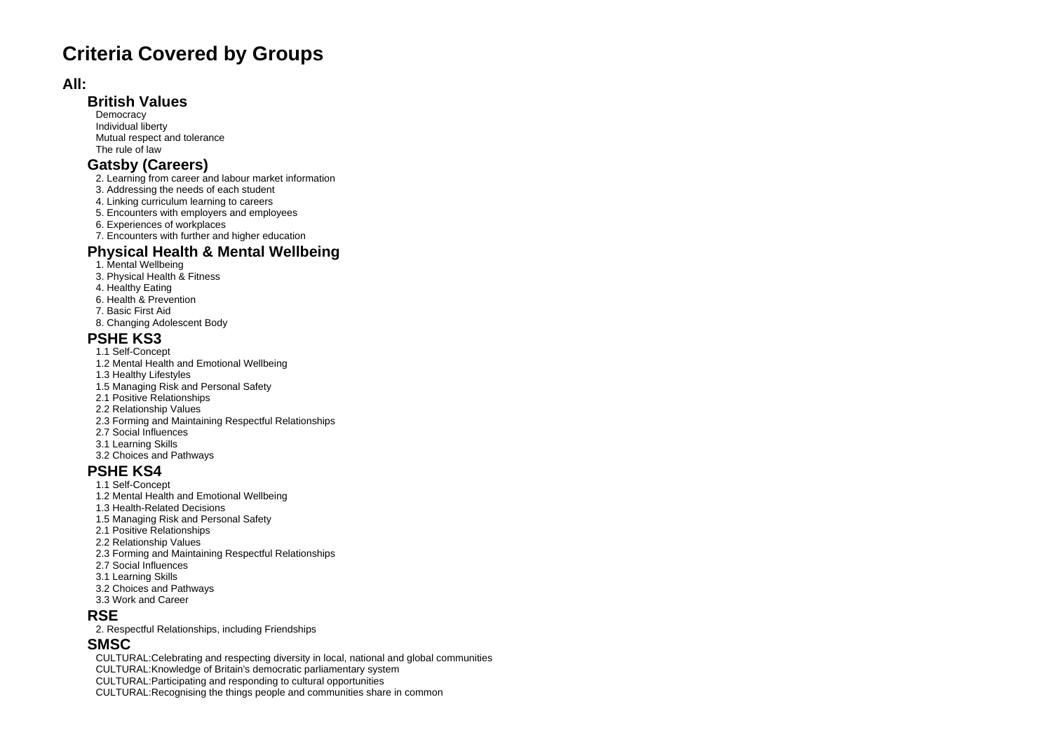# **Criteria Covered by Groups**

#### **All:**

#### **British Values**

**Democracy**  Individual liberty Mutual respect and tolerance The rule of law

### **Gatsby (Careers)**

- 2. Learning from career and labour market information
- 3. Addressing the needs of each student
- 4. Linking curriculum learning to careers
- 5. Encounters with employers and employees
- 6. Experiences of workplaces
- 7. Encounters with further and higher education

### **Physical Health & Mental Wellbeing**

- 1. Mental Wellbeing
- 3. Physical Health & Fitness
- 4. Healthy Eating
- 6. Health & Prevention
- 7. Basic First Aid
- 8. Changing Adolescent Body

#### **PSHE KS3**

- 1.1 Self-Concept
- 1.2 Mental Health and Emotional Wellbeing
- 1.3 Healthy Lifestyles
- 1.5 Managing Risk and Personal Safety
- 2.1 Positive Relationships
- 2.2 Relationship Values
- 2.3 Forming and Maintaining Respectful Relationships
- 2.7 Social Influences
- 3.1 Learning Skills
- 3.2 Choices and Pathways

### **PSHE KS4**

- 1.1 Self-Concept
- 1.2 Mental Health and Emotional Wellbeing
- 1.3 Health-Related Decisions
- 1.5 Managing Risk and Personal Safety
- 2.1 Positive Relationships
- 2.2 Relationship Values
- 2.3 Forming and Maintaining Respectful Relationships
- 2.7 Social Influences
- 3.1 Learning Skills
- 3.2 Choices and Pathways 3.3 Work and Career
- **RSE**
- 2. Respectful Relationships, including Friendships

### **SMSC**

CULTURAL:Celebrating and respecting diversity in local, national and global communities

CULTURAL:Knowledge of Britain's democratic parliamentary system

- CULTURAL:Participating and responding to cultural opportunities
- CULTURAL:Recognising the things people and communities share in common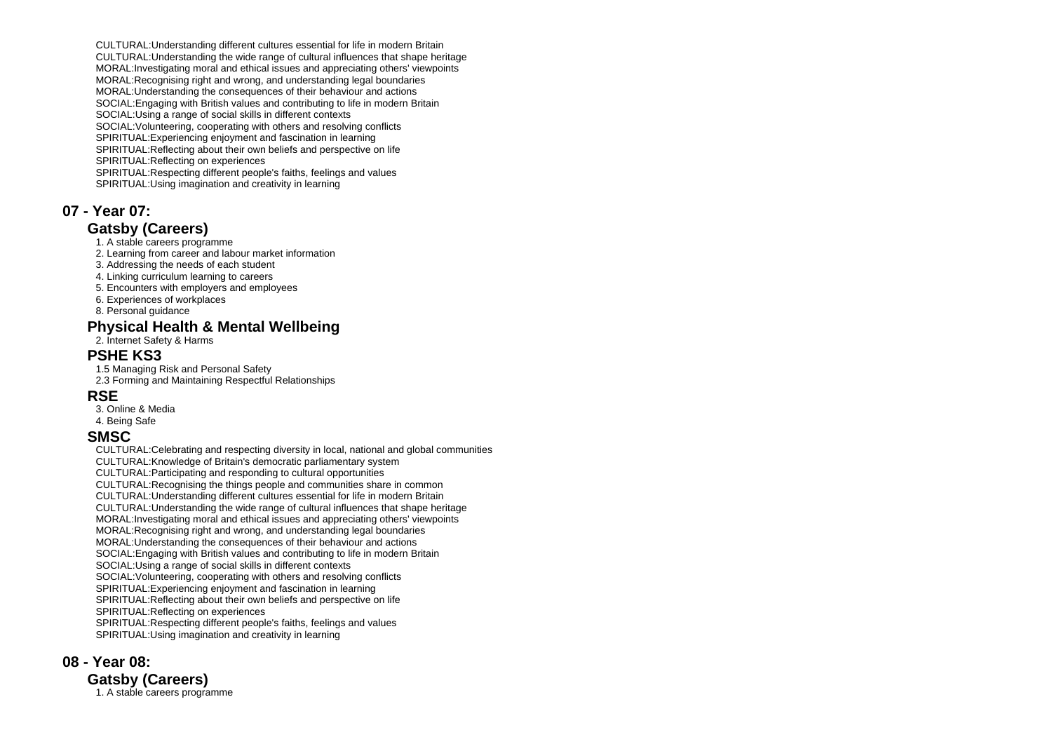CULTURAL:Understanding different cultures essential for life in modern Britain CULTURAL:Understanding the wide range of cultural influences that shape heritage MORAL:Investigating moral and ethical issues and appreciating others' viewpoints MORAL:Recognising right and wrong, and understanding legal boundaries MORAL:Understanding the consequences of their behaviour and actions SOCIAL:Engaging with British values and contributing to life in modern Britain SOCIAL:Using a range of social skills in different contexts SOCIAL:Volunteering, cooperating with others and resolving conflicts SPIRITUAL:Experiencing enjoyment and fascination in learning SPIRITUAL:Reflecting about their own beliefs and perspective on life SPIRITUAL:Reflecting on experiences SPIRITUAL:Respecting different people's faiths, feelings and values SPIRITUAL:Using imagination and creativity in learning

### **07 - Year 07:**

### **Gatsby (Careers)**

- 1. A stable careers programme
- 2. Learning from career and labour market information
- 3. Addressing the needs of each student
- 4. Linking curriculum learning to careers
- 5. Encounters with employers and employees
- 6. Experiences of workplaces
- 8. Personal guidance

### **Physical Health & Mental Wellbeing**

2. Internet Safety & Harms

### **PSHE KS3**

 1.5 Managing Risk and Personal Safety 2.3 Forming and Maintaining Respectful Relationships

### **RSE**

 3. Online & Media 4. Being Safe

### **SMSC**

 CULTURAL:Celebrating and respecting diversity in local, national and global communities CULTURAL:Knowledge of Britain's democratic parliamentary system CULTURAL:Participating and responding to cultural opportunities CULTURAL:Recognising the things people and communities share in common CULTURAL:Understanding different cultures essential for life in modern Britain CULTURAL:Understanding the wide range of cultural influences that shape heritage MORAL:Investigating moral and ethical issues and appreciating others' viewpoints MORAL:Recognising right and wrong, and understanding legal boundaries MORAL:Understanding the consequences of their behaviour and actions SOCIAL:Engaging with British values and contributing to life in modern Britain SOCIAL:Using a range of social skills in different contexts SOCIAL:Volunteering, cooperating with others and resolving conflicts SPIRITUAL:Experiencing enjoyment and fascination in learning SPIRITUAL:Reflecting about their own beliefs and perspective on life SPIRITUAL:Reflecting on experiences SPIRITUAL:Respecting different people's faiths, feelings and values SPIRITUAL:Using imagination and creativity in learning

# **08 - Year 08:**

**Gatsby (Careers)** 1. A stable careers programme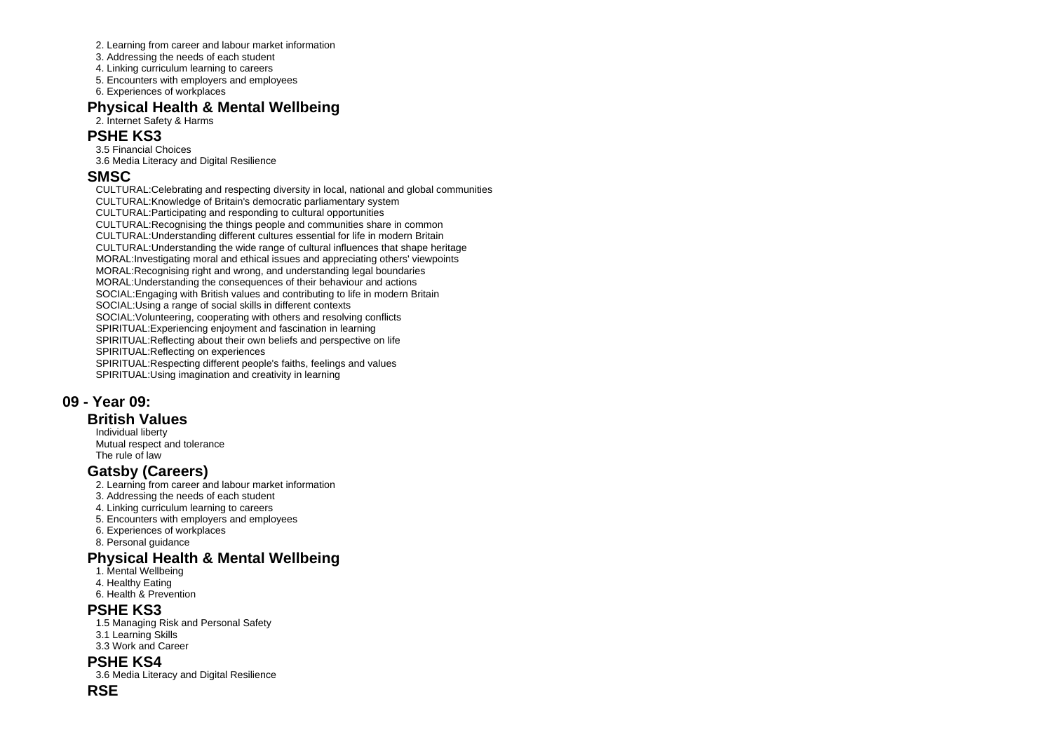- 2. Learning from career and labour market information
- 3. Addressing the needs of each student
- 4. Linking curriculum learning to careers
- 5. Encounters with employers and employees
- 6. Experiences of workplaces

### **Physical Health & Mental Wellbeing**

#### 2. Internet Safety & Harms

#### **PSHE KS3**

 3.5 Financial Choices 3.6 Media Literacy and Digital Resilience

#### **SMSC**

 CULTURAL:Celebrating and respecting diversity in local, national and global communities CULTURAL:Knowledge of Britain's democratic parliamentary system CULTURAL:Participating and responding to cultural opportunities CULTURAL:Recognising the things people and communities share in common CULTURAL:Understanding different cultures essential for life in modern Britain CULTURAL:Understanding the wide range of cultural influences that shape heritage MORAL:Investigating moral and ethical issues and appreciating others' viewpoints MORAL:Recognising right and wrong, and understanding legal boundaries MORAL:Understanding the consequences of their behaviour and actions SOCIAL:Engaging with British values and contributing to life in modern Britain SOCIAL:Using a range of social skills in different contexts SOCIAL:Volunteering, cooperating with others and resolving conflicts SPIRITUAL:Experiencing enjoyment and fascination in learning SPIRITUAL:Reflecting about their own beliefs and perspective on life SPIRITUAL:Reflecting on experiences SPIRITUAL:Respecting different people's faiths, feelings and values SPIRITUAL:Using imagination and creativity in learning

### **09 - Year 09:**

#### **British Values**

 Individual liberty Mutual respect and tolerance The rule of law

### **Gatsby (Careers)**

- 2. Learning from career and labour market information
- 3. Addressing the needs of each student
- 4. Linking curriculum learning to careers
- 5. Encounters with employers and employees
- 6. Experiences of workplaces
- 8. Personal guidance

### **Physical Health & Mental Wellbeing**

- 1. Mental Wellbeing
- 4. Healthy Eating
- 6. Health & Prevention

#### **PSHE KS3**

- 1.5 Managing Risk and Personal Safety 3.1 Learning Skills
- 3.3 Work and Career

## **PSHE KS4**

3.6 Media Literacy and Digital Resilience

#### **RSE**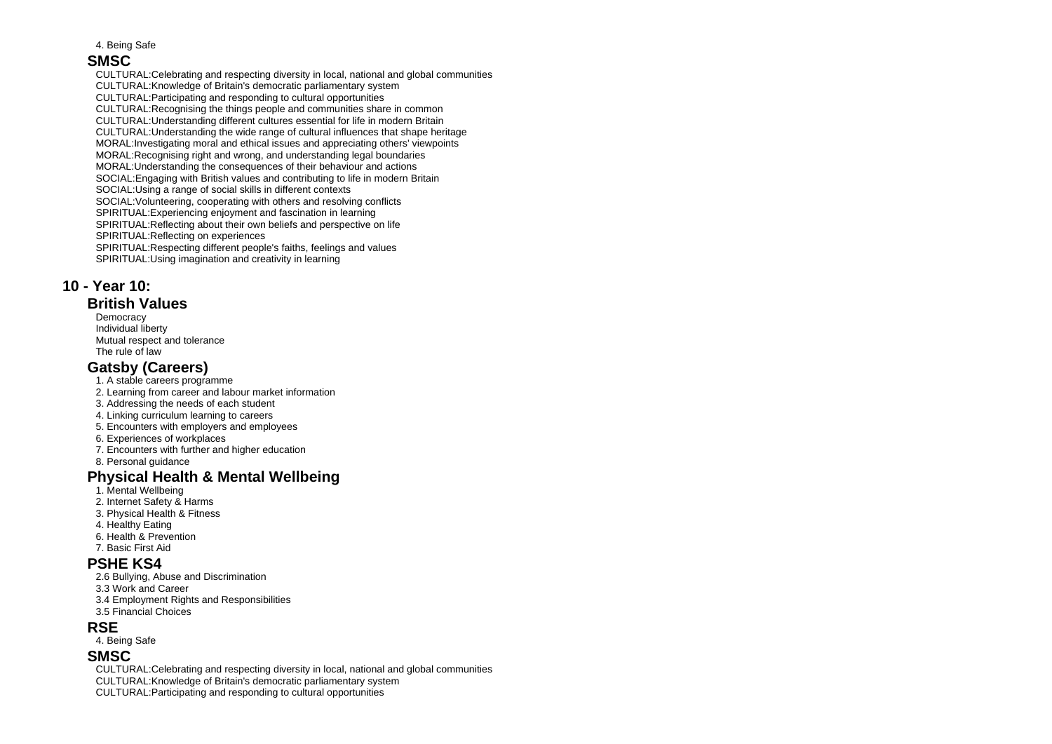4. Being Safe

#### **SMSC**

 CULTURAL:Celebrating and respecting diversity in local, national and global communities CULTURAL:Knowledge of Britain's democratic parliamentary system CULTURAL:Participating and responding to cultural opportunities CULTURAL:Recognising the things people and communities share in common CULTURAL:Understanding different cultures essential for life in modern Britain CULTURAL:Understanding the wide range of cultural influences that shape heritage MORAL:Investigating moral and ethical issues and appreciating others' viewpoints MORAL:Recognising right and wrong, and understanding legal boundaries MORAL:Understanding the consequences of their behaviour and actions SOCIAL:Engaging with British values and contributing to life in modern Britain SOCIAL:Using a range of social skills in different contexts SOCIAL:Volunteering, cooperating with others and resolving conflicts SPIRITUAL:Experiencing enjoyment and fascination in learning SPIRITUAL:Reflecting about their own beliefs and perspective on life SPIRITUAL:Reflecting on experiences SPIRITUAL:Respecting different people's faiths, feelings and values SPIRITUAL:Using imagination and creativity in learning

### **10 - Year 10:**

#### **British Values**

**Democracy**  Individual liberty Mutual respect and tolerance The rule of law

### **Gatsby (Careers)**

- 1. A stable careers programme
- 2. Learning from career and labour market information
- 3. Addressing the needs of each student
- 4. Linking curriculum learning to careers
- 5. Encounters with employers and employees
- 6. Experiences of workplaces
- 7. Encounters with further and higher education
- 8. Personal guidance

### **Physical Health & Mental Wellbeing**

- 1. Mental Wellbeing
- 2. Internet Safety & Harms
- 3. Physical Health & Fitness
- 4. Healthy Eating
- 6. Health & Prevention
- 7. Basic First Aid

### **PSHE KS4**

- 2.6 Bullying, Abuse and Discrimination
- 3.3 Work and Career
- 3.4 Employment Rights and Responsibilities
- 3.5 Financial Choices

### **RSE**

4. Being Safe

#### **SMSC**

 CULTURAL:Celebrating and respecting diversity in local, national and global communities CULTURAL:Knowledge of Britain's democratic parliamentary system

CULTURAL:Participating and responding to cultural opportunities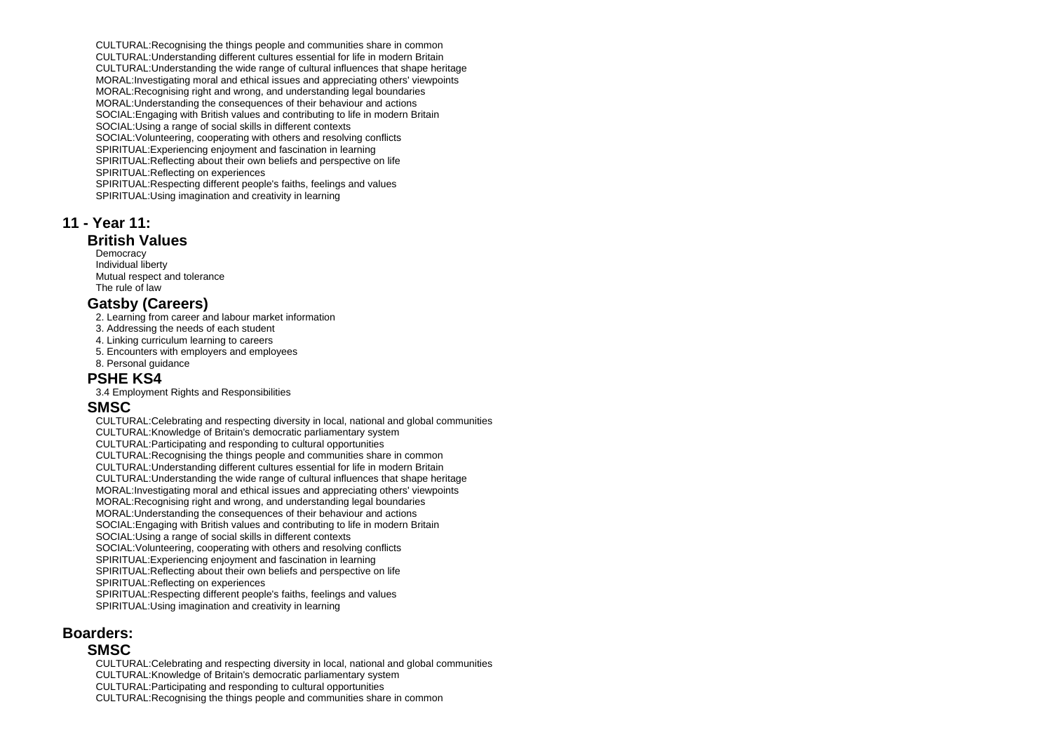CULTURAL:Recognising the things people and communities share in common CULTURAL:Understanding different cultures essential for life in modern Britain CULTURAL:Understanding the wide range of cultural influences that shape heritage MORAL:Investigating moral and ethical issues and appreciating others' viewpoints MORAL: Recognising right and wrong, and understanding legal boundaries MORAL:Understanding the consequences of their behaviour and actions SOCIAL:Engaging with British values and contributing to life in modern Britain SOCIAL:Using a range of social skills in different contexts SOCIAL:Volunteering, cooperating with others and resolving conflicts SPIRITUAL:Experiencing enjoyment and fascination in learning SPIRITUAL:Reflecting about their own beliefs and perspective on life SPIRITUAL:Reflecting on experiences SPIRITUAL:Respecting different people's faiths, feelings and values SPIRITUAL:Using imagination and creativity in learning

#### **11 - Year 11:**

### **British Values**

**Democracy**  Individual liberty Mutual respect and tolerance The rule of law

#### **Gatsby (Careers)**

2. Learning from career and labour market information

- 3. Addressing the needs of each student
- 4. Linking curriculum learning to careers
- 5. Encounters with employers and employees
- 8. Personal guidance

#### **PSHE KS4**

3.4 Employment Rights and Responsibilities

#### **SMSC**

 CULTURAL:Celebrating and respecting diversity in local, national and global communities CULTURAL:Knowledge of Britain's democratic parliamentary system CULTURAL:Participating and responding to cultural opportunities CULTURAL:Recognising the things people and communities share in common CULTURAL:Understanding different cultures essential for life in modern Britain CULTURAL:Understanding the wide range of cultural influences that shape heritage MORAL:Investigating moral and ethical issues and appreciating others' viewpoints MORAL:Recognising right and wrong, and understanding legal boundaries MORAL:Understanding the consequences of their behaviour and actions SOCIAL:Engaging with British values and contributing to life in modern Britain SOCIAL:Using a range of social skills in different contexts SOCIAL:Volunteering, cooperating with others and resolving conflicts SPIRITUAL:Experiencing enjoyment and fascination in learning SPIRITUAL:Reflecting about their own beliefs and perspective on life SPIRITUAL:Reflecting on experiences SPIRITUAL:Respecting different people's faiths, feelings and values SPIRITUAL:Using imagination and creativity in learning

### **Boarders:**

#### **SMSC**

CULTURAL:Celebrating and respecting diversity in local, national and global communities

CULTURAL:Knowledge of Britain's democratic parliamentary system

CULTURAL:Participating and responding to cultural opportunities

CULTURAL:Recognising the things people and communities share in common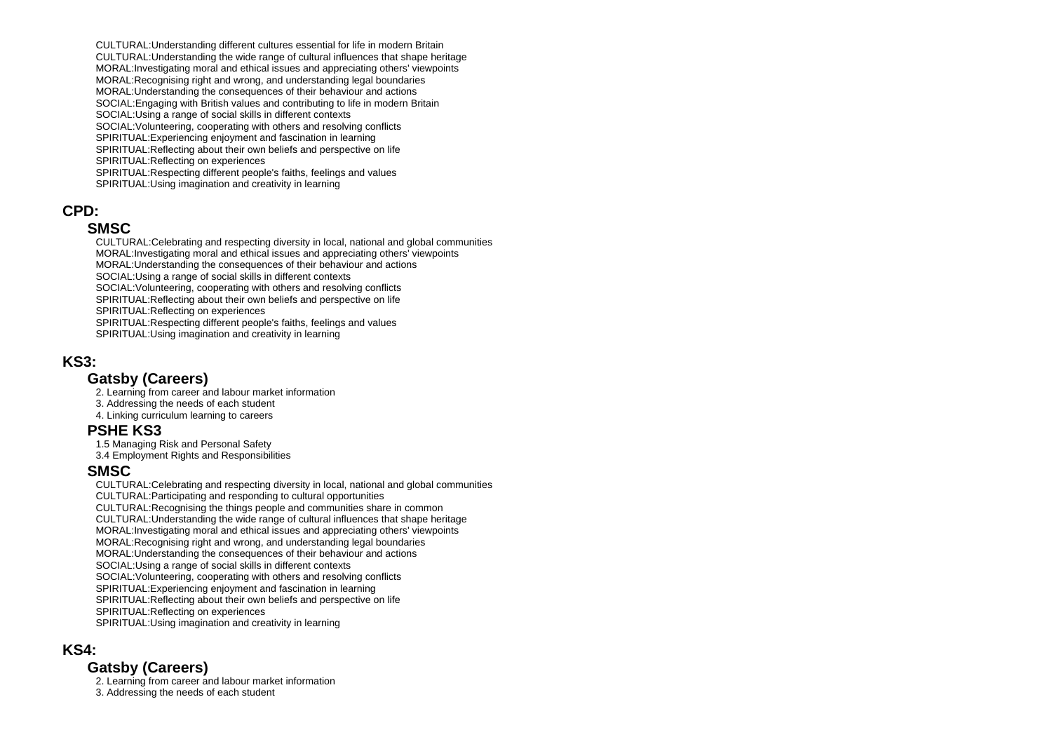CULTURAL:Understanding different cultures essential for life in modern Britain CULTURAL:Understanding the wide range of cultural influences that shape heritage MORAL:Investigating moral and ethical issues and appreciating others' viewpoints MORAL:Recognising right and wrong, and understanding legal boundaries MORAL:Understanding the consequences of their behaviour and actions SOCIAL:Engaging with British values and contributing to life in modern Britain SOCIAL:Using a range of social skills in different contexts SOCIAL:Volunteering, cooperating with others and resolving conflicts SPIRITUAL:Experiencing enjoyment and fascination in learning SPIRITUAL:Reflecting about their own beliefs and perspective on life SPIRITUAL:Reflecting on experiences SPIRITUAL:Respecting different people's faiths, feelings and values SPIRITUAL:Using imagination and creativity in learning

### **CPD:**

#### **SMSC**

 CULTURAL:Celebrating and respecting diversity in local, national and global communities MORAL:Investigating moral and ethical issues and appreciating others' viewpoints MORAL:Understanding the consequences of their behaviour and actions SOCIAL:Using a range of social skills in different contexts SOCIAL:Volunteering, cooperating with others and resolving conflicts SPIRITUAL:Reflecting about their own beliefs and perspective on life SPIRITUAL:Reflecting on experiences SPIRITUAL:Respecting different people's faiths, feelings and values SPIRITUAL:Using imagination and creativity in learning

### **KS3:**

#### **Gatsby (Careers)**

2. Learning from career and labour market information

- 3. Addressing the needs of each student
- 4. Linking curriculum learning to careers

#### **PSHE KS3**

1.5 Managing Risk and Personal Safety

3.4 Employment Rights and Responsibilities

### **SMSC**

 CULTURAL:Celebrating and respecting diversity in local, national and global communities CULTURAL:Participating and responding to cultural opportunities CULTURAL:Recognising the things people and communities share in common CULTURAL:Understanding the wide range of cultural influences that shape heritage MORAL:Investigating moral and ethical issues and appreciating others' viewpoints MORAL:Recognising right and wrong, and understanding legal boundaries MORAL:Understanding the consequences of their behaviour and actions SOCIAL:Using a range of social skills in different contexts SOCIAL:Volunteering, cooperating with others and resolving conflicts SPIRITUAL:Experiencing enjoyment and fascination in learning SPIRITUAL:Reflecting about their own beliefs and perspective on life SPIRITUAL:Reflecting on experiences SPIRITUAL:Using imagination and creativity in learning

### **KS4:**

### **Gatsby (Careers)**

2. Learning from career and labour market information

3. Addressing the needs of each student